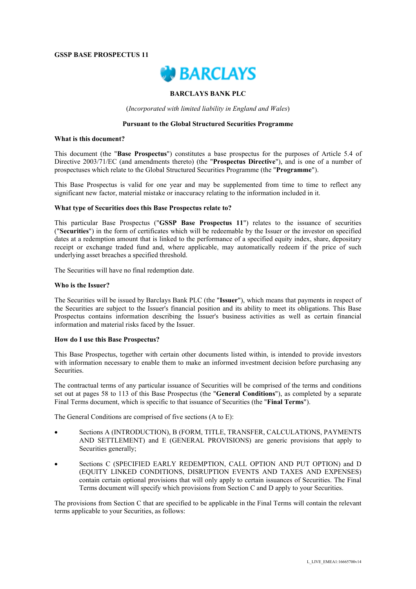#### **GSSP BASE PROSPECTUS 11**



## **BARCLAYS BANK PLC**

(*Incorporated with limited liability in England and Wales*)

#### **Pursuant to the Global Structured Securities Programme**

#### **What is this document?**

This document (the "**Base Prospectus**") constitutes a base prospectus for the purposes of Article 5.4 of Directive 2003/71/EC (and amendments thereto) (the "**Prospectus Directive**"), and is one of a number of prospectuses which relate to the Global Structured Securities Programme (the "**Programme**").

This Base Prospectus is valid for one year and may be supplemented from time to time to reflect any significant new factor, material mistake or inaccuracy relating to the information included in it.

#### **What type of Securities does this Base Prospectus relate to?**

This particular Base Prospectus ("**GSSP Base Prospectus 11**") relates to the issuance of securities ("**Securities**") in the form of certificates which will be redeemable by the Issuer or the investor on specified dates at a redemption amount that is linked to the performance of a specified equity index, share, depositary receipt or exchange traded fund and, where applicable, may automatically redeem if the price of such underlying asset breaches a specified threshold.

The Securities will have no final redemption date.

#### **Who is the Issuer?**

The Securities will be issued by Barclays Bank PLC (the "**Issuer**"), which means that payments in respect of the Securities are subject to the Issuer's financial position and its ability to meet its obligations. This Base Prospectus contains information describing the Issuer's business activities as well as certain financial information and material risks faced by the Issuer.

#### **How do I use this Base Prospectus?**

This Base Prospectus, together with certain other documents listed within, is intended to provide investors with information necessary to enable them to make an informed investment decision before purchasing any Securities.

The contractual terms of any particular issuance of Securities will be comprised of the terms and conditions set out at pages 58 to 113 of this Base Prospectus (the "**General Conditions**"), as completed by a separate Final Terms document, which is specific to that issuance of Securities (the "**Final Terms**").

The General Conditions are comprised of five sections (A to E):

- Sections A (INTRODUCTION), B (FORM, TITLE, TRANSFER, CALCULATIONS, PAYMENTS AND SETTLEMENT) and E (GENERAL PROVISIONS) are generic provisions that apply to Securities generally;
- Sections C (SPECIFIED EARLY REDEMPTION, CALL OPTION AND PUT OPTION) and D (EQUITY LINKED CONDITIONS, DISRUPTION EVENTS AND TAXES AND EXPENSES) contain certain optional provisions that will only apply to certain issuances of Securities. The Final Terms document will specify which provisions from Section C and D apply to your Securities.

The provisions from Section C that are specified to be applicable in the Final Terms will contain the relevant terms applicable to your Securities, as follows: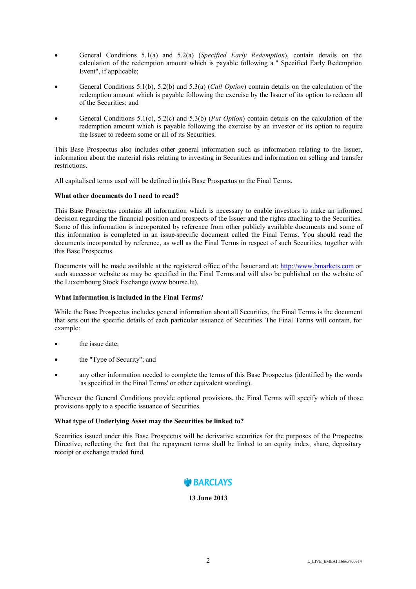- General Conditions 5.1(a) and 5.2(a) (*Specified Early Redemption*), contain details on the calculation of the redemption amount which is payable following a " Specified Early Redemption Event", if applicable;
- General Conditions 5.1(b), 5.2(b) and 5.3(a) (*Call Option*) contain details on the calculation of the redemption amount which is payable following the exercise by the Issuer of its option to redeem all of the Securities; and
- General Conditions 5.1(c), 5.2(c) and 5.3(b) (*Put Option*) contain details on the calculation of the redemption amount which is payable following the exercise by an investor of its option to require the Issuer to redeem some or all of its Securities.

This Base Prospectus also includes other general information such as information relating to the Issuer, information about the material risks relating to investing in Securities and information on selling and transfer restrictions.

All capitalised terms used will be defined in this Base Prospectus or the Final Terms.

# **What other documents do I need to read?**

This Base Prospectus contains all information which is necessary to enable investors to make an informed decision regarding the financial position and prospects of the Issuer and the rights attaching to the Securities. Some of this information is incorporated by reference from other publicly available documents and some of this information is completed in an issue-specific document called the Final Terms. You should read the documents incorporated by reference, as well as the Final Terms in respect of such Securities, together with this Base Prospectus.

Documents will be made available at the registered office of the Issuer and at: http://www.bmarkets.com or such successor website as may be specified in the Final Terms and will also be published on the website of the Luxembourg Stock Exchange (www.bourse.lu).

# **What information is included in the Final Terms?**

While the Base Prospectus includes general information about all Securities, the Final Terms is the document that sets out the specific details of each particular issuance of Securities. The Final Terms will contain, for example:

- the issue date;
- the "Type of Security"; and
- any other information needed to complete the terms of this Base Prospectus (identified by the words 'as specified in the Final Terms' or other equivalent wording).

Wherever the General Conditions provide optional provisions, the Final Terms will specify which of those provisions apply to a specific issuance of Securities.

# **What type of Underlying Asset may the Securities be linked to?**

Securities issued under this Base Prospectus will be derivative securities for the purposes of the Prospectus Directive, reflecting the fact that the repayment terms shall be linked to an equity index, share, depositary receipt or exchange traded fund.

# **BARCLAYS**

# **13 June 2013**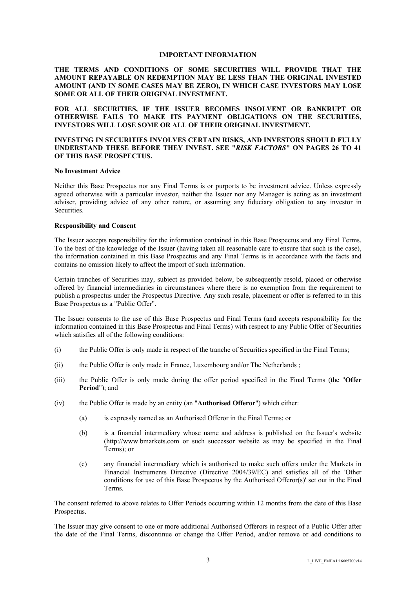#### **IMPORTANT INFORMATION**

# **THE TERMS AND CONDITIONS OF SOME SECURITIES WILL PROVIDE THAT THE AMOUNT REPAYABLE ON REDEMPTION MAY BE LESS THAN THE ORIGINAL INVESTED AMOUNT (AND IN SOME CASES MAY BE ZERO), IN WHICH CASE INVESTORS MAY LOSE SOME OR ALL OF THEIR ORIGINAL INVESTMENT.**

**FOR ALL SECURITIES, IF THE ISSUER BECOMES INSOLVENT OR BANKRUPT OR OTHERWISE FAILS TO MAKE ITS PAYMENT OBLIGATIONS ON THE SECURITIES, INVESTORS WILL LOSE SOME OR ALL OF THEIR ORIGINAL INVESTMENT.** 

## **INVESTING IN SECURITIES INVOLVES CERTAIN RISKS, AND INVESTORS SHOULD FULLY UNDERSTAND THESE BEFORE THEY INVEST. SEE "***RISK FACTORS***" ON PAGES 26 TO 41 OF THIS BASE PROSPECTUS.**

#### **No Investment Advice**

Neither this Base Prospectus nor any Final Terms is or purports to be investment advice. Unless expressly agreed otherwise with a particular investor, neither the Issuer nor any Manager is acting as an investment adviser, providing advice of any other nature, or assuming any fiduciary obligation to any investor in Securities.

## **Responsibility and Consent**

The Issuer accepts responsibility for the information contained in this Base Prospectus and any Final Terms. To the best of the knowledge of the Issuer (having taken all reasonable care to ensure that such is the case), the information contained in this Base Prospectus and any Final Terms is in accordance with the facts and contains no omission likely to affect the import of such information.

Certain tranches of Securities may, subject as provided below, be subsequently resold, placed or otherwise offered by financial intermediaries in circumstances where there is no exemption from the requirement to publish a prospectus under the Prospectus Directive. Any such resale, placement or offer is referred to in this Base Prospectus as a "Public Offer".

The Issuer consents to the use of this Base Prospectus and Final Terms (and accepts responsibility for the information contained in this Base Prospectus and Final Terms) with respect to any Public Offer of Securities which satisfies all of the following conditions:

- (i) the Public Offer is only made in respect of the tranche of Securities specified in the Final Terms;
- (ii) the Public Offer is only made in France, Luxembourg and/or The Netherlands ;
- (iii) the Public Offer is only made during the offer period specified in the Final Terms (the "**Offer Period**"); and
- (iv) the Public Offer is made by an entity (an "**Authorised Offeror**") which either:
	- (a) is expressly named as an Authorised Offeror in the Final Terms; or
	- (b) is a financial intermediary whose name and address is published on the Issuer's website (http://www.bmarkets.com or such successor website as may be specified in the Final Terms); or
	- (c) any financial intermediary which is authorised to make such offers under the Markets in Financial Instruments Directive (Directive 2004/39/EC) and satisfies all of the 'Other conditions for use of this Base Prospectus by the Authorised Offeror(s)' set out in the Final Terms.

The consent referred to above relates to Offer Periods occurring within 12 months from the date of this Base Prospectus.

The Issuer may give consent to one or more additional Authorised Offerors in respect of a Public Offer after the date of the Final Terms, discontinue or change the Offer Period, and/or remove or add conditions to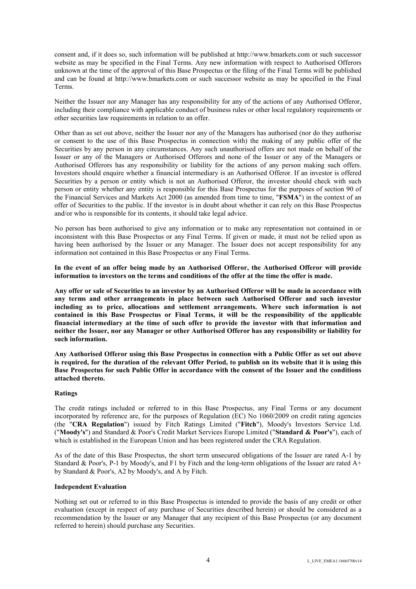consent and, if it does so, such information will be published at http://www.bmarkets.com or such successor website as may be specified in the Final Terms. Any new information with respect to Authorised Offerors unknown at the time of the approval of this Base Prospectus or the filing of the Final Terms will be published and can be found at http://www.bmarkets.com or such successor website as may be specified in the Final Terms.

Neither the Issuer nor any Manager has any responsibility for any of the actions of any Authorised Offeror, including their compliance with applicable conduct of business rules or other local regulatory requirements or other securities law requirements in relation to an offer.

Other than as set out above, neither the Issuer nor any of the Managers has authorised (nor do they authorise or consent to the use of this Base Prospectus in connection with) the making of any public offer of the Securities by any person in any circumstances. Any such unauthorised offers are not made on behalf of the Issuer or any of the Managers or Authorised Offerors and none of the Issuer or any of the Managers or Authorised Offerors has any responsibility or liability for the actions of any person making such offers. Investors should enquire whether a financial intermediary is an Authorised Offeror. If an investor is offered Securities by a person or entity which is not an Authorised Offeror, the investor should check with such person or entity whether any entity is responsible for this Base Prospectus for the purposes of section 90 of the Financial Services and Markets Act 2000 (as amended from time to time, "**FSMA**") in the context of an offer of Securities to the public. If the investor is in doubt about whether it can rely on this Base Prospectus and/or who is responsible for its contents, it should take legal advice.

No person has been authorised to give any information or to make any representation not contained in or inconsistent with this Base Prospectus or any Final Terms. If given or made, it must not be relied upon as having been authorised by the Issuer or any Manager. The Issuer does not accept responsibility for any information not contained in this Base Prospectus or any Final Terms.

**In the event of an offer being made by an Authorised Offeror, the Authorised Offeror will provide information to investors on the terms and conditions of the offer at the time the offer is made.**

**Any offer or sale of Securities to an investor by an Authorised Offeror will be made in accordance with any terms and other arrangements in place between such Authorised Offeror and such investor including as to price, allocations and settlement arrangements. Where such information is not contained in this Base Prospectus or Final Terms, it will be the responsibility of the applicable financial intermediary at the time of such offer to provide the investor with that information and neither the Issuer, nor any Manager or other Authorised Offeror has any responsibility or liability for such information.**

**Any Authorised Offeror using this Base Prospectus in connection with a Public Offer as set out above is required, for the duration of the relevant Offer Period, to publish on its website that it is using this Base Prospectus for such Public Offer in accordance with the consent of the Issuer and the conditions attached thereto.**

# **Ratings**

The credit ratings included or referred to in this Base Prospectus, any Final Terms or any document incorporated by reference are, for the purposes of Regulation (EC) No 1060/2009 on credit rating agencies (the "**CRA Regulation**") issued by Fitch Ratings Limited ("**Fitch**"), Moody's Investors Service Ltd. ("**Moody's**") and Standard & Poor's Credit Market Services Europe Limited ("**Standard & Poor's**"), each of which is established in the European Union and has been registered under the CRA Regulation.

As of the date of this Base Prospectus, the short term unsecured obligations of the Issuer are rated A-1 by Standard & Poor's, P-1 by Moody's, and F1 by Fitch and the long-term obligations of the Issuer are rated  $A^+$ by Standard & Poor's, A2 by Moody's, and A by Fitch.

#### **Independent Evaluation**

Nothing set out or referred to in this Base Prospectus is intended to provide the basis of any credit or other evaluation (except in respect of any purchase of Securities described herein) or should be considered as a recommendation by the Issuer or any Manager that any recipient of this Base Prospectus (or any document referred to herein) should purchase any Securities.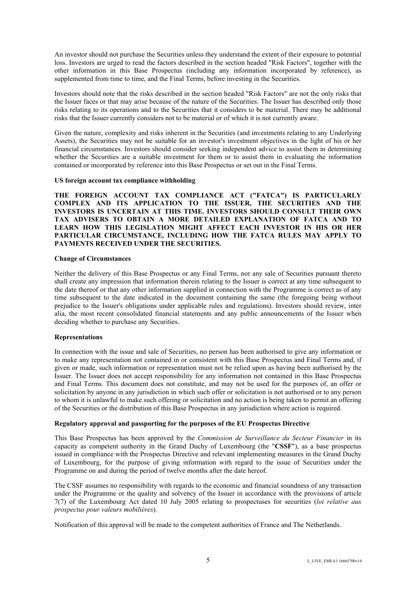An investor should not purchase the Securities unless they understand the extent of their exposure to potential loss. Investors are urged to read the factors described in the section headed "Risk Factors", together with the other information in this Base Prospectus (including any information incorporated by reference), as supplemented from time to time, and the Final Terms, before investing in the Securities.

Investors should note that the risks described in the section headed "Risk Factors" are not the only risks that the Issuer faces or that may arise because of the nature of the Securities. The Issuer has described only those risks relating to its operations and to the Securities that it considers to be material. There may be additional risks that the Issuer currently considers not to be material or of which it is not currently aware.

Given the nature, complexity and risks inherent in the Securities (and investments relating to any Underlying Assets), the Securities may not be suitable for an investor's investment objectives in the light of his or her financial circumstances. Investors should consider seeking independent advice to assist them in determining whether the Securities are a suitable investment for them or to assist them in evaluating the information contained or incorporated by reference into this Base Prospectus or set out in the Final Terms.

## **US foreign account tax compliance withholding**

**THE FOREIGN ACCOUNT TAX COMPLIANCE ACT ("FATCA") IS PARTICULARLY COMPLEX AND ITS APPLICATION TO THE ISSUER, THE SECURITIES AND THE INVESTORS IS UNCERTAIN AT THIS TIME. INVESTORS SHOULD CONSULT THEIR OWN TAX ADVISERS TO OBTAIN A MORE DETAILED EXPLANATION OF FATCA AND TO LEARN HOW THIS LEGISLATION MIGHT AFFECT EACH INVESTOR IN HIS OR HER PARTICULAR CIRCUMSTANCE, INCLUDING HOW THE FATCA RULES MAY APPLY TO PAYMENTS RECEIVED UNDER THE SECURITIES.** 

## **Change of Circumstances**

Neither the delivery of this Base Prospectus or any Final Terms, nor any sale of Securities pursuant thereto shall create any impression that information therein relating to the Issuer is correct at any time subsequent to the date thereof or that any other information supplied in connection with the Programme is correct as of any time subsequent to the date indicated in the document containing the same (the foregoing being without prejudice to the Issuer's obligations under applicable rules and regulations). Investors should review, inter alia, the most recent consolidated financial statements and any public announcements of the Issuer when deciding whether to purchase any Securities.

# **Representations**

In connection with the issue and sale of Securities, no person has been authorised to give any information or to make any representation not contained in or consistent with this Base Prospectus and Final Terms and, if given or made, such information or representation must not be relied upon as having been authorised by the Issuer. The Issuer does not accept responsibility for any information not contained in this Base Prospectus and Final Terms. This document does not constitute, and may not be used for the purposes of, an offer or solicitation by anyone in any jurisdiction in which such offer or solicitation is not authorised or to any person to whom it is unlawful to make such offering or solicitation and no action is being taken to permit an offering of the Securities or the distribution of this Base Prospectus in any jurisdiction where action is required.

# **Regulatory approval and passporting for the purposes of the EU Prospectus Directive**

This Base Prospectus has been approved by the *Commission de Surveillance du Secteur Financier* in its capacity as competent authority in the Grand Duchy of Luxembourg (the "**CSSF**"), as a base prospectus issued in compliance with the Prospectus Directive and relevant implementing measures in the Grand Duchy of Luxembourg, for the purpose of giving information with regard to the issue of Securities under the Programme on and during the period of twelve months after the date hereof.

The CSSF assumes no responsibility with regards to the economic and financial soundness of any transaction under the Programme or the quality and solvency of the Issuer in accordance with the provisions of article 7(7) of the Luxembourg Act dated 10 July 2005 relating to prospectuses for securities (*loi relative aux prospectus pour valeurs mobilières*).

Notification of this approval will be made to the competent authorities of France and The Netherlands.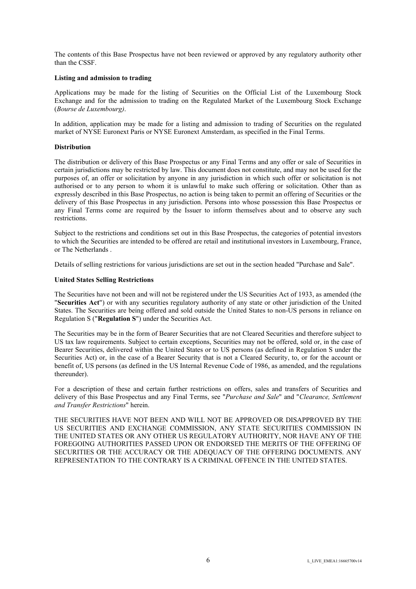The contents of this Base Prospectus have not been reviewed or approved by any regulatory authority other than the CSSF.

## **Listing and admission to trading**

Applications may be made for the listing of Securities on the Official List of the Luxembourg Stock Exchange and for the admission to trading on the Regulated Market of the Luxembourg Stock Exchange (*Bourse de Luxembourg)*.

In addition, application may be made for a listing and admission to trading of Securities on the regulated market of NYSE Euronext Paris or NYSE Euronext Amsterdam, as specified in the Final Terms.

#### **Distribution**

The distribution or delivery of this Base Prospectus or any Final Terms and any offer or sale of Securities in certain jurisdictions may be restricted by law. This document does not constitute, and may not be used for the purposes of, an offer or solicitation by anyone in any jurisdiction in which such offer or solicitation is not authorised or to any person to whom it is unlawful to make such offering or solicitation. Other than as expressly described in this Base Prospectus, no action is being taken to permit an offering of Securities or the delivery of this Base Prospectus in any jurisdiction. Persons into whose possession this Base Prospectus or any Final Terms come are required by the Issuer to inform themselves about and to observe any such restrictions.

Subject to the restrictions and conditions set out in this Base Prospectus, the categories of potential investors to which the Securities are intended to be offered are retail and institutional investors in Luxembourg, France, or The Netherlands .

Details of selling restrictions for various jurisdictions are set out in the section headed "Purchase and Sale".

## **United States Selling Restrictions**

The Securities have not been and will not be registered under the US Securities Act of 1933, as amended (the "**Securities Act**") or with any securities regulatory authority of any state or other jurisdiction of the United States. The Securities are being offered and sold outside the United States to non-US persons in reliance on Regulation S ("**Regulation S**") under the Securities Act.

The Securities may be in the form of Bearer Securities that are not Cleared Securities and therefore subject to US tax law requirements. Subject to certain exceptions, Securities may not be offered, sold or, in the case of Bearer Securities, delivered within the United States or to US persons (as defined in Regulation S under the Securities Act) or, in the case of a Bearer Security that is not a Cleared Security, to, or for the account or benefit of, US persons (as defined in the US Internal Revenue Code of 1986, as amended, and the regulations thereunder).

For a description of these and certain further restrictions on offers, sales and transfers of Securities and delivery of this Base Prospectus and any Final Terms, see "*Purchase and Sale*" and "*Clearance, Settlement and Transfer Restrictions*" herein.

THE SECURITIES HAVE NOT BEEN AND WILL NOT BE APPROVED OR DISAPPROVED BY THE US SECURITIES AND EXCHANGE COMMISSION, ANY STATE SECURITIES COMMISSION IN THE UNITED STATES OR ANY OTHER US REGULATORY AUTHORITY, NOR HAVE ANY OF THE FOREGOING AUTHORITIES PASSED UPON OR ENDORSED THE MERITS OF THE OFFERING OF SECURITIES OR THE ACCURACY OR THE ADEQUACY OF THE OFFERING DOCUMENTS. ANY REPRESENTATION TO THE CONTRARY IS A CRIMINAL OFFENCE IN THE UNITED STATES.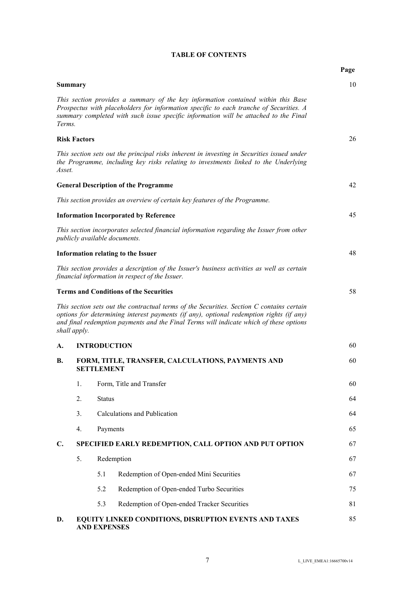| <b>Summary</b> |                     |                     |                                                                                                                                                                                                                                                                                | 10 |
|----------------|---------------------|---------------------|--------------------------------------------------------------------------------------------------------------------------------------------------------------------------------------------------------------------------------------------------------------------------------|----|
| Terms.         |                     |                     | This section provides a summary of the key information contained within this Base<br>Prospectus with placeholders for information specific to each tranche of Securities. A<br>summary completed with such issue specific information will be attached to the Final            |    |
|                | <b>Risk Factors</b> |                     |                                                                                                                                                                                                                                                                                | 26 |
| Asset.         |                     |                     | This section sets out the principal risks inherent in investing in Securities issued under<br>the Programme, including key risks relating to investments linked to the Underlying                                                                                              |    |
|                |                     |                     | <b>General Description of the Programme</b>                                                                                                                                                                                                                                    | 42 |
|                |                     |                     | This section provides an overview of certain key features of the Programme.                                                                                                                                                                                                    |    |
|                |                     |                     | <b>Information Incorporated by Reference</b>                                                                                                                                                                                                                                   | 45 |
|                |                     |                     | This section incorporates selected financial information regarding the Issuer from other<br>publicly available documents.                                                                                                                                                      |    |
|                |                     |                     | <b>Information relating to the Issuer</b>                                                                                                                                                                                                                                      | 48 |
|                |                     |                     | This section provides a description of the Issuer's business activities as well as certain<br>financial information in respect of the Issuer.                                                                                                                                  |    |
|                |                     |                     | <b>Terms and Conditions of the Securities</b>                                                                                                                                                                                                                                  | 58 |
|                | shall apply.        |                     | This section sets out the contractual terms of the Securities. Section C contains certain<br>options for determining interest payments (if any), optional redemption rights (if any)<br>and final redemption payments and the Final Terms will indicate which of these options |    |
| A.             |                     |                     | <b>INTRODUCTION</b>                                                                                                                                                                                                                                                            | 60 |
| <b>B.</b>      |                     | <b>SETTLEMENT</b>   | FORM, TITLE, TRANSFER, CALCULATIONS, PAYMENTS AND                                                                                                                                                                                                                              | 60 |
|                | 1.                  |                     | Form, Title and Transfer                                                                                                                                                                                                                                                       | 60 |
|                | 2.                  | <b>Status</b>       |                                                                                                                                                                                                                                                                                | 64 |
|                | 3.                  |                     | Calculations and Publication                                                                                                                                                                                                                                                   | 64 |
|                | 4.                  | Payments            |                                                                                                                                                                                                                                                                                | 65 |
| $\mathbf{C}$ . |                     |                     | SPECIFIED EARLY REDEMPTION, CALL OPTION AND PUT OPTION                                                                                                                                                                                                                         | 67 |
|                | 5.                  |                     | Redemption                                                                                                                                                                                                                                                                     | 67 |
|                |                     | 5.1                 | Redemption of Open-ended Mini Securities                                                                                                                                                                                                                                       | 67 |
|                |                     | 5.2                 | Redemption of Open-ended Turbo Securities                                                                                                                                                                                                                                      | 75 |
|                |                     | 5.3                 | Redemption of Open-ended Tracker Securities                                                                                                                                                                                                                                    | 81 |
| D.             |                     | <b>AND EXPENSES</b> | EQUITY LINKED CONDITIONS, DISRUPTION EVENTS AND TAXES                                                                                                                                                                                                                          | 85 |

# **TABLE OF CONTENTS**

**Page**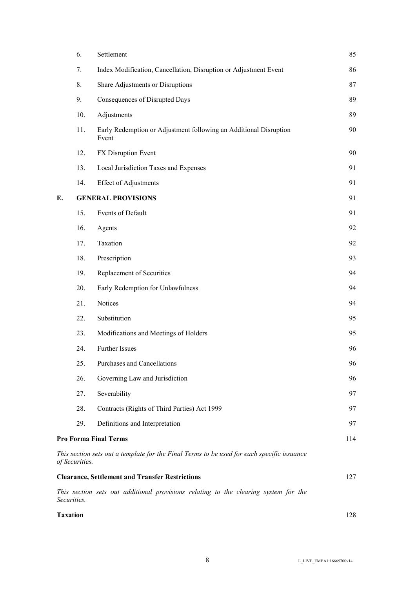|                 | 6.             | Settlement                                                                                 | 85  |
|-----------------|----------------|--------------------------------------------------------------------------------------------|-----|
|                 | 7.             | Index Modification, Cancellation, Disruption or Adjustment Event                           | 86  |
|                 | 8.             | Share Adjustments or Disruptions                                                           | 87  |
|                 | 9.             | Consequences of Disrupted Days                                                             | 89  |
|                 | 10.            | Adjustments                                                                                | 89  |
|                 | 11.            | Early Redemption or Adjustment following an Additional Disruption<br>Event                 | 90  |
|                 | 12.            | FX Disruption Event                                                                        | 90  |
|                 | 13.            | Local Jurisdiction Taxes and Expenses                                                      | 91  |
|                 | 14.            | <b>Effect of Adjustments</b>                                                               | 91  |
| Е.              |                | <b>GENERAL PROVISIONS</b>                                                                  | 91  |
|                 | 15.            | Events of Default                                                                          | 91  |
|                 | 16.            | Agents                                                                                     | 92  |
|                 | 17.            | Taxation                                                                                   | 92  |
|                 | 18.            | Prescription                                                                               | 93  |
|                 | 19.            | Replacement of Securities                                                                  | 94  |
|                 | 20.            | Early Redemption for Unlawfulness                                                          | 94  |
|                 | 21.            | Notices                                                                                    | 94  |
|                 | 22.            | Substitution                                                                               | 95  |
|                 | 23.            | Modifications and Meetings of Holders                                                      | 95  |
|                 | 24.            | Further Issues                                                                             | 96  |
|                 | 25.            | Purchases and Cancellations                                                                | 96  |
|                 | 26.            | Governing Law and Jurisdiction                                                             | 96  |
|                 | 27.            | Severability                                                                               | 97  |
|                 | 28.            | Contracts (Rights of Third Parties) Act 1999                                               | 97  |
|                 | 29.            | Definitions and Interpretation                                                             | 97  |
|                 |                | <b>Pro Forma Final Terms</b>                                                               | 114 |
|                 | of Securities. | This section sets out a template for the Final Terms to be used for each specific issuance |     |
|                 |                | <b>Clearance, Settlement and Transfer Restrictions</b>                                     | 127 |
| Securities.     |                | This section sets out additional provisions relating to the clearing system for the        |     |
| <b>Taxation</b> |                |                                                                                            | 128 |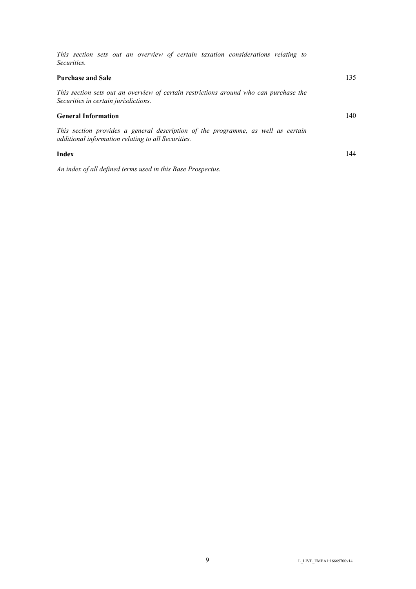| This section sets out an overview of certain taxation considerations relating to<br><i>Securities.</i>                                 |     |
|----------------------------------------------------------------------------------------------------------------------------------------|-----|
| <b>Purchase and Sale</b>                                                                                                               | 135 |
| This section sets out an overview of certain restrictions around who can purchase the<br>Securities in certain jurisdictions.          |     |
| <b>General Information</b>                                                                                                             | 140 |
| This section provides a general description of the programme, as well as certain<br>additional information relating to all Securities. |     |
| Index                                                                                                                                  | 144 |
| An index of all defined terms used in this Base Prospectus.                                                                            |     |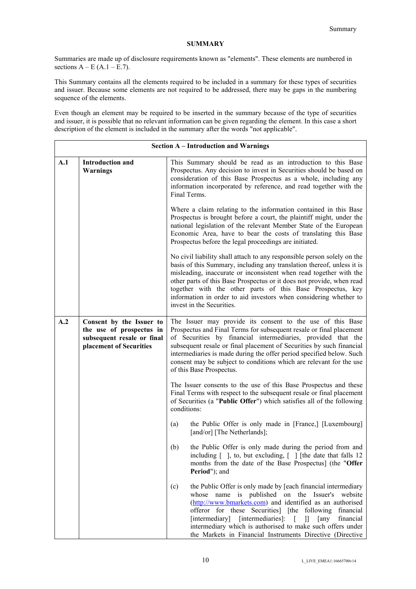# **SUMMARY**

Summaries are made up of disclosure requirements known as "elements". These elements are numbered in sections  $A – E (A.1 – E.7)$ .

This Summary contains all the elements required to be included in a summary for these types of securities and issuer. Because some elements are not required to be addressed, there may be gaps in the numbering sequence of the elements.

Even though an element may be required to be inserted in the summary because of the type of securities and issuer, it is possible that no relevant information can be given regarding the element. In this case a short description of the element is included in the summary after the words "not applicable".

|     | <b>Section A - Introduction and Warnings</b>                                                                  |                                                                                                                                                                                                                                                                                                                                                                                                                                                                  |  |
|-----|---------------------------------------------------------------------------------------------------------------|------------------------------------------------------------------------------------------------------------------------------------------------------------------------------------------------------------------------------------------------------------------------------------------------------------------------------------------------------------------------------------------------------------------------------------------------------------------|--|
| A.1 | <b>Introduction and</b><br><b>Warnings</b>                                                                    | This Summary should be read as an introduction to this Base<br>Prospectus. Any decision to invest in Securities should be based on<br>consideration of this Base Prospectus as a whole, including any<br>information incorporated by reference, and read together with the<br>Final Terms.                                                                                                                                                                       |  |
|     |                                                                                                               | Where a claim relating to the information contained in this Base<br>Prospectus is brought before a court, the plaintiff might, under the<br>national legislation of the relevant Member State of the European<br>Economic Area, have to bear the costs of translating this Base<br>Prospectus before the legal proceedings are initiated.                                                                                                                        |  |
|     |                                                                                                               | No civil liability shall attach to any responsible person solely on the<br>basis of this Summary, including any translation thereof, unless it is<br>misleading, inaccurate or inconsistent when read together with the<br>other parts of this Base Prospectus or it does not provide, when read<br>together with the other parts of this Base Prospectus, key<br>information in order to aid investors when considering whether to<br>invest in the Securities. |  |
| A.2 | Consent by the Issuer to<br>the use of prospectus in<br>subsequent resale or final<br>placement of Securities | The Issuer may provide its consent to the use of this Base<br>Prospectus and Final Terms for subsequent resale or final placement<br>of Securities by financial intermediaries, provided that the<br>subsequent resale or final placement of Securities by such financial<br>intermediaries is made during the offer period specified below. Such<br>consent may be subject to conditions which are relevant for the use<br>of this Base Prospectus.             |  |
|     |                                                                                                               | The Issuer consents to the use of this Base Prospectus and these<br>Final Terms with respect to the subsequent resale or final placement<br>of Securities (a "Public Offer") which satisfies all of the following<br>conditions:                                                                                                                                                                                                                                 |  |
|     |                                                                                                               | the Public Offer is only made in [France,] [Luxembourg]<br>(a)<br>[and/or] [The Netherlands];                                                                                                                                                                                                                                                                                                                                                                    |  |
|     |                                                                                                               | the Public Offer is only made during the period from and<br>(b)<br>including [ ], to, but excluding, [ ] [the date that falls 12<br>months from the date of the Base Prospectus] (the "Offer<br>Period"); and                                                                                                                                                                                                                                                    |  |
|     |                                                                                                               | the Public Offer is only made by [each financial intermediary<br>(c)<br>whose name is published on the Issuer's website<br>(http://www.bmarkets.com) and identified as an authorised<br>offeror for these Securities] [the following financial<br>[intermediary] [intermediaries]: [ ]] [any<br>financial<br>intermediary which is authorised to make such offers under<br>the Markets in Financial Instruments Directive (Directive                             |  |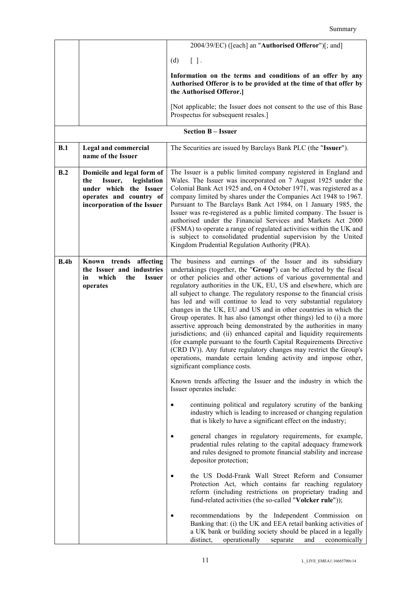|      |                                                                                                                                                 | 2004/39/EC) ([each] an "Authorised Offeror")[; and]                                                                                                                                                                                                                                                                                                                                                                                                                                                                                                                                                                                                                                                                                                                                                                                                                                                                                                         |
|------|-------------------------------------------------------------------------------------------------------------------------------------------------|-------------------------------------------------------------------------------------------------------------------------------------------------------------------------------------------------------------------------------------------------------------------------------------------------------------------------------------------------------------------------------------------------------------------------------------------------------------------------------------------------------------------------------------------------------------------------------------------------------------------------------------------------------------------------------------------------------------------------------------------------------------------------------------------------------------------------------------------------------------------------------------------------------------------------------------------------------------|
|      |                                                                                                                                                 | $[ \ ]$ .<br>(d)                                                                                                                                                                                                                                                                                                                                                                                                                                                                                                                                                                                                                                                                                                                                                                                                                                                                                                                                            |
|      |                                                                                                                                                 | Information on the terms and conditions of an offer by any<br>Authorised Offeror is to be provided at the time of that offer by<br>the Authorised Offeror.]                                                                                                                                                                                                                                                                                                                                                                                                                                                                                                                                                                                                                                                                                                                                                                                                 |
|      |                                                                                                                                                 | [Not applicable; the Issuer does not consent to the use of this Base<br>Prospectus for subsequent resales.]                                                                                                                                                                                                                                                                                                                                                                                                                                                                                                                                                                                                                                                                                                                                                                                                                                                 |
|      |                                                                                                                                                 | <b>Section B - Issuer</b>                                                                                                                                                                                                                                                                                                                                                                                                                                                                                                                                                                                                                                                                                                                                                                                                                                                                                                                                   |
| B.1  | <b>Legal and commercial</b><br>name of the Issuer                                                                                               | The Securities are issued by Barclays Bank PLC (the "Issuer").                                                                                                                                                                                                                                                                                                                                                                                                                                                                                                                                                                                                                                                                                                                                                                                                                                                                                              |
| B.2  | Domicile and legal form of<br>Issuer,<br>legislation<br>the<br>under which the Issuer<br>operates and country of<br>incorporation of the Issuer | The Issuer is a public limited company registered in England and<br>Wales. The Issuer was incorporated on 7 August 1925 under the<br>Colonial Bank Act 1925 and, on 4 October 1971, was registered as a<br>company limited by shares under the Companies Act 1948 to 1967.<br>Pursuant to The Barclays Bank Act 1984, on 1 January 1985, the<br>Issuer was re-registered as a public limited company. The Issuer is<br>authorised under the Financial Services and Markets Act 2000<br>(FSMA) to operate a range of regulated activities within the UK and<br>is subject to consolidated prudential supervision by the United<br>Kingdom Prudential Regulation Authority (PRA).                                                                                                                                                                                                                                                                             |
| B.4b | Known trends affecting<br>the Issuer and industries<br>which<br>the<br><b>Issuer</b><br>in<br>operates                                          | The business and earnings of the Issuer and its subsidiary<br>undertakings (together, the "Group") can be affected by the fiscal<br>or other policies and other actions of various governmental and<br>regulatory authorities in the UK, EU, US and elsewhere, which are<br>all subject to change. The regulatory response to the financial crisis<br>has led and will continue to lead to very substantial regulatory<br>changes in the UK, EU and US and in other countries in which the<br>Group operates. It has also (amongst other things) led to (i) a more<br>assertive approach being demonstrated by the authorities in many<br>jurisdictions; and (ii) enhanced capital and liquidity requirements<br>(for example pursuant to the fourth Capital Requirements Directive<br>(CRD IV)). Any future regulatory changes may restrict the Group's<br>operations, mandate certain lending activity and impose other,<br>significant compliance costs. |
|      |                                                                                                                                                 | Known trends affecting the Issuer and the industry in which the<br>Issuer operates include:                                                                                                                                                                                                                                                                                                                                                                                                                                                                                                                                                                                                                                                                                                                                                                                                                                                                 |
|      |                                                                                                                                                 | continuing political and regulatory scrutiny of the banking<br>industry which is leading to increased or changing regulation<br>that is likely to have a significant effect on the industry;                                                                                                                                                                                                                                                                                                                                                                                                                                                                                                                                                                                                                                                                                                                                                                |
|      |                                                                                                                                                 | general changes in regulatory requirements, for example,<br>prudential rules relating to the capital adequacy framework<br>and rules designed to promote financial stability and increase<br>depositor protection;                                                                                                                                                                                                                                                                                                                                                                                                                                                                                                                                                                                                                                                                                                                                          |
|      |                                                                                                                                                 | the US Dodd-Frank Wall Street Reform and Consumer<br>Protection Act, which contains far reaching regulatory<br>reform (including restrictions on proprietary trading and<br>fund-related activities (the so-called "Volcker rule"));                                                                                                                                                                                                                                                                                                                                                                                                                                                                                                                                                                                                                                                                                                                        |
|      |                                                                                                                                                 | recommendations by the Independent Commission on<br>Banking that: (i) the UK and EEA retail banking activities of<br>a UK bank or building society should be placed in a legally<br>distinct,<br>operationally<br>economically<br>separate<br>and                                                                                                                                                                                                                                                                                                                                                                                                                                                                                                                                                                                                                                                                                                           |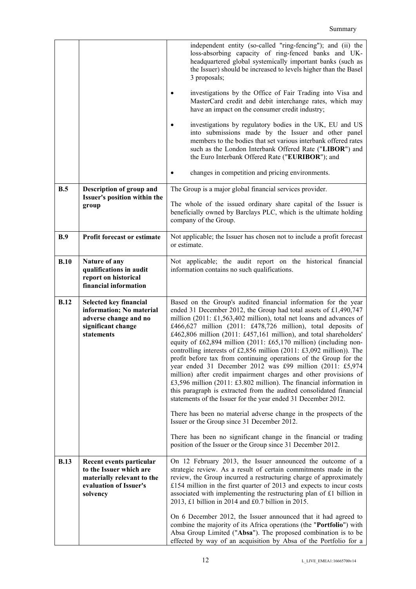|             |                                                                                                                         | independent entity (so-called "ring-fencing"); and (ii) the<br>loss-absorbing capacity of ring-fenced banks and UK-<br>headquartered global systemically important banks (such as<br>the Issuer) should be increased to levels higher than the Basel<br>3 proposals;<br>investigations by the Office of Fair Trading into Visa and<br>MasterCard credit and debit interchange rates, which may<br>have an impact on the consumer credit industry;<br>investigations by regulatory bodies in the UK, EU and US<br>into submissions made by the Issuer and other panel<br>members to the bodies that set various interbank offered rates<br>such as the London Interbank Offered Rate ("LIBOR") and<br>the Euro Interbank Offered Rate ("EURIBOR"); and<br>changes in competition and pricing environments.                                                                                                                                                                                                                                                                                                                                                                                                                             |
|-------------|-------------------------------------------------------------------------------------------------------------------------|---------------------------------------------------------------------------------------------------------------------------------------------------------------------------------------------------------------------------------------------------------------------------------------------------------------------------------------------------------------------------------------------------------------------------------------------------------------------------------------------------------------------------------------------------------------------------------------------------------------------------------------------------------------------------------------------------------------------------------------------------------------------------------------------------------------------------------------------------------------------------------------------------------------------------------------------------------------------------------------------------------------------------------------------------------------------------------------------------------------------------------------------------------------------------------------------------------------------------------------|
| B.5         | Description of group and                                                                                                | The Group is a major global financial services provider.                                                                                                                                                                                                                                                                                                                                                                                                                                                                                                                                                                                                                                                                                                                                                                                                                                                                                                                                                                                                                                                                                                                                                                              |
|             | Issuer's position within the<br>group                                                                                   | The whole of the issued ordinary share capital of the Issuer is<br>beneficially owned by Barclays PLC, which is the ultimate holding<br>company of the Group.                                                                                                                                                                                                                                                                                                                                                                                                                                                                                                                                                                                                                                                                                                                                                                                                                                                                                                                                                                                                                                                                         |
| B.9         | <b>Profit forecast or estimate</b>                                                                                      | Not applicable; the Issuer has chosen not to include a profit forecast<br>or estimate.                                                                                                                                                                                                                                                                                                                                                                                                                                                                                                                                                                                                                                                                                                                                                                                                                                                                                                                                                                                                                                                                                                                                                |
| B.10        | Nature of any<br>qualifications in audit<br>report on historical<br>financial information                               | Not applicable; the audit report on the historical financial<br>information contains no such qualifications.                                                                                                                                                                                                                                                                                                                                                                                                                                                                                                                                                                                                                                                                                                                                                                                                                                                                                                                                                                                                                                                                                                                          |
| <b>B.12</b> | Selected key financial<br>information; No material<br>adverse change and no<br>significant change<br>statements         | Based on the Group's audited financial information for the year<br>ended 31 December 2012, the Group had total assets of £1,490,747<br>million (2011: £1,563,402 million), total net loans and advances of<br>£466,627 million (2011: £478,726 million), total deposits of<br>£462,806 million (2011: £457,161 million), and total shareholders'<br>equity of $\text{\pounds}62,894$ million (2011: $\text{\pounds}65,170$ million) (including non-<br>controlling interests of £2,856 million $(2011: \text{\textsterling}3,092 \text{ million}))$ . The<br>profit before tax from continuing operations of the Group for the<br>year ended 31 December 2012 was £99 million (2011: £5,974<br>million) after credit impairment charges and other provisions of<br>£3,596 million (2011: £3.802 million). The financial information in<br>this paragraph is extracted from the audited consolidated financial<br>statements of the Issuer for the year ended 31 December 2012.<br>There has been no material adverse change in the prospects of the<br>Issuer or the Group since 31 December 2012.<br>There has been no significant change in the financial or trading<br>position of the Issuer or the Group since 31 December 2012. |
| <b>B.13</b> | Recent events particular<br>to the Issuer which are<br>materially relevant to the<br>evaluation of Issuer's<br>solvency | On 12 February 2013, the Issuer announced the outcome of a<br>strategic review. As a result of certain commitments made in the<br>review, the Group incurred a restructuring charge of approximately<br>£154 million in the first quarter of $2013$ and expects to incur costs<br>associated with implementing the restructuring plan of £1 billion in<br>2013, £1 billion in 2014 and £0.7 billion in 2015.<br>On 6 December 2012, the Issuer announced that it had agreed to<br>combine the majority of its Africa operations (the "Portfolio") with<br>Absa Group Limited ("Absa"). The proposed combination is to be                                                                                                                                                                                                                                                                                                                                                                                                                                                                                                                                                                                                              |
|             |                                                                                                                         | effected by way of an acquisition by Absa of the Portfolio for a                                                                                                                                                                                                                                                                                                                                                                                                                                                                                                                                                                                                                                                                                                                                                                                                                                                                                                                                                                                                                                                                                                                                                                      |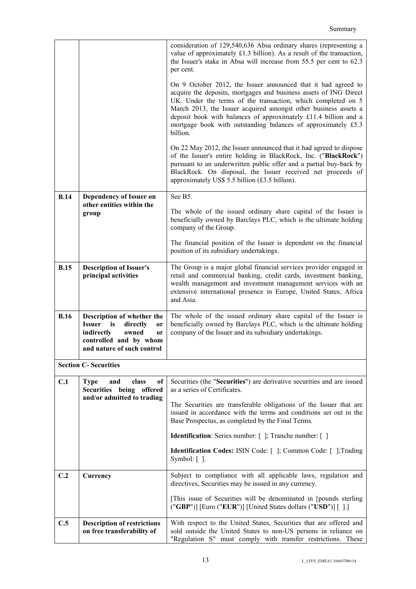|             |                                                                                                                                                                        | consideration of 129,540,636 Absa ordinary shares (representing a<br>value of approximately £1.3 billion). As a result of the transaction,<br>the Issuer's stake in Absa will increase from 55.5 per cent to 62.3<br>per cent.                                                                                                                                                                                        |
|-------------|------------------------------------------------------------------------------------------------------------------------------------------------------------------------|-----------------------------------------------------------------------------------------------------------------------------------------------------------------------------------------------------------------------------------------------------------------------------------------------------------------------------------------------------------------------------------------------------------------------|
|             |                                                                                                                                                                        | On 9 October 2012, the Issuer announced that it had agreed to<br>acquire the deposits, mortgages and business assets of ING Direct<br>UK. Under the terms of the transaction, which completed on 5<br>March 2013, the Issuer acquired amongst other business assets a<br>deposit book with balances of approximately £11.4 billion and a<br>mortgage book with outstanding balances of approximately £5.3<br>billion. |
|             |                                                                                                                                                                        | On 22 May 2012, the Issuer announced that it had agreed to dispose<br>of the Issuer's entire holding in BlackRock, Inc. ("BlackRock")<br>pursuant to an underwritten public offer and a partial buy-back by<br>BlackRock. On disposal, the Issuer received net proceeds of<br>approximately US\$ 5.5 billion (£3.5 billion).                                                                                          |
| <b>B.14</b> | Dependency of Issuer on<br>other entities within the                                                                                                                   | See B5.                                                                                                                                                                                                                                                                                                                                                                                                               |
|             | group                                                                                                                                                                  | The whole of the issued ordinary share capital of the Issuer is<br>beneficially owned by Barclays PLC, which is the ultimate holding<br>company of the Group.                                                                                                                                                                                                                                                         |
|             |                                                                                                                                                                        | The financial position of the Issuer is dependent on the financial<br>position of its subsidiary undertakings.                                                                                                                                                                                                                                                                                                        |
| <b>B.15</b> | <b>Description of Issuer's</b><br>principal activities                                                                                                                 | The Group is a major global financial services provider engaged in<br>retail and commercial banking, credit cards, investment banking,<br>wealth management and investment management services with an<br>extensive international presence in Europe, United States, Africa<br>and Asia.                                                                                                                              |
| <b>B.16</b> | Description of whether the<br><b>Issuer</b><br>is<br>directly<br><b>or</b><br>indirectly<br>owned<br><b>or</b><br>controlled and by whom<br>and nature of such control | The whole of the issued ordinary share capital of the Issuer is<br>beneficially owned by Barclays PLC, which is the ultimate holding<br>company of the Issuer and its subsidiary undertakings.                                                                                                                                                                                                                        |
|             | <b>Section C- Securities</b>                                                                                                                                           |                                                                                                                                                                                                                                                                                                                                                                                                                       |
| C.1         | <b>Type</b><br>and<br>class<br>0f  <br>Securities being offered<br>and/or admitted to trading                                                                          | Securities (the "Securities") are derivative securities and are issued<br>as a series of Certificates.                                                                                                                                                                                                                                                                                                                |
|             |                                                                                                                                                                        | The Securities are transferable obligations of the Issuer that are<br>issued in accordance with the terms and conditions set out in the<br>Base Prospectus, as completed by the Final Terms.                                                                                                                                                                                                                          |
|             |                                                                                                                                                                        | <b>Identification:</b> Series number: [ ]; Tranche number: [ ]                                                                                                                                                                                                                                                                                                                                                        |
|             |                                                                                                                                                                        | Identification Codes: ISIN Code: [ ]; Common Code: [ ]; Trading<br>Symbol: $[$ ].                                                                                                                                                                                                                                                                                                                                     |
| C.2         | Currency                                                                                                                                                               | Subject to compliance with all applicable laws, regulation and<br>directives, Securities may be issued in any currency.                                                                                                                                                                                                                                                                                               |
|             |                                                                                                                                                                        | [This issue of Securities will be denominated in [pounds sterling]<br>("GBP")] [Euro ("EUR")] [United States dollars ("USD")] [ ].]                                                                                                                                                                                                                                                                                   |
| C.5         | <b>Description of restrictions</b><br>on free transferability of                                                                                                       | With respect to the United States, Securities that are offered and<br>sold outside the United States to non-US persons in reliance on<br>"Regulation S" must comply with transfer restrictions. These                                                                                                                                                                                                                 |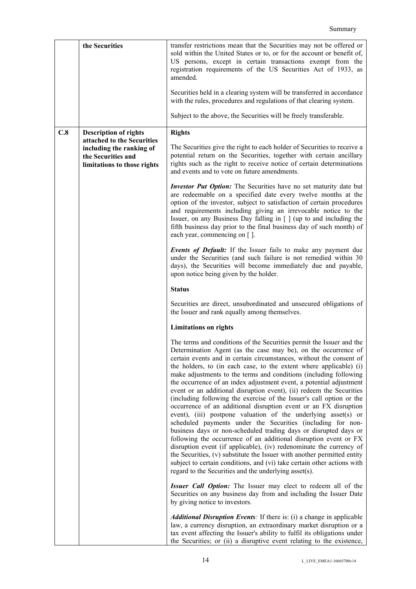|     | the Securities                                                                                                                              | transfer restrictions mean that the Securities may not be offered or<br>sold within the United States or to, or for the account or benefit of,<br>US persons, except in certain transactions exempt from the<br>registration requirements of the US Securities Act of 1933, as<br>amended.<br>Securities held in a clearing system will be transferred in accordance<br>with the rules, procedures and regulations of that clearing system.                                                                                                                                                                                                                                                                                                                                                                                                                                                                                                                                                                                                                                                                                                                                                                                                                                                |
|-----|---------------------------------------------------------------------------------------------------------------------------------------------|--------------------------------------------------------------------------------------------------------------------------------------------------------------------------------------------------------------------------------------------------------------------------------------------------------------------------------------------------------------------------------------------------------------------------------------------------------------------------------------------------------------------------------------------------------------------------------------------------------------------------------------------------------------------------------------------------------------------------------------------------------------------------------------------------------------------------------------------------------------------------------------------------------------------------------------------------------------------------------------------------------------------------------------------------------------------------------------------------------------------------------------------------------------------------------------------------------------------------------------------------------------------------------------------|
|     |                                                                                                                                             | Subject to the above, the Securities will be freely transferable.                                                                                                                                                                                                                                                                                                                                                                                                                                                                                                                                                                                                                                                                                                                                                                                                                                                                                                                                                                                                                                                                                                                                                                                                                          |
| C.8 | <b>Description of rights</b><br>attached to the Securities<br>including the ranking of<br>the Securities and<br>limitations to those rights | <b>Rights</b><br>The Securities give the right to each holder of Securities to receive a<br>potential return on the Securities, together with certain ancillary<br>rights such as the right to receive notice of certain determinations<br>and events and to vote on future amendments.                                                                                                                                                                                                                                                                                                                                                                                                                                                                                                                                                                                                                                                                                                                                                                                                                                                                                                                                                                                                    |
|     |                                                                                                                                             | <b>Investor Put Option:</b> The Securities have no set maturity date but<br>are redeemable on a specified date every twelve months at the<br>option of the investor, subject to satisfaction of certain procedures<br>and requirements including giving an irrevocable notice to the<br>Issuer, on any Business Day falling in [ ] (up to and including the<br>fifth business day prior to the final business day of such month) of<br>each year, commencing on [].                                                                                                                                                                                                                                                                                                                                                                                                                                                                                                                                                                                                                                                                                                                                                                                                                        |
|     |                                                                                                                                             | <b>Events of Default:</b> If the Issuer fails to make any payment due<br>under the Securities (and such failure is not remedied within 30<br>days), the Securities will become immediately due and payable,<br>upon notice being given by the holder.                                                                                                                                                                                                                                                                                                                                                                                                                                                                                                                                                                                                                                                                                                                                                                                                                                                                                                                                                                                                                                      |
|     |                                                                                                                                             | <b>Status</b>                                                                                                                                                                                                                                                                                                                                                                                                                                                                                                                                                                                                                                                                                                                                                                                                                                                                                                                                                                                                                                                                                                                                                                                                                                                                              |
|     |                                                                                                                                             | Securities are direct, unsubordinated and unsecured obligations of<br>the Issuer and rank equally among themselves.                                                                                                                                                                                                                                                                                                                                                                                                                                                                                                                                                                                                                                                                                                                                                                                                                                                                                                                                                                                                                                                                                                                                                                        |
|     |                                                                                                                                             | <b>Limitations on rights</b>                                                                                                                                                                                                                                                                                                                                                                                                                                                                                                                                                                                                                                                                                                                                                                                                                                                                                                                                                                                                                                                                                                                                                                                                                                                               |
|     |                                                                                                                                             | The terms and conditions of the Securities permit the Issuer and the<br>Determination Agent (as the case may be), on the occurrence of<br>certain events and in certain circumstances, without the consent of<br>the holders, to (in each case, to the extent where applicable) (i)<br>make adjustments to the terms and conditions (including following<br>the occurrence of an index adjustment event, a potential adjustment<br>event or an additional disruption event), (ii) redeem the Securities<br>(including following the exercise of the Issuer's call option or the<br>occurrence of an additional disruption event or an FX disruption<br>event), (iii) postpone valuation of the underlying asset(s) or<br>scheduled payments under the Securities (including for non-<br>business days or non-scheduled trading days or disrupted days or<br>following the occurrence of an additional disruption event or FX<br>disruption event (if applicable), (iv) redenominate the currency of<br>the Securities, (v) substitute the Issuer with another permitted entity<br>subject to certain conditions, and (vi) take certain other actions with<br>regard to the Securities and the underlying asset(s).<br><b>Issuer Call Option:</b> The Issuer may elect to redeem all of the |
|     |                                                                                                                                             | Securities on any business day from and including the Issuer Date<br>by giving notice to investors.<br><i>Additional Disruption Events:</i> If there is: (i) a change in applicable<br>law, a currency disruption, an extraordinary market disruption or a<br>tax event affecting the Issuer's ability to fulfil its obligations under<br>the Securities; or (ii) a disruptive event relating to the existence,                                                                                                                                                                                                                                                                                                                                                                                                                                                                                                                                                                                                                                                                                                                                                                                                                                                                            |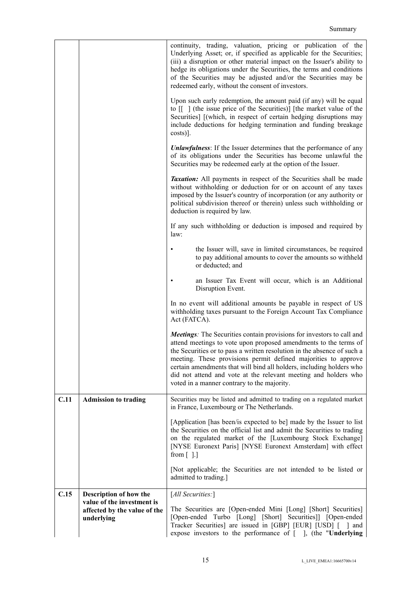|      |                                                                          | continuity, trading, valuation, pricing or publication of the<br>Underlying Asset; or, if specified as applicable for the Securities;<br>(iii) a disruption or other material impact on the Issuer's ability to<br>hedge its obligations under the Securities, the terms and conditions<br>of the Securities may be adjusted and/or the Securities may be<br>redeemed early, without the consent of investors.<br>Upon such early redemption, the amount paid (if any) will be equal<br>to $\begin{bmatrix} \end{bmatrix}$ (the issue price of the Securities)] [the market value of the<br>Securities] [(which, in respect of certain hedging disruptions may<br>include deductions for hedging termination and funding breakage |
|------|--------------------------------------------------------------------------|-----------------------------------------------------------------------------------------------------------------------------------------------------------------------------------------------------------------------------------------------------------------------------------------------------------------------------------------------------------------------------------------------------------------------------------------------------------------------------------------------------------------------------------------------------------------------------------------------------------------------------------------------------------------------------------------------------------------------------------|
|      |                                                                          | $costs$ ].<br><b>Unlawfulness</b> : If the Issuer determines that the performance of any                                                                                                                                                                                                                                                                                                                                                                                                                                                                                                                                                                                                                                          |
|      |                                                                          | of its obligations under the Securities has become unlawful the<br>Securities may be redeemed early at the option of the Issuer.                                                                                                                                                                                                                                                                                                                                                                                                                                                                                                                                                                                                  |
|      |                                                                          | <i>Taxation:</i> All payments in respect of the Securities shall be made<br>without withholding or deduction for or on account of any taxes<br>imposed by the Issuer's country of incorporation (or any authority or<br>political subdivision thereof or therein) unless such withholding or<br>deduction is required by law.                                                                                                                                                                                                                                                                                                                                                                                                     |
|      |                                                                          | If any such withholding or deduction is imposed and required by<br>law:                                                                                                                                                                                                                                                                                                                                                                                                                                                                                                                                                                                                                                                           |
|      |                                                                          | the Issuer will, save in limited circumstances, be required<br>to pay additional amounts to cover the amounts so withheld<br>or deducted; and                                                                                                                                                                                                                                                                                                                                                                                                                                                                                                                                                                                     |
|      |                                                                          | an Issuer Tax Event will occur, which is an Additional<br>Disruption Event.                                                                                                                                                                                                                                                                                                                                                                                                                                                                                                                                                                                                                                                       |
|      |                                                                          | In no event will additional amounts be payable in respect of US<br>withholding taxes pursuant to the Foreign Account Tax Compliance<br>Act (FATCA).                                                                                                                                                                                                                                                                                                                                                                                                                                                                                                                                                                               |
|      |                                                                          | <b>Meetings:</b> The Securities contain provisions for investors to call and<br>attend meetings to vote upon proposed amendments to the terms of<br>the Securities or to pass a written resolution in the absence of such a<br>meeting. These provisions permit defined majorities to approve<br>certain amendments that will bind all holders, including holders who<br>did not attend and vote at the relevant meeting and holders who<br>voted in a manner contrary to the majority.                                                                                                                                                                                                                                           |
| C.11 | <b>Admission to trading</b>                                              | Securities may be listed and admitted to trading on a regulated market<br>in France, Luxembourg or The Netherlands.                                                                                                                                                                                                                                                                                                                                                                                                                                                                                                                                                                                                               |
|      |                                                                          | [Application [has been/is expected to be] made by the Issuer to list<br>the Securities on the official list and admit the Securities to trading<br>on the regulated market of the [Luxembourg Stock Exchange]<br>[NYSE Euronext Paris] [NYSE Euronext Amsterdam] with effect<br>from $\lceil$ 1.1                                                                                                                                                                                                                                                                                                                                                                                                                                 |
|      |                                                                          | [Not applicable; the Securities are not intended to be listed or<br>admitted to trading.]                                                                                                                                                                                                                                                                                                                                                                                                                                                                                                                                                                                                                                         |
| C.15 | Description of how the                                                   | [All Securities:]                                                                                                                                                                                                                                                                                                                                                                                                                                                                                                                                                                                                                                                                                                                 |
|      | value of the investment is<br>affected by the value of the<br>underlying | The Securities are [Open-ended Mini [Long] [Short] Securities]<br>[Open-ended Turbo [Long] [Short] Securities]] [Open-ended<br>Tracker Securities] are issued in [GBP] [EUR] [USD] [ ] and<br>expose investors to the performance of [ ], (the "Underlying                                                                                                                                                                                                                                                                                                                                                                                                                                                                        |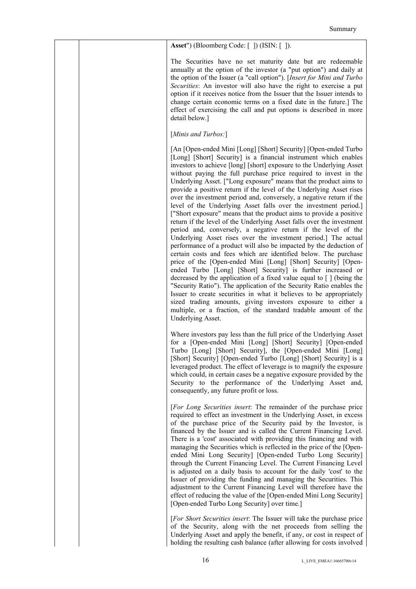|  | <b>Asset</b> ") (Bloomberg Code: [ ]) (ISIN: [ ]).                                                                                                                                                                                                                                                                                                                                                                                                                                                                                                                                                                                                                                                                                                                                                                                                                                                                                                                                                                                                                                                                                                                                                                                                                                                                                                                                                                                                                                                                                      |
|--|-----------------------------------------------------------------------------------------------------------------------------------------------------------------------------------------------------------------------------------------------------------------------------------------------------------------------------------------------------------------------------------------------------------------------------------------------------------------------------------------------------------------------------------------------------------------------------------------------------------------------------------------------------------------------------------------------------------------------------------------------------------------------------------------------------------------------------------------------------------------------------------------------------------------------------------------------------------------------------------------------------------------------------------------------------------------------------------------------------------------------------------------------------------------------------------------------------------------------------------------------------------------------------------------------------------------------------------------------------------------------------------------------------------------------------------------------------------------------------------------------------------------------------------------|
|  | The Securities have no set maturity date but are redeemable<br>annually at the option of the investor (a "put option") and daily at<br>the option of the Issuer (a "call option"). [Insert for Mini and Turbo<br>Securities: An investor will also have the right to exercise a put<br>option if it receives notice from the Issuer that the Issuer intends to<br>change certain economic terms on a fixed date in the future.] The<br>effect of exercising the call and put options is described in more<br>detail below.]                                                                                                                                                                                                                                                                                                                                                                                                                                                                                                                                                                                                                                                                                                                                                                                                                                                                                                                                                                                                             |
|  | [Minis and Turbos:]                                                                                                                                                                                                                                                                                                                                                                                                                                                                                                                                                                                                                                                                                                                                                                                                                                                                                                                                                                                                                                                                                                                                                                                                                                                                                                                                                                                                                                                                                                                     |
|  | [An [Open-ended Mini [Long] [Short] Security] [Open-ended Turbo<br>[Long] [Short] Security] is a financial instrument which enables<br>investors to achieve [long] [short] exposure to the Underlying Asset<br>without paying the full purchase price required to invest in the<br>Underlying Asset. ["Long exposure" means that the product aims to<br>provide a positive return if the level of the Underlying Asset rises<br>over the investment period and, conversely, a negative return if the<br>level of the Underlying Asset falls over the investment period.]<br>["Short exposure" means that the product aims to provide a positive<br>return if the level of the Underlying Asset falls over the investment<br>period and, conversely, a negative return if the level of the<br>Underlying Asset rises over the investment period.] The actual<br>performance of a product will also be impacted by the deduction of<br>certain costs and fees which are identified below. The purchase<br>price of the [Open-ended Mini [Long] [Short] Security] [Open-<br>ended Turbo [Long] [Short] Security] is further increased or<br>decreased by the application of a fixed value equal to $\lceil \cdot \rceil$ (being the<br>"Security Ratio"). The application of the Security Ratio enables the<br>Issuer to create securities in what it believes to be appropriately<br>sized trading amounts, giving investors exposure to either a<br>multiple, or a fraction, of the standard tradable amount of the<br>Underlying Asset. |
|  | Where investors pay less than the full price of the Underlying Asset<br>for a [Open-ended Mini [Long] [Short] Security] [Open-ended<br>Turbo [Long] [Short] Security], the [Open-ended Mini [Long]<br>[Short] Security] [Open-ended Turbo [Long] [Short] Security] is a<br>leveraged product. The effect of leverage is to magnify the exposure<br>which could, in certain cases be a negative exposure provided by the<br>Security to the performance of the Underlying Asset and,<br>consequently, any future profit or loss.                                                                                                                                                                                                                                                                                                                                                                                                                                                                                                                                                                                                                                                                                                                                                                                                                                                                                                                                                                                                         |
|  | [For Long Securities insert: The remainder of the purchase price<br>required to effect an investment in the Underlying Asset, in excess<br>of the purchase price of the Security paid by the Investor, is<br>financed by the Issuer and is called the Current Financing Level.<br>There is a 'cost' associated with providing this financing and with<br>managing the Securities which is reflected in the price of the [Open-<br>ended Mini Long Security] [Open-ended Turbo Long Security]<br>through the Current Financing Level. The Current Financing Level<br>is adjusted on a daily basis to account for the daily 'cost' to the<br>Issuer of providing the funding and managing the Securities. This<br>adjustment to the Current Financing Level will therefore have the<br>effect of reducing the value of the [Open-ended Mini Long Security]<br>[Open-ended Turbo Long Security] over time.]                                                                                                                                                                                                                                                                                                                                                                                                                                                                                                                                                                                                                                |
|  | [For Short Securities insert: The Issuer will take the purchase price<br>of the Security, along with the net proceeds from selling the<br>Underlying Asset and apply the benefit, if any, or cost in respect of                                                                                                                                                                                                                                                                                                                                                                                                                                                                                                                                                                                                                                                                                                                                                                                                                                                                                                                                                                                                                                                                                                                                                                                                                                                                                                                         |

holding the resulting cash balance (after allowing for costs involved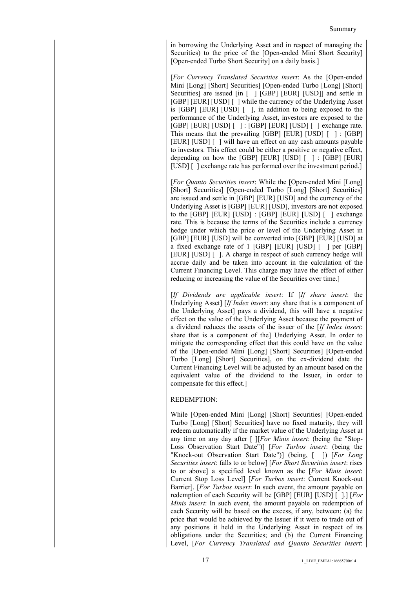in borrowing the Underlying Asset and in respect of managing the Securities) to the price of the [Open-ended Mini Short Security] [Open-ended Turbo Short Security] on a daily basis.]

[*For Currency Translated Securities insert*: As the [Open-ended Mini [Long] [Short] Securities] [Open-ended Turbo [Long] [Short] Securities] are issued [in [ ] [GBP] [EUR] [USD]] and settle in [GBP] [EUR] [USD] [ ] while the currency of the Underlying Asset is [GBP] [EUR] [USD] [ ], in addition to being exposed to the performance of the Underlying Asset, investors are exposed to the [GBP] [EUR] [USD] [ ] : [GBP] [EUR] [USD] [ ] exchange rate. This means that the prevailing [GBP] [EUR] [USD] [ ] : [GBP] [EUR] [USD] [] will have an effect on any cash amounts payable to investors. This effect could be either a positive or negative effect, depending on how the  $[GBP]$   $[EUR]$   $[USD]$   $[$   $]$   $\colon [GBP]$   $[EUR]$ [USD] [] exchange rate has performed over the investment period.]

[*For Quanto Securities insert*: While the [Open-ended Mini [Long] [Short] Securities] [Open-ended Turbo [Long] [Short] Securities] are issued and settle in [GBP] [EUR] [USD] and the currency of the Underlying Asset is [GBP] [EUR] [USD], investors are not exposed to the [GBP] [EUR] [USD] : [GBP] [EUR] [USD] [ ] exchange rate. This is because the terms of the Securities include a currency hedge under which the price or level of the Underlying Asset in [GBP] [EUR] [USD] will be converted into [GBP] [EUR] [USD] at a fixed exchange rate of 1 [GBP] [EUR] [USD] [ ] per [GBP] [EUR] [USD] [ ]. A charge in respect of such currency hedge will accrue daily and be taken into account in the calculation of the Current Financing Level. This charge may have the effect of either reducing or increasing the value of the Securities over time.]

[*If Dividends are applicable insert*: If [*If share insert*: the Underlying Asset] [*If Index insert*: any share that is a component of the Underlying Asset] pays a dividend, this will have a negative effect on the value of the Underlying Asset because the payment of a dividend reduces the assets of the issuer of the [*If Index insert*: share that is a component of the] Underlying Asset. In order to mitigate the corresponding effect that this could have on the value of the [Open-ended Mini [Long] [Short] Securities] [Open-ended Turbo [Long] [Short] Securities], on the ex-dividend date the Current Financing Level will be adjusted by an amount based on the equivalent value of the dividend to the Issuer, in order to compensate for this effect.]

# REDEMPTION:

While [Open-ended Mini [Long] [Short] Securities] [Open-ended Turbo [Long] [Short] Securities] have no fixed maturity, they will redeem automatically if the market value of the Underlying Asset at any time on any day after [ ][*For Minis insert*: (being the "Stop-Loss Observation Start Date")] [*For Turbos insert*: (being the "Knock-out Observation Start Date")] (being, [ ]) [*For Long Securities insert*: falls to or below] [*For Short Securities insert*: rises to or above] a specified level known as the [*For Minis insert*: Current Stop Loss Level] [*For Turbos insert*: Current Knock-out Barrier]. [*For Turbos insert*: In such event, the amount payable on redemption of each Security will be [GBP] [EUR] [USD] [ ].] [*For Minis insert*: In such event, the amount payable on redemption of each Security will be based on the excess, if any, between: (a) the price that would be achieved by the Issuer if it were to trade out of any positions it held in the Underlying Asset in respect of its obligations under the Securities; and (b) the Current Financing Level, [*For Currency Translated and Quanto Securities insert*: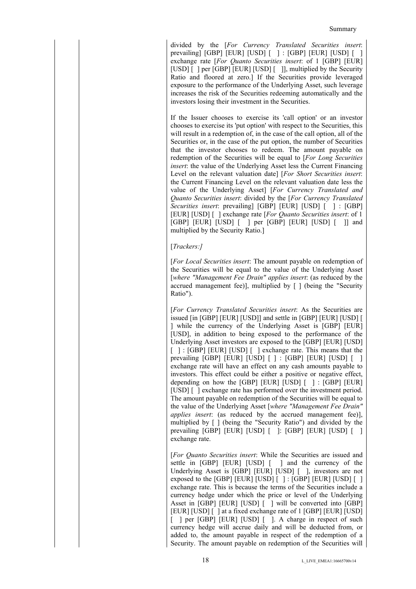divided by the [*For Currency Translated Securities insert*: prevailing] [GBP] [EUR] [USD] [ ] : [GBP] [EUR] [USD] [ ] exchange rate [*For Quanto Securities insert*: of 1 [GBP] [EUR] [USD] [ ] per [GBP] [EUR] [USD] [ ]], multiplied by the Security Ratio and floored at zero.] If the Securities provide leveraged exposure to the performance of the Underlying Asset, such leverage increases the risk of the Securities redeeming automatically and the investors losing their investment in the Securities.

If the Issuer chooses to exercise its 'call option' or an investor chooses to exercise its 'put option' with respect to the Securities, this will result in a redemption of, in the case of the call option, all of the Securities or, in the case of the put option, the number of Securities that the investor chooses to redeem. The amount payable on redemption of the Securities will be equal to [*For Long Securities insert*: the value of the Underlying Asset less the Current Financing Level on the relevant valuation date] [*For Short Securities insert*: the Current Financing Level on the relevant valuation date less the value of the Underlying Asset] [*For Currency Translated and Quanto Securities insert*: divided by the [*For Currency Translated Securities insert*: prevailing] [GBP] [EUR] [USD] [ ] : [GBP] [EUR] [USD] [ ] exchange rate [*For Quanto Securities insert*: of 1 [GBP] [EUR] [USD] [ ] per [GBP] [EUR] [USD] [ ]] and multiplied by the Security Ratio.]

# [*Trackers:]*

[*For Local Securities insert*: The amount payable on redemption of the Securities will be equal to the value of the Underlying Asset [*where "Management Fee Drain" applies insert*: (as reduced by the accrued management fee)], multiplied by [ ] (being the "Security Ratio").

[*For Currency Translated Securities insert*: As the Securities are issued [in [GBP] [EUR] [USD]] and settle in [GBP] [EUR] [USD] [ ] while the currency of the Underlying Asset is [GBP] [EUR] [USD], in addition to being exposed to the performance of the Underlying Asset investors are exposed to the [GBP] [EUR] [USD] [ ] : [GBP] [EUR] [USD] [ ] exchange rate. This means that the prevailing [GBP] [EUR] [USD] [ ] : [GBP] [EUR] [USD] [ ] exchange rate will have an effect on any cash amounts payable to investors. This effect could be either a positive or negative effect, depending on how the  $[GBP]$   $[EUR]$   $[USD]$   $[$   $]$   $\colon [GBP]$   $[EUR]$ [USD] [ ] exchange rate has performed over the investment period. The amount payable on redemption of the Securities will be equal to the value of the Underlying Asset [*where "Management Fee Drain" applies insert*: (as reduced by the accrued management fee)], multiplied by [ ] (being the "Security Ratio") and divided by the prevailing [GBP] [EUR] [USD] [ ]: [GBP] [EUR] [USD] [ ] exchange rate.

[*For Quanto Securities insert*: While the Securities are issued and settle in [GBP] [EUR] [USD] [ ] and the currency of the Underlying Asset is [GBP] [EUR] [USD] [ ], investors are not exposed to the  $[GBP]$   $[EUR]$   $[USD]$   $[$   $]$   $[GBP]$   $[EUR]$   $[USD]$   $[$ exchange rate. This is because the terms of the Securities include a currency hedge under which the price or level of the Underlying Asset in [GBP] [EUR] [USD] [ ] will be converted into [GBP] [EUR] [USD] [ ] at a fixed exchange rate of 1 [GBP] [EUR] [USD] [ ] per [GBP] [EUR] [USD] [ ]. A charge in respect of such currency hedge will accrue daily and will be deducted from, or added to, the amount payable in respect of the redemption of a Security. The amount payable on redemption of the Securities will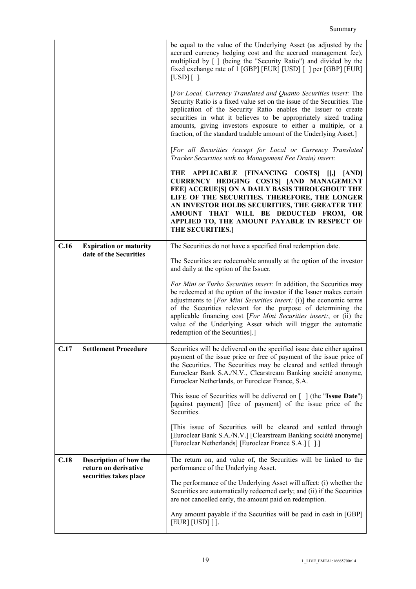|      |                                                         | be equal to the value of the Underlying Asset (as adjusted by the<br>accrued currency hedging cost and the accrued management fee),<br>multiplied by [ ] (being the "Security Ratio") and divided by the<br>fixed exchange rate of 1 [GBP] [EUR] [USD] [ ] per [GBP] [EUR]<br>$[USD]$ [ ].<br>[For Local, Currency Translated and Quanto Securities insert: The<br>Security Ratio is a fixed value set on the issue of the Securities. The<br>application of the Security Ratio enables the Issuer to create<br>securities in what it believes to be appropriately sized trading<br>amounts, giving investors exposure to either a multiple, or a<br>fraction, of the standard tradable amount of the Underlying Asset.]<br>[For all Securities (except for Local or Currency Translated<br>Tracker Securities with no Management Fee Drain) insert:<br>THE APPLICABLE [FINANCING COSTS] [[,]<br>[AND]<br>CURRENCY HEDGING COSTS] [AND MANAGEMENT<br>FEE] ACCRUE[S] ON A DAILY BASIS THROUGHOUT THE<br>LIFE OF THE SECURITIES. THEREFORE, THE LONGER<br>AN INVESTOR HOLDS SECURITIES, THE GREATER THE<br>AMOUNT THAT WILL BE DEDUCTED FROM, OR<br>APPLIED TO, THE AMOUNT PAYABLE IN RESPECT OF<br>THE SECURITIES.] |
|------|---------------------------------------------------------|--------------------------------------------------------------------------------------------------------------------------------------------------------------------------------------------------------------------------------------------------------------------------------------------------------------------------------------------------------------------------------------------------------------------------------------------------------------------------------------------------------------------------------------------------------------------------------------------------------------------------------------------------------------------------------------------------------------------------------------------------------------------------------------------------------------------------------------------------------------------------------------------------------------------------------------------------------------------------------------------------------------------------------------------------------------------------------------------------------------------------------------------------------------------------------------------------------------------|
| C.16 | <b>Expiration or maturity</b><br>date of the Securities | The Securities do not have a specified final redemption date.                                                                                                                                                                                                                                                                                                                                                                                                                                                                                                                                                                                                                                                                                                                                                                                                                                                                                                                                                                                                                                                                                                                                                      |
|      |                                                         | The Securities are redeemable annually at the option of the investor<br>and daily at the option of the Issuer.                                                                                                                                                                                                                                                                                                                                                                                                                                                                                                                                                                                                                                                                                                                                                                                                                                                                                                                                                                                                                                                                                                     |
|      |                                                         | For Mini or Turbo Securities insert: In addition, the Securities may<br>be redeemed at the option of the investor if the Issuer makes certain<br>adjustments to [For Mini Securities insert: (i)] the economic terms<br>of the Securities relevant for the purpose of determining the<br>applicable financing cost [For Mini Securities insert:, or (ii) the<br>value of the Underlying Asset which will trigger the automatic<br>redemption of the Securities].]                                                                                                                                                                                                                                                                                                                                                                                                                                                                                                                                                                                                                                                                                                                                                  |
| C.17 | <b>Settlement Procedure</b>                             | Securities will be delivered on the specified issue date either against<br>payment of the issue price or free of payment of the issue price of<br>the Securities. The Securities may be cleared and settled through<br>Euroclear Bank S.A./N.V., Clearstream Banking société anonyme,<br>Euroclear Netherlands, or Euroclear France, S.A.                                                                                                                                                                                                                                                                                                                                                                                                                                                                                                                                                                                                                                                                                                                                                                                                                                                                          |
|      |                                                         | This issue of Securities will be delivered on $\lceil \cdot \rceil$ (the "Issue Date")<br>[against payment] [free of payment] of the issue price of the<br>Securities.                                                                                                                                                                                                                                                                                                                                                                                                                                                                                                                                                                                                                                                                                                                                                                                                                                                                                                                                                                                                                                             |
|      |                                                         | [This issue of Securities will be cleared and settled through<br>[Euroclear Bank S.A./N.V.] [Clearstream Banking société anonyme]<br>[Euroclear Netherlands] [Euroclear France S.A.] [].]                                                                                                                                                                                                                                                                                                                                                                                                                                                                                                                                                                                                                                                                                                                                                                                                                                                                                                                                                                                                                          |
| C.18 | Description of how the<br>return on derivative          | The return on, and value of, the Securities will be linked to the<br>performance of the Underlying Asset.                                                                                                                                                                                                                                                                                                                                                                                                                                                                                                                                                                                                                                                                                                                                                                                                                                                                                                                                                                                                                                                                                                          |
|      | securities takes place                                  | The performance of the Underlying Asset will affect: (i) whether the<br>Securities are automatically redeemed early; and (ii) if the Securities<br>are not cancelled early, the amount paid on redemption.                                                                                                                                                                                                                                                                                                                                                                                                                                                                                                                                                                                                                                                                                                                                                                                                                                                                                                                                                                                                         |
|      |                                                         | Any amount payable if the Securities will be paid in cash in [GBP]<br>[EUR] [USD] [ ].                                                                                                                                                                                                                                                                                                                                                                                                                                                                                                                                                                                                                                                                                                                                                                                                                                                                                                                                                                                                                                                                                                                             |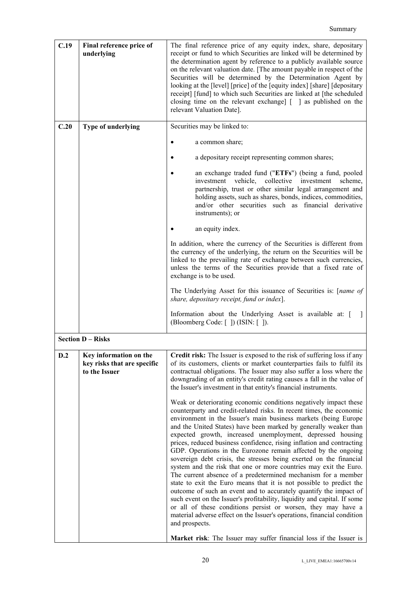| C.19 | Final reference price of<br>underlying                                 | The final reference price of any equity index, share, depositary<br>receipt or fund to which Securities are linked will be determined by<br>the determination agent by reference to a publicly available source<br>on the relevant valuation date. [The amount payable in respect of the<br>Securities will be determined by the Determination Agent by<br>looking at the [level] [price] of the [equity index] [share] [depositary<br>receipt] [fund] to which such Securities are linked at [the scheduled<br>closing time on the relevant exchange $\lceil \cdot \rceil$ as published on the<br>relevant Valuation Date].                                                                                                                                                                                                                                                                                                                                                                                                                                                                                                                                                                                                                                                                                                                                                                                                                                                 |
|------|------------------------------------------------------------------------|------------------------------------------------------------------------------------------------------------------------------------------------------------------------------------------------------------------------------------------------------------------------------------------------------------------------------------------------------------------------------------------------------------------------------------------------------------------------------------------------------------------------------------------------------------------------------------------------------------------------------------------------------------------------------------------------------------------------------------------------------------------------------------------------------------------------------------------------------------------------------------------------------------------------------------------------------------------------------------------------------------------------------------------------------------------------------------------------------------------------------------------------------------------------------------------------------------------------------------------------------------------------------------------------------------------------------------------------------------------------------------------------------------------------------------------------------------------------------|
| C.20 | Type of underlying                                                     | Securities may be linked to:                                                                                                                                                                                                                                                                                                                                                                                                                                                                                                                                                                                                                                                                                                                                                                                                                                                                                                                                                                                                                                                                                                                                                                                                                                                                                                                                                                                                                                                 |
|      |                                                                        | a common share;                                                                                                                                                                                                                                                                                                                                                                                                                                                                                                                                                                                                                                                                                                                                                                                                                                                                                                                                                                                                                                                                                                                                                                                                                                                                                                                                                                                                                                                              |
|      |                                                                        | a depositary receipt representing common shares;                                                                                                                                                                                                                                                                                                                                                                                                                                                                                                                                                                                                                                                                                                                                                                                                                                                                                                                                                                                                                                                                                                                                                                                                                                                                                                                                                                                                                             |
|      |                                                                        | an exchange traded fund ("ETFs") (being a fund, pooled<br>investment vehicle, collective investment<br>scheme.<br>partnership, trust or other similar legal arrangement and<br>holding assets, such as shares, bonds, indices, commodities,<br>and/or other securities such as financial derivative<br>instruments); or                                                                                                                                                                                                                                                                                                                                                                                                                                                                                                                                                                                                                                                                                                                                                                                                                                                                                                                                                                                                                                                                                                                                                      |
|      |                                                                        | an equity index.                                                                                                                                                                                                                                                                                                                                                                                                                                                                                                                                                                                                                                                                                                                                                                                                                                                                                                                                                                                                                                                                                                                                                                                                                                                                                                                                                                                                                                                             |
|      |                                                                        | In addition, where the currency of the Securities is different from<br>the currency of the underlying, the return on the Securities will be<br>linked to the prevailing rate of exchange between such currencies,<br>unless the terms of the Securities provide that a fixed rate of<br>exchange is to be used.                                                                                                                                                                                                                                                                                                                                                                                                                                                                                                                                                                                                                                                                                                                                                                                                                                                                                                                                                                                                                                                                                                                                                              |
|      |                                                                        | The Underlying Asset for this issuance of Securities is: [name of<br>share, depositary receipt, fund or index].                                                                                                                                                                                                                                                                                                                                                                                                                                                                                                                                                                                                                                                                                                                                                                                                                                                                                                                                                                                                                                                                                                                                                                                                                                                                                                                                                              |
|      |                                                                        | Information about the Underlying Asset is available at: [<br>(Bloomberg Code: []) (ISIN: []).                                                                                                                                                                                                                                                                                                                                                                                                                                                                                                                                                                                                                                                                                                                                                                                                                                                                                                                                                                                                                                                                                                                                                                                                                                                                                                                                                                                |
|      | <b>Section D - Risks</b>                                               |                                                                                                                                                                                                                                                                                                                                                                                                                                                                                                                                                                                                                                                                                                                                                                                                                                                                                                                                                                                                                                                                                                                                                                                                                                                                                                                                                                                                                                                                              |
| D.2  | Key information on the<br>key risks that are specific<br>to the Issuer | <b>Credit risk:</b> The Issuer is exposed to the risk of suffering loss if any<br>of its customers, clients or market counterparties fails to fulfil its<br>contractual obligations. The Issuer may also suffer a loss where the<br>downgrading of an entity's credit rating causes a fall in the value of<br>the Issuer's investment in that entity's financial instruments.<br>Weak or deteriorating economic conditions negatively impact these<br>counterparty and credit-related risks. In recent times, the economic<br>environment in the Issuer's main business markets (being Europe<br>and the United States) have been marked by generally weaker than<br>expected growth, increased unemployment, depressed housing<br>prices, reduced business confidence, rising inflation and contracting<br>GDP. Operations in the Eurozone remain affected by the ongoing<br>sovereign debt crisis, the stresses being exerted on the financial<br>system and the risk that one or more countries may exit the Euro.<br>The current absence of a predetermined mechanism for a member<br>state to exit the Euro means that it is not possible to predict the<br>outcome of such an event and to accurately quantify the impact of<br>such event on the Issuer's profitability, liquidity and capital. If some<br>or all of these conditions persist or worsen, they may have a<br>material adverse effect on the Issuer's operations, financial condition<br>and prospects. |
|      |                                                                        | Market risk: The Issuer may suffer financial loss if the Issuer is                                                                                                                                                                                                                                                                                                                                                                                                                                                                                                                                                                                                                                                                                                                                                                                                                                                                                                                                                                                                                                                                                                                                                                                                                                                                                                                                                                                                           |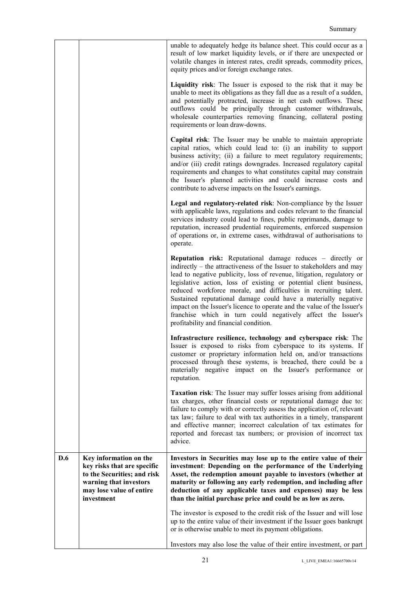|     |                                                                                                                                                          | unable to adequately hedge its balance sheet. This could occur as a<br>result of low market liquidity levels, or if there are unexpected or<br>volatile changes in interest rates, credit spreads, commodity prices,<br>equity prices and/or foreign exchange rates.                                                                                                                                                                                                                                                                                                                                                  |
|-----|----------------------------------------------------------------------------------------------------------------------------------------------------------|-----------------------------------------------------------------------------------------------------------------------------------------------------------------------------------------------------------------------------------------------------------------------------------------------------------------------------------------------------------------------------------------------------------------------------------------------------------------------------------------------------------------------------------------------------------------------------------------------------------------------|
|     |                                                                                                                                                          | Liquidity risk: The Issuer is exposed to the risk that it may be<br>unable to meet its obligations as they fall due as a result of a sudden,<br>and potentially protracted, increase in net cash outflows. These<br>outflows could be principally through customer withdrawals,<br>wholesale counterparties removing financing, collateral posting<br>requirements or loan draw-downs.                                                                                                                                                                                                                                |
|     |                                                                                                                                                          | Capital risk: The Issuer may be unable to maintain appropriate<br>capital ratios, which could lead to: (i) an inability to support<br>business activity; (ii) a failure to meet regulatory requirements;<br>and/or (iii) credit ratings downgrades. Increased regulatory capital<br>requirements and changes to what constitutes capital may constrain<br>the Issuer's planned activities and could increase costs and<br>contribute to adverse impacts on the Issuer's earnings.                                                                                                                                     |
|     |                                                                                                                                                          | Legal and regulatory-related risk: Non-compliance by the Issuer<br>with applicable laws, regulations and codes relevant to the financial<br>services industry could lead to fines, public reprimands, damage to<br>reputation, increased prudential requirements, enforced suspension<br>of operations or, in extreme cases, withdrawal of authorisations to<br>operate.                                                                                                                                                                                                                                              |
|     |                                                                                                                                                          | <b>Reputation risk:</b> Reputational damage reduces – directly or<br>indirectly – the attractiveness of the Issuer to stakeholders and may<br>lead to negative publicity, loss of revenue, litigation, regulatory or<br>legislative action, loss of existing or potential client business,<br>reduced workforce morale, and difficulties in recruiting talent.<br>Sustained reputational damage could have a materially negative<br>impact on the Issuer's licence to operate and the value of the Issuer's<br>franchise which in turn could negatively affect the Issuer's<br>profitability and financial condition. |
|     |                                                                                                                                                          | Infrastructure resilience, technology and cyberspace risk: The<br>Issuer is exposed to risks from cyberspace to its systems. If<br>customer or proprietary information held on, and/or transactions<br>processed through these systems, is breached, there could be a<br>materially negative impact on the Issuer's performance or<br>reputation.                                                                                                                                                                                                                                                                     |
|     |                                                                                                                                                          | <b>Taxation risk:</b> The Issuer may suffer losses arising from additional<br>tax charges, other financial costs or reputational damage due to:<br>failure to comply with or correctly assess the application of, relevant<br>tax law; failure to deal with tax authorities in a timely, transparent<br>and effective manner; incorrect calculation of tax estimates for<br>reported and forecast tax numbers; or provision of incorrect tax<br>advice.                                                                                                                                                               |
| D.6 | Key information on the<br>key risks that are specific<br>to the Securities; and risk<br>warning that investors<br>may lose value of entire<br>investment | Investors in Securities may lose up to the entire value of their<br>investment: Depending on the performance of the Underlying<br>Asset, the redemption amount payable to investors (whether at<br>maturity or following any early redemption, and including after<br>deduction of any applicable taxes and expenses) may be less<br>than the initial purchase price and could be as low as zero.                                                                                                                                                                                                                     |
|     |                                                                                                                                                          | The investor is exposed to the credit risk of the Issuer and will lose<br>up to the entire value of their investment if the Issuer goes bankrupt<br>or is otherwise unable to meet its payment obligations.<br>Investors may also lose the value of their entire investment, or part                                                                                                                                                                                                                                                                                                                                  |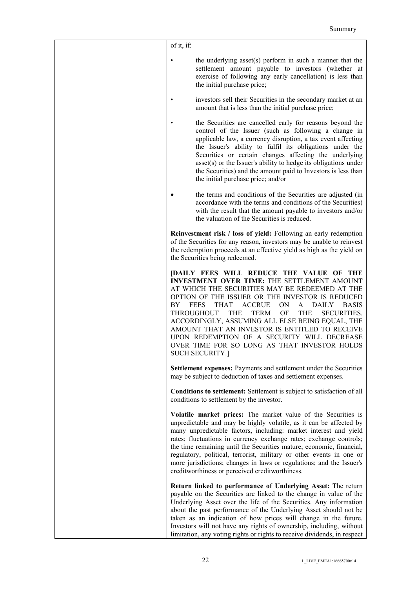|  | of it, if:                                                                                                                                                                                                                                                                                                                                                                                                                                                                                                                                                                                                                            |
|--|---------------------------------------------------------------------------------------------------------------------------------------------------------------------------------------------------------------------------------------------------------------------------------------------------------------------------------------------------------------------------------------------------------------------------------------------------------------------------------------------------------------------------------------------------------------------------------------------------------------------------------------|
|  | the underlying asset(s) perform in such a manner that the<br>settlement amount payable to investors (whether at<br>exercise of following any early cancellation) is less than<br>the initial purchase price;                                                                                                                                                                                                                                                                                                                                                                                                                          |
|  | investors sell their Securities in the secondary market at an<br>amount that is less than the initial purchase price;                                                                                                                                                                                                                                                                                                                                                                                                                                                                                                                 |
|  | the Securities are cancelled early for reasons beyond the<br>control of the Issuer (such as following a change in<br>applicable law, a currency disruption, a tax event affecting<br>the Issuer's ability to fulfil its obligations under the<br>Securities or certain changes affecting the underlying<br>asset(s) or the Issuer's ability to hedge its obligations under<br>the Securities) and the amount paid to Investors is less than<br>the initial purchase price; and/or                                                                                                                                                     |
|  | the terms and conditions of the Securities are adjusted (in<br>accordance with the terms and conditions of the Securities)<br>with the result that the amount payable to investors and/or<br>the valuation of the Securities is reduced.                                                                                                                                                                                                                                                                                                                                                                                              |
|  | Reinvestment risk / loss of yield: Following an early redemption<br>of the Securities for any reason, investors may be unable to reinvest<br>the redemption proceeds at an effective yield as high as the yield on<br>the Securities being redeemed.                                                                                                                                                                                                                                                                                                                                                                                  |
|  | <b>[DAILY FEES WILL REDUCE THE VALUE OF THE</b><br><b>INVESTMENT OVER TIME: THE SETTLEMENT AMOUNT</b><br>AT WHICH THE SECURITIES MAY BE REDEEMED AT THE<br>OPTION OF THE ISSUER OR THE INVESTOR IS REDUCED<br><b>FEES</b><br><b>ACCRUE</b><br><b>ON</b><br><b>DAILY</b><br><b>BASIS</b><br>BY.<br><b>THAT</b><br>A<br><b>THROUGHOUT</b><br><b>THE</b><br>OF<br><b>THE</b><br>TERM<br><b>SECURITIES.</b><br>ACCORDINGLY, ASSUMING ALL ELSE BEING EQUAL, THE<br>AMOUNT THAT AN INVESTOR IS ENTITLED TO RECEIVE<br>UPON REDEMPTION OF A SECURITY WILL DECREASE<br>OVER TIME FOR SO LONG AS THAT INVESTOR HOLDS<br><b>SUCH SECURITY.]</b> |
|  | Settlement expenses: Payments and settlement under the Securities<br>may be subject to deduction of taxes and settlement expenses.                                                                                                                                                                                                                                                                                                                                                                                                                                                                                                    |
|  | Conditions to settlement: Settlement is subject to satisfaction of all<br>conditions to settlement by the investor.                                                                                                                                                                                                                                                                                                                                                                                                                                                                                                                   |
|  | Volatile market prices: The market value of the Securities is<br>unpredictable and may be highly volatile, as it can be affected by<br>many unpredictable factors, including: market interest and yield<br>rates; fluctuations in currency exchange rates; exchange controls;<br>the time remaining until the Securities mature; economic, financial,<br>regulatory, political, terrorist, military or other events in one or<br>more jurisdictions; changes in laws or regulations; and the Issuer's<br>creditworthiness or perceived creditworthiness.                                                                              |
|  | Return linked to performance of Underlying Asset: The return<br>payable on the Securities are linked to the change in value of the<br>Underlying Asset over the life of the Securities. Any information<br>about the past performance of the Underlying Asset should not be<br>taken as an indication of how prices will change in the future.<br>Investors will not have any rights of ownership, including, without<br>limitation, any voting rights or rights to receive dividends, in respect                                                                                                                                     |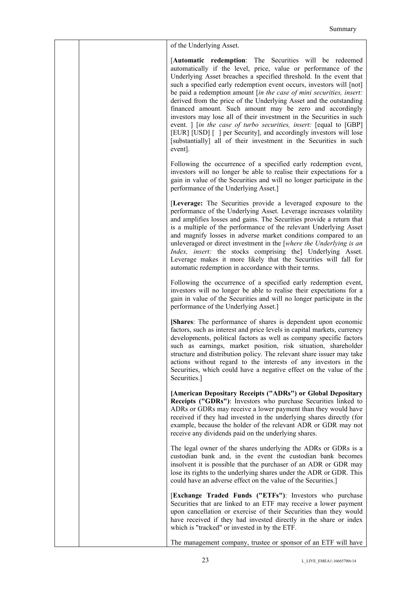| of the Underlying Asset.                                                                                                                                                                                                                                                                                                                                                                                                                                                                                                                                                                                                                                                                                                                                                           |
|------------------------------------------------------------------------------------------------------------------------------------------------------------------------------------------------------------------------------------------------------------------------------------------------------------------------------------------------------------------------------------------------------------------------------------------------------------------------------------------------------------------------------------------------------------------------------------------------------------------------------------------------------------------------------------------------------------------------------------------------------------------------------------|
| [Automatic redemption: The Securities will be redeemed<br>automatically if the level, price, value or performance of the<br>Underlying Asset breaches a specified threshold. In the event that<br>such a specified early redemption event occurs, investors will [not]<br>be paid a redemption amount [in the case of mini securities, insert:<br>derived from the price of the Underlying Asset and the outstanding<br>financed amount. Such amount may be zero and accordingly<br>investors may lose all of their investment in the Securities in such<br>event.   [in the case of turbo securities, insert: [equal to [GBP]<br>[EUR] [USD] [] per Security], and accordingly investors will lose<br>[substantially] all of their investment in the Securities in such<br>event. |
| Following the occurrence of a specified early redemption event,<br>investors will no longer be able to realise their expectations for a<br>gain in value of the Securities and will no longer participate in the<br>performance of the Underlying Asset.]                                                                                                                                                                                                                                                                                                                                                                                                                                                                                                                          |
| [Leverage: The Securities provide a leveraged exposure to the<br>performance of the Underlying Asset. Leverage increases volatility<br>and amplifies losses and gains. The Securities provide a return that<br>is a multiple of the performance of the relevant Underlying Asset<br>and magnify losses in adverse market conditions compared to an<br>unleveraged or direct investment in the [where the Underlying is an<br>Index, insert: the stocks comprising the] Underlying Asset.<br>Leverage makes it more likely that the Securities will fall for<br>automatic redemption in accordance with their terms.                                                                                                                                                                |
| Following the occurrence of a specified early redemption event,<br>investors will no longer be able to realise their expectations for a<br>gain in value of the Securities and will no longer participate in the<br>performance of the Underlying Asset.]                                                                                                                                                                                                                                                                                                                                                                                                                                                                                                                          |
| [Shares: The performance of shares is dependent upon economic<br>factors, such as interest and price levels in capital markets, currency<br>developments, political factors as well as company specific factors<br>such as earnings, market position, risk situation, shareholder<br>structure and distribution policy. The relevant share issuer may take<br>actions without regard to the interests of any investors in the<br>Securities, which could have a negative effect on the value of the<br>Securities.]                                                                                                                                                                                                                                                                |
| [American Depositary Receipts ("ADRs") or Global Depositary<br>Receipts ("GDRs"): Investors who purchase Securities linked to<br>ADRs or GDRs may receive a lower payment than they would have<br>received if they had invested in the underlying shares directly (for<br>example, because the holder of the relevant ADR or GDR may not<br>receive any dividends paid on the underlying shares.                                                                                                                                                                                                                                                                                                                                                                                   |
| The legal owner of the shares underlying the ADRs or GDRs is a<br>custodian bank and, in the event the custodian bank becomes<br>insolvent it is possible that the purchaser of an ADR or GDR may<br>lose its rights to the underlying shares under the ADR or GDR. This<br>could have an adverse effect on the value of the Securities.]                                                                                                                                                                                                                                                                                                                                                                                                                                          |
| [Exchange Traded Funds ("ETFs"): Investors who purchase<br>Securities that are linked to an ETF may receive a lower payment<br>upon cancellation or exercise of their Securities than they would<br>have received if they had invested directly in the share or index<br>which is "tracked" or invested in by the ETF.                                                                                                                                                                                                                                                                                                                                                                                                                                                             |
| The management company, trustee or sponsor of an ETF will have                                                                                                                                                                                                                                                                                                                                                                                                                                                                                                                                                                                                                                                                                                                     |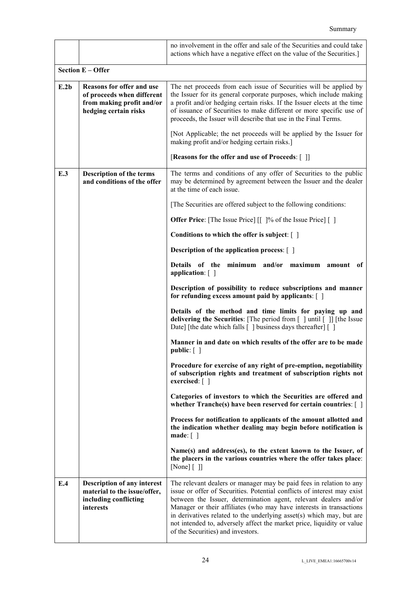|      |                                                                                                               | no involvement in the offer and sale of the Securities and could take<br>actions which have a negative effect on the value of the Securities.]                                                                                                                                                                                                                                                                                                                                   |
|------|---------------------------------------------------------------------------------------------------------------|----------------------------------------------------------------------------------------------------------------------------------------------------------------------------------------------------------------------------------------------------------------------------------------------------------------------------------------------------------------------------------------------------------------------------------------------------------------------------------|
|      | <b>Section E - Offer</b>                                                                                      |                                                                                                                                                                                                                                                                                                                                                                                                                                                                                  |
| E.2b | Reasons for offer and use<br>of proceeds when different<br>from making profit and/or<br>hedging certain risks | The net proceeds from each issue of Securities will be applied by<br>the Issuer for its general corporate purposes, which include making<br>a profit and/or hedging certain risks. If the Issuer elects at the time<br>of issuance of Securities to make different or more specific use of<br>proceeds, the Issuer will describe that use in the Final Terms.                                                                                                                    |
|      |                                                                                                               | [Not Applicable; the net proceeds will be applied by the Issuer for<br>making profit and/or hedging certain risks.]                                                                                                                                                                                                                                                                                                                                                              |
|      |                                                                                                               | [Reasons for the offer and use of Proceeds: []]                                                                                                                                                                                                                                                                                                                                                                                                                                  |
| E.3  | <b>Description of the terms</b><br>and conditions of the offer                                                | The terms and conditions of any offer of Securities to the public<br>may be determined by agreement between the Issuer and the dealer<br>at the time of each issue.                                                                                                                                                                                                                                                                                                              |
|      |                                                                                                               | [The Securities are offered subject to the following conditions:                                                                                                                                                                                                                                                                                                                                                                                                                 |
|      |                                                                                                               | <b>Offer Price</b> : [The Issue Price] [[]% of the Issue Price] []                                                                                                                                                                                                                                                                                                                                                                                                               |
|      |                                                                                                               | Conditions to which the offer is subject: $\lceil \ \rceil$                                                                                                                                                                                                                                                                                                                                                                                                                      |
|      |                                                                                                               | <b>Description of the application process:</b> [ ]                                                                                                                                                                                                                                                                                                                                                                                                                               |
|      |                                                                                                               | Details of the minimum and/or maximum<br>amount<br>0f<br>application: []                                                                                                                                                                                                                                                                                                                                                                                                         |
|      |                                                                                                               | Description of possibility to reduce subscriptions and manner<br>for refunding excess amount paid by applicants: []                                                                                                                                                                                                                                                                                                                                                              |
|      |                                                                                                               | Details of the method and time limits for paying up and<br>delivering the Securities: [The period from [ ] until [ ]] [the Issue<br>Date] [the date which falls [] business days thereafter [[]                                                                                                                                                                                                                                                                                  |
|      |                                                                                                               | Manner in and date on which results of the offer are to be made<br>public: $\lceil \ \rceil$                                                                                                                                                                                                                                                                                                                                                                                     |
|      |                                                                                                               | Procedure for exercise of any right of pre-emption, negotiability<br>of subscription rights and treatment of subscription rights not<br>exercised: $\lceil \; \rceil$                                                                                                                                                                                                                                                                                                            |
|      |                                                                                                               | Categories of investors to which the Securities are offered and<br>whether $Tranche(s)$ have been reserved for certain countries: $[ ]$                                                                                                                                                                                                                                                                                                                                          |
|      |                                                                                                               | Process for notification to applicants of the amount allotted and<br>the indication whether dealing may begin before notification is<br>$\mathbf{made}: [ ]$                                                                                                                                                                                                                                                                                                                     |
|      |                                                                                                               | Name(s) and address(es), to the extent known to the Issuer, of<br>the placers in the various countries where the offer takes place:<br>[None] [ ]                                                                                                                                                                                                                                                                                                                                |
| E.4  | <b>Description of any interest</b><br>material to the issue/offer,<br>including conflicting<br>interests      | The relevant dealers or manager may be paid fees in relation to any<br>issue or offer of Securities. Potential conflicts of interest may exist<br>between the Issuer, determination agent, relevant dealers and/or<br>Manager or their affiliates (who may have interests in transactions<br>in derivatives related to the underlying asset(s) which may, but are<br>not intended to, adversely affect the market price, liquidity or value<br>of the Securities) and investors. |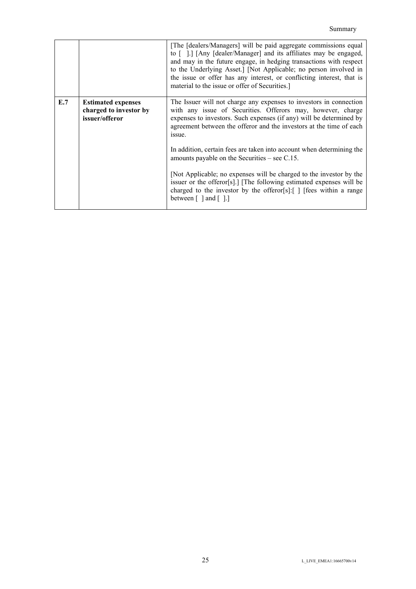|     |                                                                       | [The [dealers/Managers] will be paid aggregate commissions equal<br>to [].] [Any [dealer/Manager] and its affiliates may be engaged,<br>and may in the future engage, in hedging transactions with respect<br>to the Underlying Asset.] [Not Applicable; no person involved in<br>the issue or offer has any interest, or conflicting interest, that is<br>material to the issue or offer of Securities.] |
|-----|-----------------------------------------------------------------------|-----------------------------------------------------------------------------------------------------------------------------------------------------------------------------------------------------------------------------------------------------------------------------------------------------------------------------------------------------------------------------------------------------------|
| E.7 | <b>Estimated expenses</b><br>charged to investor by<br>issuer/offeror | The Issuer will not charge any expenses to investors in connection<br>with any issue of Securities. Offerors may, however, charge<br>expenses to investors. Such expenses (if any) will be determined by<br>agreement between the offeror and the investors at the time of each<br>issue.                                                                                                                 |
|     |                                                                       | In addition, certain fees are taken into account when determining the<br>amounts payable on the Securities $-$ see C.15.                                                                                                                                                                                                                                                                                  |
|     |                                                                       | [Not Applicable; no expenses will be charged to the investor by the<br>issuer or the offeror[s].] [The following estimated expenses will be<br>charged to the investor by the offeror[s]: $\lceil \cdot \rceil$ [fees within a range<br>between $\lceil \cdot \rceil$ and $\lceil \cdot \rceil$ .                                                                                                         |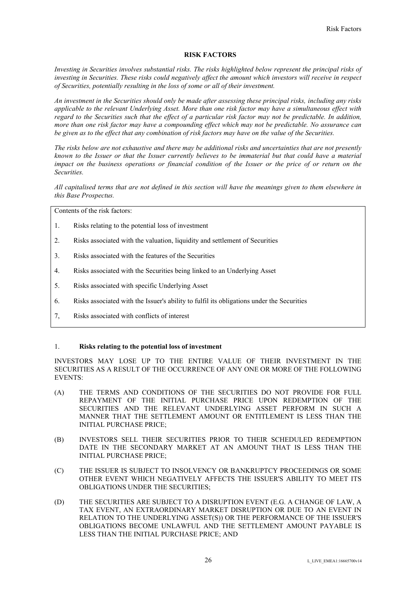## **RISK FACTORS**

*Investing in Securities involves substantial risks. The risks highlighted below represent the principal risks of investing in Securities. These risks could negatively affect the amount which investors will receive in respect of Securities, potentially resulting in the loss of some or all of their investment.*

*An investment in the Securities should only be made after assessing these principal risks, including any risks applicable to the relevant Underlying Asset. More than one risk factor may have a simultaneous effect with regard to the Securities such that the effect of a particular risk factor may not be predictable. In addition, more than one risk factor may have a compounding effect which may not be predictable. No assurance can be given as to the effect that any combination of risk factors may have on the value of the Securities.*

*The risks below are not exhaustive and there may be additional risks and uncertainties that are not presently known to the Issuer or that the Issuer currently believes to be immaterial but that could have a material impact on the business operations or financial condition of the Issuer or the price of or return on the Securities.* 

*All capitalised terms that are not defined in this section will have the meanings given to them elsewhere in this Base Prospectus.*

Contents of the risk factors:

- 1. Risks relating to the potential loss of investment
- 2. Risks associated with the valuation, liquidity and settlement of Securities
- 3. Risks associated with the features of the Securities
- 4. Risks associated with the Securities being linked to an Underlying Asset
- 5. Risks associated with specific Underlying Asset
- 6. Risks associated with the Issuer's ability to fulfil its obligations under the Securities
- 7, Risks associated with conflicts of interest

#### 1. **Risks relating to the potential loss of investment**

INVESTORS MAY LOSE UP TO THE ENTIRE VALUE OF THEIR INVESTMENT IN THE SECURITIES AS A RESULT OF THE OCCURRENCE OF ANY ONE OR MORE OF THE FOLLOWING EVENTS:

- (A) THE TERMS AND CONDITIONS OF THE SECURITIES DO NOT PROVIDE FOR FULL REPAYMENT OF THE INITIAL PURCHASE PRICE UPON REDEMPTION OF THE SECURITIES AND THE RELEVANT UNDERLYING ASSET PERFORM IN SUCH A MANNER THAT THE SETTLEMENT AMOUNT OR ENTITLEMENT IS LESS THAN THE INITIAL PURCHASE PRICE;
- (B) INVESTORS SELL THEIR SECURITIES PRIOR TO THEIR SCHEDULED REDEMPTION DATE IN THE SECONDARY MARKET AT AN AMOUNT THAT IS LESS THAN THE INITIAL PURCHASE PRICE;
- (C) THE ISSUER IS SUBJECT TO INSOLVENCY OR BANKRUPTCY PROCEEDINGS OR SOME OTHER EVENT WHICH NEGATIVELY AFFECTS THE ISSUER'S ABILITY TO MEET ITS OBLIGATIONS UNDER THE SECURITIES;
- (D) THE SECURITIES ARE SUBJECT TO A DISRUPTION EVENT (E.G. A CHANGE OF LAW, A TAX EVENT, AN EXTRAORDINARY MARKET DISRUPTION OR DUE TO AN EVENT IN RELATION TO THE UNDERLYING ASSET(S)) OR THE PERFORMANCE OF THE ISSUER'S OBLIGATIONS BECOME UNLAWFUL AND THE SETTLEMENT AMOUNT PAYABLE IS LESS THAN THE INITIAL PURCHASE PRICE; AND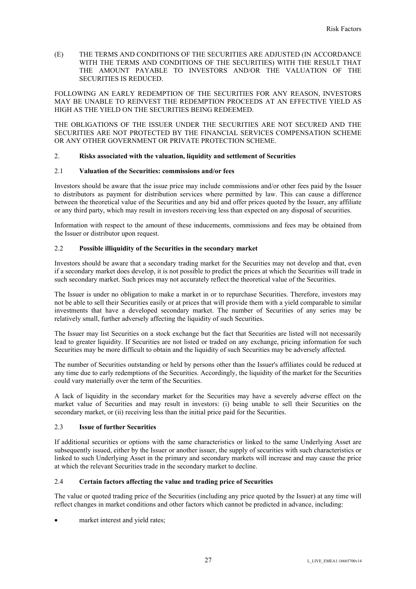(E) THE TERMS AND CONDITIONS OF THE SECURITIES ARE ADJUSTED (IN ACCORDANCE WITH THE TERMS AND CONDITIONS OF THE SECURITIES) WITH THE RESULT THAT THE AMOUNT PAYABLE TO INVESTORS AND/OR THE VALUATION OF THE SECURITIES IS REDUCED.

FOLLOWING AN EARLY REDEMPTION OF THE SECURITIES FOR ANY REASON, INVESTORS MAY BE UNABLE TO REINVEST THE REDEMPTION PROCEEDS AT AN EFFECTIVE YIELD AS HIGH AS THE YIELD ON THE SECURITIES BEING REDEEMED.

THE OBLIGATIONS OF THE ISSUER UNDER THE SECURITIES ARE NOT SECURED AND THE SECURITIES ARE NOT PROTECTED BY THE FINANCIAL SERVICES COMPENSATION SCHEME OR ANY OTHER GOVERNMENT OR PRIVATE PROTECTION SCHEME.

# 2. **Risks associated with the valuation, liquidity and settlement of Securities**

#### 2.1 **Valuation of the Securities: commissions and/or fees**

Investors should be aware that the issue price may include commissions and/or other fees paid by the Issuer to distributors as payment for distribution services where permitted by law. This can cause a difference between the theoretical value of the Securities and any bid and offer prices quoted by the Issuer, any affiliate or any third party, which may result in investors receiving less than expected on any disposal of securities.

Information with respect to the amount of these inducements, commissions and fees may be obtained from the Issuer or distributor upon request.

# 2.2 **Possible illiquidity of the Securities in the secondary market**

Investors should be aware that a secondary trading market for the Securities may not develop and that, even if a secondary market does develop, it is not possible to predict the prices at which the Securities will trade in such secondary market. Such prices may not accurately reflect the theoretical value of the Securities.

The Issuer is under no obligation to make a market in or to repurchase Securities. Therefore, investors may not be able to sell their Securities easily or at prices that will provide them with a yield comparable to similar investments that have a developed secondary market. The number of Securities of any series may be relatively small, further adversely affecting the liquidity of such Securities.

The Issuer may list Securities on a stock exchange but the fact that Securities are listed will not necessarily lead to greater liquidity. If Securities are not listed or traded on any exchange, pricing information for such Securities may be more difficult to obtain and the liquidity of such Securities may be adversely affected.

The number of Securities outstanding or held by persons other than the Issuer's affiliates could be reduced at any time due to early redemptions of the Securities. Accordingly, the liquidity of the market for the Securities could vary materially over the term of the Securities.

A lack of liquidity in the secondary market for the Securities may have a severely adverse effect on the market value of Securities and may result in investors: (i) being unable to sell their Securities on the secondary market, or (ii) receiving less than the initial price paid for the Securities.

#### 2.3 **Issue of further Securities**

If additional securities or options with the same characteristics or linked to the same Underlying Asset are subsequently issued, either by the Issuer or another issuer, the supply of securities with such characteristics or linked to such Underlying Asset in the primary and secondary markets will increase and may cause the price at which the relevant Securities trade in the secondary market to decline.

# 2.4 **Certain factors affecting the value and trading price of Securities**

The value or quoted trading price of the Securities (including any price quoted by the Issuer) at any time will reflect changes in market conditions and other factors which cannot be predicted in advance, including:

market interest and yield rates;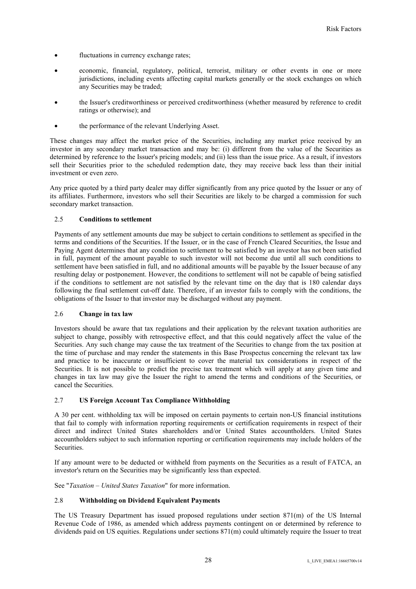- fluctuations in currency exchange rates;
- economic, financial, regulatory, political, terrorist, military or other events in one or more jurisdictions, including events affecting capital markets generally or the stock exchanges on which any Securities may be traded;
- the Issuer's creditworthiness or perceived creditworthiness (whether measured by reference to credit ratings or otherwise); and
- the performance of the relevant Underlying Asset.

These changes may affect the market price of the Securities, including any market price received by an investor in any secondary market transaction and may be: (i) different from the value of the Securities as determined by reference to the Issuer's pricing models; and (ii) less than the issue price. As a result, if investors sell their Securities prior to the scheduled redemption date, they may receive back less than their initial investment or even zero.

Any price quoted by a third party dealer may differ significantly from any price quoted by the Issuer or any of its affiliates. Furthermore, investors who sell their Securities are likely to be charged a commission for such secondary market transaction.

## 2.5 **Conditions to settlement**

Payments of any settlement amounts due may be subject to certain conditions to settlement as specified in the terms and conditions of the Securities. If the Issuer, or in the case of French Cleared Securities, the Issue and Paying Agent determines that any condition to settlement to be satisfied by an investor has not been satisfied in full, payment of the amount payable to such investor will not become due until all such conditions to settlement have been satisfied in full, and no additional amounts will be payable by the Issuer because of any resulting delay or postponement. However, the conditions to settlement will not be capable of being satisfied if the conditions to settlement are not satisfied by the relevant time on the day that is 180 calendar days following the final settlement cut-off date. Therefore, if an investor fails to comply with the conditions, the obligations of the Issuer to that investor may be discharged without any payment.

#### 2.6 **Change in tax law**

Investors should be aware that tax regulations and their application by the relevant taxation authorities are subject to change, possibly with retrospective effect, and that this could negatively affect the value of the Securities. Any such change may cause the tax treatment of the Securities to change from the tax position at the time of purchase and may render the statements in this Base Prospectus concerning the relevant tax law and practice to be inaccurate or insufficient to cover the material tax considerations in respect of the Securities. It is not possible to predict the precise tax treatment which will apply at any given time and changes in tax law may give the Issuer the right to amend the terms and conditions of the Securities, or cancel the Securities.

# 2.7 **US Foreign Account Tax Compliance Withholding**

A 30 per cent. withholding tax will be imposed on certain payments to certain non-US financial institutions that fail to comply with information reporting requirements or certification requirements in respect of their direct and indirect United States shareholders and/or United States accountholders. United States accountholders subject to such information reporting or certification requirements may include holders of the Securities.

If any amount were to be deducted or withheld from payments on the Securities as a result of FATCA, an investor's return on the Securities may be significantly less than expected.

See "*Taxation – United States Taxation*" for more information.

## 2.8 **Withholding on Dividend Equivalent Payments**

The US Treasury Department has issued proposed regulations under section 871(m) of the US Internal Revenue Code of 1986, as amended which address payments contingent on or determined by reference to dividends paid on US equities. Regulations under sections 871(m) could ultimately require the Issuer to treat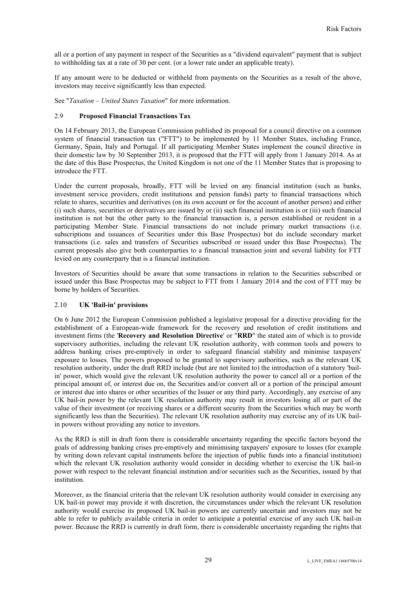all or a portion of any payment in respect of the Securities as a "dividend equivalent" payment that is subject to withholding tax at a rate of 30 per cent. (or a lower rate under an applicable treaty).

If any amount were to be deducted or withheld from payments on the Securities as a result of the above, investors may receive significantly less than expected.

See "*Taxation – United States Taxation*" for more information.

# 2.9 **Proposed Financial Transactions Tax**

On 14 February 2013, the European Commission published its proposal for a council directive on a common system of financial transaction tax ("FTT") to be implemented by 11 Member States, including France, Germany, Spain, Italy and Portugal. If all participating Member States implement the council directive in their domestic law by 30 September 2013, it is proposed that the FTT will apply from 1 January 2014. As at the date of this Base Prospectus, the United Kingdom is not one of the 11 Member States that is proposing to introduce the FTT.

Under the current proposals, broadly, FTT will be levied on any financial institution (such as banks, investment service providers, credit institutions and pension funds) party to financial transactions which relate to shares, securities and derivatives (on its own account or for the account of another person) and either (i) such shares, securities or derivatives are issued by or (ii) such financial institution is or (iii) such financial institution is not but the other party to the financial transaction is, a person established or resident in a participating Member State. Financial transactions do not include primary market transactions (i.e. subscriptions and issuances of Securities under this Base Prospectus) but do include secondary market transactions (i.e. sales and transfers of Securities subscribed or issued under this Base Prospectus). The current proposals also give both counterparties to a financial transaction joint and several liability for FTT levied on any counterparty that is a financial institution.

Investors of Securities should be aware that some transactions in relation to the Securities subscribed or issued under this Base Prospectus may be subject to FTT from 1 January 2014 and the cost of FTT may be borne by holders of Securities.

## 2.10 **UK 'Bail-in' provisions**

On 6 June 2012 the European Commission published a legislative proposal for a directive providing for the establishment of a European-wide framework for the recovery and resolution of credit institutions and investment firms (the '**Recovery and Resolution Directive**' or "**RRD**" the stated aim of which is to provide supervisory authorities, including the relevant UK resolution authority, with common tools and powers to address banking crises pre-emptively in order to safeguard financial stability and minimise taxpayers' exposure to losses. The powers proposed to be granted to supervisory authorities, such as the relevant UK resolution authority, under the draft RRD include (but are not limited to) the introduction of a statutory 'bailin' power, which would give the relevant UK resolution authority the power to cancel all or a portion of the principal amount of, or interest due on, the Securities and/or convert all or a portion of the principal amount or interest due into shares or other securities of the Issuer or any third party. Accordingly, any exercise of any UK bail-in power by the relevant UK resolution authority may result in investors losing all or part of the value of their investment (or receiving shares or a different security from the Securities which may be worth significantly less than the Securities). The relevant UK resolution authority may exercise any of its UK bailin powers without providing any notice to investors.

As the RRD is still in draft form there is considerable uncertainty regarding the specific factors beyond the goals of addressing banking crises pre-emptively and minimising taxpayers' exposure to losses (for example by writing down relevant capital instruments before the injection of public funds into a financial institution) which the relevant UK resolution authority would consider in deciding whether to exercise the UK bail-in power with respect to the relevant financial institution and/or securities such as the Securities, issued by that institution.

Moreover, as the financial criteria that the relevant UK resolution authority would consider in exercising any UK bail-in power may provide it with discretion, the circumstances under which the relevant UK resolution authority would exercise its proposed UK bail-in powers are currently uncertain and investors may not be able to refer to publicly available criteria in order to anticipate a potential exercise of any such UK bail-in power. Because the RRD is currently in draft form, there is considerable uncertainty regarding the rights that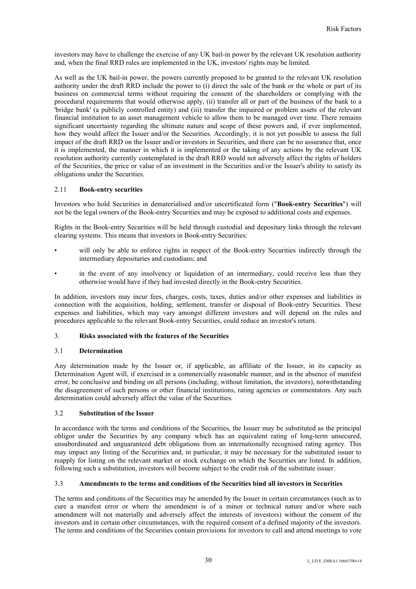investors may have to challenge the exercise of any UK bail-in power by the relevant UK resolution authority and, when the final RRD rules are implemented in the UK, investors' rights may be limited.

As well as the UK bail-in power, the powers currently proposed to be granted to the relevant UK resolution authority under the draft RRD include the power to (i) direct the sale of the bank or the whole or part of its business on commercial terms without requiring the consent of the shareholders or complying with the procedural requirements that would otherwise apply, (ii) transfer all or part of the business of the bank to a 'bridge bank' (a publicly controlled entity) and (iii) transfer the impaired or problem assets of the relevant financial institution to an asset management vehicle to allow them to be managed over time. There remains significant uncertainty regarding the ultimate nature and scope of these powers and, if ever implemented, how they would affect the Issuer and/or the Securities. Accordingly, it is not yet possible to assess the full impact of the draft RRD on the Issuer and/or investors in Securities, and there can be no assurance that, once it is implemented, the manner in which it is implemented or the taking of any actions by the relevant UK resolution authority currently contemplated in the draft RRD would not adversely affect the rights of holders of the Securities, the price or value of an investment in the Securities and/or the Issuer's ability to satisfy its obligations under the Securities.

## 2.11 **Book-entry securities**

Investors who hold Securities in dematerialised and/or uncertificated form ("**Book-entry Securities**") will not be the legal owners of the Book-entry Securities and may be exposed to additional costs and expenses.

Rights in the Book-entry Securities will be held through custodial and depositary links through the relevant clearing systems. This means that investors in Book-entry Securities:

- will only be able to enforce rights in respect of the Book-entry Securities indirectly through the intermediary depositaries and custodians; and
- in the event of any insolvency or liquidation of an intermediary, could receive less than they otherwise would have if they had invested directly in the Book-entry Securities.

In addition, investors may incur fees, charges, costs, taxes, duties and/or other expenses and liabilities in connection with the acquisition, holding, settlement, transfer or disposal of Book-entry Securities. These expenses and liabilities, which may vary amongst different investors and will depend on the rules and procedures applicable to the relevant Book-entry Securities, could reduce an investor's return.

#### 3. **Risks associated with the features of the Securities**

#### 3.1 **Determination**

Any determination made by the Issuer or, if applicable, an affiliate of the Issuer, in its capacity as Determination Agent will, if exercised in a commercially reasonable manner, and in the absence of manifest error, be conclusive and binding on all persons (including, without limitation, the investors), notwithstanding the disagreement of such persons or other financial institutions, rating agencies or commentators. Any such determination could adversely affect the value of the Securities.

#### 3.2 **Substitution of the Issuer**

In accordance with the terms and conditions of the Securities, the Issuer may be substituted as the principal obligor under the Securities by any company which has an equivalent rating of long-term unsecured, unsubordinated and unguaranteed debt obligations from an internationally recognised rating agency. This may impact any listing of the Securities and, in particular, it may be necessary for the substituted issuer to reapply for listing on the relevant market or stock exchange on which the Securities are listed. In addition, following such a substitution, investors will become subject to the credit risk of the substitute issuer.

## 3.3 **Amendments to the terms and conditions of the Securities bind all investors in Securities**

The terms and conditions of the Securities may be amended by the Issuer in certain circumstances (such as to cure a manifest error or where the amendment is of a minor or technical nature and/or where such amendment will not materially and adversely affect the interests of investors) without the consent of the investors and in certain other circumstances, with the required consent of a defined majority of the investors. The terms and conditions of the Securities contain provisions for investors to call and attend meetings to vote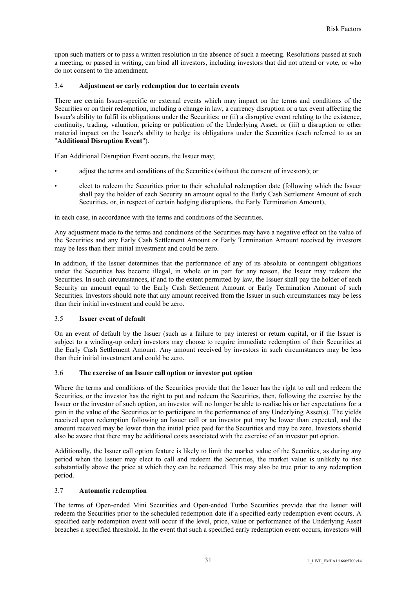upon such matters or to pass a written resolution in the absence of such a meeting. Resolutions passed at such a meeting, or passed in writing, can bind all investors, including investors that did not attend or vote, or who do not consent to the amendment.

## 3.4 **Adjustment or early redemption due to certain events**

There are certain Issuer-specific or external events which may impact on the terms and conditions of the Securities or on their redemption, including a change in law, a currency disruption or a tax event affecting the Issuer's ability to fulfil its obligations under the Securities; or (ii) a disruptive event relating to the existence, continuity, trading, valuation, pricing or publication of the Underlying Asset; or (iii) a disruption or other material impact on the Issuer's ability to hedge its obligations under the Securities (each referred to as an "**Additional Disruption Event**").

If an Additional Disruption Event occurs, the Issuer may;

- adjust the terms and conditions of the Securities (without the consent of investors); or
- elect to redeem the Securities prior to their scheduled redemption date (following which the Issuer shall pay the holder of each Security an amount equal to the Early Cash Settlement Amount of such Securities, or, in respect of certain hedging disruptions, the Early Termination Amount),

in each case, in accordance with the terms and conditions of the Securities.

Any adjustment made to the terms and conditions of the Securities may have a negative effect on the value of the Securities and any Early Cash Settlement Amount or Early Termination Amount received by investors may be less than their initial investment and could be zero.

In addition, if the Issuer determines that the performance of any of its absolute or contingent obligations under the Securities has become illegal, in whole or in part for any reason, the Issuer may redeem the Securities. In such circumstances, if and to the extent permitted by law, the Issuer shall pay the holder of each Security an amount equal to the Early Cash Settlement Amount or Early Termination Amount of such Securities. Investors should note that any amount received from the Issuer in such circumstances may be less than their initial investment and could be zero.

# 3.5 **Issuer event of default**

On an event of default by the Issuer (such as a failure to pay interest or return capital, or if the Issuer is subject to a winding-up order) investors may choose to require immediate redemption of their Securities at the Early Cash Settlement Amount. Any amount received by investors in such circumstances may be less than their initial investment and could be zero.

# 3.6 **The exercise of an Issuer call option or investor put option**

Where the terms and conditions of the Securities provide that the Issuer has the right to call and redeem the Securities, or the investor has the right to put and redeem the Securities, then, following the exercise by the Issuer or the investor of such option, an investor will no longer be able to realise his or her expectations for a gain in the value of the Securities or to participate in the performance of any Underlying Asset(s). The yields received upon redemption following an Issuer call or an investor put may be lower than expected, and the amount received may be lower than the initial price paid for the Securities and may be zero. Investors should also be aware that there may be additional costs associated with the exercise of an investor put option.

Additionally, the Issuer call option feature is likely to limit the market value of the Securities, as during any period when the Issuer may elect to call and redeem the Securities, the market value is unlikely to rise substantially above the price at which they can be redeemed. This may also be true prior to any redemption period.

#### 3.7 **Automatic redemption**

The terms of Open-ended Mini Securities and Open-ended Turbo Securities provide that the Issuer will redeem the Securities prior to the scheduled redemption date if a specified early redemption event occurs. A specified early redemption event will occur if the level, price, value or performance of the Underlying Asset breaches a specified threshold. In the event that such a specified early redemption event occurs, investors will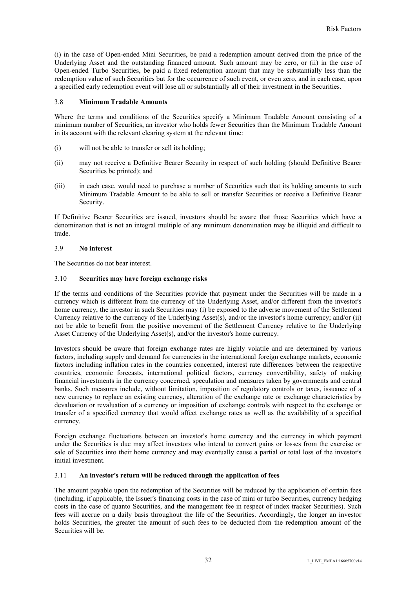(i) in the case of Open-ended Mini Securities, be paid a redemption amount derived from the price of the Underlying Asset and the outstanding financed amount. Such amount may be zero, or (ii) in the case of Open-ended Turbo Securities, be paid a fixed redemption amount that may be substantially less than the redemption value of such Securities but for the occurrence of such event, or even zero, and in each case, upon a specified early redemption event will lose all or substantially all of their investment in the Securities.

## 3.8 **Minimum Tradable Amounts**

Where the terms and conditions of the Securities specify a Minimum Tradable Amount consisting of a minimum number of Securities, an investor who holds fewer Securities than the Minimum Tradable Amount in its account with the relevant clearing system at the relevant time:

- (i) will not be able to transfer or sell its holding;
- (ii) may not receive a Definitive Bearer Security in respect of such holding (should Definitive Bearer Securities be printed); and
- (iii) in each case, would need to purchase a number of Securities such that its holding amounts to such Minimum Tradable Amount to be able to sell or transfer Securities or receive a Definitive Bearer Security.

If Definitive Bearer Securities are issued, investors should be aware that those Securities which have a denomination that is not an integral multiple of any minimum denomination may be illiquid and difficult to trade.

# 3.9 **No interest**

The Securities do not bear interest.

## 3.10 **Securities may have foreign exchange risks**

If the terms and conditions of the Securities provide that payment under the Securities will be made in a currency which is different from the currency of the Underlying Asset, and/or different from the investor's home currency, the investor in such Securities may (i) be exposed to the adverse movement of the Settlement Currency relative to the currency of the Underlying Asset(s), and/or the investor's home currency; and/or (ii) not be able to benefit from the positive movement of the Settlement Currency relative to the Underlying Asset Currency of the Underlying Asset(s), and/or the investor's home currency.

Investors should be aware that foreign exchange rates are highly volatile and are determined by various factors, including supply and demand for currencies in the international foreign exchange markets, economic factors including inflation rates in the countries concerned, interest rate differences between the respective countries, economic forecasts, international political factors, currency convertibility, safety of making financial investments in the currency concerned, speculation and measures taken by governments and central banks. Such measures include, without limitation, imposition of regulatory controls or taxes, issuance of a new currency to replace an existing currency, alteration of the exchange rate or exchange characteristics by devaluation or revaluation of a currency or imposition of exchange controls with respect to the exchange or transfer of a specified currency that would affect exchange rates as well as the availability of a specified currency.

Foreign exchange fluctuations between an investor's home currency and the currency in which payment under the Securities is due may affect investors who intend to convert gains or losses from the exercise or sale of Securities into their home currency and may eventually cause a partial or total loss of the investor's initial investment.

#### 3.11 **An investor's return will be reduced through the application of fees**

The amount payable upon the redemption of the Securities will be reduced by the application of certain fees (including, if applicable, the Issuer's financing costs in the case of mini or turbo Securities, currency hedging costs in the case of quanto Securities, and the management fee in respect of index tracker Securities). Such fees will accrue on a daily basis throughout the life of the Securities. Accordingly, the longer an investor holds Securities, the greater the amount of such fees to be deducted from the redemption amount of the Securities will be.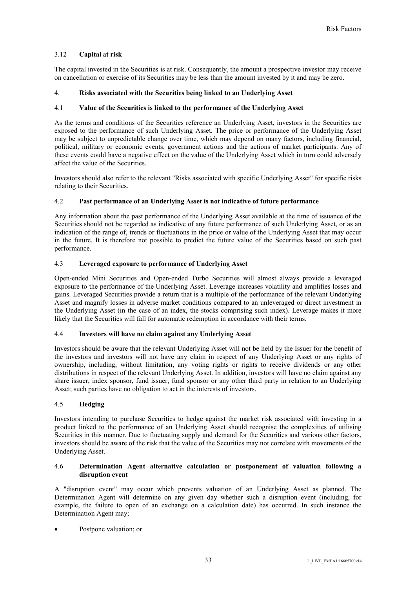# 3.12 **Capital** a**t risk**

The capital invested in the Securities is at risk. Consequently, the amount a prospective investor may receive on cancellation or exercise of its Securities may be less than the amount invested by it and may be zero.

# 4. **Risks associated with the Securities being linked to an Underlying Asset**

## 4.1 **Value of the Securities is linked to the performance of the Underlying Asset**

As the terms and conditions of the Securities reference an Underlying Asset, investors in the Securities are exposed to the performance of such Underlying Asset. The price or performance of the Underlying Asset may be subject to unpredictable change over time, which may depend on many factors, including financial, political, military or economic events, government actions and the actions of market participants. Any of these events could have a negative effect on the value of the Underlying Asset which in turn could adversely affect the value of the Securities.

Investors should also refer to the relevant "Risks associated with specific Underlying Asset" for specific risks relating to their Securities.

## 4.2 **Past performance of an Underlying Asset is not indicative of future performance**

Any information about the past performance of the Underlying Asset available at the time of issuance of the Securities should not be regarded as indicative of any future performance of such Underlying Asset, or as an indication of the range of, trends or fluctuations in the price or value of the Underlying Asset that may occur in the future. It is therefore not possible to predict the future value of the Securities based on such past performance.

# 4.3 **Leveraged exposure to performance of Underlying Asset**

Open-ended Mini Securities and Open-ended Turbo Securities will almost always provide a leveraged exposure to the performance of the Underlying Asset. Leverage increases volatility and amplifies losses and gains. Leveraged Securities provide a return that is a multiple of the performance of the relevant Underlying Asset and magnify losses in adverse market conditions compared to an unleveraged or direct investment in the Underlying Asset (in the case of an index, the stocks comprising such index). Leverage makes it more likely that the Securities will fall for automatic redemption in accordance with their terms.

## 4.4 **Investors will have no claim against any Underlying Asset**

Investors should be aware that the relevant Underlying Asset will not be held by the Issuer for the benefit of the investors and investors will not have any claim in respect of any Underlying Asset or any rights of ownership, including, without limitation, any voting rights or rights to receive dividends or any other distributions in respect of the relevant Underlying Asset. In addition, investors will have no claim against any share issuer, index sponsor, fund issuer, fund sponsor or any other third party in relation to an Underlying Asset; such parties have no obligation to act in the interests of investors.

## 4.5 **Hedging**

Investors intending to purchase Securities to hedge against the market risk associated with investing in a product linked to the performance of an Underlying Asset should recognise the complexities of utilising Securities in this manner. Due to fluctuating supply and demand for the Securities and various other factors, investors should be aware of the risk that the value of the Securities may not correlate with movements of the Underlying Asset.

## 4.6 **Determination Agent alternative calculation or postponement of valuation following a disruption event**

A "disruption event" may occur which prevents valuation of an Underlying Asset as planned. The Determination Agent will determine on any given day whether such a disruption event (including, for example, the failure to open of an exchange on a calculation date) has occurred. In such instance the Determination Agent may;

Postpone valuation; or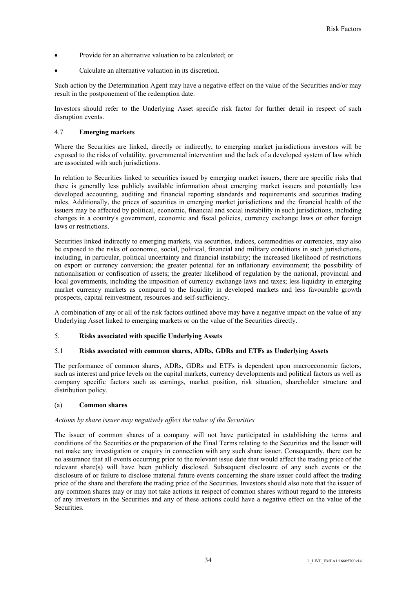- Provide for an alternative valuation to be calculated; or
- Calculate an alternative valuation in its discretion.

Such action by the Determination Agent may have a negative effect on the value of the Securities and/or may result in the postponement of the redemption date.

Investors should refer to the Underlying Asset specific risk factor for further detail in respect of such disruption events.

## 4.7 **Emerging markets**

Where the Securities are linked, directly or indirectly, to emerging market jurisdictions investors will be exposed to the risks of volatility, governmental intervention and the lack of a developed system of law which are associated with such jurisdictions.

In relation to Securities linked to securities issued by emerging market issuers, there are specific risks that there is generally less publicly available information about emerging market issuers and potentially less developed accounting, auditing and financial reporting standards and requirements and securities trading rules. Additionally, the prices of securities in emerging market jurisdictions and the financial health of the issuers may be affected by political, economic, financial and social instability in such jurisdictions, including changes in a country's government, economic and fiscal policies, currency exchange laws or other foreign laws or restrictions.

Securities linked indirectly to emerging markets, via securities, indices, commodities or currencies, may also be exposed to the risks of economic, social, political, financial and military conditions in such jurisdictions, including, in particular, political uncertainty and financial instability; the increased likelihood of restrictions on export or currency conversion; the greater potential for an inflationary environment; the possibility of nationalisation or confiscation of assets; the greater likelihood of regulation by the national, provincial and local governments, including the imposition of currency exchange laws and taxes; less liquidity in emerging market currency markets as compared to the liquidity in developed markets and less favourable growth prospects, capital reinvestment, resources and self-sufficiency.

A combination of any or all of the risk factors outlined above may have a negative impact on the value of any Underlying Asset linked to emerging markets or on the value of the Securities directly.

#### 5. **Risks associated with specific Underlying Assets**

### 5.1 **Risks associated with common shares, ADRs, GDRs and ETFs as Underlying Assets**

The performance of common shares, ADRs, GDRs and ETFs is dependent upon macroeconomic factors, such as interest and price levels on the capital markets, currency developments and political factors as well as company specific factors such as earnings, market position, risk situation, shareholder structure and distribution policy.

#### (a) **Common shares**

#### *Actions by share issuer may negatively affect the value of the Securities*

The issuer of common shares of a company will not have participated in establishing the terms and conditions of the Securities or the preparation of the Final Terms relating to the Securities and the Issuer will not make any investigation or enquiry in connection with any such share issuer. Consequently, there can be no assurance that all events occurring prior to the relevant issue date that would affect the trading price of the relevant share(s) will have been publicly disclosed. Subsequent disclosure of any such events or the disclosure of or failure to disclose material future events concerning the share issuer could affect the trading price of the share and therefore the trading price of the Securities. Investors should also note that the issuer of any common shares may or may not take actions in respect of common shares without regard to the interests of any investors in the Securities and any of these actions could have a negative effect on the value of the Securities.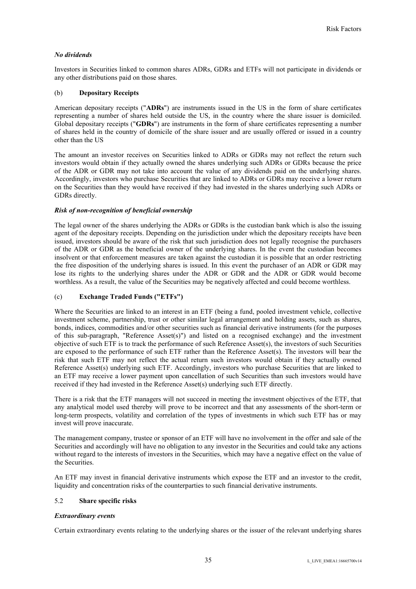# *No dividends*

Investors in Securities linked to common shares ADRs, GDRs and ETFs will not participate in dividends or any other distributions paid on those shares.

# (b) **Depositary Receipts**

American depositary receipts ("**ADRs**") are instruments issued in the US in the form of share certificates representing a number of shares held outside the US, in the country where the share issuer is domiciled. Global depositary receipts ("**GDRs**") are instruments in the form of share certificates representing a number of shares held in the country of domicile of the share issuer and are usually offered or issued in a country other than the US

The amount an investor receives on Securities linked to ADRs or GDRs may not reflect the return such investors would obtain if they actually owned the shares underlying such ADRs or GDRs because the price of the ADR or GDR may not take into account the value of any dividends paid on the underlying shares. Accordingly, investors who purchase Securities that are linked to ADRs or GDRs may receive a lower return on the Securities than they would have received if they had invested in the shares underlying such ADRs or GDRs directly.

## *Risk of non-recognition of beneficial ownership*

The legal owner of the shares underlying the ADRs or GDRs is the custodian bank which is also the issuing agent of the depositary receipts. Depending on the jurisdiction under which the depositary receipts have been issued, investors should be aware of the risk that such jurisdiction does not legally recognise the purchasers of the ADR or GDR as the beneficial owner of the underlying shares. In the event the custodian becomes insolvent or that enforcement measures are taken against the custodian it is possible that an order restricting the free disposition of the underlying shares is issued. In this event the purchaser of an ADR or GDR may lose its rights to the underlying shares under the ADR or GDR and the ADR or GDR would become worthless. As a result, the value of the Securities may be negatively affected and could become worthless.

# (c) **Exchange Traded Funds ("ETFs")**

Where the Securities are linked to an interest in an ETF (being a fund, pooled investment vehicle, collective investment scheme, partnership, trust or other similar legal arrangement and holding assets, such as shares, bonds, indices, commodities and/or other securities such as financial derivative instruments (for the purposes of this sub-paragraph, "Reference Asset(s)") and listed on a recognised exchange) and the investment objective of such ETF is to track the performance of such Reference Asset(s), the investors of such Securities are exposed to the performance of such ETF rather than the Reference Asset(s). The investors will bear the risk that such ETF may not reflect the actual return such investors would obtain if they actually owned Reference Asset(s) underlying such ETF. Accordingly, investors who purchase Securities that are linked to an ETF may receive a lower payment upon cancellation of such Securities than such investors would have received if they had invested in the Reference Asset(s) underlying such ETF directly.

There is a risk that the ETF managers will not succeed in meeting the investment objectives of the ETF, that any analytical model used thereby will prove to be incorrect and that any assessments of the short-term or long-term prospects, volatility and correlation of the types of investments in which such ETF has or may invest will prove inaccurate.

The management company, trustee or sponsor of an ETF will have no involvement in the offer and sale of the Securities and accordingly will have no obligation to any investor in the Securities and could take any actions without regard to the interests of investors in the Securities, which may have a negative effect on the value of the Securities.

An ETF may invest in financial derivative instruments which expose the ETF and an investor to the credit, liquidity and concentration risks of the counterparties to such financial derivative instruments.

# 5.2 **Share specific risks**

# *Extraordinary events*

Certain extraordinary events relating to the underlying shares or the issuer of the relevant underlying shares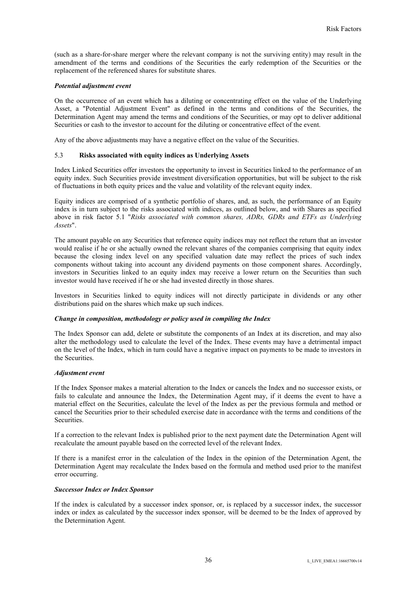(such as a share-for-share merger where the relevant company is not the surviving entity) may result in the amendment of the terms and conditions of the Securities the early redemption of the Securities or the replacement of the referenced shares for substitute shares.

#### *Potential adjustment event*

On the occurrence of an event which has a diluting or concentrating effect on the value of the Underlying Asset, a "Potential Adjustment Event" as defined in the terms and conditions of the Securities, the Determination Agent may amend the terms and conditions of the Securities, or may opt to deliver additional Securities or cash to the investor to account for the diluting or concentrative effect of the event.

Any of the above adjustments may have a negative effect on the value of the Securities.

## 5.3 **Risks associated with equity indices as Underlying Assets**

Index Linked Securities offer investors the opportunity to invest in Securities linked to the performance of an equity index. Such Securities provide investment diversification opportunities, but will be subject to the risk of fluctuations in both equity prices and the value and volatility of the relevant equity index.

Equity indices are comprised of a synthetic portfolio of shares, and, as such, the performance of an Equity index is in turn subject to the risks associated with indices, as outlined below, and with Shares as specified above in risk factor 5.1 "*Risks associated with common shares, ADRs, GDRs and ETFs as Underlying Assets*".

The amount payable on any Securities that reference equity indices may not reflect the return that an investor would realise if he or she actually owned the relevant shares of the companies comprising that equity index because the closing index level on any specified valuation date may reflect the prices of such index components without taking into account any dividend payments on those component shares. Accordingly, investors in Securities linked to an equity index may receive a lower return on the Securities than such investor would have received if he or she had invested directly in those shares.

Investors in Securities linked to equity indices will not directly participate in dividends or any other distributions paid on the shares which make up such indices.

#### *Change in composition, methodology or policy used in compiling the Index*

The Index Sponsor can add, delete or substitute the components of an Index at its discretion, and may also alter the methodology used to calculate the level of the Index. These events may have a detrimental impact on the level of the Index, which in turn could have a negative impact on payments to be made to investors in the Securities.

## *Adjustment event*

If the Index Sponsor makes a material alteration to the Index or cancels the Index and no successor exists, or fails to calculate and announce the Index, the Determination Agent may, if it deems the event to have a material effect on the Securities, calculate the level of the Index as per the previous formula and method or cancel the Securities prior to their scheduled exercise date in accordance with the terms and conditions of the Securities.

If a correction to the relevant Index is published prior to the next payment date the Determination Agent will recalculate the amount payable based on the corrected level of the relevant Index.

If there is a manifest error in the calculation of the Index in the opinion of the Determination Agent, the Determination Agent may recalculate the Index based on the formula and method used prior to the manifest error occurring.

#### *Successor Index or Index Sponsor*

If the index is calculated by a successor index sponsor, or, is replaced by a successor index, the successor index or index as calculated by the successor index sponsor, will be deemed to be the Index of approved by the Determination Agent.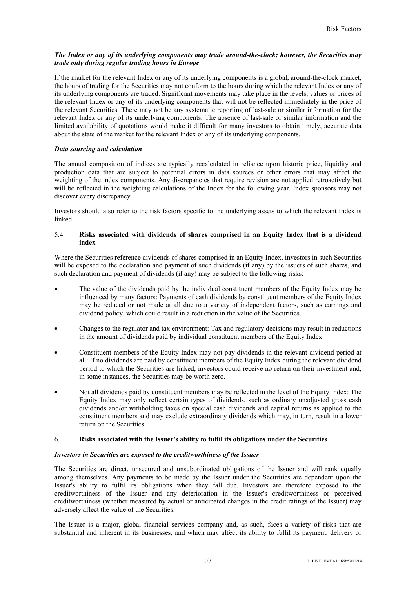# *The Index or any of its underlying components may trade around-the-clock; however, the Securities may trade only during regular trading hours in Europe*

If the market for the relevant Index or any of its underlying components is a global, around-the-clock market, the hours of trading for the Securities may not conform to the hours during which the relevant Index or any of its underlying components are traded. Significant movements may take place in the levels, values or prices of the relevant Index or any of its underlying components that will not be reflected immediately in the price of the relevant Securities. There may not be any systematic reporting of last-sale or similar information for the relevant Index or any of its underlying components. The absence of last-sale or similar information and the limited availability of quotations would make it difficult for many investors to obtain timely, accurate data about the state of the market for the relevant Index or any of its underlying components.

# *Data sourcing and calculation*

The annual composition of indices are typically recalculated in reliance upon historic price, liquidity and production data that are subject to potential errors in data sources or other errors that may affect the weighting of the index components. Any discrepancies that require revision are not applied retroactively but will be reflected in the weighting calculations of the Index for the following year. Index sponsors may not discover every discrepancy.

Investors should also refer to the risk factors specific to the underlying assets to which the relevant Index is linked.

# 5.4 **Risks associated with dividends of shares comprised in an Equity Index that is a dividend index**

Where the Securities reference dividends of shares comprised in an Equity Index, investors in such Securities will be exposed to the declaration and payment of such dividends (if any) by the issuers of such shares, and such declaration and payment of dividends (if any) may be subject to the following risks:

- The value of the dividends paid by the individual constituent members of the Equity Index may be influenced by many factors: Payments of cash dividends by constituent members of the Equity Index may be reduced or not made at all due to a variety of independent factors, such as earnings and dividend policy, which could result in a reduction in the value of the Securities.
- Changes to the regulator and tax environment: Tax and regulatory decisions may result in reductions in the amount of dividends paid by individual constituent members of the Equity Index.
- Constituent members of the Equity Index may not pay dividends in the relevant dividend period at all: If no dividends are paid by constituent members of the Equity Index during the relevant dividend period to which the Securities are linked, investors could receive no return on their investment and, in some instances, the Securities may be worth zero.
- Not all dividends paid by constituent members may be reflected in the level of the Equity Index: The Equity Index may only reflect certain types of dividends, such as ordinary unadjusted gross cash dividends and/or withholding taxes on special cash dividends and capital returns as applied to the constituent members and may exclude extraordinary dividends which may, in turn, result in a lower return on the Securities.

# 6. **Risks associated with the Issuer's ability to fulfil its obligations under the Securities**

# *Investors in Securities are exposed to the creditworthiness of the Issuer*

The Securities are direct, unsecured and unsubordinated obligations of the Issuer and will rank equally among themselves. Any payments to be made by the Issuer under the Securities are dependent upon the Issuer's ability to fulfil its obligations when they fall due. Investors are therefore exposed to the creditworthiness of the Issuer and any deterioration in the Issuer's creditworthiness or perceived creditworthiness (whether measured by actual or anticipated changes in the credit ratings of the Issuer) may adversely affect the value of the Securities.

The Issuer is a major, global financial services company and, as such, faces a variety of risks that are substantial and inherent in its businesses, and which may affect its ability to fulfil its payment, delivery or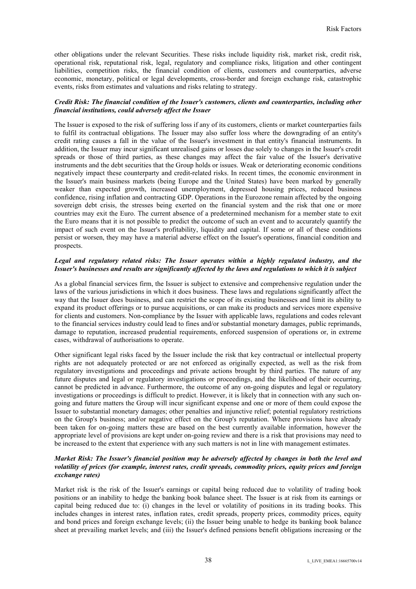other obligations under the relevant Securities. These risks include liquidity risk, market risk, credit risk, operational risk, reputational risk, legal, regulatory and compliance risks, litigation and other contingent liabilities, competition risks, the financial condition of clients, customers and counterparties, adverse economic, monetary, political or legal developments, cross-border and foreign exchange risk, catastrophic events, risks from estimates and valuations and risks relating to strategy.

# *Credit Risk: The financial condition of the Issuer's customers, clients and counterparties, including other financial institutions, could adversely affect the Issuer*

The Issuer is exposed to the risk of suffering loss if any of its customers, clients or market counterparties fails to fulfil its contractual obligations. The Issuer may also suffer loss where the downgrading of an entity's credit rating causes a fall in the value of the Issuer's investment in that entity's financial instruments. In addition, the Issuer may incur significant unrealised gains or losses due solely to changes in the Issuer's credit spreads or those of third parties, as these changes may affect the fair value of the Issuer's derivative instruments and the debt securities that the Group holds or issues. Weak or deteriorating economic conditions negatively impact these counterparty and credit-related risks. In recent times, the economic environment in the Issuer's main business markets (being Europe and the United States) have been marked by generally weaker than expected growth, increased unemployment, depressed housing prices, reduced business confidence, rising inflation and contracting GDP. Operations in the Eurozone remain affected by the ongoing sovereign debt crisis, the stresses being exerted on the financial system and the risk that one or more countries may exit the Euro. The current absence of a predetermined mechanism for a member state to exit the Euro means that it is not possible to predict the outcome of such an event and to accurately quantify the impact of such event on the Issuer's profitability, liquidity and capital. If some or all of these conditions persist or worsen, they may have a material adverse effect on the Issuer's operations, financial condition and prospects.

# *Legal and regulatory related risks: The Issuer operates within a highly regulated industry, and the Issuer's businesses and results are significantly affected by the laws and regulations to which it is subject*

As a global financial services firm, the Issuer is subject to extensive and comprehensive regulation under the laws of the various jurisdictions in which it does business. These laws and regulations significantly affect the way that the Issuer does business, and can restrict the scope of its existing businesses and limit its ability to expand its product offerings or to pursue acquisitions, or can make its products and services more expensive for clients and customers. Non-compliance by the Issuer with applicable laws, regulations and codes relevant to the financial services industry could lead to fines and/or substantial monetary damages, public reprimands, damage to reputation, increased prudential requirements, enforced suspension of operations or, in extreme cases, withdrawal of authorisations to operate.

Other significant legal risks faced by the Issuer include the risk that key contractual or intellectual property rights are not adequately protected or are not enforced as originally expected, as well as the risk from regulatory investigations and proceedings and private actions brought by third parties. The nature of any future disputes and legal or regulatory investigations or proceedings, and the likelihood of their occurring, cannot be predicted in advance. Furthermore, the outcome of any on-going disputes and legal or regulatory investigations or proceedings is difficult to predict. However, it is likely that in connection with any such ongoing and future matters the Group will incur significant expense and one or more of them could expose the Issuer to substantial monetary damages; other penalties and injunctive relief; potential regulatory restrictions on the Group's business; and/or negative effect on the Group's reputation. Where provisions have already been taken for on-going matters these are based on the best currently available information, however the appropriate level of provisions are kept under on-going review and there is a risk that provisions may need to be increased to the extent that experience with any such matters is not in line with management estimates.

# *Market Risk: The Issuer's financial position may be adversely affected by changes in both the level and volatility of prices (for example, interest rates, credit spreads, commodity prices, equity prices and foreign exchange rates)*

Market risk is the risk of the Issuer's earnings or capital being reduced due to volatility of trading book positions or an inability to hedge the banking book balance sheet. The Issuer is at risk from its earnings or capital being reduced due to: (i) changes in the level or volatility of positions in its trading books. This includes changes in interest rates, inflation rates, credit spreads, property prices, commodity prices, equity and bond prices and foreign exchange levels; (ii) the Issuer being unable to hedge its banking book balance sheet at prevailing market levels; and (iii) the Issuer's defined pensions benefit obligations increasing or the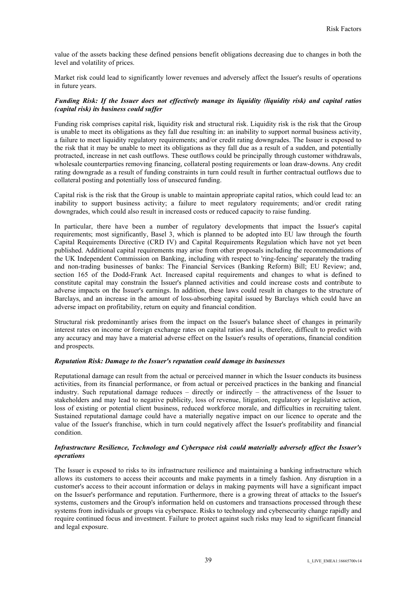value of the assets backing these defined pensions benefit obligations decreasing due to changes in both the level and volatility of prices.

Market risk could lead to significantly lower revenues and adversely affect the Issuer's results of operations in future years.

# *Funding Risk: If the Issuer does not effectively manage its liquidity (liquidity risk) and capital ratios (capital risk) its business could suffer*

Funding risk comprises capital risk, liquidity risk and structural risk. Liquidity risk is the risk that the Group is unable to meet its obligations as they fall due resulting in: an inability to support normal business activity, a failure to meet liquidity regulatory requirements; and/or credit rating downgrades. The Issuer is exposed to the risk that it may be unable to meet its obligations as they fall due as a result of a sudden, and potentially protracted, increase in net cash outflows. These outflows could be principally through customer withdrawals, wholesale counterparties removing financing, collateral posting requirements or loan draw-downs. Any credit rating downgrade as a result of funding constraints in turn could result in further contractual outflows due to collateral posting and potentially loss of unsecured funding.

Capital risk is the risk that the Group is unable to maintain appropriate capital ratios, which could lead to: an inability to support business activity; a failure to meet regulatory requirements; and/or credit rating downgrades, which could also result in increased costs or reduced capacity to raise funding.

In particular, there have been a number of regulatory developments that impact the Issuer's capital requirements; most significantly, Basel 3, which is planned to be adopted into EU law through the fourth Capital Requirements Directive (CRD IV) and Capital Requirements Regulation which have not yet been published. Additional capital requirements may arise from other proposals including the recommendations of the UK Independent Commission on Banking, including with respect to 'ring-fencing' separately the trading and non-trading businesses of banks: The Financial Services (Banking Reform) Bill; EU Review; and, section 165 of the Dodd-Frank Act. Increased capital requirements and changes to what is defined to constitute capital may constrain the Issuer's planned activities and could increase costs and contribute to adverse impacts on the Issuer's earnings. In addition, these laws could result in changes to the structure of Barclays, and an increase in the amount of loss-absorbing capital issued by Barclays which could have an adverse impact on profitability, return on equity and financial condition.

Structural risk predominantly arises from the impact on the Issuer's balance sheet of changes in primarily interest rates on income or foreign exchange rates on capital ratios and is, therefore, difficult to predict with any accuracy and may have a material adverse effect on the Issuer's results of operations, financial condition and prospects.

#### *Reputation Risk: Damage to the Issuer's reputation could damage its businesses*

Reputational damage can result from the actual or perceived manner in which the Issuer conducts its business activities, from its financial performance, or from actual or perceived practices in the banking and financial industry. Such reputational damage reduces – directly or indirectly – the attractiveness of the Issuer to stakeholders and may lead to negative publicity, loss of revenue, litigation, regulatory or legislative action, loss of existing or potential client business, reduced workforce morale, and difficulties in recruiting talent. Sustained reputational damage could have a materially negative impact on our licence to operate and the value of the Issuer's franchise, which in turn could negatively affect the Issuer's profitability and financial condition.

# *Infrastructure Resilience, Technology and Cyberspace risk could materially adversely affect the Issuer's operations*

The Issuer is exposed to risks to its infrastructure resilience and maintaining a banking infrastructure which allows its customers to access their accounts and make payments in a timely fashion. Any disruption in a customer's access to their account information or delays in making payments will have a significant impact on the Issuer's performance and reputation. Furthermore, there is a growing threat of attacks to the Issuer's systems, customers and the Group's information held on customers and transactions processed through these systems from individuals or groups via cyberspace. Risks to technology and cybersecurity change rapidly and require continued focus and investment. Failure to protect against such risks may lead to significant financial and legal exposure.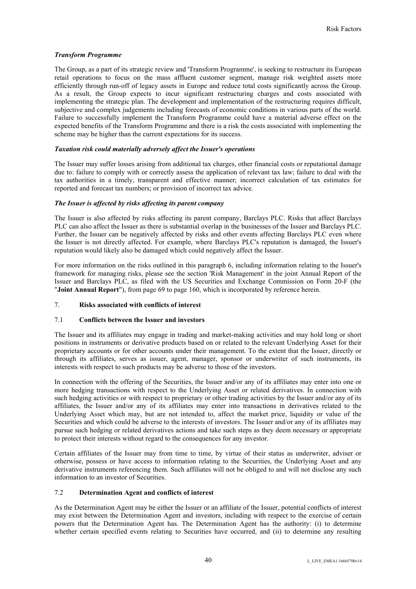# *Transform Programme*

The Group, as a part of its strategic review and 'Transform Programme', is seeking to restructure its European retail operations to focus on the mass affluent customer segment, manage risk weighted assets more efficiently through run-off of legacy assets in Europe and reduce total costs significantly across the Group. As a result, the Group expects to incur significant restructuring charges and costs associated with implementing the strategic plan. The development and implementation of the restructuring requires difficult, subjective and complex judgements including forecasts of economic conditions in various parts of the world. Failure to successfully implement the Transform Programme could have a material adverse effect on the expected benefits of the Transform Programme and there is a risk the costs associated with implementing the scheme may be higher than the current expectations for its success.

## *Taxation risk could materially adversely affect the Issuer's operations*

The Issuer may suffer losses arising from additional tax charges, other financial costs or reputational damage due to: failure to comply with or correctly assess the application of relevant tax law; failure to deal with the tax authorities in a timely, transparent and effective manner; incorrect calculation of tax estimates for reported and forecast tax numbers; or provision of incorrect tax advice.

## *The Issuer is affected by risks affecting its parent company*

The Issuer is also affected by risks affecting its parent company, Barclays PLC. Risks that affect Barclays PLC can also affect the Issuer as there is substantial overlap in the businesses of the Issuer and Barclays PLC. Further, the Issuer can be negatively affected by risks and other events affecting Barclays PLC even where the Issuer is not directly affected. For example, where Barclays PLC's reputation is damaged, the Issuer's reputation would likely also be damaged which could negatively affect the Issuer.

For more information on the risks outlined in this paragraph 6, including information relating to the Issuer's framework for managing risks, please see the section 'Risk Management' in the joint Annual Report of the Issuer and Barclays PLC, as filed with the US Securities and Exchange Commission on Form 20-F (the "**Joint Annual Report**"), from page 69 to page 160, which is incorporated by reference herein.

# 7. **Risks associated with conflicts of interest**

# 7.1 **Conflicts between the Issuer and investors**

The Issuer and its affiliates may engage in trading and market-making activities and may hold long or short positions in instruments or derivative products based on or related to the relevant Underlying Asset for their proprietary accounts or for other accounts under their management. To the extent that the Issuer, directly or through its affiliates, serves as issuer, agent, manager, sponsor or underwriter of such instruments, its interests with respect to such products may be adverse to those of the investors.

In connection with the offering of the Securities, the Issuer and/or any of its affiliates may enter into one or more hedging transactions with respect to the Underlying Asset or related derivatives. In connection with such hedging activities or with respect to proprietary or other trading activities by the Issuer and/or any of its affiliates, the Issuer and/or any of its affiliates may enter into transactions in derivatives related to the Underlying Asset which may, but are not intended to, affect the market price, liquidity or value of the Securities and which could be adverse to the interests of investors. The Issuer and/or any of its affiliates may pursue such hedging or related derivatives actions and take such steps as they deem necessary or appropriate to protect their interests without regard to the consequences for any investor.

Certain affiliates of the Issuer may from time to time, by virtue of their status as underwriter, adviser or otherwise, possess or have access to information relating to the Securities, the Underlying Asset and any derivative instruments referencing them. Such affiliates will not be obliged to and will not disclose any such information to an investor of Securities.

# 7.2 **Determination Agent and conflicts of interest**

As the Determination Agent may be either the Issuer or an affiliate of the Issuer, potential conflicts of interest may exist between the Determination Agent and investors, including with respect to the exercise of certain powers that the Determination Agent has. The Determination Agent has the authority: (i) to determine whether certain specified events relating to Securities have occurred, and (ii) to determine any resulting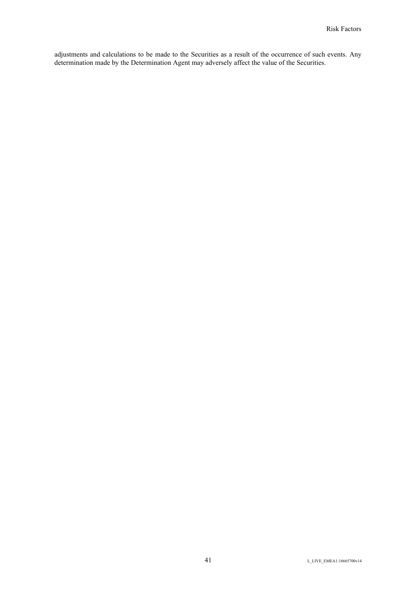adjustments and calculations to be made to the Securities as a result of the occurrence of such events. Any determination made by the Determination Agent may adversely affect the value of the Securities.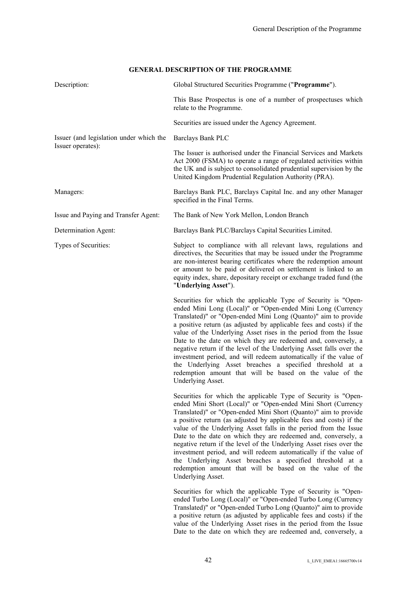# **GENERAL DESCRIPTION OF THE PROGRAMME**

| Description:                            | Global Structured Securities Programme ("Programme").                                                                                                                                                                                                                                                                                                                                                                                                                                                                                                                                                                                                                                                   |  |
|-----------------------------------------|---------------------------------------------------------------------------------------------------------------------------------------------------------------------------------------------------------------------------------------------------------------------------------------------------------------------------------------------------------------------------------------------------------------------------------------------------------------------------------------------------------------------------------------------------------------------------------------------------------------------------------------------------------------------------------------------------------|--|
|                                         | This Base Prospectus is one of a number of prospectuses which<br>relate to the Programme.                                                                                                                                                                                                                                                                                                                                                                                                                                                                                                                                                                                                               |  |
|                                         | Securities are issued under the Agency Agreement.                                                                                                                                                                                                                                                                                                                                                                                                                                                                                                                                                                                                                                                       |  |
| Issuer (and legislation under which the | Barclays Bank PLC                                                                                                                                                                                                                                                                                                                                                                                                                                                                                                                                                                                                                                                                                       |  |
| Issuer operates):                       | The Issuer is authorised under the Financial Services and Markets<br>Act 2000 (FSMA) to operate a range of regulated activities within<br>the UK and is subject to consolidated prudential supervision by the<br>United Kingdom Prudential Regulation Authority (PRA).                                                                                                                                                                                                                                                                                                                                                                                                                                  |  |
| Managers:                               | Barclays Bank PLC, Barclays Capital Inc. and any other Manager<br>specified in the Final Terms.                                                                                                                                                                                                                                                                                                                                                                                                                                                                                                                                                                                                         |  |
| Issue and Paying and Transfer Agent:    | The Bank of New York Mellon, London Branch                                                                                                                                                                                                                                                                                                                                                                                                                                                                                                                                                                                                                                                              |  |
| Determination Agent:                    | Barclays Bank PLC/Barclays Capital Securities Limited.                                                                                                                                                                                                                                                                                                                                                                                                                                                                                                                                                                                                                                                  |  |
| Types of Securities:                    | Subject to compliance with all relevant laws, regulations and<br>directives, the Securities that may be issued under the Programme<br>are non-interest bearing certificates where the redemption amount<br>or amount to be paid or delivered on settlement is linked to an<br>equity index, share, depositary receipt or exchange traded fund (the<br>"Underlying Asset").                                                                                                                                                                                                                                                                                                                              |  |
|                                         | Securities for which the applicable Type of Security is "Open-<br>ended Mini Long (Local)" or "Open-ended Mini Long (Currency<br>Translated)" or "Open-ended Mini Long (Quanto)" aim to provide<br>a positive return (as adjusted by applicable fees and costs) if the<br>value of the Underlying Asset rises in the period from the Issue<br>Date to the date on which they are redeemed and, conversely, a<br>negative return if the level of the Underlying Asset falls over the<br>investment period, and will redeem automatically if the value of<br>the Underlying Asset breaches a specified threshold at a<br>redemption amount that will be based on the value of the<br>Underlying Asset.    |  |
|                                         | Securities for which the applicable Type of Security is "Open-<br>ended Mini Short (Local)" or "Open-ended Mini Short (Currency<br>Translated)" or "Open-ended Mini Short (Quanto)" aim to provide<br>a positive return (as adjusted by applicable fees and costs) if the<br>value of the Underlying Asset falls in the period from the Issue<br>Date to the date on which they are redeemed and, conversely, a<br>negative return if the level of the Underlying Asset rises over the<br>investment period, and will redeem automatically if the value of<br>the Underlying Asset breaches a specified threshold at a<br>redemption amount that will be based on the value of the<br>Underlying Asset. |  |
|                                         | Securities for which the applicable Type of Security is "Open-<br>ended Turbo Long (Local)" or "Open-ended Turbo Long (Currency<br>Translated)" or "Open-ended Turbo Long (Quanto)" aim to provide<br>a positive return (as adjusted by applicable fees and costs) if the<br>value of the Underlying Asset rises in the period from the Issue                                                                                                                                                                                                                                                                                                                                                           |  |

Date to the date on which they are redeemed and, conversely, a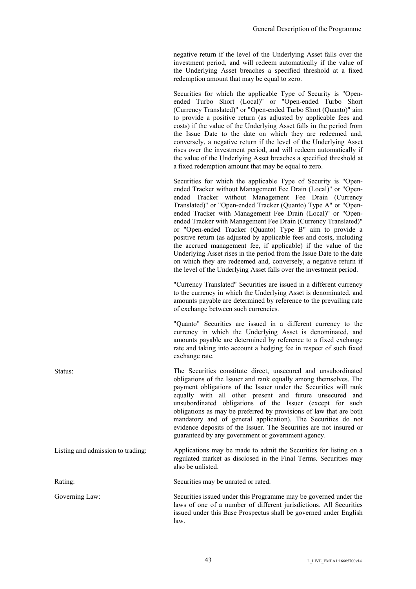negative return if the level of the Underlying Asset falls over the investment period, and will redeem automatically if the value of the Underlying Asset breaches a specified threshold at a fixed redemption amount that may be equal to zero.

Securities for which the applicable Type of Security is "Openended Turbo Short (Local)" or "Open-ended Turbo Short (Currency Translated)" or "Open-ended Turbo Short (Quanto)" aim to provide a positive return (as adjusted by applicable fees and costs) if the value of the Underlying Asset falls in the period from the Issue Date to the date on which they are redeemed and, conversely, a negative return if the level of the Underlying Asset rises over the investment period, and will redeem automatically if the value of the Underlying Asset breaches a specified threshold at a fixed redemption amount that may be equal to zero.

Securities for which the applicable Type of Security is "Openended Tracker without Management Fee Drain (Local)" or "Openended Tracker without Management Fee Drain (Currency Translated)" or "Open-ended Tracker (Quanto) Type A" or "Openended Tracker with Management Fee Drain (Local)" or "Openended Tracker with Management Fee Drain (Currency Translated)" or "Open-ended Tracker (Quanto) Type B" aim to provide a positive return (as adjusted by applicable fees and costs, including the accrued management fee, if applicable) if the value of the Underlying Asset rises in the period from the Issue Date to the date on which they are redeemed and, conversely, a negative return if the level of the Underlying Asset falls over the investment period.

"Currency Translated" Securities are issued in a different currency to the currency in which the Underlying Asset is denominated, and amounts payable are determined by reference to the prevailing rate of exchange between such currencies.

"Quanto" Securities are issued in a different currency to the currency in which the Underlying Asset is denominated, and amounts payable are determined by reference to a fixed exchange rate and taking into account a hedging fee in respect of such fixed exchange rate.

Status: The Securities constitute direct, unsecured and unsubordinated obligations of the Issuer and rank equally among themselves. The payment obligations of the Issuer under the Securities will rank equally with all other present and future unsecured and unsubordinated obligations of the Issuer (except for such obligations as may be preferred by provisions of law that are both mandatory and of general application). The Securities do not evidence deposits of the Issuer. The Securities are not insured or guaranteed by any government or government agency.

Listing and admission to trading: Applications may be made to admit the Securities for listing on a regulated market as disclosed in the Final Terms. Securities may also be unlisted.

Rating: Securities may be unrated or rated.

Governing Law: Securities issued under this Programme may be governed under the laws of one of a number of different jurisdictions. All Securities issued under this Base Prospectus shall be governed under English law.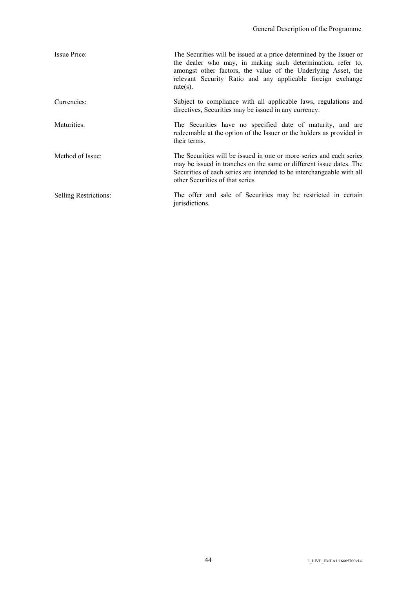| Issue Price:                 | The Securities will be issued at a price determined by the Issuer or<br>the dealer who may, in making such determination, refer to,<br>amongst other factors, the value of the Underlying Asset, the<br>relevant Security Ratio and any applicable foreign exchange<br>$rate(s)$ . |
|------------------------------|------------------------------------------------------------------------------------------------------------------------------------------------------------------------------------------------------------------------------------------------------------------------------------|
| Currencies:                  | Subject to compliance with all applicable laws, regulations and<br>directives, Securities may be issued in any currency.                                                                                                                                                           |
| Maturities:                  | The Securities have no specified date of maturity, and are<br>redeemable at the option of the Issuer or the holders as provided in<br>their terms.                                                                                                                                 |
| Method of Issue:             | The Securities will be issued in one or more series and each series<br>may be issued in tranches on the same or different issue dates. The<br>Securities of each series are intended to be interchangeable with all<br>other Securities of that series                             |
| <b>Selling Restrictions:</b> | The offer and sale of Securities may be restricted in certain<br>jurisdictions.                                                                                                                                                                                                    |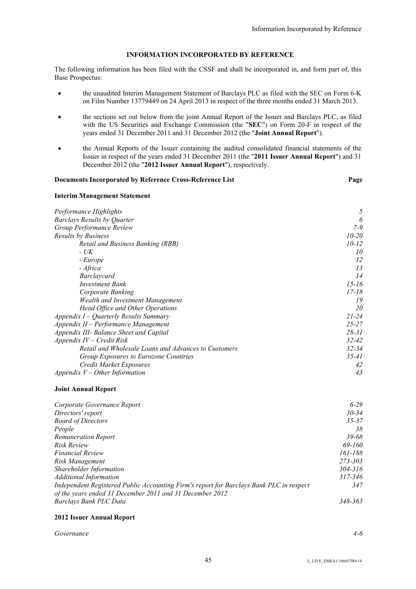# **INFORMATION INCORPORATED BY REFERENCE**

The following information has been filed with the CSSF and shall be incorporated in, and form part of, this Base Prospectus:

- the unaudited Interim Management Statement of Barclays PLC as filed with the SEC on Form 6-K on Film Number 13779449 on 24 April 2013 in respect of the three months ended 31 March 2013.
- the sections set out below from the joint Annual Report of the Issuer and Barclays PLC, as filed with the US Securities and Exchange Commission (the "**SEC**") on Form 20-F in respect of the years ended 31 December 2011 and 31 December 2012 (the "**Joint Annual Report**").
- the Annual Reports of the Issuer containing the audited consolidated financial statements of the Issuer in respect of the years ended 31 December 2011 (the "**2011 Issuer Annual Report**") and 31 December 2012 (the "**2012 Issuer Annual Report**"), respectively.

| Documents Incorporated by Reference Cross-Reference List | Page      |
|----------------------------------------------------------|-----------|
| <b>Interim Management Statement</b>                      |           |
| Performance Highlights                                   | 5         |
| <b>Barclays Results by Quarter</b>                       | 6         |
| Group Performance Review                                 | 7-9       |
| Results by Business                                      | $10 - 20$ |
| <b>Retail and Business Banking (RBB)</b>                 | $10 - 12$ |
| $- U K$                                                  | 10        |
| - Europe                                                 | 12        |
| - Africa                                                 | 13        |
| Barclaycard                                              | 14        |
| <b>Investment Bank</b>                                   | $15 - 16$ |
| Corporate Banking                                        | 17-18     |
| Wealth and Investment Management                         | 19        |
| Head Office and Other Operations                         | 20        |
| Appendix $I -$ Quarterly Results Summary                 | $21 - 24$ |
| $Appendix II-Performance Management$                     | $25 - 27$ |
| Appendix III- Balance Sheet and Capital                  | $28 - 31$ |
| Appendix $IV$ – Credit Risk                              | $32 - 42$ |
| Retail and Wholesale Loans and Advances to Customers     | $32 - 34$ |
| Group Exposures to Eurozone Countries                    | 35-41     |
| Credit Market Exposures                                  | 42        |
| Appendix $V$ – Other Information                         | 43        |

#### **Joint Annual Report**

| Corporate Governance Report                                                                                                                         | $6 - 29$    |
|-----------------------------------------------------------------------------------------------------------------------------------------------------|-------------|
| Directors' report                                                                                                                                   | $30 - 34$   |
| <b>Board of Directors</b>                                                                                                                           | $35 - 37$   |
| People                                                                                                                                              | 38          |
| <b>Remuneration Report</b>                                                                                                                          | $39 - 68$   |
| Risk Review                                                                                                                                         | 69-160      |
| <i><b>Financial Review</b></i>                                                                                                                      | 161-188     |
| Risk Management                                                                                                                                     | 273-303     |
| Shareholder Information                                                                                                                             | $304 - 316$ |
| <b>Additional Information</b>                                                                                                                       | 317-346     |
| Independent Registered Public Accounting Firm's report for Barclays Bank PLC in respect<br>of the years ended 31 December 2011 and 31 December 2012 | 347         |
| Barclays Bank PLC Data                                                                                                                              | 348-363     |

# **2012 Issuer Annual Report**

*Governance 4-6*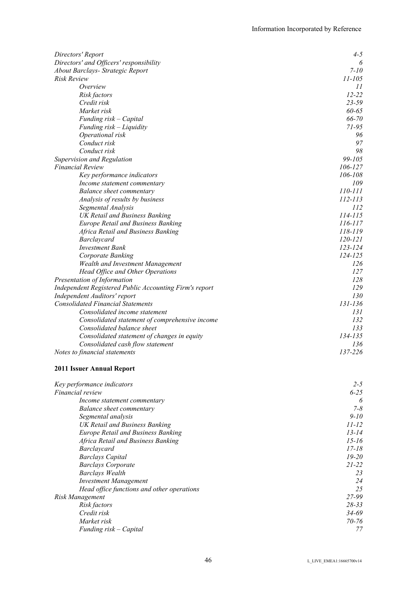| Directors' and Officers' responsibility<br>6<br>$7 - 10$<br>About Barclays- Strategic Report<br>$11 - 105$<br><b>Risk Review</b><br>Overview<br>11<br>$12 - 22$<br>Risk factors<br>Credit risk<br>23-59<br>60-65<br>Market risk<br>66-70<br>Funding risk - Capital<br>$71 - 95$<br>Funding risk – Liquidity<br>96<br>Operational risk<br>97<br>Conduct risk<br>98<br>Conduct risk<br>99-105<br>Supervision and Regulation<br><b>Financial Review</b><br>106-127<br>106-108<br>Key performance indicators<br>109<br>Income statement commentary<br>110-111<br>Balance sheet commentary<br>112-113<br>Analysis of results by business<br>112<br>Segmental Analysis<br>$114 - 115$<br><b>UK Retail and Business Banking</b><br>116-117<br><b>Europe Retail and Business Banking</b><br>118-119<br>Africa Retail and Business Banking<br>120-121<br>Barclaycard<br>123-124<br><b>Investment Bank</b><br>124-125<br>Corporate Banking<br>126<br><b>Wealth and Investment Management</b><br>127<br>Head Office and Other Operations<br>Presentation of Information<br>128<br>129<br>Independent Registered Public Accounting Firm's report<br>Independent Auditors' report<br>130<br>131-136<br><b>Consolidated Financial Statements</b><br>Consolidated income statement<br>131<br>Consolidated statement of comprehensive income<br>132<br>Consolidated balance sheet<br>133<br>134-135<br>Consolidated statement of changes in equity<br>Consolidated cash flow statement<br>136<br>137-226<br>Notes to financial statements | Directors' Report | $4 - 5$ |
|---------------------------------------------------------------------------------------------------------------------------------------------------------------------------------------------------------------------------------------------------------------------------------------------------------------------------------------------------------------------------------------------------------------------------------------------------------------------------------------------------------------------------------------------------------------------------------------------------------------------------------------------------------------------------------------------------------------------------------------------------------------------------------------------------------------------------------------------------------------------------------------------------------------------------------------------------------------------------------------------------------------------------------------------------------------------------------------------------------------------------------------------------------------------------------------------------------------------------------------------------------------------------------------------------------------------------------------------------------------------------------------------------------------------------------------------------------------------------------------------------------------------------|-------------------|---------|
|                                                                                                                                                                                                                                                                                                                                                                                                                                                                                                                                                                                                                                                                                                                                                                                                                                                                                                                                                                                                                                                                                                                                                                                                                                                                                                                                                                                                                                                                                                                           |                   |         |
|                                                                                                                                                                                                                                                                                                                                                                                                                                                                                                                                                                                                                                                                                                                                                                                                                                                                                                                                                                                                                                                                                                                                                                                                                                                                                                                                                                                                                                                                                                                           |                   |         |
|                                                                                                                                                                                                                                                                                                                                                                                                                                                                                                                                                                                                                                                                                                                                                                                                                                                                                                                                                                                                                                                                                                                                                                                                                                                                                                                                                                                                                                                                                                                           |                   |         |
|                                                                                                                                                                                                                                                                                                                                                                                                                                                                                                                                                                                                                                                                                                                                                                                                                                                                                                                                                                                                                                                                                                                                                                                                                                                                                                                                                                                                                                                                                                                           |                   |         |
|                                                                                                                                                                                                                                                                                                                                                                                                                                                                                                                                                                                                                                                                                                                                                                                                                                                                                                                                                                                                                                                                                                                                                                                                                                                                                                                                                                                                                                                                                                                           |                   |         |
|                                                                                                                                                                                                                                                                                                                                                                                                                                                                                                                                                                                                                                                                                                                                                                                                                                                                                                                                                                                                                                                                                                                                                                                                                                                                                                                                                                                                                                                                                                                           |                   |         |
|                                                                                                                                                                                                                                                                                                                                                                                                                                                                                                                                                                                                                                                                                                                                                                                                                                                                                                                                                                                                                                                                                                                                                                                                                                                                                                                                                                                                                                                                                                                           |                   |         |
|                                                                                                                                                                                                                                                                                                                                                                                                                                                                                                                                                                                                                                                                                                                                                                                                                                                                                                                                                                                                                                                                                                                                                                                                                                                                                                                                                                                                                                                                                                                           |                   |         |
|                                                                                                                                                                                                                                                                                                                                                                                                                                                                                                                                                                                                                                                                                                                                                                                                                                                                                                                                                                                                                                                                                                                                                                                                                                                                                                                                                                                                                                                                                                                           |                   |         |
|                                                                                                                                                                                                                                                                                                                                                                                                                                                                                                                                                                                                                                                                                                                                                                                                                                                                                                                                                                                                                                                                                                                                                                                                                                                                                                                                                                                                                                                                                                                           |                   |         |
|                                                                                                                                                                                                                                                                                                                                                                                                                                                                                                                                                                                                                                                                                                                                                                                                                                                                                                                                                                                                                                                                                                                                                                                                                                                                                                                                                                                                                                                                                                                           |                   |         |
|                                                                                                                                                                                                                                                                                                                                                                                                                                                                                                                                                                                                                                                                                                                                                                                                                                                                                                                                                                                                                                                                                                                                                                                                                                                                                                                                                                                                                                                                                                                           |                   |         |
|                                                                                                                                                                                                                                                                                                                                                                                                                                                                                                                                                                                                                                                                                                                                                                                                                                                                                                                                                                                                                                                                                                                                                                                                                                                                                                                                                                                                                                                                                                                           |                   |         |
|                                                                                                                                                                                                                                                                                                                                                                                                                                                                                                                                                                                                                                                                                                                                                                                                                                                                                                                                                                                                                                                                                                                                                                                                                                                                                                                                                                                                                                                                                                                           |                   |         |
|                                                                                                                                                                                                                                                                                                                                                                                                                                                                                                                                                                                                                                                                                                                                                                                                                                                                                                                                                                                                                                                                                                                                                                                                                                                                                                                                                                                                                                                                                                                           |                   |         |
|                                                                                                                                                                                                                                                                                                                                                                                                                                                                                                                                                                                                                                                                                                                                                                                                                                                                                                                                                                                                                                                                                                                                                                                                                                                                                                                                                                                                                                                                                                                           |                   |         |
|                                                                                                                                                                                                                                                                                                                                                                                                                                                                                                                                                                                                                                                                                                                                                                                                                                                                                                                                                                                                                                                                                                                                                                                                                                                                                                                                                                                                                                                                                                                           |                   |         |
|                                                                                                                                                                                                                                                                                                                                                                                                                                                                                                                                                                                                                                                                                                                                                                                                                                                                                                                                                                                                                                                                                                                                                                                                                                                                                                                                                                                                                                                                                                                           |                   |         |
|                                                                                                                                                                                                                                                                                                                                                                                                                                                                                                                                                                                                                                                                                                                                                                                                                                                                                                                                                                                                                                                                                                                                                                                                                                                                                                                                                                                                                                                                                                                           |                   |         |
|                                                                                                                                                                                                                                                                                                                                                                                                                                                                                                                                                                                                                                                                                                                                                                                                                                                                                                                                                                                                                                                                                                                                                                                                                                                                                                                                                                                                                                                                                                                           |                   |         |
|                                                                                                                                                                                                                                                                                                                                                                                                                                                                                                                                                                                                                                                                                                                                                                                                                                                                                                                                                                                                                                                                                                                                                                                                                                                                                                                                                                                                                                                                                                                           |                   |         |
|                                                                                                                                                                                                                                                                                                                                                                                                                                                                                                                                                                                                                                                                                                                                                                                                                                                                                                                                                                                                                                                                                                                                                                                                                                                                                                                                                                                                                                                                                                                           |                   |         |
|                                                                                                                                                                                                                                                                                                                                                                                                                                                                                                                                                                                                                                                                                                                                                                                                                                                                                                                                                                                                                                                                                                                                                                                                                                                                                                                                                                                                                                                                                                                           |                   |         |
|                                                                                                                                                                                                                                                                                                                                                                                                                                                                                                                                                                                                                                                                                                                                                                                                                                                                                                                                                                                                                                                                                                                                                                                                                                                                                                                                                                                                                                                                                                                           |                   |         |
|                                                                                                                                                                                                                                                                                                                                                                                                                                                                                                                                                                                                                                                                                                                                                                                                                                                                                                                                                                                                                                                                                                                                                                                                                                                                                                                                                                                                                                                                                                                           |                   |         |
|                                                                                                                                                                                                                                                                                                                                                                                                                                                                                                                                                                                                                                                                                                                                                                                                                                                                                                                                                                                                                                                                                                                                                                                                                                                                                                                                                                                                                                                                                                                           |                   |         |
|                                                                                                                                                                                                                                                                                                                                                                                                                                                                                                                                                                                                                                                                                                                                                                                                                                                                                                                                                                                                                                                                                                                                                                                                                                                                                                                                                                                                                                                                                                                           |                   |         |
|                                                                                                                                                                                                                                                                                                                                                                                                                                                                                                                                                                                                                                                                                                                                                                                                                                                                                                                                                                                                                                                                                                                                                                                                                                                                                                                                                                                                                                                                                                                           |                   |         |
|                                                                                                                                                                                                                                                                                                                                                                                                                                                                                                                                                                                                                                                                                                                                                                                                                                                                                                                                                                                                                                                                                                                                                                                                                                                                                                                                                                                                                                                                                                                           |                   |         |
|                                                                                                                                                                                                                                                                                                                                                                                                                                                                                                                                                                                                                                                                                                                                                                                                                                                                                                                                                                                                                                                                                                                                                                                                                                                                                                                                                                                                                                                                                                                           |                   |         |
|                                                                                                                                                                                                                                                                                                                                                                                                                                                                                                                                                                                                                                                                                                                                                                                                                                                                                                                                                                                                                                                                                                                                                                                                                                                                                                                                                                                                                                                                                                                           |                   |         |
|                                                                                                                                                                                                                                                                                                                                                                                                                                                                                                                                                                                                                                                                                                                                                                                                                                                                                                                                                                                                                                                                                                                                                                                                                                                                                                                                                                                                                                                                                                                           |                   |         |
|                                                                                                                                                                                                                                                                                                                                                                                                                                                                                                                                                                                                                                                                                                                                                                                                                                                                                                                                                                                                                                                                                                                                                                                                                                                                                                                                                                                                                                                                                                                           |                   |         |
|                                                                                                                                                                                                                                                                                                                                                                                                                                                                                                                                                                                                                                                                                                                                                                                                                                                                                                                                                                                                                                                                                                                                                                                                                                                                                                                                                                                                                                                                                                                           |                   |         |
|                                                                                                                                                                                                                                                                                                                                                                                                                                                                                                                                                                                                                                                                                                                                                                                                                                                                                                                                                                                                                                                                                                                                                                                                                                                                                                                                                                                                                                                                                                                           |                   |         |
|                                                                                                                                                                                                                                                                                                                                                                                                                                                                                                                                                                                                                                                                                                                                                                                                                                                                                                                                                                                                                                                                                                                                                                                                                                                                                                                                                                                                                                                                                                                           |                   |         |
|                                                                                                                                                                                                                                                                                                                                                                                                                                                                                                                                                                                                                                                                                                                                                                                                                                                                                                                                                                                                                                                                                                                                                                                                                                                                                                                                                                                                                                                                                                                           |                   |         |

# **2011 Issuer Annual Report**

| Key performance indicators                 | $2 - 5$   |
|--------------------------------------------|-----------|
| <i>Financial review</i>                    | $6 - 25$  |
| Income statement commentary                | 6         |
| Balance sheet commentary                   | $7 - 8$   |
| Segmental analysis                         | $9 - 10$  |
| UK Retail and Business Banking             | 11-12     |
| <b>Europe Retail and Business Banking</b>  | $13 - 14$ |
| Africa Retail and Business Banking         | $15 - 16$ |
| <i>Barclaycard</i>                         | $17 - 18$ |
| <b>Barclays Capital</b>                    | $19 - 20$ |
| <b>Barclays Corporate</b>                  | $21 - 22$ |
| Barclays Wealth                            | 23        |
| <b>Investment Management</b>               | 24        |
| Head office functions and other operations | 25        |
| Risk Management                            | 27-99     |
| Risk factors                               | $28 - 33$ |
| Credit risk                                | 34-69     |
| Market risk                                | $70 - 76$ |
| Funding risk – Capital                     | 77        |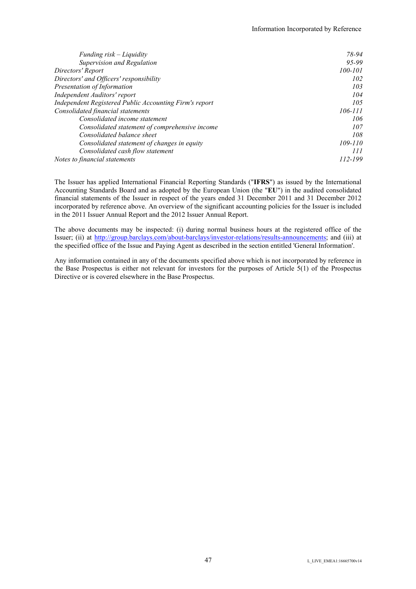| Funding $risk-Liquidity$                               | 78-94   |
|--------------------------------------------------------|---------|
| Supervision and Regulation                             | 95-99   |
| Directors' Report                                      | 100-101 |
| Directors' and Officers' responsibility                | 102     |
| Presentation of Information                            | 103     |
| Independent Auditors' report                           | 104     |
| Independent Registered Public Accounting Firm's report | 105     |
| Consolidated financial statements                      | 106-111 |
| Consolidated income statement                          | 106     |
| Consolidated statement of comprehensive income         | 107     |
| Consolidated balance sheet                             | 108     |
| Consolidated statement of changes in equity            | 109-110 |
| Consolidated cash flow statement                       | 111     |
| Notes to financial statements                          | 112-199 |

The Issuer has applied International Financial Reporting Standards ("**IFRS**") as issued by the International Accounting Standards Board and as adopted by the European Union (the "**EU**") in the audited consolidated financial statements of the Issuer in respect of the years ended 31 December 2011 and 31 December 2012 incorporated by reference above. An overview of the significant accounting policies for the Issuer is included in the 2011 Issuer Annual Report and the 2012 Issuer Annual Report.

The above documents may be inspected: (i) during normal business hours at the registered office of the Issuer; (ii) at http://group.barclays.com/about-barclays/investor-relations/results-announcements; and (iii) at the specified office of the Issue and Paying Agent as described in the section entitled 'General Information'.

Any information contained in any of the documents specified above which is not incorporated by reference in the Base Prospectus is either not relevant for investors for the purposes of Article 5(1) of the Prospectus Directive or is covered elsewhere in the Base Prospectus.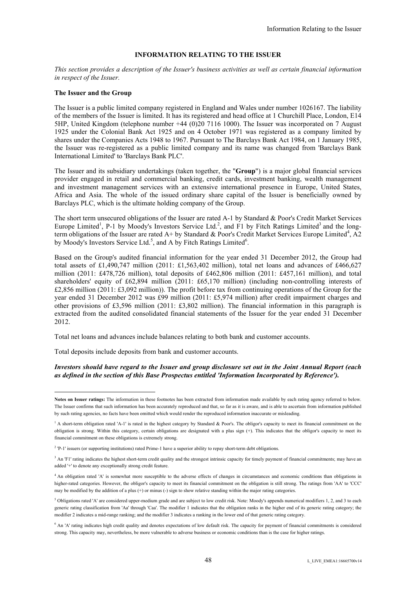# **INFORMATION RELATING TO THE ISSUER**

*This section provides a description of the Issuer's business activities as well as certain financial information in respect of the Issuer.* 

#### **The Issuer and the Group**

-

The Issuer is a public limited company registered in England and Wales under number 1026167. The liability of the members of the Issuer is limited. It has its registered and head office at 1 Churchill Place, London, E14 5HP, United Kingdom (telephone number +44 (0)20 7116 1000). The Issuer was incorporated on 7 August 1925 under the Colonial Bank Act 1925 and on 4 October 1971 was registered as a company limited by shares under the Companies Acts 1948 to 1967. Pursuant to The Barclays Bank Act 1984, on 1 January 1985, the Issuer was re-registered as a public limited company and its name was changed from 'Barclays Bank International Limited' to 'Barclays Bank PLC'.

The Issuer and its subsidiary undertakings (taken together, the "**Group**") is a major global financial services provider engaged in retail and commercial banking, credit cards, investment banking, wealth management and investment management services with an extensive international presence in Europe, United States, Africa and Asia. The whole of the issued ordinary share capital of the Issuer is beneficially owned by Barclays PLC, which is the ultimate holding company of the Group.

The short term unsecured obligations of the Issuer are rated A-1 by Standard & Poor's Credit Market Services Europe Limited<sup>1</sup>, P-1 by Moody's Investors Service Ltd.<sup>2</sup>, and F1 by Fitch Ratings Limited<sup>3</sup> and the longterm obligations of the Issuer are rated  $A+$  by Standard & Poor's Credit Market Services Europe Limited<sup>4</sup>, A2 by Moody's Investors Service Ltd.<sup>5</sup>, and A by Fitch Ratings Limited<sup>6</sup>.

Based on the Group's audited financial information for the year ended 31 December 2012, the Group had total assets of £1,490,747 million (2011: £1,563,402 million), total net loans and advances of £466,627 million (2011: £478,726 million), total deposits of £462,806 million (2011: £457,161 million), and total shareholders' equity of £62,894 million (2011: £65,170 million) (including non-controlling interests of £2,856 million (2011: £3,092 million)). The profit before tax from continuing operations of the Group for the year ended 31 December 2012 was £99 million (2011: £5,974 million) after credit impairment charges and other provisions of £3,596 million (2011: £3,802 million). The financial information in this paragraph is extracted from the audited consolidated financial statements of the Issuer for the year ended 31 December 2012.

Total net loans and advances include balances relating to both bank and customer accounts.

Total deposits include deposits from bank and customer accounts.

#### *Investors should have regard to the Issuer and group disclosure set out in the Joint Annual Report (each as defined in the section of this Base Prospectus entitled 'Information Incorporated by Reference').*

**Notes on Issuer ratings:** The information in these footnotes has been extracted from information made available by each rating agency referred to below. The Issuer confirms that such information has been accurately reproduced and that, so far as it is aware, and is able to ascertain from information published by such rating agencies, no facts have been omitted which would render the reproduced information inaccurate or misleading.

<sup>&</sup>lt;sup>1</sup> A short-term obligation rated 'A-1' is rated in the highest category by Standard & Poor's. The obligor's capacity to meet its financial commitment on the obligation is strong. Within this category, certain obligations are designated with a plus sign (+). This indicates that the obligor's capacity to meet its financial commitment on these obligations is extremely strong.

 $2$  'P-1' issuers (or supporting institutions) rated Prime-1 have a superior ability to repay short-term debt obligations.

<sup>&</sup>lt;sup>3</sup> An 'F1' rating indicates the highest short-term credit quality and the strongest intrinsic capacity for timely payment of financial commitments; may have an added '+' to denote any exceptionally strong credit feature.

<sup>4</sup> An obligation rated 'A' is somewhat more susceptible to the adverse effects of changes in circumstances and economic conditions than obligations in higher-rated categories. However, the obligor's capacity to meet its financial commitment on the obligation is still strong. The ratings from 'AA' to 'CCC' may be modified by the addition of a plus  $(+)$  or minus  $(-)$  sign to show relative standing within the major rating categories.

<sup>5</sup> Obligations rated 'A' are considered upper-medium grade and are subject to low credit risk. Note: Moody's appends numerical modifiers 1, 2, and 3 to each generic rating classification from 'Aa' through 'Caa'. The modifier 1 indicates that the obligation ranks in the higher end of its generic rating category; the modifier 2 indicates a mid-range ranking; and the modifier 3 indicates a ranking in the lower end of that generic rating category.

<sup>&</sup>lt;sup>6</sup> An 'A' rating indicates high credit quality and denotes expectations of low default risk. The capacity for payment of financial commitments is considered strong. This capacity may, nevertheless, be more vulnerable to adverse business or economic conditions than is the case for higher ratings.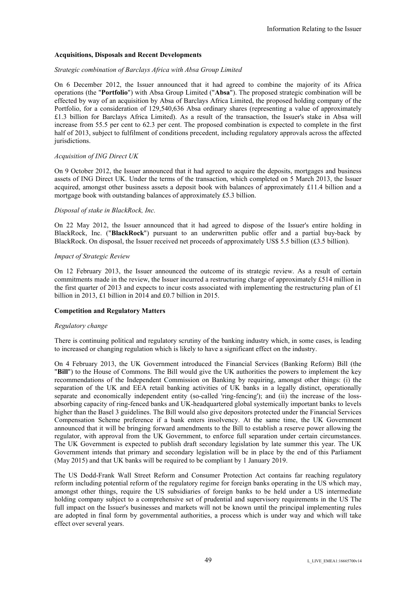# **Acquisitions, Disposals and Recent Developments**

# *Strategic combination of Barclays Africa with Absa Group Limited*

On 6 December 2012, the Issuer announced that it had agreed to combine the majority of its Africa operations (the "**Portfolio**") with Absa Group Limited ("**Absa**"). The proposed strategic combination will be effected by way of an acquisition by Absa of Barclays Africa Limited, the proposed holding company of the Portfolio, for a consideration of 129,540,636 Absa ordinary shares (representing a value of approximately £1.3 billion for Barclays Africa Limited). As a result of the transaction, the Issuer's stake in Absa will increase from 55.5 per cent to 62.3 per cent. The proposed combination is expected to complete in the first half of 2013, subject to fulfilment of conditions precedent, including regulatory approvals across the affected jurisdictions.

# *Acquisition of ING Direct UK*

On 9 October 2012, the Issuer announced that it had agreed to acquire the deposits, mortgages and business assets of ING Direct UK. Under the terms of the transaction, which completed on 5 March 2013, the Issuer acquired, amongst other business assets a deposit book with balances of approximately £11.4 billion and a mortgage book with outstanding balances of approximately £5.3 billion.

## *Disposal of stake in BlackRock, Inc.*

On 22 May 2012, the Issuer announced that it had agreed to dispose of the Issuer's entire holding in BlackRock, Inc. ("**BlackRock**") pursuant to an underwritten public offer and a partial buy-back by BlackRock. On disposal, the Issuer received net proceeds of approximately US\$ 5.5 billion (£3.5 billion).

## *Impact of Strategic Review*

On 12 February 2013, the Issuer announced the outcome of its strategic review. As a result of certain commitments made in the review, the Issuer incurred a restructuring charge of approximately £514 million in the first quarter of 2013 and expects to incur costs associated with implementing the restructuring plan of £1 billion in 2013, £1 billion in 2014 and £0.7 billion in 2015.

# **Competition and Regulatory Matters**

#### *Regulatory change*

There is continuing political and regulatory scrutiny of the banking industry which, in some cases, is leading to increased or changing regulation which is likely to have a significant effect on the industry.

On 4 February 2013, the UK Government introduced the Financial Services (Banking Reform) Bill (the "**Bill**") to the House of Commons. The Bill would give the UK authorities the powers to implement the key recommendations of the Independent Commission on Banking by requiring, amongst other things: (i) the separation of the UK and EEA retail banking activities of UK banks in a legally distinct, operationally separate and economically independent entity (so-called 'ring-fencing'); and (ii) the increase of the lossabsorbing capacity of ring-fenced banks and UK-headquartered global systemically important banks to levels higher than the Basel 3 guidelines. The Bill would also give depositors protected under the Financial Services Compensation Scheme preference if a bank enters insolvency. At the same time, the UK Government announced that it will be bringing forward amendments to the Bill to establish a reserve power allowing the regulator, with approval from the UK Government, to enforce full separation under certain circumstances. The UK Government is expected to publish draft secondary legislation by late summer this year. The UK Government intends that primary and secondary legislation will be in place by the end of this Parliament (May 2015) and that UK banks will be required to be compliant by 1 January 2019.

The US Dodd-Frank Wall Street Reform and Consumer Protection Act contains far reaching regulatory reform including potential reform of the regulatory regime for foreign banks operating in the US which may, amongst other things, require the US subsidiaries of foreign banks to be held under a US intermediate holding company subject to a comprehensive set of prudential and supervisory requirements in the US The full impact on the Issuer's businesses and markets will not be known until the principal implementing rules are adopted in final form by governmental authorities, a process which is under way and which will take effect over several years.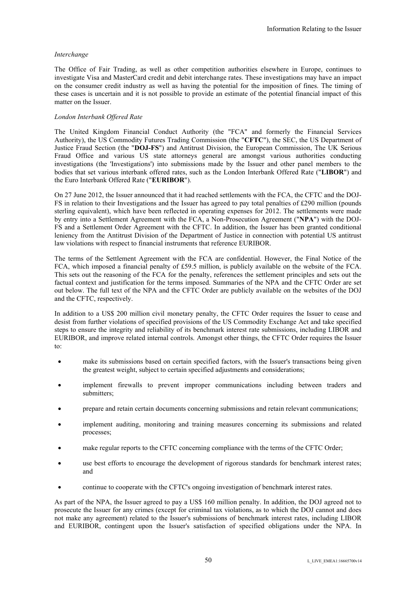# *Interchange*

The Office of Fair Trading, as well as other competition authorities elsewhere in Europe, continues to investigate Visa and MasterCard credit and debit interchange rates. These investigations may have an impact on the consumer credit industry as well as having the potential for the imposition of fines. The timing of these cases is uncertain and it is not possible to provide an estimate of the potential financial impact of this matter on the Issuer.

# *London Interbank Offered Rate*

The United Kingdom Financial Conduct Authority (the "FCA" and formerly the Financial Services Authority), the US Commodity Futures Trading Commission (the "**CFTC**"), the SEC, the US Department of Justice Fraud Section (the "**DOJ-FS**") and Antitrust Division, the European Commission, The UK Serious Fraud Office and various US state attorneys general are amongst various authorities conducting investigations (the 'Investigations') into submissions made by the Issuer and other panel members to the bodies that set various interbank offered rates, such as the London Interbank Offered Rate ("**LIBOR**") and the Euro Interbank Offered Rate ("**EURIBOR**").

On 27 June 2012, the Issuer announced that it had reached settlements with the FCA, the CFTC and the DOJ-FS in relation to their Investigations and the Issuer has agreed to pay total penalties of £290 million (pounds sterling equivalent), which have been reflected in operating expenses for 2012. The settlements were made by entry into a Settlement Agreement with the FCA, a Non-Prosecution Agreement ("**NPA**") with the DOJ-FS and a Settlement Order Agreement with the CFTC. In addition, the Issuer has been granted conditional leniency from the Antitrust Division of the Department of Justice in connection with potential US antitrust law violations with respect to financial instruments that reference EURIBOR.

The terms of the Settlement Agreement with the FCA are confidential. However, the Final Notice of the FCA, which imposed a financial penalty of £59.5 million, is publicly available on the website of the FCA. This sets out the reasoning of the FCA for the penalty, references the settlement principles and sets out the factual context and justification for the terms imposed. Summaries of the NPA and the CFTC Order are set out below. The full text of the NPA and the CFTC Order are publicly available on the websites of the DOJ and the CFTC, respectively.

In addition to a US\$ 200 million civil monetary penalty, the CFTC Order requires the Issuer to cease and desist from further violations of specified provisions of the US Commodity Exchange Act and take specified steps to ensure the integrity and reliability of its benchmark interest rate submissions, including LIBOR and EURIBOR, and improve related internal controls. Amongst other things, the CFTC Order requires the Issuer to:

- make its submissions based on certain specified factors, with the Issuer's transactions being given the greatest weight, subject to certain specified adjustments and considerations;
- implement firewalls to prevent improper communications including between traders and submitters:
- prepare and retain certain documents concerning submissions and retain relevant communications;
- implement auditing, monitoring and training measures concerning its submissions and related processes;
- make regular reports to the CFTC concerning compliance with the terms of the CFTC Order;
- use best efforts to encourage the development of rigorous standards for benchmark interest rates; and
- continue to cooperate with the CFTC's ongoing investigation of benchmark interest rates.

As part of the NPA, the Issuer agreed to pay a US\$ 160 million penalty. In addition, the DOJ agreed not to prosecute the Issuer for any crimes (except for criminal tax violations, as to which the DOJ cannot and does not make any agreement) related to the Issuer's submissions of benchmark interest rates, including LIBOR and EURIBOR, contingent upon the Issuer's satisfaction of specified obligations under the NPA. In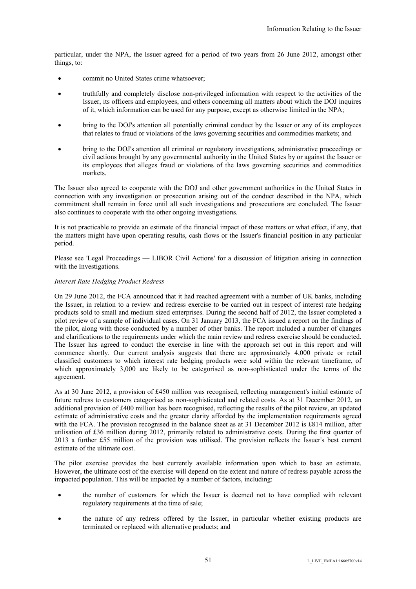particular, under the NPA, the Issuer agreed for a period of two years from 26 June 2012, amongst other things, to:

- commit no United States crime whatsoever;
- truthfully and completely disclose non-privileged information with respect to the activities of the Issuer, its officers and employees, and others concerning all matters about which the DOJ inquires of it, which information can be used for any purpose, except as otherwise limited in the NPA;
- bring to the DOJ's attention all potentially criminal conduct by the Issuer or any of its employees that relates to fraud or violations of the laws governing securities and commodities markets; and
- bring to the DOJ's attention all criminal or regulatory investigations, administrative proceedings or civil actions brought by any governmental authority in the United States by or against the Issuer or its employees that alleges fraud or violations of the laws governing securities and commodities markets.

The Issuer also agreed to cooperate with the DOJ and other government authorities in the United States in connection with any investigation or prosecution arising out of the conduct described in the NPA, which commitment shall remain in force until all such investigations and prosecutions are concluded. The Issuer also continues to cooperate with the other ongoing investigations.

It is not practicable to provide an estimate of the financial impact of these matters or what effect, if any, that the matters might have upon operating results, cash flows or the Issuer's financial position in any particular period.

Please see 'Legal Proceedings — LIBOR Civil Actions' for a discussion of litigation arising in connection with the Investigations.

# *Interest Rate Hedging Product Redress*

On 29 June 2012, the FCA announced that it had reached agreement with a number of UK banks, including the Issuer, in relation to a review and redress exercise to be carried out in respect of interest rate hedging products sold to small and medium sized enterprises. During the second half of 2012, the Issuer completed a pilot review of a sample of individual cases. On 31 January 2013, the FCA issued a report on the findings of the pilot, along with those conducted by a number of other banks. The report included a number of changes and clarifications to the requirements under which the main review and redress exercise should be conducted. The Issuer has agreed to conduct the exercise in line with the approach set out in this report and will commence shortly. Our current analysis suggests that there are approximately 4,000 private or retail classified customers to which interest rate hedging products were sold within the relevant timeframe, of which approximately 3,000 are likely to be categorised as non-sophisticated under the terms of the agreement.

As at 30 June 2012, a provision of £450 million was recognised, reflecting management's initial estimate of future redress to customers categorised as non-sophisticated and related costs. As at 31 December 2012, an additional provision of £400 million has been recognised, reflecting the results of the pilot review, an updated estimate of administrative costs and the greater clarity afforded by the implementation requirements agreed with the FCA. The provision recognised in the balance sheet as at 31 December 2012 is £814 million, after utilisation of £36 million during 2012, primarily related to administrative costs. During the first quarter of 2013 a further £55 million of the provision was utilised. The provision reflects the Issuer's best current estimate of the ultimate cost.

The pilot exercise provides the best currently available information upon which to base an estimate. However, the ultimate cost of the exercise will depend on the extent and nature of redress payable across the impacted population. This will be impacted by a number of factors, including:

- the number of customers for which the Issuer is deemed not to have complied with relevant regulatory requirements at the time of sale;
- the nature of any redress offered by the Issuer, in particular whether existing products are terminated or replaced with alternative products; and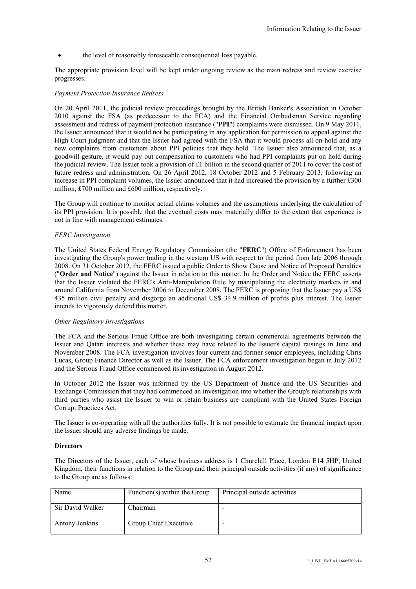the level of reasonably foreseeable consequential loss payable.

The appropriate provision level will be kept under ongoing review as the main redress and review exercise progresses.

# *Payment Protection Insurance Redress*

On 20 April 2011, the judicial review proceedings brought by the British Banker's Association in October 2010 against the FSA (as predecessor to the FCA) and the Financial Ombudsman Service regarding assessment and redress of payment protection insurance ("**PPI**") complaints were dismissed. On 9 May 2011, the Issuer announced that it would not be participating in any application for permission to appeal against the High Court judgment and that the Issuer had agreed with the FSA that it would process all on-hold and any new complaints from customers about PPI policies that they hold. The Issuer also announced that, as a goodwill gesture, it would pay out compensation to customers who had PPI complaints put on hold during the judicial review. The Issuer took a provision of £1 billion in the second quarter of 2011 to cover the cost of future redress and administration. On 26 April 2012, 18 October 2012 and 5 February 2013, following an increase in PPI complaint volumes, the Issuer announced that it had increased the provision by a further £300 million, £700 million and £600 million, respectively.

The Group will continue to monitor actual claims volumes and the assumptions underlying the calculation of its PPI provision. It is possible that the eventual costs may materially differ to the extent that experience is not in line with management estimates.

# *FERC Investigation*

The United States Federal Energy Regulatory Commission (the "**FERC**") Office of Enforcement has been investigating the Group's power trading in the western US with respect to the period from late 2006 through 2008. On 31 October 2012, the FERC issued a public Order to Show Cause and Notice of Proposed Penalties ("**Order and Notice**") against the Issuer in relation to this matter. In the Order and Notice the FERC asserts that the Issuer violated the FERC's Anti-Manipulation Rule by manipulating the electricity markets in and around California from November 2006 to December 2008. The FERC is proposing that the Issuer pay a US\$ 435 million civil penalty and disgorge an additional US\$ 34.9 million of profits plus interest. The Issuer intends to vigorously defend this matter.

# *Other Regulatory Investigations*

The FCA and the Serious Fraud Office are both investigating certain commercial agreements between the Issuer and Qatari interests and whether these may have related to the Issuer's capital raisings in June and November 2008. The FCA investigation involves four current and former senior employees, including Chris Lucas, Group Finance Director as well as the Issuer. The FCA enforcement investigation began in July 2012 and the Serious Fraud Office commenced its investigation in August 2012.

In October 2012 the Issuer was informed by the US Department of Justice and the US Securities and Exchange Commission that they had commenced an investigation into whether the Group's relationships with third parties who assist the Issuer to win or retain business are compliant with the United States Foreign Corrupt Practices Act.

The Issuer is co-operating with all the authorities fully. It is not possible to estimate the financial impact upon the Issuer should any adverse findings be made.

# **Directors**

The Directors of the Issuer, each of whose business address is 1 Churchill Place, London E14 5HP, United Kingdom, their functions in relation to the Group and their principal outside activities (if any) of significance to the Group are as follows:

| Name             | Function(s) within the Group | Principal outside activities |
|------------------|------------------------------|------------------------------|
| Sir David Walker | Chairman                     | $\overline{\phantom{a}}$     |
| Antony Jenkins   | Group Chief Executive        | -                            |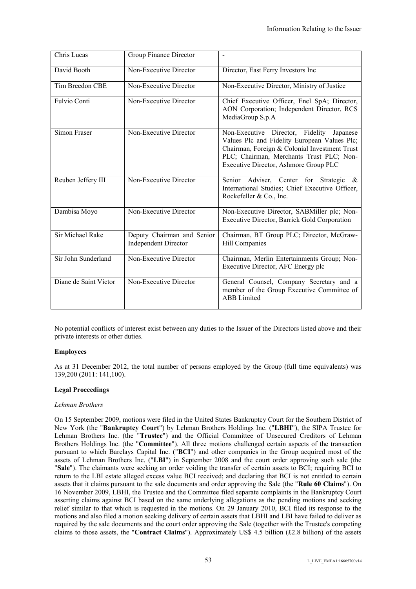| Chris Lucas           | Group Finance Director                                    | $\blacksquare$                                                                                                                                                                                                                  |
|-----------------------|-----------------------------------------------------------|---------------------------------------------------------------------------------------------------------------------------------------------------------------------------------------------------------------------------------|
| David Booth           | Non-Executive Director                                    | Director, East Ferry Investors Inc                                                                                                                                                                                              |
| Tim Breedon CBE       | Non-Executive Director                                    | Non-Executive Director, Ministry of Justice                                                                                                                                                                                     |
| Fulvio Conti          | Non-Executive Director                                    | Chief Executive Officer, Enel SpA; Director,<br>AON Corporation; Independent Director, RCS<br>MediaGroup S.p.A                                                                                                                  |
| Simon Fraser          | Non-Executive Director                                    | Non-Executive Director, Fidelity Japanese<br>Values Plc and Fidelity European Values Plc;<br>Chairman, Foreign & Colonial Investment Trust<br>PLC; Chairman, Merchants Trust PLC; Non-<br>Executive Director, Ashmore Group PLC |
| Reuben Jeffery III    | Non-Executive Director                                    | Senior Adviser, Center for<br>Strategic<br>$\alpha$<br>International Studies; Chief Executive Officer,<br>Rockefeller & Co., Inc.                                                                                               |
| Dambisa Moyo          | Non-Executive Director                                    | Non-Executive Director, SABMiller plc; Non-<br>Executive Director, Barrick Gold Corporation                                                                                                                                     |
| Sir Michael Rake      | Deputy Chairman and Senior<br><b>Independent Director</b> | Chairman, BT Group PLC; Director, McGraw-<br>Hill Companies                                                                                                                                                                     |
| Sir John Sunderland   | Non-Executive Director                                    | Chairman, Merlin Entertainments Group; Non-<br>Executive Director, AFC Energy plc                                                                                                                                               |
| Diane de Saint Victor | Non-Executive Director                                    | General Counsel, Company Secretary and a<br>member of the Group Executive Committee of<br><b>ABB</b> Limited                                                                                                                    |

No potential conflicts of interest exist between any duties to the Issuer of the Directors listed above and their private interests or other duties.

# **Employees**

As at 31 December 2012, the total number of persons employed by the Group (full time equivalents) was 139,200 (2011: 141,100).

# **Legal Proceedings**

# *Lehman Brothers*

On 15 September 2009, motions were filed in the United States Bankruptcy Court for the Southern District of New York (the "**Bankruptcy Court**") by Lehman Brothers Holdings Inc. ("**LBHI**"), the SIPA Trustee for Lehman Brothers Inc. (the "**Trustee**") and the Official Committee of Unsecured Creditors of Lehman Brothers Holdings Inc. (the "**Committee**"). All three motions challenged certain aspects of the transaction pursuant to which Barclays Capital Inc. ("**BCI**") and other companies in the Group acquired most of the assets of Lehman Brothers Inc. ("**LBI**") in September 2008 and the court order approving such sale (the "**Sale**"). The claimants were seeking an order voiding the transfer of certain assets to BCI; requiring BCI to return to the LBI estate alleged excess value BCI received; and declaring that BCI is not entitled to certain assets that it claims pursuant to the sale documents and order approving the Sale (the "**Rule 60 Claims**"). On 16 November 2009, LBHI, the Trustee and the Committee filed separate complaints in the Bankruptcy Court asserting claims against BCI based on the same underlying allegations as the pending motions and seeking relief similar to that which is requested in the motions. On 29 January 2010, BCI filed its response to the motions and also filed a motion seeking delivery of certain assets that LBHI and LBI have failed to deliver as required by the sale documents and the court order approving the Sale (together with the Trustee's competing claims to those assets, the "**Contract Claims**"). Approximately US\$ 4.5 billion (£2.8 billion) of the assets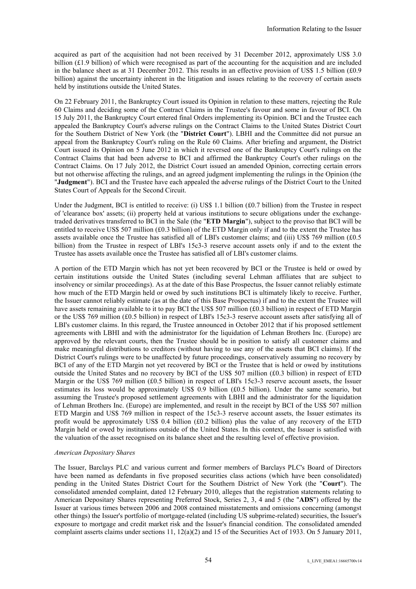acquired as part of the acquisition had not been received by 31 December 2012, approximately US\$ 3.0 billion  $(f1.9)$  billion) of which were recognised as part of the accounting for the acquisition and are included in the balance sheet as at 31 December 2012. This results in an effective provision of US\$ 1.5 billion (£0.9 billion) against the uncertainty inherent in the litigation and issues relating to the recovery of certain assets held by institutions outside the United States.

On 22 February 2011, the Bankruptcy Court issued its Opinion in relation to these matters, rejecting the Rule 60 Claims and deciding some of the Contract Claims in the Trustee's favour and some in favour of BCI. On 15 July 2011, the Bankruptcy Court entered final Orders implementing its Opinion. BCI and the Trustee each appealed the Bankruptcy Court's adverse rulings on the Contract Claims to the United States District Court for the Southern District of New York (the "**District Court**"). LBHI and the Committee did not pursue an appeal from the Bankruptcy Court's ruling on the Rule 60 Claims. After briefing and argument, the District Court issued its Opinion on 5 June 2012 in which it reversed one of the Bankruptcy Court's rulings on the Contract Claims that had been adverse to BCI and affirmed the Bankruptcy Court's other rulings on the Contract Claims. On 17 July 2012, the District Court issued an amended Opinion, correcting certain errors but not otherwise affecting the rulings, and an agreed judgment implementing the rulings in the Opinion (the "**Judgment**"). BCI and the Trustee have each appealed the adverse rulings of the District Court to the United States Court of Appeals for the Second Circuit.

Under the Judgment, BCI is entitled to receive: (i) US\$ 1.1 billion (£0.7 billion) from the Trustee in respect of 'clearance box' assets; (ii) property held at various institutions to secure obligations under the exchangetraded derivatives transferred to BCI in the Sale (the "**ETD Margin**"), subject to the proviso that BCI will be entitled to receive US\$ 507 million (£0.3 billion) of the ETD Margin only if and to the extent the Trustee has assets available once the Trustee has satisfied all of LBI's customer claims; and (iii) US\$ 769 million (£0.5 billion) from the Trustee in respect of LBI's 15c3-3 reserve account assets only if and to the extent the Trustee has assets available once the Trustee has satisfied all of LBI's customer claims.

A portion of the ETD Margin which has not yet been recovered by BCI or the Trustee is held or owed by certain institutions outside the United States (including several Lehman affiliates that are subject to insolvency or similar proceedings). As at the date of this Base Prospectus, the Issuer cannot reliably estimate how much of the ETD Margin held or owed by such institutions BCI is ultimately likely to receive. Further, the Issuer cannot reliably estimate (as at the date of this Base Prospectus) if and to the extent the Trustee will have assets remaining available to it to pay BCI the US\$ 507 million (£0.3 billion) in respect of ETD Margin or the US\$ 769 million (£0.5 billion) in respect of LBI's 15c3-3 reserve account assets after satisfying all of LBI's customer claims. In this regard, the Trustee announced in October 2012 that if his proposed settlement agreements with LBHI and with the administrator for the liquidation of Lehman Brothers Inc. (Europe) are approved by the relevant courts, then the Trustee should be in position to satisfy all customer claims and make meaningful distributions to creditors (without having to use any of the assets that BCI claims). If the District Court's rulings were to be unaffected by future proceedings, conservatively assuming no recovery by BCI of any of the ETD Margin not yet recovered by BCI or the Trustee that is held or owed by institutions outside the United States and no recovery by BCI of the US\$ 507 million (£0.3 billion) in respect of ETD Margin or the US\$ 769 million (£0.5 billion) in respect of LBI's 15c3-3 reserve account assets, the Issuer estimates its loss would be approximately US\$ 0.9 billion (£0.5 billion). Under the same scenario, but assuming the Trustee's proposed settlement agreements with LBHI and the administrator for the liquidation of Lehman Brothers Inc. (Europe) are implemented, and result in the receipt by BCI of the US\$ 507 million ETD Margin and US\$ 769 million in respect of the 15c3-3 reserve account assets, the Issuer estimates its profit would be approximately US\$ 0.4 billion (£0.2 billion) plus the value of any recovery of the ETD Margin held or owed by institutions outside of the United States. In this context, the Issuer is satisfied with the valuation of the asset recognised on its balance sheet and the resulting level of effective provision.

## *American Depositary Shares*

The Issuer, Barclays PLC and various current and former members of Barclays PLC's Board of Directors have been named as defendants in five proposed securities class actions (which have been consolidated) pending in the United States District Court for the Southern District of New York (the "**Court**"). The consolidated amended complaint, dated 12 February 2010, alleges that the registration statements relating to American Depositary Shares representing Preferred Stock, Series 2, 3, 4 and 5 (the "**ADS**") offered by the Issuer at various times between 2006 and 2008 contained misstatements and omissions concerning (amongst other things) the Issuer's portfolio of mortgage-related (including US subprime-related) securities, the Issuer's exposure to mortgage and credit market risk and the Issuer's financial condition. The consolidated amended complaint asserts claims under sections 11, 12(a)(2) and 15 of the Securities Act of 1933. On 5 January 2011,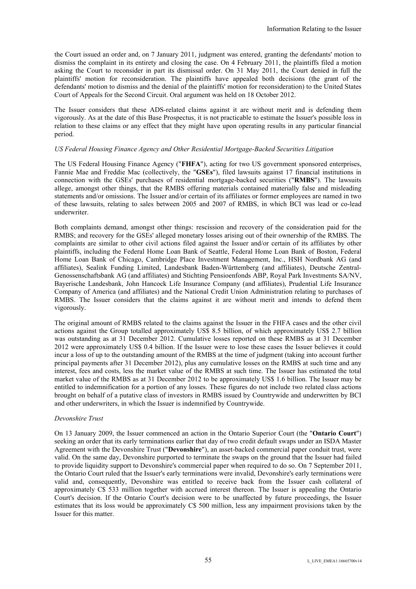the Court issued an order and, on 7 January 2011, judgment was entered, granting the defendants' motion to dismiss the complaint in its entirety and closing the case. On 4 February 2011, the plaintiffs filed a motion asking the Court to reconsider in part its dismissal order. On 31 May 2011, the Court denied in full the plaintiffs' motion for reconsideration. The plaintiffs have appealed both decisions (the grant of the defendants' motion to dismiss and the denial of the plaintiffs' motion for reconsideration) to the United States Court of Appeals for the Second Circuit. Oral argument was held on 18 October 2012.

The Issuer considers that these ADS-related claims against it are without merit and is defending them vigorously. As at the date of this Base Prospectus, it is not practicable to estimate the Issuer's possible loss in relation to these claims or any effect that they might have upon operating results in any particular financial period.

# *US Federal Housing Finance Agency and Other Residential Mortgage-Backed Securities Litigation*

The US Federal Housing Finance Agency ("**FHFA**"), acting for two US government sponsored enterprises, Fannie Mae and Freddie Mac (collectively, the "**GSEs**"), filed lawsuits against 17 financial institutions in connection with the GSEs' purchases of residential mortgage-backed securities ("**RMBS**"). The lawsuits allege, amongst other things, that the RMBS offering materials contained materially false and misleading statements and/or omissions. The Issuer and/or certain of its affiliates or former employees are named in two of these lawsuits, relating to sales between 2005 and 2007 of RMBS, in which BCI was lead or co-lead underwriter.

Both complaints demand, amongst other things: rescission and recovery of the consideration paid for the RMBS; and recovery for the GSEs' alleged monetary losses arising out of their ownership of the RMBS. The complaints are similar to other civil actions filed against the Issuer and/or certain of its affiliates by other plaintiffs, including the Federal Home Loan Bank of Seattle, Federal Home Loan Bank of Boston, Federal Home Loan Bank of Chicago, Cambridge Place Investment Management, Inc., HSH Nordbank AG (and affiliates), Sealink Funding Limited, Landesbank Baden-Württemberg (and affiliates), Deutsche Zentral-Genossenschaftsbank AG (and affiliates) and Stichting Pensioenfonds ABP, Royal Park Investments SA/NV, Bayerische Landesbank, John Hancock Life Insurance Company (and affiliates), Prudential Life Insurance Company of America (and affiliates) and the National Credit Union Administration relating to purchases of RMBS. The Issuer considers that the claims against it are without merit and intends to defend them vigorously.

The original amount of RMBS related to the claims against the Issuer in the FHFA cases and the other civil actions against the Group totalled approximately US\$ 8.5 billion, of which approximately US\$ 2.7 billion was outstanding as at 31 December 2012. Cumulative losses reported on these RMBS as at 31 December 2012 were approximately US\$ 0.4 billion. If the Issuer were to lose these cases the Issuer believes it could incur a loss of up to the outstanding amount of the RMBS at the time of judgment (taking into account further principal payments after 31 December 2012), plus any cumulative losses on the RMBS at such time and any interest, fees and costs, less the market value of the RMBS at such time. The Issuer has estimated the total market value of the RMBS as at 31 December 2012 to be approximately US\$ 1.6 billion. The Issuer may be entitled to indemnification for a portion of any losses. These figures do not include two related class actions brought on behalf of a putative class of investors in RMBS issued by Countrywide and underwritten by BCI and other underwriters, in which the Issuer is indemnified by Countrywide.

# *Devonshire Trust*

On 13 January 2009, the Issuer commenced an action in the Ontario Superior Court (the "**Ontario Court**") seeking an order that its early terminations earlier that day of two credit default swaps under an ISDA Master Agreement with the Devonshire Trust ("**Devonshire**"), an asset-backed commercial paper conduit trust, were valid. On the same day, Devonshire purported to terminate the swaps on the ground that the Issuer had failed to provide liquidity support to Devonshire's commercial paper when required to do so. On 7 September 2011, the Ontario Court ruled that the Issuer's early terminations were invalid, Devonshire's early terminations were valid and, consequently, Devonshire was entitled to receive back from the Issuer cash collateral of approximately C\$ 533 million together with accrued interest thereon. The Issuer is appealing the Ontario Court's decision. If the Ontario Court's decision were to be unaffected by future proceedings, the Issuer estimates that its loss would be approximately C\$ 500 million, less any impairment provisions taken by the Issuer for this matter.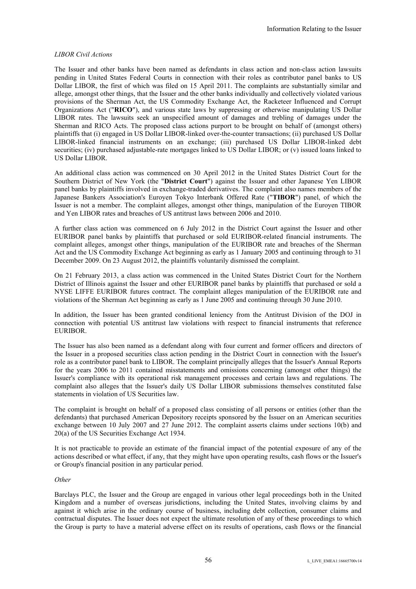## *LIBOR Civil Actions*

The Issuer and other banks have been named as defendants in class action and non-class action lawsuits pending in United States Federal Courts in connection with their roles as contributor panel banks to US Dollar LIBOR, the first of which was filed on 15 April 2011. The complaints are substantially similar and allege, amongst other things, that the Issuer and the other banks individually and collectively violated various provisions of the Sherman Act, the US Commodity Exchange Act, the Racketeer Influenced and Corrupt Organizations Act ("**RICO**"), and various state laws by suppressing or otherwise manipulating US Dollar LIBOR rates. The lawsuits seek an unspecified amount of damages and trebling of damages under the Sherman and RICO Acts. The proposed class actions purport to be brought on behalf of (amongst others) plaintiffs that (i) engaged in US Dollar LIBOR-linked over-the-counter transactions; (ii) purchased US Dollar LIBOR-linked financial instruments on an exchange; (iii) purchased US Dollar LIBOR-linked debt securities; (iv) purchased adjustable-rate mortgages linked to US Dollar LIBOR; or (v) issued loans linked to US Dollar LIBOR.

An additional class action was commenced on 30 April 2012 in the United States District Court for the Southern District of New York (the "**District Court**") against the Issuer and other Japanese Yen LIBOR panel banks by plaintiffs involved in exchange-traded derivatives. The complaint also names members of the Japanese Bankers Association's Euroyen Tokyo Interbank Offered Rate ("**TIBOR**") panel, of which the Issuer is not a member. The complaint alleges, amongst other things, manipulation of the Euroyen TIBOR and Yen LIBOR rates and breaches of US antitrust laws between 2006 and 2010.

A further class action was commenced on 6 July 2012 in the District Court against the Issuer and other EURIBOR panel banks by plaintiffs that purchased or sold EURIBOR-related financial instruments. The complaint alleges, amongst other things, manipulation of the EURIBOR rate and breaches of the Sherman Act and the US Commodity Exchange Act beginning as early as 1 January 2005 and continuing through to 31 December 2009. On 23 August 2012, the plaintiffs voluntarily dismissed the complaint.

On 21 February 2013, a class action was commenced in the United States District Court for the Northern District of Illinois against the Issuer and other EURIBOR panel banks by plaintiffs that purchased or sold a NYSE LIFFE EURIBOR futures contract. The complaint alleges manipulation of the EURIBOR rate and violations of the Sherman Act beginning as early as 1 June 2005 and continuing through 30 June 2010.

In addition, the Issuer has been granted conditional leniency from the Antitrust Division of the DOJ in connection with potential US antitrust law violations with respect to financial instruments that reference EURIBOR.

The Issuer has also been named as a defendant along with four current and former officers and directors of the Issuer in a proposed securities class action pending in the District Court in connection with the Issuer's role as a contributor panel bank to LIBOR. The complaint principally alleges that the Issuer's Annual Reports for the years 2006 to 2011 contained misstatements and omissions concerning (amongst other things) the Issuer's compliance with its operational risk management processes and certain laws and regulations. The complaint also alleges that the Issuer's daily US Dollar LIBOR submissions themselves constituted false statements in violation of US Securities law.

The complaint is brought on behalf of a proposed class consisting of all persons or entities (other than the defendants) that purchased American Depository receipts sponsored by the Issuer on an American securities exchange between 10 July 2007 and 27 June 2012. The complaint asserts claims under sections 10(b) and 20(a) of the US Securities Exchange Act 1934.

It is not practicable to provide an estimate of the financial impact of the potential exposure of any of the actions described or what effect, if any, that they might have upon operating results, cash flows or the Issuer's or Group's financial position in any particular period.

#### *Other*

Barclays PLC, the Issuer and the Group are engaged in various other legal proceedings both in the United Kingdom and a number of overseas jurisdictions, including the United States, involving claims by and against it which arise in the ordinary course of business, including debt collection, consumer claims and contractual disputes. The Issuer does not expect the ultimate resolution of any of these proceedings to which the Group is party to have a material adverse effect on its results of operations, cash flows or the financial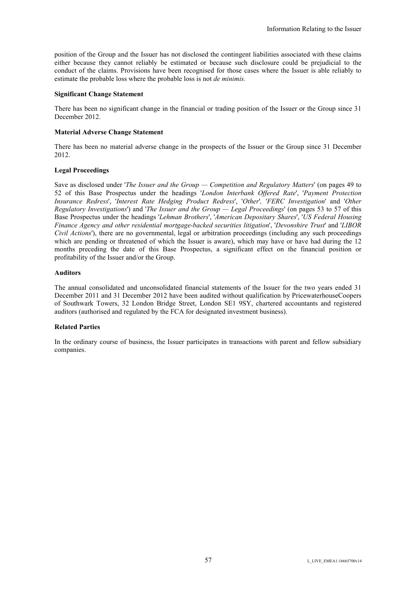position of the Group and the Issuer has not disclosed the contingent liabilities associated with these claims either because they cannot reliably be estimated or because such disclosure could be prejudicial to the conduct of the claims. Provisions have been recognised for those cases where the Issuer is able reliably to estimate the probable loss where the probable loss is not *de minimis.*

# **Significant Change Statement**

There has been no significant change in the financial or trading position of the Issuer or the Group since 31 December 2012.

## **Material Adverse Change Statement**

There has been no material adverse change in the prospects of the Issuer or the Group since 31 December 2012.

## **Legal Proceedings**

Save as disclosed under '*The Issuer and the Group — Competition and Regulatory Matters*' (on pages 49 to 52 of this Base Prospectus under the headings '*London Interbank Offered Rate*', '*Payment Protection Insurance Redress*', '*Interest Rate Hedging Product Redress*', '*Other*'*,* '*FERC Investigation*' and '*Other Regulatory Investigations*') and '*The Issuer and the Group — Legal Proceedings*' (on pages 53 to 57 of this Base Prospectus under the headings '*Lehman Brothers*', '*American Depositary Shares*', '*US Federal Housing Finance Agency and other residential mortgage-backed securities litigation*', '*Devonshire Trust*' and '*LIBOR Civil Actions*'), there are no governmental, legal or arbitration proceedings (including any such proceedings which are pending or threatened of which the Issuer is aware), which may have or have had during the 12 months preceding the date of this Base Prospectus, a significant effect on the financial position or profitability of the Issuer and/or the Group.

# **Auditors**

The annual consolidated and unconsolidated financial statements of the Issuer for the two years ended 31 December 2011 and 31 December 2012 have been audited without qualification by PricewaterhouseCoopers of Southwark Towers, 32 London Bridge Street, London SE1 9SY, chartered accountants and registered auditors (authorised and regulated by the FCA for designated investment business).

# **Related Parties**

In the ordinary course of business, the Issuer participates in transactions with parent and fellow subsidiary companies.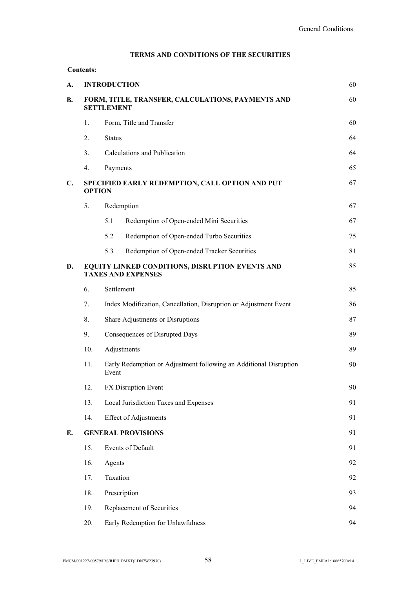# **TERMS AND CONDITIONS OF THE SECURITIES**

| A.             |                                                                              | <b>INTRODUCTION</b>                                                    |                                                                   | 60 |
|----------------|------------------------------------------------------------------------------|------------------------------------------------------------------------|-------------------------------------------------------------------|----|
| <b>B.</b>      |                                                                              | FORM, TITLE, TRANSFER, CALCULATIONS, PAYMENTS AND<br><b>SETTLEMENT</b> |                                                                   | 60 |
|                | Form, Title and Transfer<br>1.                                               |                                                                        | 60                                                                |    |
|                | 2.                                                                           | <b>Status</b>                                                          |                                                                   | 64 |
|                | 3.                                                                           |                                                                        | Calculations and Publication                                      | 64 |
|                | 4.                                                                           | Payments                                                               |                                                                   | 65 |
| $\mathbf{C}$ . | SPECIFIED EARLY REDEMPTION, CALL OPTION AND PUT<br><b>OPTION</b>             |                                                                        | 67                                                                |    |
|                | 5.                                                                           | Redemption                                                             |                                                                   | 67 |
|                |                                                                              | 5.1                                                                    | Redemption of Open-ended Mini Securities                          | 67 |
|                |                                                                              | 5.2                                                                    | Redemption of Open-ended Turbo Securities                         | 75 |
|                |                                                                              | 5.3                                                                    | Redemption of Open-ended Tracker Securities                       | 81 |
| D.             | EQUITY LINKED CONDITIONS, DISRUPTION EVENTS AND<br><b>TAXES AND EXPENSES</b> |                                                                        | 85                                                                |    |
|                | 6.                                                                           | Settlement                                                             |                                                                   | 85 |
|                | 7.                                                                           |                                                                        | Index Modification, Cancellation, Disruption or Adjustment Event  | 86 |
|                | 8.                                                                           |                                                                        | Share Adjustments or Disruptions                                  | 87 |
|                | 9.                                                                           |                                                                        | Consequences of Disrupted Days                                    | 89 |
|                | 10.                                                                          |                                                                        | Adjustments                                                       | 89 |
|                | 11.                                                                          | Event                                                                  | Early Redemption or Adjustment following an Additional Disruption | 90 |
|                | 12.                                                                          |                                                                        | FX Disruption Event                                               | 90 |
|                | 13.                                                                          |                                                                        | Local Jurisdiction Taxes and Expenses                             | 91 |
|                | 14.                                                                          |                                                                        | <b>Effect of Adjustments</b>                                      | 91 |
| Е.             | <b>GENERAL PROVISIONS</b>                                                    |                                                                        |                                                                   | 91 |
|                | 15.                                                                          |                                                                        | Events of Default                                                 | 91 |
|                | 16.                                                                          | Agents                                                                 |                                                                   | 92 |
|                | 17.                                                                          | Taxation                                                               |                                                                   | 92 |
|                | 18.                                                                          | Prescription                                                           |                                                                   | 93 |
|                | 19.                                                                          |                                                                        | Replacement of Securities                                         | 94 |
|                | 20.                                                                          |                                                                        | Early Redemption for Unlawfulness                                 | 94 |

**Contents:**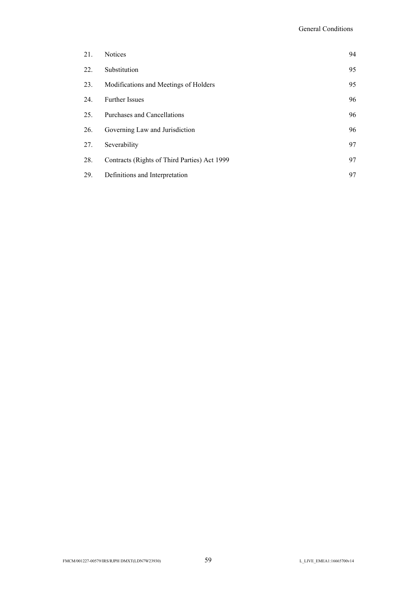| 21. | <b>Notices</b>                               | 94 |
|-----|----------------------------------------------|----|
| 22. | Substitution                                 | 95 |
| 23. | Modifications and Meetings of Holders        | 95 |
| 24. | <b>Further Issues</b>                        | 96 |
| 25. | Purchases and Cancellations                  | 96 |
| 26. | Governing Law and Jurisdiction               | 96 |
| 27. | Severability                                 | 97 |
| 28. | Contracts (Rights of Third Parties) Act 1999 | 97 |
| 29. | Definitions and Interpretation               | 97 |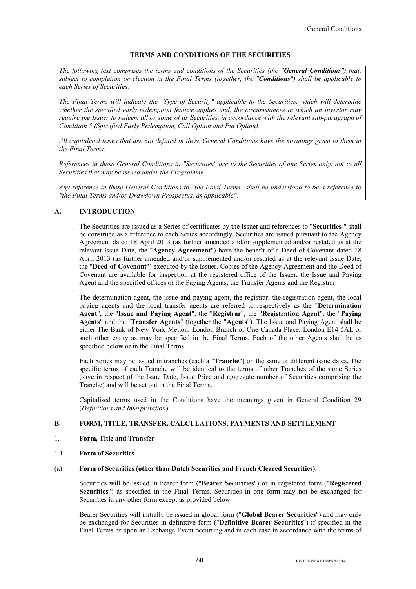# **TERMS AND CONDITIONS OF THE SECURITIES**

*The following text comprises the terms and conditions of the Securities (the "General Conditions") that, subject to completion or election in the Final Terms (together, the "Conditions") shall be applicable to each Series of Securities.* 

*The Final Terms will indicate the "Type of Security" applicable to the Securities, which will determine whether the specified early redemption feature applies and, the circumstances in which an investor may require the Issuer to redeem all or some of its Securities, in accordance with the relevant sub-paragraph of Condition 5 (Specified Early Redemption, Call Option and Put Option).*

*All capitalised terms that are not defined in these General Conditions have the meanings given to them in the Final Terms.*

*References in these General Conditions to "Securities" are to the Securities of one Series only, not to all Securities that may be issued under the Programme.*

*Any reference in these General Conditions to "the Final Terms" shall be understood to be a reference to "the Final Terms and/or Drawdown Prospectus, as applicable".* 

# **A. INTRODUCTION**

The Securities are issued as a Series of certificates by the Issuer and references to "**Securities** " shall be construed as a reference to each Series accordingly. Securities are issued pursuant to the Agency Agreement dated 18 April 2013 (as further amended and/or supplemented and/or restated as at the relevant Issue Date, the "**Agency Agreement**") have the benefit of a Deed of Covenant dated 18 April 2013 (as further amended and/or supplemented and/or restated as at the relevant Issue Date, the "**Deed of Covenant**") executed by the Issuer. Copies of the Agency Agreement and the Deed of Covenant are available for inspection at the registered office of the Issuer, the Issue and Paying Agent and the specified offices of the Paying Agents, the Transfer Agents and the Registrar.

The determination agent, the issue and paying agent, the registrar, the registration agent, the local paying agents and the local transfer agents are referred to respectively as the "**Determination Agent**", the "**Issue and Paying Agent**", the "**Registrar**", the "**Registration Agent**", the "**Paying Agents**" and the "**Transfer Agents**" (together the "**Agents**"). The Issue and Paying Agent shall be either The Bank of New York Mellon, London Branch of One Canada Place, London E14 5AL or such other entity as may be specified in the Final Terms. Each of the other Agents shall be as specified below or in the Final Terms.

Each Series may be issued in tranches (each a "**Tranche**") on the same or different issue dates. The specific terms of each Tranche will be identical to the terms of other Tranches of the same Series (save in respect of the Issue Date, Issue Price and aggregate number of Securities comprising the Tranche) and will be set out in the Final Terms.

Capitalised terms used in the Conditions have the meanings given in General Condition 29 (*Definitions and Interpretation*).

# **B. FORM, TITLE, TRANSFER, CALCULATIONS, PAYMENTS AND SETTLEMENT**

- 1. **Form, Title and Transfer**
- 1.1 **Form of Securities**
- (a) **Form of Securities (other than Dutch Securities and French Cleared Securities).**

Securities will be issued in bearer form ("**Bearer Securities**") or in registered form ("**Registered Securities**") as specified in the Final Terms. Securities in one form may not be exchanged for Securities in any other form except as provided below.

Bearer Securities will initially be issued in global form ("**Global Bearer Securities**") and may only be exchanged for Securities in definitive form ("**Definitive Bearer Securities**") if specified in the Final Terms or upon an Exchange Event occurring and in each case in accordance with the terms of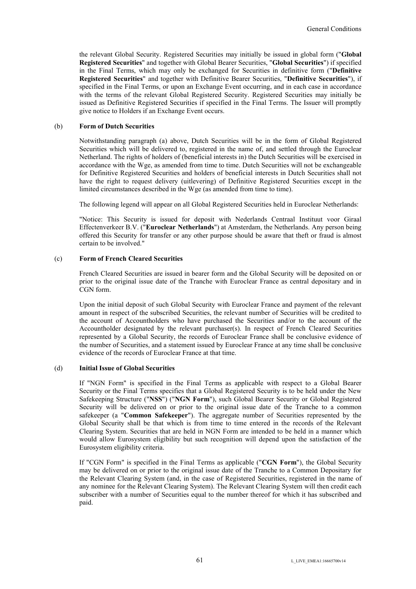the relevant Global Security. Registered Securities may initially be issued in global form ("**Global Registered Securities**" and together with Global Bearer Securities, "**Global Securities**") if specified in the Final Terms, which may only be exchanged for Securities in definitive form ("**Definitive Registered Securities**" and together with Definitive Bearer Securities, "**Definitive Securities**"), if specified in the Final Terms, or upon an Exchange Event occurring, and in each case in accordance with the terms of the relevant Global Registered Security. Registered Securities may initially be issued as Definitive Registered Securities if specified in the Final Terms. The Issuer will promptly give notice to Holders if an Exchange Event occurs.

## (b) **Form of Dutch Securities**

Notwithstanding paragraph (a) above, Dutch Securities will be in the form of Global Registered Securities which will be delivered to, registered in the name of, and settled through the Euroclear Netherland. The rights of holders of (beneficial interests in) the Dutch Securities will be exercised in accordance with the Wge, as amended from time to time. Dutch Securities will not be exchangeable for Definitive Registered Securities and holders of beneficial interests in Dutch Securities shall not have the right to request delivery (uitlevering) of Definitive Registered Securities except in the limited circumstances described in the Wge (as amended from time to time).

The following legend will appear on all Global Registered Securities held in Euroclear Netherlands:

"Notice: This Security is issued for deposit with Nederlands Centraal Instituut voor Giraal Effectenverkeer B.V. ("**Euroclear Netherlands**") at Amsterdam, the Netherlands. Any person being offered this Security for transfer or any other purpose should be aware that theft or fraud is almost certain to be involved."

## (c) **Form of French Cleared Securities**

French Cleared Securities are issued in bearer form and the Global Security will be deposited on or prior to the original issue date of the Tranche with Euroclear France as central depositary and in CGN form.

Upon the initial deposit of such Global Security with Euroclear France and payment of the relevant amount in respect of the subscribed Securities, the relevant number of Securities will be credited to the account of Accountholders who have purchased the Securities and/or to the account of the Accountholder designated by the relevant purchaser(s). In respect of French Cleared Securities represented by a Global Security, the records of Euroclear France shall be conclusive evidence of the number of Securities, and a statement issued by Euroclear France at any time shall be conclusive evidence of the records of Euroclear France at that time.

## (d) **Initial Issue of Global Securities**

If "NGN Form" is specified in the Final Terms as applicable with respect to a Global Bearer Security or the Final Terms specifies that a Global Registered Security is to be held under the New Safekeeping Structure ("**NSS**") ("**NGN Form**"), such Global Bearer Security or Global Registered Security will be delivered on or prior to the original issue date of the Tranche to a common safekeeper (a "**Common Safekeeper**"). The aggregate number of Securities represented by the Global Security shall be that which is from time to time entered in the records of the Relevant Clearing System. Securities that are held in NGN Form are intended to be held in a manner which would allow Eurosystem eligibility but such recognition will depend upon the satisfaction of the Eurosystem eligibility criteria.

If "CGN Form" is specified in the Final Terms as applicable ("**CGN Form**"), the Global Security may be delivered on or prior to the original issue date of the Tranche to a Common Depositary for the Relevant Clearing System (and, in the case of Registered Securities, registered in the name of any nominee for the Relevant Clearing System). The Relevant Clearing System will then credit each subscriber with a number of Securities equal to the number thereof for which it has subscribed and paid.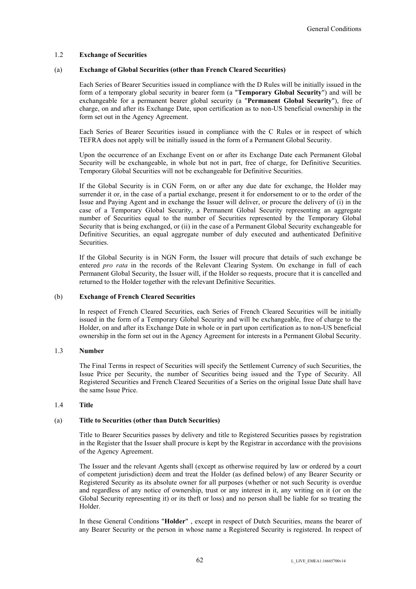## 1.2 **Exchange of Securities**

#### (a) **Exchange of Global Securities (other than French Cleared Securities)**

Each Series of Bearer Securities issued in compliance with the D Rules will be initially issued in the form of a temporary global security in bearer form (a "**Temporary Global Security**") and will be exchangeable for a permanent bearer global security (a "**Permanent Global Security**"), free of charge, on and after its Exchange Date, upon certification as to non-US beneficial ownership in the form set out in the Agency Agreement.

Each Series of Bearer Securities issued in compliance with the C Rules or in respect of which TEFRA does not apply will be initially issued in the form of a Permanent Global Security.

Upon the occurrence of an Exchange Event on or after its Exchange Date each Permanent Global Security will be exchangeable, in whole but not in part, free of charge, for Definitive Securities. Temporary Global Securities will not be exchangeable for Definitive Securities.

If the Global Security is in CGN Form, on or after any due date for exchange, the Holder may surrender it or, in the case of a partial exchange, present it for endorsement to or to the order of the Issue and Paying Agent and in exchange the Issuer will deliver, or procure the delivery of (i) in the case of a Temporary Global Security, a Permanent Global Security representing an aggregate number of Securities equal to the number of Securities represented by the Temporary Global Security that is being exchanged, or (ii) in the case of a Permanent Global Security exchangeable for Definitive Securities, an equal aggregate number of duly executed and authenticated Definitive Securities.

If the Global Security is in NGN Form, the Issuer will procure that details of such exchange be entered *pro rata* in the records of the Relevant Clearing System. On exchange in full of each Permanent Global Security, the Issuer will, if the Holder so requests, procure that it is cancelled and returned to the Holder together with the relevant Definitive Securities.

## (b) **Exchange of French Cleared Securities**

In respect of French Cleared Securities, each Series of French Cleared Securities will be initially issued in the form of a Temporary Global Security and will be exchangeable, free of charge to the Holder, on and after its Exchange Date in whole or in part upon certification as to non-US beneficial ownership in the form set out in the Agency Agreement for interests in a Permanent Global Security.

#### 1.3 **Number**

The Final Terms in respect of Securities will specify the Settlement Currency of such Securities, the Issue Price per Security, the number of Securities being issued and the Type of Security. All Registered Securities and French Cleared Securities of a Series on the original Issue Date shall have the same Issue Price.

## 1.4 **Title**

#### (a) **Title to Securities (other than Dutch Securities)**

Title to Bearer Securities passes by delivery and title to Registered Securities passes by registration in the Register that the Issuer shall procure is kept by the Registrar in accordance with the provisions of the Agency Agreement.

The Issuer and the relevant Agents shall (except as otherwise required by law or ordered by a court of competent jurisdiction) deem and treat the Holder (as defined below) of any Bearer Security or Registered Security as its absolute owner for all purposes (whether or not such Security is overdue and regardless of any notice of ownership, trust or any interest in it, any writing on it (or on the Global Security representing it) or its theft or loss) and no person shall be liable for so treating the Holder.

In these General Conditions "**Holder**" , except in respect of Dutch Securities, means the bearer of any Bearer Security or the person in whose name a Registered Security is registered. In respect of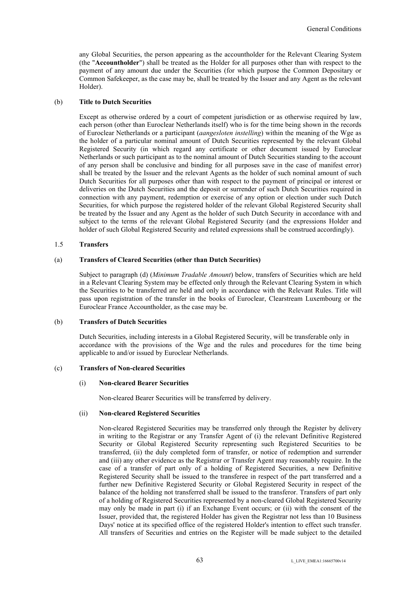any Global Securities, the person appearing as the accountholder for the Relevant Clearing System (the "**Accountholder**") shall be treated as the Holder for all purposes other than with respect to the payment of any amount due under the Securities (for which purpose the Common Depositary or Common Safekeeper, as the case may be, shall be treated by the Issuer and any Agent as the relevant Holder).

#### (b) **Title to Dutch Securities**

Except as otherwise ordered by a court of competent jurisdiction or as otherwise required by law, each person (other than Euroclear Netherlands itself) who is for the time being shown in the records of Euroclear Netherlands or a participant (*aangesloten instelling*) within the meaning of the Wge as the holder of a particular nominal amount of Dutch Securities represented by the relevant Global Registered Security (in which regard any certificate or other document issued by Euroclear Netherlands or such participant as to the nominal amount of Dutch Securities standing to the account of any person shall be conclusive and binding for all purposes save in the case of manifest error) shall be treated by the Issuer and the relevant Agents as the holder of such nominal amount of such Dutch Securities for all purposes other than with respect to the payment of principal or interest or deliveries on the Dutch Securities and the deposit or surrender of such Dutch Securities required in connection with any payment, redemption or exercise of any option or election under such Dutch Securities, for which purpose the registered holder of the relevant Global Registered Security shall be treated by the Issuer and any Agent as the holder of such Dutch Security in accordance with and subject to the terms of the relevant Global Registered Security (and the expressions Holder and holder of such Global Registered Security and related expressions shall be construed accordingly).

#### 1.5 **Transfers**

# (a) **Transfers of Cleared Securities (other than Dutch Securities)**

Subject to paragraph (d) (*Minimum Tradable Amount*) below, transfers of Securities which are held in a Relevant Clearing System may be effected only through the Relevant Clearing System in which the Securities to be transferred are held and only in accordance with the Relevant Rules. Title will pass upon registration of the transfer in the books of Euroclear, Clearstream Luxembourg or the Euroclear France Accountholder, as the case may be.

#### (b) **Transfers of Dutch Securities**

Dutch Securities, including interests in a Global Registered Security, will be transferable only in accordance with the provisions of the Wge and the rules and procedures for the time being applicable to and/or issued by Euroclear Netherlands.

#### (c) **Transfers of Non-cleared Securities**

#### (i) **Non-cleared Bearer Securities**

Non-cleared Bearer Securities will be transferred by delivery.

#### (ii) **Non-cleared Registered Securities**

Non-cleared Registered Securities may be transferred only through the Register by delivery in writing to the Registrar or any Transfer Agent of (i) the relevant Definitive Registered Security or Global Registered Security representing such Registered Securities to be transferred, (ii) the duly completed form of transfer, or notice of redemption and surrender and (iii) any other evidence as the Registrar or Transfer Agent may reasonably require. In the case of a transfer of part only of a holding of Registered Securities, a new Definitive Registered Security shall be issued to the transferee in respect of the part transferred and a further new Definitive Registered Security or Global Registered Security in respect of the balance of the holding not transferred shall be issued to the transferor. Transfers of part only of a holding of Registered Securities represented by a non-cleared Global Registered Security may only be made in part (i) if an Exchange Event occurs; or (ii) with the consent of the Issuer, provided that, the registered Holder has given the Registrar not less than 10 Business Days' notice at its specified office of the registered Holder's intention to effect such transfer. All transfers of Securities and entries on the Register will be made subject to the detailed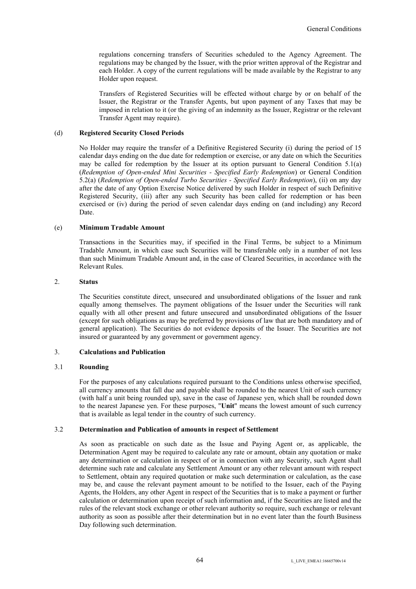regulations concerning transfers of Securities scheduled to the Agency Agreement. The regulations may be changed by the Issuer, with the prior written approval of the Registrar and each Holder. A copy of the current regulations will be made available by the Registrar to any Holder upon request.

Transfers of Registered Securities will be effected without charge by or on behalf of the Issuer, the Registrar or the Transfer Agents, but upon payment of any Taxes that may be imposed in relation to it (or the giving of an indemnity as the Issuer, Registrar or the relevant Transfer Agent may require).

## (d) **Registered Security Closed Periods**

No Holder may require the transfer of a Definitive Registered Security (i) during the period of 15 calendar days ending on the due date for redemption or exercise, or any date on which the Securities may be called for redemption by the Issuer at its option pursuant to General Condition 5.1(a) (*Redemption of Open-ended Mini Securities - Specified Early Redemption*) or General Condition 5.2(a) (*Redemption of Open-ended Turbo Securities - Specified Early Redemption*), (ii) on any day after the date of any Option Exercise Notice delivered by such Holder in respect of such Definitive Registered Security, (iii) after any such Security has been called for redemption or has been exercised or (iv) during the period of seven calendar days ending on (and including) any Record Date.

# (e) **Minimum Tradable Amount**

Transactions in the Securities may, if specified in the Final Terms, be subject to a Minimum Tradable Amount, in which case such Securities will be transferable only in a number of not less than such Minimum Tradable Amount and, in the case of Cleared Securities, in accordance with the Relevant Rules.

## 2. **Status**

The Securities constitute direct, unsecured and unsubordinated obligations of the Issuer and rank equally among themselves. The payment obligations of the Issuer under the Securities will rank equally with all other present and future unsecured and unsubordinated obligations of the Issuer (except for such obligations as may be preferred by provisions of law that are both mandatory and of general application). The Securities do not evidence deposits of the Issuer. The Securities are not insured or guaranteed by any government or government agency.

## 3. **Calculations and Publication**

#### 3.1 **Rounding**

For the purposes of any calculations required pursuant to the Conditions unless otherwise specified, all currency amounts that fall due and payable shall be rounded to the nearest Unit of such currency (with half a unit being rounded up), save in the case of Japanese yen, which shall be rounded down to the nearest Japanese yen. For these purposes, "**Unit**" means the lowest amount of such currency that is available as legal tender in the country of such currency.

#### 3.2 **Determination and Publication of amounts in respect of Settlement**

As soon as practicable on such date as the Issue and Paying Agent or, as applicable, the Determination Agent may be required to calculate any rate or amount, obtain any quotation or make any determination or calculation in respect of or in connection with any Security, such Agent shall determine such rate and calculate any Settlement Amount or any other relevant amount with respect to Settlement, obtain any required quotation or make such determination or calculation, as the case may be, and cause the relevant payment amount to be notified to the Issuer, each of the Paying Agents, the Holders, any other Agent in respect of the Securities that is to make a payment or further calculation or determination upon receipt of such information and, if the Securities are listed and the rules of the relevant stock exchange or other relevant authority so require, such exchange or relevant authority as soon as possible after their determination but in no event later than the fourth Business Day following such determination.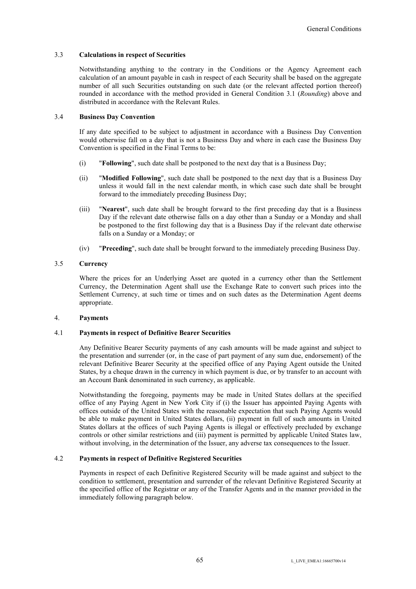## 3.3 **Calculations in respect of Securities**

Notwithstanding anything to the contrary in the Conditions or the Agency Agreement each calculation of an amount payable in cash in respect of each Security shall be based on the aggregate number of all such Securities outstanding on such date (or the relevant affected portion thereof) rounded in accordance with the method provided in General Condition 3.1 (*Rounding*) above and distributed in accordance with the Relevant Rules.

#### 3.4 **Business Day Convention**

If any date specified to be subject to adjustment in accordance with a Business Day Convention would otherwise fall on a day that is not a Business Day and where in each case the Business Day Convention is specified in the Final Terms to be:

- (i) "**Following**", such date shall be postponed to the next day that is a Business Day;
- (ii) "**Modified Following**", such date shall be postponed to the next day that is a Business Day unless it would fall in the next calendar month, in which case such date shall be brought forward to the immediately preceding Business Day;
- (iii) "**Nearest**", such date shall be brought forward to the first preceding day that is a Business Day if the relevant date otherwise falls on a day other than a Sunday or a Monday and shall be postponed to the first following day that is a Business Day if the relevant date otherwise falls on a Sunday or a Monday; or
- (iv) "**Preceding**", such date shall be brought forward to the immediately preceding Business Day.

# 3.5 **Currency**

Where the prices for an Underlying Asset are quoted in a currency other than the Settlement Currency, the Determination Agent shall use the Exchange Rate to convert such prices into the Settlement Currency, at such time or times and on such dates as the Determination Agent deems appropriate.

## 4. **Payments**

# 4.1 **Payments in respect of Definitive Bearer Securities**

Any Definitive Bearer Security payments of any cash amounts will be made against and subject to the presentation and surrender (or, in the case of part payment of any sum due, endorsement) of the relevant Definitive Bearer Security at the specified office of any Paying Agent outside the United States, by a cheque drawn in the currency in which payment is due, or by transfer to an account with an Account Bank denominated in such currency, as applicable.

Notwithstanding the foregoing, payments may be made in United States dollars at the specified office of any Paying Agent in New York City if (i) the Issuer has appointed Paying Agents with offices outside of the United States with the reasonable expectation that such Paying Agents would be able to make payment in United States dollars, (ii) payment in full of such amounts in United States dollars at the offices of such Paying Agents is illegal or effectively precluded by exchange controls or other similar restrictions and (iii) payment is permitted by applicable United States law, without involving, in the determination of the Issuer, any adverse tax consequences to the Issuer.

# 4.2 **Payments in respect of Definitive Registered Securities**

Payments in respect of each Definitive Registered Security will be made against and subject to the condition to settlement, presentation and surrender of the relevant Definitive Registered Security at the specified office of the Registrar or any of the Transfer Agents and in the manner provided in the immediately following paragraph below.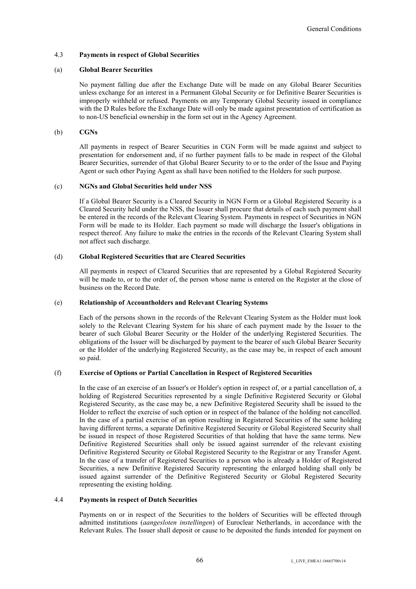# 4.3 **Payments in respect of Global Securities**

#### (a) **Global Bearer Securities**

No payment falling due after the Exchange Date will be made on any Global Bearer Securities unless exchange for an interest in a Permanent Global Security or for Definitive Bearer Securities is improperly withheld or refused. Payments on any Temporary Global Security issued in compliance with the D Rules before the Exchange Date will only be made against presentation of certification as to non-US beneficial ownership in the form set out in the Agency Agreement.

# (b) **CGNs**

All payments in respect of Bearer Securities in CGN Form will be made against and subject to presentation for endorsement and, if no further payment falls to be made in respect of the Global Bearer Securities, surrender of that Global Bearer Security to or to the order of the Issue and Paying Agent or such other Paying Agent as shall have been notified to the Holders for such purpose.

#### (c) **NGNs and Global Securities held under NSS**

If a Global Bearer Security is a Cleared Security in NGN Form or a Global Registered Security is a Cleared Security held under the NSS, the Issuer shall procure that details of each such payment shall be entered in the records of the Relevant Clearing System. Payments in respect of Securities in NGN Form will be made to its Holder. Each payment so made will discharge the Issuer's obligations in respect thereof. Any failure to make the entries in the records of the Relevant Clearing System shall not affect such discharge.

# (d) **Global Registered Securities that are Cleared Securities**

All payments in respect of Cleared Securities that are represented by a Global Registered Security will be made to, or to the order of, the person whose name is entered on the Register at the close of business on the Record Date.

#### (e) **Relationship of Accountholders and Relevant Clearing Systems**

Each of the persons shown in the records of the Relevant Clearing System as the Holder must look solely to the Relevant Clearing System for his share of each payment made by the Issuer to the bearer of such Global Bearer Security or the Holder of the underlying Registered Securities. The obligations of the Issuer will be discharged by payment to the bearer of such Global Bearer Security or the Holder of the underlying Registered Security, as the case may be, in respect of each amount so paid.

# (f) **Exercise of Options or Partial Cancellation in Respect of Registered Securities**

In the case of an exercise of an Issuer's or Holder's option in respect of, or a partial cancellation of, a holding of Registered Securities represented by a single Definitive Registered Security or Global Registered Security, as the case may be, a new Definitive Registered Security shall be issued to the Holder to reflect the exercise of such option or in respect of the balance of the holding not cancelled. In the case of a partial exercise of an option resulting in Registered Securities of the same holding having different terms, a separate Definitive Registered Security or Global Registered Security shall be issued in respect of those Registered Securities of that holding that have the same terms. New Definitive Registered Securities shall only be issued against surrender of the relevant existing Definitive Registered Security or Global Registered Security to the Registrar or any Transfer Agent. In the case of a transfer of Registered Securities to a person who is already a Holder of Registered Securities, a new Definitive Registered Security representing the enlarged holding shall only be issued against surrender of the Definitive Registered Security or Global Registered Security representing the existing holding.

# 4.4 **Payments in respect of Dutch Securities**

Payments on or in respect of the Securities to the holders of Securities will be effected through admitted institutions (*aangesloten instellingen*) of Euroclear Netherlands, in accordance with the Relevant Rules. The Issuer shall deposit or cause to be deposited the funds intended for payment on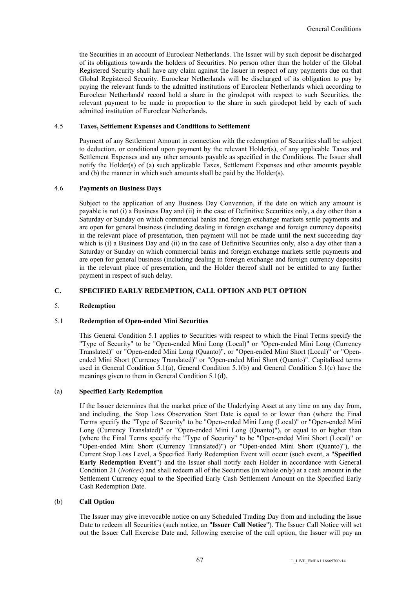the Securities in an account of Euroclear Netherlands. The Issuer will by such deposit be discharged of its obligations towards the holders of Securities. No person other than the holder of the Global Registered Security shall have any claim against the Issuer in respect of any payments due on that Global Registered Security. Euroclear Netherlands will be discharged of its obligation to pay by paying the relevant funds to the admitted institutions of Euroclear Netherlands which according to Euroclear Netherlands' record hold a share in the girodepot with respect to such Securities, the relevant payment to be made in proportion to the share in such girodepot held by each of such admitted institution of Euroclear Netherlands.

# 4.5 **Taxes, Settlement Expenses and Conditions to Settlement**

Payment of any Settlement Amount in connection with the redemption of Securities shall be subject to deduction, or conditional upon payment by the relevant Holder(s), of any applicable Taxes and Settlement Expenses and any other amounts payable as specified in the Conditions. The Issuer shall notify the Holder(s) of (a) such applicable Taxes, Settlement Expenses and other amounts payable and (b) the manner in which such amounts shall be paid by the Holder(s).

#### 4.6 **Payments on Business Days**

Subject to the application of any Business Day Convention, if the date on which any amount is payable is not (i) a Business Day and (ii) in the case of Definitive Securities only, a day other than a Saturday or Sunday on which commercial banks and foreign exchange markets settle payments and are open for general business (including dealing in foreign exchange and foreign currency deposits) in the relevant place of presentation, then payment will not be made until the next succeeding day which is (i) a Business Day and (ii) in the case of Definitive Securities only, also a day other than a Saturday or Sunday on which commercial banks and foreign exchange markets settle payments and are open for general business (including dealing in foreign exchange and foreign currency deposits) in the relevant place of presentation, and the Holder thereof shall not be entitled to any further payment in respect of such delay.

#### **C. SPECIFIED EARLY REDEMPTION, CALL OPTION AND PUT OPTION**

#### 5. **Redemption**

#### 5.1 **Redemption of Open-ended Mini Securities**

This General Condition 5.1 applies to Securities with respect to which the Final Terms specify the "Type of Security" to be "Open-ended Mini Long (Local)" or "Open-ended Mini Long (Currency Translated)" or "Open-ended Mini Long (Quanto)", or "Open-ended Mini Short (Local)" or "Openended Mini Short (Currency Translated)" or "Open-ended Mini Short (Quanto)". Capitalised terms used in General Condition 5.1(a), General Condition 5.1(b) and General Condition 5.1(c) have the meanings given to them in General Condition 5.1(d).

#### (a) **Specified Early Redemption**

If the Issuer determines that the market price of the Underlying Asset at any time on any day from, and including, the Stop Loss Observation Start Date is equal to or lower than (where the Final Terms specify the "Type of Security" to be "Open-ended Mini Long (Local)" or "Open-ended Mini Long (Currency Translated)" or "Open-ended Mini Long (Quanto)"), or equal to or higher than (where the Final Terms specify the "Type of Security" to be "Open-ended Mini Short (Local)" or "Open-ended Mini Short (Currency Translated)") or "Open-ended Mini Short (Quanto)"), the Current Stop Loss Level, a Specified Early Redemption Event will occur (such event, a "**Specified Early Redemption Event**") and the Issuer shall notify each Holder in accordance with General Condition 21 (*Notices*) and shall redeem all of the Securities (in whole only) at a cash amount in the Settlement Currency equal to the Specified Early Cash Settlement Amount on the Specified Early Cash Redemption Date.

#### (b) **Call Option**

The Issuer may give irrevocable notice on any Scheduled Trading Day from and including the Issue Date to redeem all Securities (such notice, an "**Issuer Call Notice**"). The Issuer Call Notice will set out the Issuer Call Exercise Date and, following exercise of the call option, the Issuer will pay an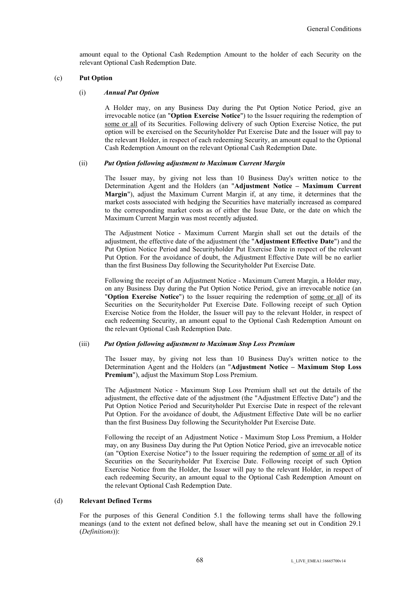amount equal to the Optional Cash Redemption Amount to the holder of each Security on the relevant Optional Cash Redemption Date.

#### (c) **Put Option**

#### (i) *Annual Put Option*

A Holder may, on any Business Day during the Put Option Notice Period, give an irrevocable notice (an "**Option Exercise Notice**") to the Issuer requiring the redemption of some or all of its Securities. Following delivery of such Option Exercise Notice, the put option will be exercised on the Securityholder Put Exercise Date and the Issuer will pay to the relevant Holder, in respect of each redeeming Security, an amount equal to the Optional Cash Redemption Amount on the relevant Optional Cash Redemption Date.

#### (ii) *Put Option following adjustment to Maximum Current Margin*

The Issuer may, by giving not less than 10 Business Day's written notice to the Determination Agent and the Holders (an "**Adjustment Notice – Maximum Current Margin**"), adjust the Maximum Current Margin if, at any time, it determines that the market costs associated with hedging the Securities have materially increased as compared to the corresponding market costs as of either the Issue Date, or the date on which the Maximum Current Margin was most recently adjusted.

The Adjustment Notice - Maximum Current Margin shall set out the details of the adjustment, the effective date of the adjustment (the "**Adjustment Effective Date**") and the Put Option Notice Period and Securityholder Put Exercise Date in respect of the relevant Put Option. For the avoidance of doubt, the Adjustment Effective Date will be no earlier than the first Business Day following the Securityholder Put Exercise Date.

Following the receipt of an Adjustment Notice - Maximum Current Margin, a Holder may, on any Business Day during the Put Option Notice Period, give an irrevocable notice (an "**Option Exercise Notice**") to the Issuer requiring the redemption of some or all of its Securities on the Securityholder Put Exercise Date. Following receipt of such Option Exercise Notice from the Holder, the Issuer will pay to the relevant Holder, in respect of each redeeming Security, an amount equal to the Optional Cash Redemption Amount on the relevant Optional Cash Redemption Date.

#### (iii) *Put Option following adjustment to Maximum Stop Loss Premium*

The Issuer may, by giving not less than 10 Business Day's written notice to the Determination Agent and the Holders (an "**Adjustment Notice – Maximum Stop Loss Premium**"), adjust the Maximum Stop Loss Premium.

The Adjustment Notice - Maximum Stop Loss Premium shall set out the details of the adjustment, the effective date of the adjustment (the "Adjustment Effective Date") and the Put Option Notice Period and Securityholder Put Exercise Date in respect of the relevant Put Option. For the avoidance of doubt, the Adjustment Effective Date will be no earlier than the first Business Day following the Securityholder Put Exercise Date.

Following the receipt of an Adjustment Notice - Maximum Stop Loss Premium, a Holder may, on any Business Day during the Put Option Notice Period, give an irrevocable notice (an "Option Exercise Notice") to the Issuer requiring the redemption of some or all of its Securities on the Securityholder Put Exercise Date. Following receipt of such Option Exercise Notice from the Holder, the Issuer will pay to the relevant Holder, in respect of each redeeming Security, an amount equal to the Optional Cash Redemption Amount on the relevant Optional Cash Redemption Date.

## (d) **Relevant Defined Terms**

For the purposes of this General Condition 5.1 the following terms shall have the following meanings (and to the extent not defined below, shall have the meaning set out in Condition 29.1 (*Definitions*)):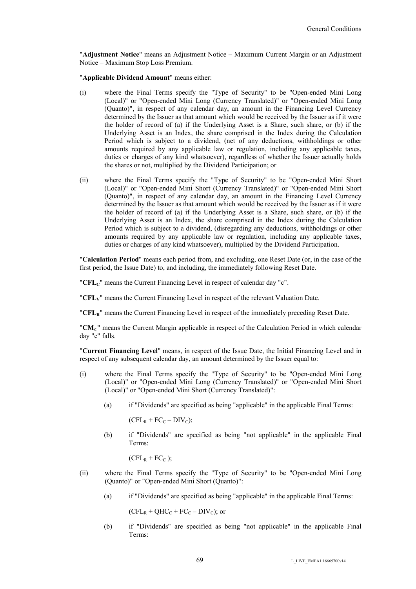"**Adjustment Notice**" means an Adjustment Notice – Maximum Current Margin or an Adjustment Notice – Maximum Stop Loss Premium.

"**Applicable Dividend Amount**" means either:

- (i) where the Final Terms specify the "Type of Security" to be "Open-ended Mini Long (Local)" or "Open-ended Mini Long (Currency Translated)" or "Open-ended Mini Long (Quanto)", in respect of any calendar day, an amount in the Financing Level Currency determined by the Issuer as that amount which would be received by the Issuer as if it were the holder of record of (a) if the Underlying Asset is a Share, such share, or (b) if the Underlying Asset is an Index, the share comprised in the Index during the Calculation Period which is subject to a dividend, (net of any deductions, withholdings or other amounts required by any applicable law or regulation, including any applicable taxes, duties or charges of any kind whatsoever), regardless of whether the Issuer actually holds the shares or not, multiplied by the Dividend Participation; or
- (ii) where the Final Terms specify the "Type of Security" to be "Open-ended Mini Short (Local)" or "Open-ended Mini Short (Currency Translated)" or "Open-ended Mini Short (Quanto)", in respect of any calendar day, an amount in the Financing Level Currency determined by the Issuer as that amount which would be received by the Issuer as if it were the holder of record of (a) if the Underlying Asset is a Share, such share, or (b) if the Underlying Asset is an Index, the share comprised in the Index during the Calculation Period which is subject to a dividend, (disregarding any deductions, withholdings or other amounts required by any applicable law or regulation, including any applicable taxes, duties or charges of any kind whatsoever), multiplied by the Dividend Participation.

"**Calculation Period**" means each period from, and excluding, one Reset Date (or, in the case of the first period, the Issue Date) to, and including, the immediately following Reset Date.

"**CFL**<sup>*c*</sup>" means the Current Financing Level in respect of calendar day "c".

"**CFLV**" means the Current Financing Level in respect of the relevant Valuation Date.

"**CFLR**" means the Current Financing Level in respect of the immediately preceding Reset Date.

"**CMC**" means the Current Margin applicable in respect of the Calculation Period in which calendar day "c" falls.

"**Current Financing Level**" means, in respect of the Issue Date, the Initial Financing Level and in respect of any subsequent calendar day, an amount determined by the Issuer equal to:

- (i) where the Final Terms specify the "Type of Security" to be "Open-ended Mini Long (Local)" or "Open-ended Mini Long (Currency Translated)" or "Open-ended Mini Short (Local)" or "Open-ended Mini Short (Currency Translated)":
	- (a) if "Dividends" are specified as being "applicable" in the applicable Final Terms:

 $(CFL_R + FC_C - DIV_C);$ 

(b) if "Dividends" are specified as being "not applicable" in the applicable Final Terms:

 $(CFL_R + FC_C);$ 

- (ii) where the Final Terms specify the "Type of Security" to be "Open-ended Mini Long (Quanto)" or "Open-ended Mini Short (Quanto)":
	- (a) if "Dividends" are specified as being "applicable" in the applicable Final Terms:

 $(CFL_R + QHC_C + FC_C - DIV_C)$ ; or

(b) if "Dividends" are specified as being "not applicable" in the applicable Final Terms: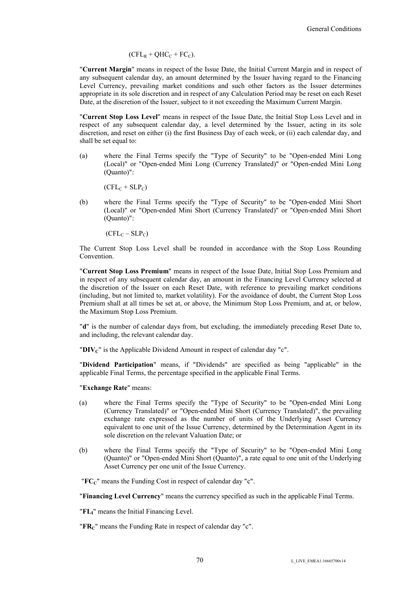$$
(CFL_R + QHC_C + FC_C).
$$

"**Current Margin**" means in respect of the Issue Date, the Initial Current Margin and in respect of any subsequent calendar day, an amount determined by the Issuer having regard to the Financing Level Currency, prevailing market conditions and such other factors as the Issuer determines appropriate in its sole discretion and in respect of any Calculation Period may be reset on each Reset Date, at the discretion of the Issuer, subject to it not exceeding the Maximum Current Margin.

"**Current Stop Loss Level**" means in respect of the Issue Date, the Initial Stop Loss Level and in respect of any subsequent calendar day, a level determined by the Issuer, acting in its sole discretion, and reset on either (i) the first Business Day of each week, or (ii) each calendar day, and shall be set equal to:

(a) where the Final Terms specify the "Type of Security" to be "Open-ended Mini Long (Local)" or "Open-ended Mini Long (Currency Translated)" or "Open-ended Mini Long (Quanto)":

 $(CFL_C + SLP_C)$ 

(b) where the Final Terms specify the "Type of Security" to be "Open-ended Mini Short (Local)" or "Open-ended Mini Short (Currency Translated)" or "Open-ended Mini Short (Quanto)":

 $(CFL_C - SLP_C)$ 

The Current Stop Loss Level shall be rounded in accordance with the Stop Loss Rounding Convention.

"**Current Stop Loss Premium**" means in respect of the Issue Date, Initial Stop Loss Premium and in respect of any subsequent calendar day, an amount in the Financing Level Currency selected at the discretion of the Issuer on each Reset Date, with reference to prevailing market conditions (including, but not limited to, market volatility). For the avoidance of doubt, the Current Stop Loss Premium shall at all times be set at, or above, the Minimum Stop Loss Premium, and at, or below, the Maximum Stop Loss Premium.

"**d**" is the number of calendar days from, but excluding, the immediately preceding Reset Date to, and including, the relevant calendar day.

" $\mathbf{D}\mathbf{IV}_{\mathbf{C}}$ " is the Applicable Dividend Amount in respect of calendar day "c".

"**Dividend Participation**" means, if "Dividends" are specified as being "applicable" in the applicable Final Terms, the percentage specified in the applicable Final Terms.

"**Exchange Rate**" means:

- (a) where the Final Terms specify the "Type of Security" to be "Open-ended Mini Long (Currency Translated)" or "Open-ended Mini Short (Currency Translated)", the prevailing exchange rate expressed as the number of units of the Underlying Asset Currency equivalent to one unit of the Issue Currency, determined by the Determination Agent in its sole discretion on the relevant Valuation Date; or
- (b) where the Final Terms specify the "Type of Security" to be "Open-ended Mini Long (Quanto)" or "Open-ended Mini Short (Quanto)", a rate equal to one unit of the Underlying Asset Currency per one unit of the Issue Currency.

"**FCC**" means the Funding Cost in respect of calendar day "c".

"**Financing Level Currency**" means the currency specified as such in the applicable Final Terms.

"**FLI**" means the Initial Financing Level.

"**FRC**" means the Funding Rate in respect of calendar day "c".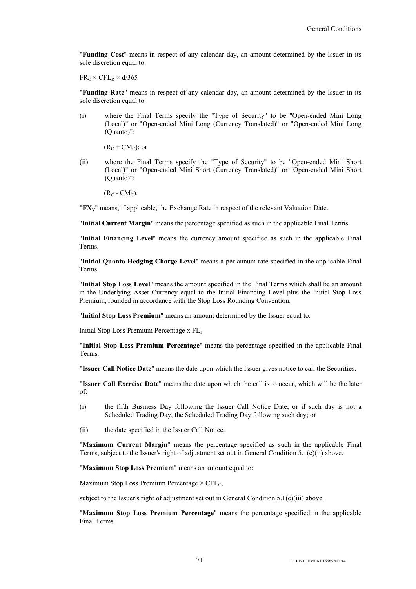"**Funding Cost**" means in respect of any calendar day, an amount determined by the Issuer in its sole discretion equal to:

 $FR_C \times CFL_R \times d/365$ 

"**Funding Rate**" means in respect of any calendar day, an amount determined by the Issuer in its sole discretion equal to:

(i) where the Final Terms specify the "Type of Security" to be "Open-ended Mini Long (Local)" or "Open-ended Mini Long (Currency Translated)" or "Open-ended Mini Long (Quanto)":

 $(R_C + CM_C)$ ; or

(ii) where the Final Terms specify the "Type of Security" to be "Open-ended Mini Short (Local)" or "Open-ended Mini Short (Currency Translated)" or "Open-ended Mini Short (Quanto)":

 $(R_C - CM_C)$ .

"**FXV**" means, if applicable, the Exchange Rate in respect of the relevant Valuation Date.

"**Initial Current Margin**" means the percentage specified as such in the applicable Final Terms.

"**Initial Financing Level**" means the currency amount specified as such in the applicable Final Terms.

"**Initial Quanto Hedging Charge Level**" means a per annum rate specified in the applicable Final Terms.

"**Initial Stop Loss Level**" means the amount specified in the Final Terms which shall be an amount in the Underlying Asset Currency equal to the Initial Financing Level plus the Initial Stop Loss Premium, rounded in accordance with the Stop Loss Rounding Convention.

"**Initial Stop Loss Premium**" means an amount determined by the Issuer equal to:

Initial Stop Loss Premium Percentage x FL<sup>I</sup>

"**Initial Stop Loss Premium Percentage**" means the percentage specified in the applicable Final Terms.

"**Issuer Call Notice Date**" means the date upon which the Issuer gives notice to call the Securities.

"**Issuer Call Exercise Date**" means the date upon which the call is to occur, which will be the later of:

- (i) the fifth Business Day following the Issuer Call Notice Date, or if such day is not a Scheduled Trading Day, the Scheduled Trading Day following such day; or
- (ii) the date specified in the Issuer Call Notice.

"**Maximum Current Margin**" means the percentage specified as such in the applicable Final Terms, subject to the Issuer's right of adjustment set out in General Condition 5.1(c)(ii) above.

"**Maximum Stop Loss Premium**" means an amount equal to:

Maximum Stop Loss Premium Percentage  $\times$  CFL<sub>C</sub>,

subject to the Issuer's right of adjustment set out in General Condition  $5.1(c)(iii)$  above.

"**Maximum Stop Loss Premium Percentage**" means the percentage specified in the applicable Final Terms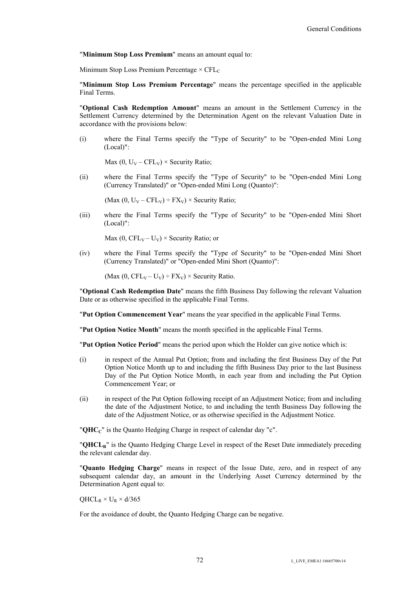"**Minimum Stop Loss Premium**" means an amount equal to:

Minimum Stop Loss Premium Percentage  $\times$  CFL<sub>C</sub>

"**Minimum Stop Loss Premium Percentage**" means the percentage specified in the applicable Final Terms.

"**Optional Cash Redemption Amount**" means an amount in the Settlement Currency in the Settlement Currency determined by the Determination Agent on the relevant Valuation Date in accordance with the provisions below:

(i) where the Final Terms specify the "Type of Security" to be "Open-ended Mini Long (Local)":

Max (0,  $U_V - CFL_V$ ) × Security Ratio;

(ii) where the Final Terms specify the "Type of Security" to be "Open-ended Mini Long (Currency Translated)" or "Open-ended Mini Long (Quanto)":

(Max (0,  $U_V - CFL_V$ ) ÷  $FX_V$ ) × Security Ratio;

(iii) where the Final Terms specify the "Type of Security" to be "Open-ended Mini Short (Local)":

Max (0,  $CFL_V - U_V$ ) × Security Ratio; or

(iv) where the Final Terms specify the "Type of Security" to be "Open-ended Mini Short (Currency Translated)" or "Open-ended Mini Short (Quanto)":

(Max (0, CFL<sub>V</sub> – U<sub>V</sub>) ÷ FX<sub>V</sub>) × Security Ratio.

"**Optional Cash Redemption Date**" means the fifth Business Day following the relevant Valuation Date or as otherwise specified in the applicable Final Terms.

"**Put Option Commencement Year**" means the year specified in the applicable Final Terms.

"**Put Option Notice Month**" means the month specified in the applicable Final Terms.

"**Put Option Notice Period**" means the period upon which the Holder can give notice which is:

- (i) in respect of the Annual Put Option; from and including the first Business Day of the Put Option Notice Month up to and including the fifth Business Day prior to the last Business Day of the Put Option Notice Month, in each year from and including the Put Option Commencement Year; or
- (ii) in respect of the Put Option following receipt of an Adjustment Notice; from and including the date of the Adjustment Notice, to and including the tenth Business Day following the date of the Adjustment Notice, or as otherwise specified in the Adjustment Notice.

"**QHCC**" is the Quanto Hedging Charge in respect of calendar day "c".

"**QHCLR**" is the Quanto Hedging Charge Level in respect of the Reset Date immediately preceding the relevant calendar day.

"**Quanto Hedging Charge**" means in respect of the Issue Date, zero, and in respect of any subsequent calendar day, an amount in the Underlying Asset Currency determined by the Determination Agent equal to:

 $QHCL_R \times U_R \times d/365$ 

For the avoidance of doubt, the Quanto Hedging Charge can be negative.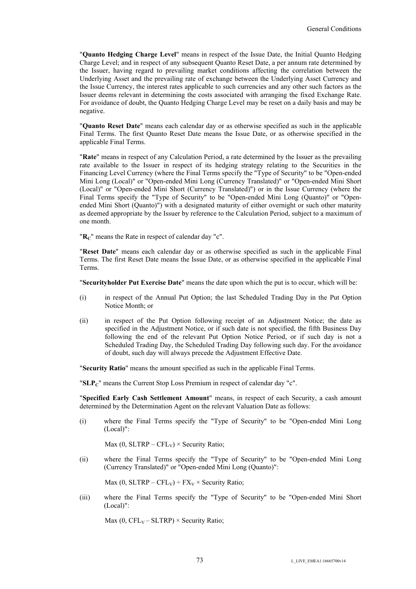"**Quanto Hedging Charge Level**" means in respect of the Issue Date, the Initial Quanto Hedging Charge Level; and in respect of any subsequent Quanto Reset Date, a per annum rate determined by the Issuer, having regard to prevailing market conditions affecting the correlation between the Underlying Asset and the prevailing rate of exchange between the Underlying Asset Currency and the Issue Currency, the interest rates applicable to such currencies and any other such factors as the Issuer deems relevant in determining the costs associated with arranging the fixed Exchange Rate. For avoidance of doubt, the Quanto Hedging Charge Level may be reset on a daily basis and may be negative.

"**Quanto Reset Date**" means each calendar day or as otherwise specified as such in the applicable Final Terms. The first Quanto Reset Date means the Issue Date, or as otherwise specified in the applicable Final Terms.

"**Rate**" means in respect of any Calculation Period, a rate determined by the Issuer as the prevailing rate available to the Issuer in respect of its hedging strategy relating to the Securities in the Financing Level Currency (where the Final Terms specify the "Type of Security" to be "Open-ended Mini Long (Local)" or "Open-ended Mini Long (Currency Translated)" or "Open-ended Mini Short (Local)" or "Open-ended Mini Short (Currency Translated)") or in the Issue Currency (where the Final Terms specify the "Type of Security" to be "Open-ended Mini Long (Quanto)" or "Openended Mini Short (Quanto)") with a designated maturity of either overnight or such other maturity as deemed appropriate by the Issuer by reference to the Calculation Period, subject to a maximum of one month.

"**RC**" means the Rate in respect of calendar day "c".

"**Reset Date**" means each calendar day or as otherwise specified as such in the applicable Final Terms. The first Reset Date means the Issue Date, or as otherwise specified in the applicable Final Terms.

"**Securityholder Put Exercise Date**" means the date upon which the put is to occur, which will be:

- (i) in respect of the Annual Put Option; the last Scheduled Trading Day in the Put Option Notice Month; or
- (ii) in respect of the Put Option following receipt of an Adjustment Notice; the date as specified in the Adjustment Notice, or if such date is not specified, the fifth Business Day following the end of the relevant Put Option Notice Period, or if such day is not a Scheduled Trading Day, the Scheduled Trading Day following such day. For the avoidance of doubt, such day will always precede the Adjustment Effective Date.

"**Security Ratio**" means the amount specified as such in the applicable Final Terms.

" $SLP<sub>C</sub>$ " means the Current Stop Loss Premium in respect of calendar day "c".

"**Specified Early Cash Settlement Amount**" means, in respect of each Security, a cash amount determined by the Determination Agent on the relevant Valuation Date as follows:

(i) where the Final Terms specify the "Type of Security" to be "Open-ended Mini Long (Local)":

Max (0, SLTRP – CFL<sub>V</sub>)  $\times$  Security Ratio;

(ii) where the Final Terms specify the "Type of Security" to be "Open-ended Mini Long (Currency Translated)" or "Open-ended Mini Long (Quanto)":

Max (0, SLTRP – CFL<sub>V</sub>) ÷ FX<sub>V</sub> × Security Ratio;

(iii) where the Final Terms specify the "Type of Security" to be "Open-ended Mini Short (Local)":

Max (0,  $CFL_V - SLTRP$ ) × Security Ratio;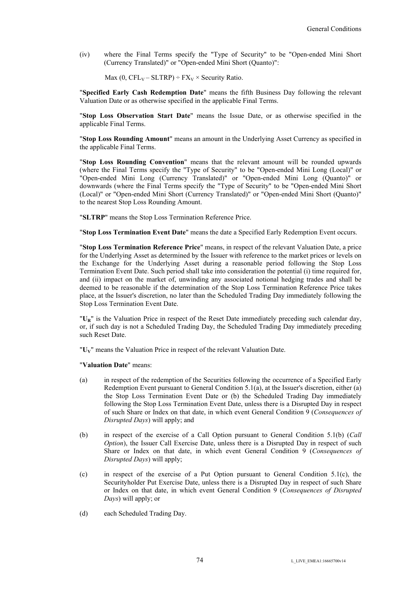(iv) where the Final Terms specify the "Type of Security" to be "Open-ended Mini Short (Currency Translated)" or "Open-ended Mini Short (Quanto)":

Max (0,  $CFL_V-SLTRP$ ) ÷  $FX_V \times$  Security Ratio.

"**Specified Early Cash Redemption Date**" means the fifth Business Day following the relevant Valuation Date or as otherwise specified in the applicable Final Terms.

"**Stop Loss Observation Start Date**" means the Issue Date, or as otherwise specified in the applicable Final Terms.

"**Stop Loss Rounding Amount**" means an amount in the Underlying Asset Currency as specified in the applicable Final Terms.

"**Stop Loss Rounding Convention**" means that the relevant amount will be rounded upwards (where the Final Terms specify the "Type of Security" to be "Open-ended Mini Long (Local)" or "Open-ended Mini Long (Currency Translated)" or "Open-ended Mini Long (Quanto)" or downwards (where the Final Terms specify the "Type of Security" to be "Open-ended Mini Short (Local)" or "Open-ended Mini Short (Currency Translated)" or "Open-ended Mini Short (Quanto)" to the nearest Stop Loss Rounding Amount.

"**SLTRP**" means the Stop Loss Termination Reference Price.

"**Stop Loss Termination Event Date**" means the date a Specified Early Redemption Event occurs.

"**Stop Loss Termination Reference Price**" means, in respect of the relevant Valuation Date, a price for the Underlying Asset as determined by the Issuer with reference to the market prices or levels on the Exchange for the Underlying Asset during a reasonable period following the Stop Loss Termination Event Date. Such period shall take into consideration the potential (i) time required for, and (ii) impact on the market of, unwinding any associated notional hedging trades and shall be deemed to be reasonable if the determination of the Stop Loss Termination Reference Price takes place, at the Issuer's discretion, no later than the Scheduled Trading Day immediately following the Stop Loss Termination Event Date.

"**UR**" is the Valuation Price in respect of the Reset Date immediately preceding such calendar day, or, if such day is not a Scheduled Trading Day, the Scheduled Trading Day immediately preceding such Reset Date.

"**UV**" means the Valuation Price in respect of the relevant Valuation Date.

"**Valuation Date**" means:

- (a) in respect of the redemption of the Securities following the occurrence of a Specified Early Redemption Event pursuant to General Condition 5.1(a), at the Issuer's discretion, either (a) the Stop Loss Termination Event Date or (b) the Scheduled Trading Day immediately following the Stop Loss Termination Event Date, unless there is a Disrupted Day in respect of such Share or Index on that date, in which event General Condition 9 (*Consequences of Disrupted Days*) will apply; and
- (b) in respect of the exercise of a Call Option pursuant to General Condition 5.1(b) (*Call Option*), the Issuer Call Exercise Date, unless there is a Disrupted Day in respect of such Share or Index on that date, in which event General Condition 9 (*Consequences of Disrupted Days*) will apply;
- (c) in respect of the exercise of a Put Option pursuant to General Condition 5.1(c), the Securityholder Put Exercise Date, unless there is a Disrupted Day in respect of such Share or Index on that date, in which event General Condition 9 (*Consequences of Disrupted Days*) will apply; or
- (d) each Scheduled Trading Day.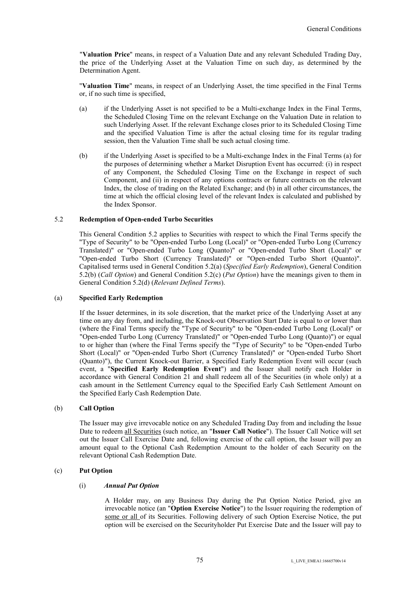"**Valuation Price**" means, in respect of a Valuation Date and any relevant Scheduled Trading Day, the price of the Underlying Asset at the Valuation Time on such day, as determined by the Determination Agent.

"**Valuation Time**" means, in respect of an Underlying Asset, the time specified in the Final Terms or, if no such time is specified,

- (a) if the Underlying Asset is not specified to be a Multi-exchange Index in the Final Terms, the Scheduled Closing Time on the relevant Exchange on the Valuation Date in relation to such Underlying Asset. If the relevant Exchange closes prior to its Scheduled Closing Time and the specified Valuation Time is after the actual closing time for its regular trading session, then the Valuation Time shall be such actual closing time.
- (b) if the Underlying Asset is specified to be a Multi-exchange Index in the Final Terms (a) for the purposes of determining whether a Market Disruption Event has occurred: (i) in respect of any Component, the Scheduled Closing Time on the Exchange in respect of such Component, and (ii) in respect of any options contracts or future contracts on the relevant Index, the close of trading on the Related Exchange; and (b) in all other circumstances, the time at which the official closing level of the relevant Index is calculated and published by the Index Sponsor.

## 5.2 **Redemption of Open-ended Turbo Securities**

This General Condition 5.2 applies to Securities with respect to which the Final Terms specify the "Type of Security" to be "Open-ended Turbo Long (Local)" or "Open-ended Turbo Long (Currency Translated)" or "Open-ended Turbo Long (Quanto)" or "Open-ended Turbo Short (Local)" or "Open-ended Turbo Short (Currency Translated)" or "Open-ended Turbo Short (Quanto)". Capitalised terms used in General Condition 5.2(a) (*Specified Early Redemption*), General Condition 5.2(b) (*Call Option*) and General Condition 5.2(c) (*Put Option*) have the meanings given to them in General Condition 5.2(d) (*Relevant Defined Terms*).

#### (a) **Specified Early Redemption**

If the Issuer determines, in its sole discretion, that the market price of the Underlying Asset at any time on any day from, and including, the Knock-out Observation Start Date is equal to or lower than (where the Final Terms specify the "Type of Security" to be "Open-ended Turbo Long (Local)" or "Open-ended Turbo Long (Currency Translated)" or "Open-ended Turbo Long (Quanto)") or equal to or higher than (where the Final Terms specify the "Type of Security" to be "Open-ended Turbo Short (Local)" or "Open-ended Turbo Short (Currency Translated)" or "Open-ended Turbo Short (Quanto)"), the Current Knock-out Barrier, a Specified Early Redemption Event will occur (such event, a "**Specified Early Redemption Event**") and the Issuer shall notify each Holder in accordance with General Condition 21 and shall redeem all of the Securities (in whole only) at a cash amount in the Settlement Currency equal to the Specified Early Cash Settlement Amount on the Specified Early Cash Redemption Date.

# (b) **Call Option**

The Issuer may give irrevocable notice on any Scheduled Trading Day from and including the Issue Date to redeem all Securities (such notice, an "**Issuer Call Notice**"). The Issuer Call Notice will set out the Issuer Call Exercise Date and, following exercise of the call option, the Issuer will pay an amount equal to the Optional Cash Redemption Amount to the holder of each Security on the relevant Optional Cash Redemption Date.

## (c) **Put Option**

### (i) *Annual Put Option*

A Holder may, on any Business Day during the Put Option Notice Period, give an irrevocable notice (an "**Option Exercise Notice**") to the Issuer requiring the redemption of some or all of its Securities. Following delivery of such Option Exercise Notice, the put option will be exercised on the Securityholder Put Exercise Date and the Issuer will pay to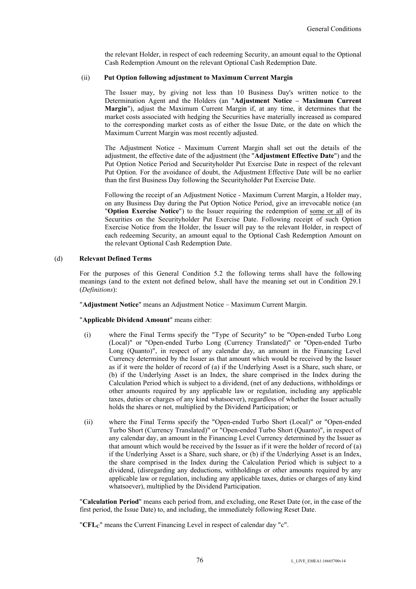the relevant Holder, in respect of each redeeming Security, an amount equal to the Optional Cash Redemption Amount on the relevant Optional Cash Redemption Date.

### (ii) **Put Option following adjustment to Maximum Current Margin**

The Issuer may, by giving not less than 10 Business Day's written notice to the Determination Agent and the Holders (an "**Adjustment Notice – Maximum Current Margin**"), adjust the Maximum Current Margin if, at any time, it determines that the market costs associated with hedging the Securities have materially increased as compared to the corresponding market costs as of either the Issue Date, or the date on which the Maximum Current Margin was most recently adjusted.

The Adjustment Notice - Maximum Current Margin shall set out the details of the adjustment, the effective date of the adjustment (the "**Adjustment Effective Date**") and the Put Option Notice Period and Securityholder Put Exercise Date in respect of the relevant Put Option. For the avoidance of doubt, the Adjustment Effective Date will be no earlier than the first Business Day following the Securityholder Put Exercise Date.

Following the receipt of an Adjustment Notice - Maximum Current Margin, a Holder may, on any Business Day during the Put Option Notice Period, give an irrevocable notice (an "**Option Exercise Notice**") to the Issuer requiring the redemption of some or all of its Securities on the Securityholder Put Exercise Date. Following receipt of such Option Exercise Notice from the Holder, the Issuer will pay to the relevant Holder, in respect of each redeeming Security, an amount equal to the Optional Cash Redemption Amount on the relevant Optional Cash Redemption Date.

### (d) **Relevant Defined Terms**

For the purposes of this General Condition 5.2 the following terms shall have the following meanings (and to the extent not defined below, shall have the meaning set out in Condition 29.1 (*Definitions*):

"**Adjustment Notice**" means an Adjustment Notice – Maximum Current Margin.

"**Applicable Dividend Amount**" means either:

- (i) where the Final Terms specify the "Type of Security" to be "Open-ended Turbo Long (Local)" or "Open-ended Turbo Long (Currency Translated)" or "Open-ended Turbo Long (Quanto)", in respect of any calendar day, an amount in the Financing Level Currency determined by the Issuer as that amount which would be received by the Issuer as if it were the holder of record of (a) if the Underlying Asset is a Share, such share, or (b) if the Underlying Asset is an Index, the share comprised in the Index during the Calculation Period which is subject to a dividend, (net of any deductions, withholdings or other amounts required by any applicable law or regulation, including any applicable taxes, duties or charges of any kind whatsoever), regardless of whether the Issuer actually holds the shares or not, multiplied by the Dividend Participation; or
- (ii) where the Final Terms specify the "Open-ended Turbo Short (Local)" or "Open-ended Turbo Short (Currency Translated)" or "Open-ended Turbo Short (Quanto)", in respect of any calendar day, an amount in the Financing Level Currency determined by the Issuer as that amount which would be received by the Issuer as if it were the holder of record of (a) if the Underlying Asset is a Share, such share, or (b) if the Underlying Asset is an Index, the share comprised in the Index during the Calculation Period which is subject to a dividend, (disregarding any deductions, withholdings or other amounts required by any applicable law or regulation, including any applicable taxes, duties or charges of any kind whatsoever), multiplied by the Dividend Participation.

"**Calculation Period**" means each period from, and excluding, one Reset Date (or, in the case of the first period, the Issue Date) to, and including, the immediately following Reset Date.

"**CFL**<sup>*c*</sup>" means the Current Financing Level in respect of calendar day "c".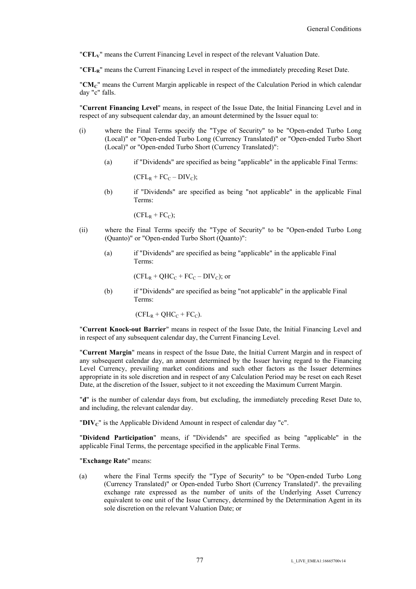"**CFLV**" means the Current Financing Level in respect of the relevant Valuation Date.

"**CFLR**" means the Current Financing Level in respect of the immediately preceding Reset Date.

"**CMC**" means the Current Margin applicable in respect of the Calculation Period in which calendar day "c" falls.

"**Current Financing Level**" means, in respect of the Issue Date, the Initial Financing Level and in respect of any subsequent calendar day, an amount determined by the Issuer equal to:

- (i) where the Final Terms specify the "Type of Security" to be "Open-ended Turbo Long (Local)" or "Open-ended Turbo Long (Currency Translated)" or "Open-ended Turbo Short (Local)" or "Open-ended Turbo Short (Currency Translated)":
	- (a) if "Dividends" are specified as being "applicable" in the applicable Final Terms:

 $(CFL_R + FC_C - DIV_C);$ 

(b) if "Dividends" are specified as being "not applicable" in the applicable Final Terms:

 $(CFL_R + FC_C);$ 

- (ii) where the Final Terms specify the "Type of Security" to be "Open-ended Turbo Long (Quanto)" or "Open-ended Turbo Short (Quanto)":
	- (a) if "Dividends" are specified as being "applicable" in the applicable Final Terms:

 $(CFL_R + QHC_C + FC_C - DIV_C)$ ; or

(b) if "Dividends" are specified as being "not applicable" in the applicable Final Terms:

 $(CFL_R + QHC_C + FC_C)$ .

"**Current Knock-out Barrier**" means in respect of the Issue Date, the Initial Financing Level and in respect of any subsequent calendar day, the Current Financing Level.

"**Current Margin**" means in respect of the Issue Date, the Initial Current Margin and in respect of any subsequent calendar day, an amount determined by the Issuer having regard to the Financing Level Currency, prevailing market conditions and such other factors as the Issuer determines appropriate in its sole discretion and in respect of any Calculation Period may be reset on each Reset Date, at the discretion of the Issuer, subject to it not exceeding the Maximum Current Margin.

"**d**" is the number of calendar days from, but excluding, the immediately preceding Reset Date to, and including, the relevant calendar day.

"**DIVC**" is the Applicable Dividend Amount in respect of calendar day "c".

"**Dividend Participation**" means, if "Dividends" are specified as being "applicable" in the applicable Final Terms, the percentage specified in the applicable Final Terms.

#### "**Exchange Rate**" means:

(a) where the Final Terms specify the "Type of Security" to be "Open-ended Turbo Long (Currency Translated)" or Open-ended Turbo Short (Currency Translated)". the prevailing exchange rate expressed as the number of units of the Underlying Asset Currency equivalent to one unit of the Issue Currency, determined by the Determination Agent in its sole discretion on the relevant Valuation Date; or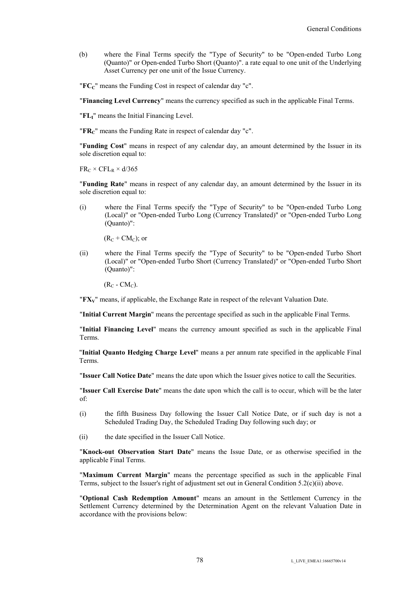(b) where the Final Terms specify the "Type of Security" to be "Open-ended Turbo Long (Quanto)" or Open-ended Turbo Short (Quanto)". a rate equal to one unit of the Underlying Asset Currency per one unit of the Issue Currency.

"**FCC**" means the Funding Cost in respect of calendar day "c".

"**Financing Level Currency**" means the currency specified as such in the applicable Final Terms.

"**FLI**" means the Initial Financing Level.

"**FRC**" means the Funding Rate in respect of calendar day "c".

"**Funding Cost**" means in respect of any calendar day, an amount determined by the Issuer in its sole discretion equal to:

 $FR_C \times CFL_R \times d/365$ 

"**Funding Rate**" means in respect of any calendar day, an amount determined by the Issuer in its sole discretion equal to:

(i) where the Final Terms specify the "Type of Security" to be "Open-ended Turbo Long (Local)" or "Open-ended Turbo Long (Currency Translated)" or "Open-ended Turbo Long (Quanto)":

 $(R_C + CM_C)$ ; or

(ii) where the Final Terms specify the "Type of Security" to be "Open-ended Turbo Short (Local)" or "Open-ended Turbo Short (Currency Translated)" or "Open-ended Turbo Short (Quanto)":

 $(R_C - CM_C)$ .

"**FXV**" means, if applicable, the Exchange Rate in respect of the relevant Valuation Date.

"**Initial Current Margin**" means the percentage specified as such in the applicable Final Terms.

"**Initial Financing Level**" means the currency amount specified as such in the applicable Final Terms.

"**Initial Quanto Hedging Charge Level**" means a per annum rate specified in the applicable Final Terms.

"**Issuer Call Notice Date**" means the date upon which the Issuer gives notice to call the Securities.

"**Issuer Call Exercise Date**" means the date upon which the call is to occur, which will be the later of:

- (i) the fifth Business Day following the Issuer Call Notice Date, or if such day is not a Scheduled Trading Day, the Scheduled Trading Day following such day; or
- (ii) the date specified in the Issuer Call Notice.

"**Knock-out Observation Start Date**" means the Issue Date, or as otherwise specified in the applicable Final Terms.

"**Maximum Current Margin**" means the percentage specified as such in the applicable Final Terms, subject to the Issuer's right of adjustment set out in General Condition 5.2(c)(ii) above.

"**Optional Cash Redemption Amount**" means an amount in the Settlement Currency in the Settlement Currency determined by the Determination Agent on the relevant Valuation Date in accordance with the provisions below: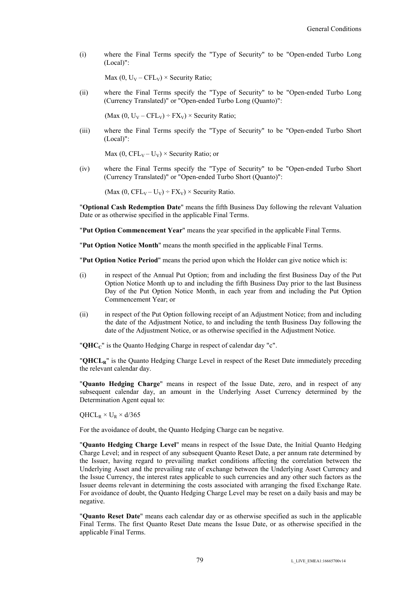(i) where the Final Terms specify the "Type of Security" to be "Open-ended Turbo Long (Local)":

Max (0,  $U_V - CFL_V$ ) × Security Ratio;

(ii) where the Final Terms specify the "Type of Security" to be "Open-ended Turbo Long (Currency Translated)" or "Open-ended Turbo Long (Quanto)":

(Max (0,  $U_V - CFL_V$ ) ÷  $FX_V$ ) × Security Ratio;

(iii) where the Final Terms specify the "Type of Security" to be "Open-ended Turbo Short (Local)":

Max (0,  $\text{CFL}_V - U_V$ ) × Security Ratio; or

(iv) where the Final Terms specify the "Type of Security" to be "Open-ended Turbo Short (Currency Translated)" or "Open-ended Turbo Short (Quanto)":

(Max  $(0, CFL_V - U_V) \div FX_V$ ) × Security Ratio.

"**Optional Cash Redemption Date**" means the fifth Business Day following the relevant Valuation Date or as otherwise specified in the applicable Final Terms.

"**Put Option Commencement Year**" means the year specified in the applicable Final Terms.

"**Put Option Notice Month**" means the month specified in the applicable Final Terms.

"**Put Option Notice Period**" means the period upon which the Holder can give notice which is:

- (i) in respect of the Annual Put Option; from and including the first Business Day of the Put Option Notice Month up to and including the fifth Business Day prior to the last Business Day of the Put Option Notice Month, in each year from and including the Put Option Commencement Year; or
- (ii) in respect of the Put Option following receipt of an Adjustment Notice; from and including the date of the Adjustment Notice, to and including the tenth Business Day following the date of the Adjustment Notice, or as otherwise specified in the Adjustment Notice.

"**QHCC**" is the Quanto Hedging Charge in respect of calendar day "c".

"**QHCLR**" is the Quanto Hedging Charge Level in respect of the Reset Date immediately preceding the relevant calendar day.

"**Quanto Hedging Charge**" means in respect of the Issue Date, zero, and in respect of any subsequent calendar day, an amount in the Underlying Asset Currency determined by the Determination Agent equal to:

 $QHCL_R \times U_R \times d/365$ 

For the avoidance of doubt, the Quanto Hedging Charge can be negative.

"**Quanto Hedging Charge Level**" means in respect of the Issue Date, the Initial Quanto Hedging Charge Level; and in respect of any subsequent Quanto Reset Date, a per annum rate determined by the Issuer, having regard to prevailing market conditions affecting the correlation between the Underlying Asset and the prevailing rate of exchange between the Underlying Asset Currency and the Issue Currency, the interest rates applicable to such currencies and any other such factors as the Issuer deems relevant in determining the costs associated with arranging the fixed Exchange Rate. For avoidance of doubt, the Quanto Hedging Charge Level may be reset on a daily basis and may be negative.

"**Quanto Reset Date**" means each calendar day or as otherwise specified as such in the applicable Final Terms. The first Quanto Reset Date means the Issue Date, or as otherwise specified in the applicable Final Terms.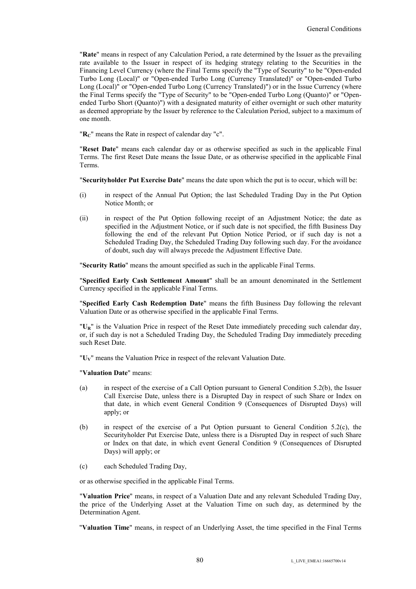"**Rate**" means in respect of any Calculation Period, a rate determined by the Issuer as the prevailing rate available to the Issuer in respect of its hedging strategy relating to the Securities in the Financing Level Currency (where the Final Terms specify the "Type of Security" to be "Open-ended Turbo Long (Local)" or "Open-ended Turbo Long (Currency Translated)" or "Open-ended Turbo Long (Local)" or "Open-ended Turbo Long (Currency Translated)") or in the Issue Currency (where the Final Terms specify the "Type of Security" to be "Open-ended Turbo Long (Quanto)" or "Openended Turbo Short (Quanto)") with a designated maturity of either overnight or such other maturity as deemed appropriate by the Issuer by reference to the Calculation Period, subject to a maximum of one month.

"R<sub>C</sub>" means the Rate in respect of calendar day "c".

"**Reset Date**" means each calendar day or as otherwise specified as such in the applicable Final Terms. The first Reset Date means the Issue Date, or as otherwise specified in the applicable Final Terms.

"**Securityholder Put Exercise Date**" means the date upon which the put is to occur, which will be:

- (i) in respect of the Annual Put Option; the last Scheduled Trading Day in the Put Option Notice Month; or
- (ii) in respect of the Put Option following receipt of an Adjustment Notice; the date as specified in the Adjustment Notice, or if such date is not specified, the fifth Business Day following the end of the relevant Put Option Notice Period, or if such day is not a Scheduled Trading Day, the Scheduled Trading Day following such day. For the avoidance of doubt, such day will always precede the Adjustment Effective Date.

"**Security Ratio**" means the amount specified as such in the applicable Final Terms.

"**Specified Early Cash Settlement Amount**" shall be an amount denominated in the Settlement Currency specified in the applicable Final Terms.

"**Specified Early Cash Redemption Date**" means the fifth Business Day following the relevant Valuation Date or as otherwise specified in the applicable Final Terms.

"**UR**" is the Valuation Price in respect of the Reset Date immediately preceding such calendar day, or, if such day is not a Scheduled Trading Day, the Scheduled Trading Day immediately preceding such Reset Date.

"**UV**" means the Valuation Price in respect of the relevant Valuation Date.

"**Valuation Date**" means:

- (a) in respect of the exercise of a Call Option pursuant to General Condition 5.2(b), the Issuer Call Exercise Date, unless there is a Disrupted Day in respect of such Share or Index on that date, in which event General Condition 9 (Consequences of Disrupted Days) will apply; or
- (b) in respect of the exercise of a Put Option pursuant to General Condition 5.2(c), the Securityholder Put Exercise Date, unless there is a Disrupted Day in respect of such Share or Index on that date, in which event General Condition 9 (Consequences of Disrupted Days) will apply; or
- (c) each Scheduled Trading Day,

or as otherwise specified in the applicable Final Terms.

"**Valuation Price**" means, in respect of a Valuation Date and any relevant Scheduled Trading Day, the price of the Underlying Asset at the Valuation Time on such day, as determined by the Determination Agent.

"**Valuation Time**" means, in respect of an Underlying Asset, the time specified in the Final Terms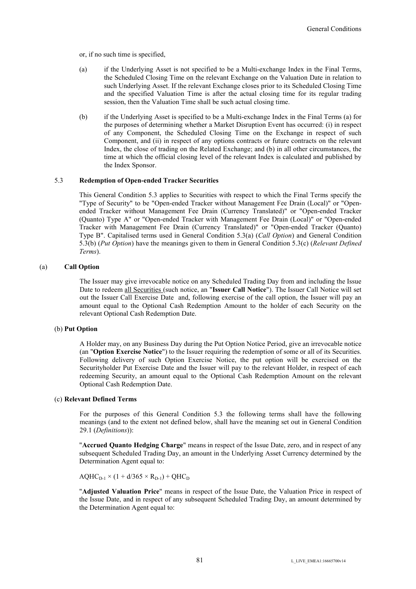or, if no such time is specified,

- (a) if the Underlying Asset is not specified to be a Multi-exchange Index in the Final Terms, the Scheduled Closing Time on the relevant Exchange on the Valuation Date in relation to such Underlying Asset. If the relevant Exchange closes prior to its Scheduled Closing Time and the specified Valuation Time is after the actual closing time for its regular trading session, then the Valuation Time shall be such actual closing time.
- (b) if the Underlying Asset is specified to be a Multi-exchange Index in the Final Terms (a) for the purposes of determining whether a Market Disruption Event has occurred: (i) in respect of any Component, the Scheduled Closing Time on the Exchange in respect of such Component, and (ii) in respect of any options contracts or future contracts on the relevant Index, the close of trading on the Related Exchange; and (b) in all other circumstances, the time at which the official closing level of the relevant Index is calculated and published by the Index Sponsor.

## 5.3 **Redemption of Open-ended Tracker Securities**

This General Condition 5.3 applies to Securities with respect to which the Final Terms specify the "Type of Security" to be "Open-ended Tracker without Management Fee Drain (Local)" or "Openended Tracker without Management Fee Drain (Currency Translated)" or "Open-ended Tracker (Quanto) Type A" or "Open-ended Tracker with Management Fee Drain (Local)" or "Open-ended Tracker with Management Fee Drain (Currency Translated)" or "Open-ended Tracker (Quanto) Type B". Capitalised terms used in General Condition 5.3(a) (*Call Option*) and General Condition 5.3(b) (*Put Option*) have the meanings given to them in General Condition 5.3(c) (*Relevant Defined Terms*).

### (a) **Call Option**

The Issuer may give irrevocable notice on any Scheduled Trading Day from and including the Issue Date to redeem all Securities (such notice, an "**Issuer Call Notice**"). The Issuer Call Notice will set out the Issuer Call Exercise Date and, following exercise of the call option, the Issuer will pay an amount equal to the Optional Cash Redemption Amount to the holder of each Security on the relevant Optional Cash Redemption Date.

### (b) **Put Option**

A Holder may, on any Business Day during the Put Option Notice Period, give an irrevocable notice (an "**Option Exercise Notice**") to the Issuer requiring the redemption of some or all of its Securities. Following delivery of such Option Exercise Notice, the put option will be exercised on the Securityholder Put Exercise Date and the Issuer will pay to the relevant Holder, in respect of each redeeming Security, an amount equal to the Optional Cash Redemption Amount on the relevant Optional Cash Redemption Date.

### (c) **Relevant Defined Terms**

For the purposes of this General Condition 5.3 the following terms shall have the following meanings (and to the extent not defined below, shall have the meaning set out in General Condition 29.1 (*Definitions*)):

"**Accrued Quanto Hedging Charge**" means in respect of the Issue Date, zero, and in respect of any subsequent Scheduled Trading Day, an amount in the Underlying Asset Currency determined by the Determination Agent equal to:

 $AQHC_{D-1} \times (1 + d/365 \times R_{D-1}) + QHC_D$ 

"**Adjusted Valuation Price**" means in respect of the Issue Date, the Valuation Price in respect of the Issue Date, and in respect of any subsequent Scheduled Trading Day, an amount determined by the Determination Agent equal to: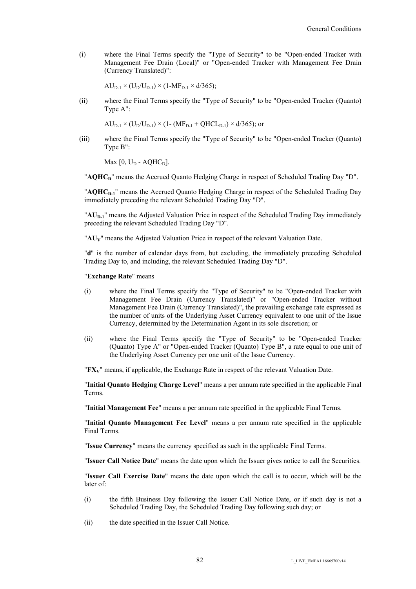(i) where the Final Terms specify the "Type of Security" to be "Open-ended Tracker with Management Fee Drain (Local)" or "Open-ended Tracker with Management Fee Drain (Currency Translated)":

 $AU_{D-1} \times (U_D/U_{D-1}) \times (1-MF_{D-1} \times d/365);$ 

(ii) where the Final Terms specify the "Type of Security" to be "Open-ended Tracker (Quanto) Type A":

 $AU_{D-1} \times (U_D/U_{D-1}) \times (1 - (MF_{D-1} + QHCL_{D-1}) \times d/365)$ ; or

(iii) where the Final Terms specify the "Type of Security" to be "Open-ended Tracker (Quanto) Type B":

Max  $[0, U_D - AQHC_D]$ .

"**AQHC<sub>D</sub>**" means the Accrued Quanto Hedging Charge in respect of Scheduled Trading Day "D".

"**AQHCD-1**" means the Accrued Quanto Hedging Charge in respect of the Scheduled Trading Day immediately preceding the relevant Scheduled Trading Day "D".

"**AU<sub>D-1</sub>**" means the Adjusted Valuation Price in respect of the Scheduled Trading Day immediately preceding the relevant Scheduled Trading Day "D".

"**AUV**" means the Adjusted Valuation Price in respect of the relevant Valuation Date.

"**d**" is the number of calendar days from, but excluding, the immediately preceding Scheduled Trading Day to, and including, the relevant Scheduled Trading Day "D".

#### "**Exchange Rate**" means

- (i) where the Final Terms specify the "Type of Security" to be "Open-ended Tracker with Management Fee Drain (Currency Translated)" or "Open-ended Tracker without Management Fee Drain (Currency Translated)", the prevailing exchange rate expressed as the number of units of the Underlying Asset Currency equivalent to one unit of the Issue Currency, determined by the Determination Agent in its sole discretion; or
- (ii) where the Final Terms specify the "Type of Security" to be "Open-ended Tracker (Quanto) Type A" or "Open-ended Tracker (Quanto) Type B", a rate equal to one unit of the Underlying Asset Currency per one unit of the Issue Currency.

"**FXV**" means, if applicable, the Exchange Rate in respect of the relevant Valuation Date.

"**Initial Quanto Hedging Charge Level**" means a per annum rate specified in the applicable Final Terms.

"**Initial Management Fee**" means a per annum rate specified in the applicable Final Terms.

"**Initial Quanto Management Fee Level**" means a per annum rate specified in the applicable Final Terms.

"**Issue Currency**" means the currency specified as such in the applicable Final Terms.

"**Issuer Call Notice Date**" means the date upon which the Issuer gives notice to call the Securities.

"**Issuer Call Exercise Date**" means the date upon which the call is to occur, which will be the later of:

- (i) the fifth Business Day following the Issuer Call Notice Date, or if such day is not a Scheduled Trading Day, the Scheduled Trading Day following such day; or
- (ii) the date specified in the Issuer Call Notice.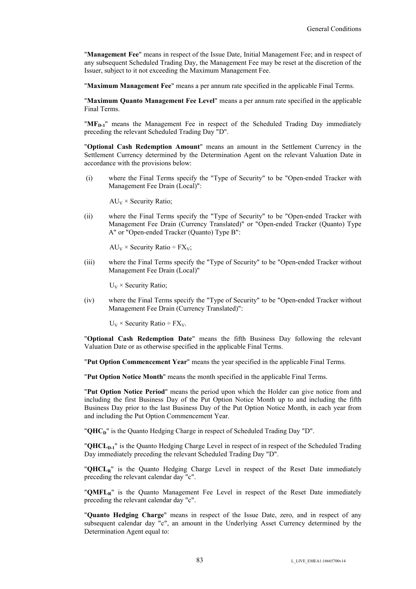"**Management Fee**" means in respect of the Issue Date, Initial Management Fee; and in respect of any subsequent Scheduled Trading Day, the Management Fee may be reset at the discretion of the Issuer, subject to it not exceeding the Maximum Management Fee.

"**Maximum Management Fee**" means a per annum rate specified in the applicable Final Terms.

"**Maximum Quanto Management Fee Level**" means a per annum rate specified in the applicable Final Terms.

**"MF<sub>D-1</sub>"** means the Management Fee in respect of the Scheduled Trading Day immediately preceding the relevant Scheduled Trading Day "D".

"**Optional Cash Redemption Amount**" means an amount in the Settlement Currency in the Settlement Currency determined by the Determination Agent on the relevant Valuation Date in accordance with the provisions below:

(i) where the Final Terms specify the "Type of Security" to be "Open-ended Tracker with Management Fee Drain (Local)":

 $AU_V \times$  Security Ratio;

(ii) where the Final Terms specify the "Type of Security" to be "Open-ended Tracker with Management Fee Drain (Currency Translated)" or "Open-ended Tracker (Quanto) Type A" or "Open-ended Tracker (Quanto) Type B":

 $AU_V \times$  Security Ratio ÷ FX<sub>V</sub>;

(iii) where the Final Terms specify the "Type of Security" to be "Open-ended Tracker without Management Fee Drain (Local)"

 $U_V \times$  Security Ratio;

(iv) where the Final Terms specify the "Type of Security" to be "Open-ended Tracker without Management Fee Drain (Currency Translated)":

 $U_V \times$  Security Ratio ÷ FX<sub>V</sub>.

"**Optional Cash Redemption Date**" means the fifth Business Day following the relevant Valuation Date or as otherwise specified in the applicable Final Terms.

"**Put Option Commencement Year**" means the year specified in the applicable Final Terms.

"**Put Option Notice Month**" means the month specified in the applicable Final Terms.

"**Put Option Notice Period**" means the period upon which the Holder can give notice from and including the first Business Day of the Put Option Notice Month up to and including the fifth Business Day prior to the last Business Day of the Put Option Notice Month, in each year from and including the Put Option Commencement Year.

"**QHC<sub>D</sub>**" is the Quanto Hedging Charge in respect of Scheduled Trading Day "D".

"**QHCLD-1**" is the Quanto Hedging Charge Level in respect of in respect of the Scheduled Trading Day immediately preceding the relevant Scheduled Trading Day "D".

"**QHCLR**" is the Quanto Hedging Charge Level in respect of the Reset Date immediately preceding the relevant calendar day "c".

"**QMFLR**" is the Quanto Management Fee Level in respect of the Reset Date immediately preceding the relevant calendar day "c".

"**Quanto Hedging Charge**" means in respect of the Issue Date, zero, and in respect of any subsequent calendar day "c", an amount in the Underlying Asset Currency determined by the Determination Agent equal to: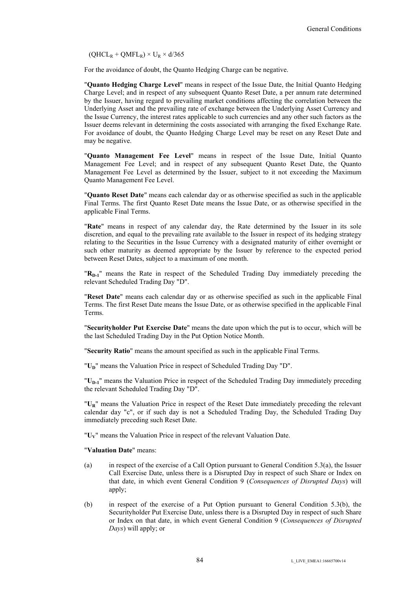$(QHCL_R + QMFL_R) \times U_R \times d/365$ 

For the avoidance of doubt, the Quanto Hedging Charge can be negative.

"**Quanto Hedging Charge Level**" means in respect of the Issue Date, the Initial Quanto Hedging Charge Level; and in respect of any subsequent Quanto Reset Date, a per annum rate determined by the Issuer, having regard to prevailing market conditions affecting the correlation between the Underlying Asset and the prevailing rate of exchange between the Underlying Asset Currency and the Issue Currency, the interest rates applicable to such currencies and any other such factors as the Issuer deems relevant in determining the costs associated with arranging the fixed Exchange Rate. For avoidance of doubt, the Quanto Hedging Charge Level may be reset on any Reset Date and may be negative.

"**Quanto Management Fee Level**" means in respect of the Issue Date, Initial Quanto Management Fee Level; and in respect of any subsequent Quanto Reset Date, the Quanto Management Fee Level as determined by the Issuer, subject to it not exceeding the Maximum Quanto Management Fee Level.

"**Quanto Reset Date**" means each calendar day or as otherwise specified as such in the applicable Final Terms. The first Quanto Reset Date means the Issue Date, or as otherwise specified in the applicable Final Terms.

"**Rate**" means in respect of any calendar day, the Rate determined by the Issuer in its sole discretion, and equal to the prevailing rate available to the Issuer in respect of its hedging strategy relating to the Securities in the Issue Currency with a designated maturity of either overnight or such other maturity as deemed appropriate by the Issuer by reference to the expected period between Reset Dates, subject to a maximum of one month.

"**RD-1**" means the Rate in respect of the Scheduled Trading Day immediately preceding the relevant Scheduled Trading Day "D".

"**Reset Date**" means each calendar day or as otherwise specified as such in the applicable Final Terms. The first Reset Date means the Issue Date, or as otherwise specified in the applicable Final Terms.

"**Securityholder Put Exercise Date**" means the date upon which the put is to occur, which will be the last Scheduled Trading Day in the Put Option Notice Month.

"**Security Ratio**" means the amount specified as such in the applicable Final Terms.

"U<sub>D</sub>" means the Valuation Price in respect of Scheduled Trading Day "D".

"**UD-1**" means the Valuation Price in respect of the Scheduled Trading Day immediately preceding the relevant Scheduled Trading Day "D".

"**UR**" means the Valuation Price in respect of the Reset Date immediately preceding the relevant calendar day "c", or if such day is not a Scheduled Trading Day, the Scheduled Trading Day immediately preceding such Reset Date.

"**UV**" means the Valuation Price in respect of the relevant Valuation Date.

"**Valuation Date**" means:

- (a) in respect of the exercise of a Call Option pursuant to General Condition 5.3(a), the Issuer Call Exercise Date, unless there is a Disrupted Day in respect of such Share or Index on that date, in which event General Condition 9 (*Consequences of Disrupted Days*) will apply;
- (b) in respect of the exercise of a Put Option pursuant to General Condition 5.3(b), the Securityholder Put Exercise Date, unless there is a Disrupted Day in respect of such Share or Index on that date, in which event General Condition 9 (*Consequences of Disrupted Days*) will apply; or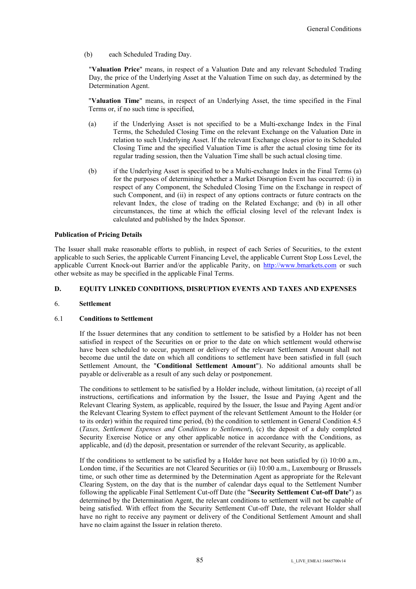(b) each Scheduled Trading Day.

"**Valuation Price**" means, in respect of a Valuation Date and any relevant Scheduled Trading Day, the price of the Underlying Asset at the Valuation Time on such day, as determined by the Determination Agent.

"**Valuation Time**" means, in respect of an Underlying Asset, the time specified in the Final Terms or, if no such time is specified,

- (a) if the Underlying Asset is not specified to be a Multi-exchange Index in the Final Terms, the Scheduled Closing Time on the relevant Exchange on the Valuation Date in relation to such Underlying Asset. If the relevant Exchange closes prior to its Scheduled Closing Time and the specified Valuation Time is after the actual closing time for its regular trading session, then the Valuation Time shall be such actual closing time.
- (b) if the Underlying Asset is specified to be a Multi-exchange Index in the Final Terms (a) for the purposes of determining whether a Market Disruption Event has occurred: (i) in respect of any Component, the Scheduled Closing Time on the Exchange in respect of such Component, and (ii) in respect of any options contracts or future contracts on the relevant Index, the close of trading on the Related Exchange; and (b) in all other circumstances, the time at which the official closing level of the relevant Index is calculated and published by the Index Sponsor.

# **Publication of Pricing Details**

The Issuer shall make reasonable efforts to publish, in respect of each Series of Securities, to the extent applicable to such Series, the applicable Current Financing Level, the applicable Current Stop Loss Level, the applicable Current Knock-out Barrier and/or the applicable Parity, on http://www.bmarkets.com or such other website as may be specified in the applicable Final Terms.

## **D. EQUITY LINKED CONDITIONS, DISRUPTION EVENTS AND TAXES AND EXPENSES**

### 6. **Settlement**

## 6.1 **Conditions to Settlement**

If the Issuer determines that any condition to settlement to be satisfied by a Holder has not been satisfied in respect of the Securities on or prior to the date on which settlement would otherwise have been scheduled to occur, payment or delivery of the relevant Settlement Amount shall not become due until the date on which all conditions to settlement have been satisfied in full (such Settlement Amount, the "**Conditional Settlement Amount**"). No additional amounts shall be payable or deliverable as a result of any such delay or postponement.

The conditions to settlement to be satisfied by a Holder include, without limitation, (a) receipt of all instructions, certifications and information by the Issuer, the Issue and Paying Agent and the Relevant Clearing System, as applicable, required by the Issuer, the Issue and Paying Agent and/or the Relevant Clearing System to effect payment of the relevant Settlement Amount to the Holder (or to its order) within the required time period, (b) the condition to settlement in General Condition 4.5 (*Taxes, Settlement Expenses and Conditions to Settlement*), (c) the deposit of a duly completed Security Exercise Notice or any other applicable notice in accordance with the Conditions, as applicable, and (d) the deposit, presentation or surrender of the relevant Security, as applicable.

If the conditions to settlement to be satisfied by a Holder have not been satisfied by (i) 10:00 a.m., London time, if the Securities are not Cleared Securities or (ii) 10:00 a.m., Luxembourg or Brussels time, or such other time as determined by the Determination Agent as appropriate for the Relevant Clearing System, on the day that is the number of calendar days equal to the Settlement Number following the applicable Final Settlement Cut-off Date (the "**Security Settlement Cut-off Date**") as determined by the Determination Agent, the relevant conditions to settlement will not be capable of being satisfied. With effect from the Security Settlement Cut-off Date, the relevant Holder shall have no right to receive any payment or delivery of the Conditional Settlement Amount and shall have no claim against the Issuer in relation thereto.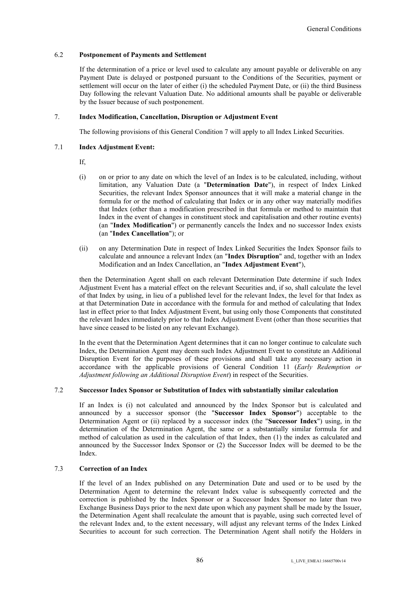## 6.2 **Postponement of Payments and Settlement**

If the determination of a price or level used to calculate any amount payable or deliverable on any Payment Date is delayed or postponed pursuant to the Conditions of the Securities, payment or settlement will occur on the later of either (i) the scheduled Payment Date, or (ii) the third Business Day following the relevant Valuation Date. No additional amounts shall be payable or deliverable by the Issuer because of such postponement.

## 7. **Index Modification, Cancellation, Disruption or Adjustment Event**

The following provisions of this General Condition 7 will apply to all Index Linked Securities.

## 7.1 **Index Adjustment Event:**

If,

- (i) on or prior to any date on which the level of an Index is to be calculated, including, without limitation, any Valuation Date (a "**Determination Date**"), in respect of Index Linked Securities, the relevant Index Sponsor announces that it will make a material change in the formula for or the method of calculating that Index or in any other way materially modifies that Index (other than a modification prescribed in that formula or method to maintain that Index in the event of changes in constituent stock and capitalisation and other routine events) (an "**Index Modification**") or permanently cancels the Index and no successor Index exists (an "**Index Cancellation**"); or
- (ii) on any Determination Date in respect of Index Linked Securities the Index Sponsor fails to calculate and announce a relevant Index (an "**Index Disruption**" and, together with an Index Modification and an Index Cancellation, an "**Index Adjustment Event**"),

then the Determination Agent shall on each relevant Determination Date determine if such Index Adjustment Event has a material effect on the relevant Securities and, if so, shall calculate the level of that Index by using, in lieu of a published level for the relevant Index, the level for that Index as at that Determination Date in accordance with the formula for and method of calculating that Index last in effect prior to that Index Adjustment Event, but using only those Components that constituted the relevant Index immediately prior to that Index Adjustment Event (other than those securities that have since ceased to be listed on any relevant Exchange).

In the event that the Determination Agent determines that it can no longer continue to calculate such Index, the Determination Agent may deem such Index Adjustment Event to constitute an Additional Disruption Event for the purposes of these provisions and shall take any necessary action in accordance with the applicable provisions of General Condition 11 (*Early Redemption or Adjustment following an Additional Disruption Event*) in respect of the Securities.

# 7.2 **Successor Index Sponsor or Substitution of Index with substantially similar calculation**

If an Index is (i) not calculated and announced by the Index Sponsor but is calculated and announced by a successor sponsor (the "**Successor Index Sponsor**") acceptable to the Determination Agent or (ii) replaced by a successor index (the "**Successor Index**") using, in the determination of the Determination Agent, the same or a substantially similar formula for and method of calculation as used in the calculation of that Index, then (1) the index as calculated and announced by the Successor Index Sponsor or (2) the Successor Index will be deemed to be the Index.

# 7.3 **Correction of an Index**

If the level of an Index published on any Determination Date and used or to be used by the Determination Agent to determine the relevant Index value is subsequently corrected and the correction is published by the Index Sponsor or a Successor Index Sponsor no later than two Exchange Business Days prior to the next date upon which any payment shall be made by the Issuer, the Determination Agent shall recalculate the amount that is payable, using such corrected level of the relevant Index and, to the extent necessary, will adjust any relevant terms of the Index Linked Securities to account for such correction. The Determination Agent shall notify the Holders in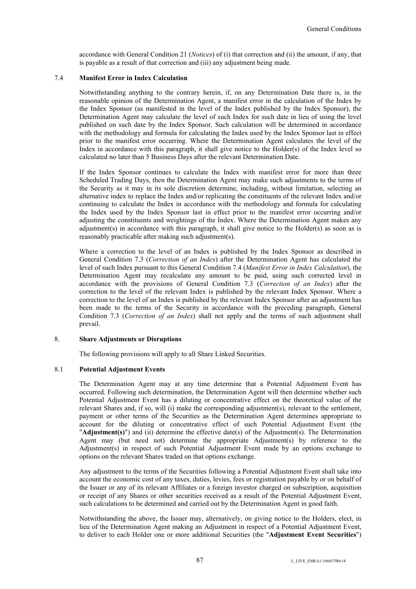accordance with General Condition 21 (*Notices*) of (i) that correction and (ii) the amount, if any, that is payable as a result of that correction and (iii) any adjustment being made.

## 7.4 **Manifest Error in Index Calculation**

Notwithstanding anything to the contrary herein, if, on any Determination Date there is, in the reasonable opinion of the Determination Agent, a manifest error in the calculation of the Index by the Index Sponsor (as manifested in the level of the Index published by the Index Sponsor), the Determination Agent may calculate the level of such Index for such date in lieu of using the level published on such date by the Index Sponsor. Such calculation will be determined in accordance with the methodology and formula for calculating the Index used by the Index Sponsor last in effect prior to the manifest error occurring. Where the Determination Agent calculates the level of the Index in accordance with this paragraph, it shall give notice to the Holder(s) of the Index level so calculated no later than 5 Business Days after the relevant Determination Date.

If the Index Sponsor continues to calculate the Index with manifest error for more than three Scheduled Trading Days, then the Determination Agent may make such adjustments to the terms of the Security as it may in its sole discretion determine, including, without limitation, selecting an alternative index to replace the Index and/or replicating the constituents of the relevant Index and/or continuing to calculate the Index in accordance with the methodology and formula for calculating the Index used by the Index Sponsor last in effect prior to the manifest error occurring and/or adjusting the constituents and weightings of the Index. Where the Determination Agent makes any adjustment(s) in accordance with this paragraph, it shall give notice to the Holder(s) as soon as is reasonably practicable after making such adjustment(s).

Where a correction to the level of an Index is published by the Index Sponsor as described in General Condition 7.3 (*Correction of an Index*) after the Determination Agent has calculated the level of such Index pursuant to this General Condition 7.4 (*Manifest Error in Index Calculation*), the Determination Agent may recalculate any amount to be paid, using such corrected level in accordance with the provisions of General Condition 7.3 (*Correction of an Index*) after the correction to the level of the relevant Index is published by the relevant Index Sponsor. Where a correction to the level of an Index is published by the relevant Index Sponsor after an adjustment has been made to the terms of the Security in accordance with the preceding paragraph, General Condition 7.3 (*Correction of an Index*) shall not apply and the terms of such adjustment shall prevail.

### 8. **Share Adjustments or Disruptions**

The following provisions will apply to all Share Linked Securities.

### 8.1 **Potential Adjustment Events**

The Determination Agent may at any time determine that a Potential Adjustment Event has occurred. Following such determination, the Determination Agent will then determine whether such Potential Adjustment Event has a diluting or concentrative effect on the theoretical value of the relevant Shares and, if so, will (i) make the corresponding adjustment(s), relevant to the settlement, payment or other terms of the Securities as the Determination Agent determines appropriate to account for the diluting or concentrative effect of such Potential Adjustment Event (the "**Adjustment(s)**") and (ii) determine the effective date(s) of the Adjustment(s). The Determination Agent may (but need not) determine the appropriate Adjustment(s) by reference to the Adjustment(s) in respect of such Potential Adjustment Event made by an options exchange to options on the relevant Shares traded on that options exchange.

Any adjustment to the terms of the Securities following a Potential Adjustment Event shall take into account the economic cost of any taxes, duties, levies, fees or registration payable by or on behalf of the Issuer or any of its relevant Affiliates or a foreign investor charged on subscription, acquisition or receipt of any Shares or other securities received as a result of the Potential Adjustment Event, such calculations to be determined and carried out by the Determination Agent in good faith.

Notwithstanding the above, the Issuer may, alternatively, on giving notice to the Holders, elect, in lieu of the Determination Agent making an Adjustment in respect of a Potential Adjustment Event, to deliver to each Holder one or more additional Securities (the "**Adjustment Event Securities**")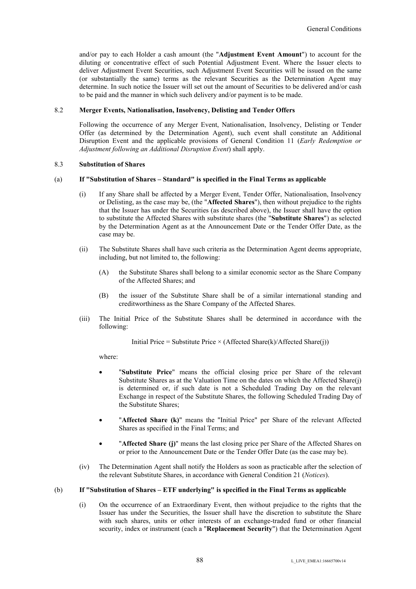and/or pay to each Holder a cash amount (the "**Adjustment Event Amount**") to account for the diluting or concentrative effect of such Potential Adjustment Event. Where the Issuer elects to deliver Adjustment Event Securities, such Adjustment Event Securities will be issued on the same (or substantially the same) terms as the relevant Securities as the Determination Agent may determine. In such notice the Issuer will set out the amount of Securities to be delivered and/or cash to be paid and the manner in which such delivery and/or payment is to be made.

## 8.2 **Merger Events, Nationalisation, Insolvency, Delisting and Tender Offers**

Following the occurrence of any Merger Event, Nationalisation, Insolvency, Delisting or Tender Offer (as determined by the Determination Agent), such event shall constitute an Additional Disruption Event and the applicable provisions of General Condition 11 (*Early Redemption or Adjustment following an Additional Disruption Event*) shall apply.

## 8.3 **Substitution of Shares**

## (a) **If "Substitution of Shares – Standard" is specified in the Final Terms as applicable**

- (i) If any Share shall be affected by a Merger Event, Tender Offer, Nationalisation, Insolvency or Delisting, as the case may be, (the "**Affected Shares**"), then without prejudice to the rights that the Issuer has under the Securities (as described above), the Issuer shall have the option to substitute the Affected Shares with substitute shares (the "**Substitute Shares**") as selected by the Determination Agent as at the Announcement Date or the Tender Offer Date, as the case may be.
- (ii) The Substitute Shares shall have such criteria as the Determination Agent deems appropriate, including, but not limited to, the following:
	- (A) the Substitute Shares shall belong to a similar economic sector as the Share Company of the Affected Shares; and
	- (B) the issuer of the Substitute Share shall be of a similar international standing and creditworthiness as the Share Company of the Affected Shares.
- (iii) The Initial Price of the Substitute Shares shall be determined in accordance with the following:

Initial Price = Substitute Price  $\times$  (Affected Share(k)/Affected Share(j))

where:

- "**Substitute Price**" means the official closing price per Share of the relevant Substitute Shares as at the Valuation Time on the dates on which the Affected Share(j) is determined or, if such date is not a Scheduled Trading Day on the relevant Exchange in respect of the Substitute Shares, the following Scheduled Trading Day of the Substitute Shares;
- "**Affected Share (k)**" means the "Initial Price" per Share of the relevant Affected Shares as specified in the Final Terms; and
- "**Affected Share (j)**" means the last closing price per Share of the Affected Shares on or prior to the Announcement Date or the Tender Offer Date (as the case may be).
- (iv) The Determination Agent shall notify the Holders as soon as practicable after the selection of the relevant Substitute Shares, in accordance with General Condition 21 (*Notices*).

### (b) **If "Substitution of Shares – ETF underlying" is specified in the Final Terms as applicable**

(i) On the occurrence of an Extraordinary Event, then without prejudice to the rights that the Issuer has under the Securities, the Issuer shall have the discretion to substitute the Share with such shares, units or other interests of an exchange-traded fund or other financial security, index or instrument (each a "**Replacement Security**") that the Determination Agent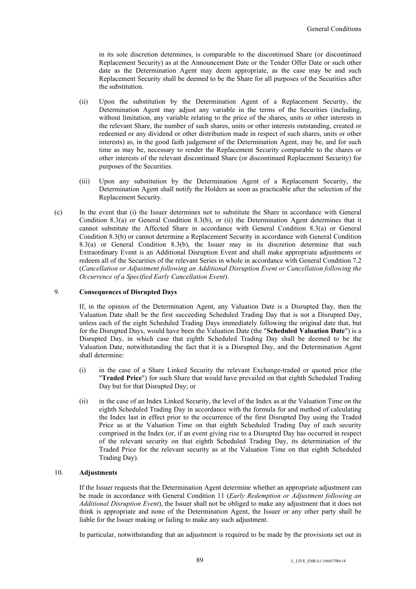in its sole discretion determines, is comparable to the discontinued Share (or discontinued Replacement Security) as at the Announcement Date or the Tender Offer Date or such other date as the Determination Agent may deem appropriate, as the case may be and such Replacement Security shall be deemed to be the Share for all purposes of the Securities after the substitution.

- (ii) Upon the substitution by the Determination Agent of a Replacement Security, the Determination Agent may adjust any variable in the terms of the Securities (including, without limitation, any variable relating to the price of the shares, units or other interests in the relevant Share, the number of such shares, units or other interests outstanding, created or redeemed or any dividend or other distribution made in respect of such shares, units or other interests) as, in the good faith judgement of the Determination Agent, may be, and for such time as may be, necessary to render the Replacement Security comparable to the shares or other interests of the relevant discontinued Share (or discontinued Replacement Security) for purposes of the Securities.
- (iii) Upon any substitution by the Determination Agent of a Replacement Security, the Determination Agent shall notify the Holders as soon as practicable after the selection of the Replacement Security.
- (c) In the event that (i) the Issuer determines not to substitute the Share in accordance with General Condition 8.3(a) or General Condition 8.3(b), or (ii) the Determination Agent determines that it cannot substitute the Affected Share in accordance with General Condition 8.3(a) or General Condition 8.3(b) or cannot determine a Replacement Security in accordance with General Condition 8.3(a) or General Condition 8.3(b), the Issuer may in its discretion determine that such Extraordinary Event is an Additional Disruption Event and shall make appropriate adjustments or redeem all of the Securities of the relevant Series in whole in accordance with General Condition 7.2 (*Cancellation or Adjustment following an Additional Disruption Event or Cancellation following the Occurrence of a Specified Early Cancellation Event*).

## 9. **Consequences of Disrupted Days**

If, in the opinion of the Determination Agent, any Valuation Date is a Disrupted Day, then the Valuation Date shall be the first succeeding Scheduled Trading Day that is not a Disrupted Day, unless each of the eight Scheduled Trading Days immediately following the original date that, but for the Disrupted Days, would have been the Valuation Date (the "**Scheduled Valuation Date**") is a Disrupted Day, in which case that eighth Scheduled Trading Day shall be deemed to be the Valuation Date, notwithstanding the fact that it is a Disrupted Day, and the Determination Agent shall determine:

- (i) in the case of a Share Linked Security the relevant Exchange-traded or quoted price (the "**Traded Price**") for such Share that would have prevailed on that eighth Scheduled Trading Day but for that Disrupted Day; or
- (ii) in the case of an Index Linked Security, the level of the Index as at the Valuation Time on the eighth Scheduled Trading Day in accordance with the formula for and method of calculating the Index last in effect prior to the occurrence of the first Disrupted Day using the Traded Price as at the Valuation Time on that eighth Scheduled Trading Day of each security comprised in the Index (or, if an event giving rise to a Disrupted Day has occurred in respect of the relevant security on that eighth Scheduled Trading Day, its determination of the Traded Price for the relevant security as at the Valuation Time on that eighth Scheduled Trading Day).

### 10. **Adjustments**

If the Issuer requests that the Determination Agent determine whether an appropriate adjustment can be made in accordance with General Condition 11 (*Early Redemption or Adjustment following an Additional Disruption Event*), the Issuer shall not be obliged to make any adjustment that it does not think is appropriate and none of the Determination Agent, the Issuer or any other party shall be liable for the Issuer making or failing to make any such adjustment.

In particular, notwithstanding that an adjustment is required to be made by the provisions set out in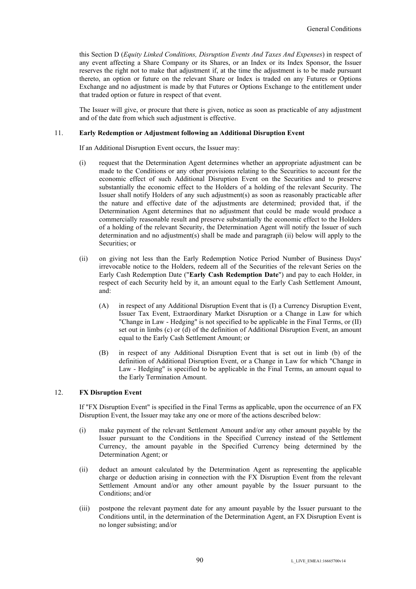this Section D (*Equity Linked Conditions, Disruption Events And Taxes And Expenses*) in respect of any event affecting a Share Company or its Shares, or an Index or its Index Sponsor, the Issuer reserves the right not to make that adjustment if, at the time the adjustment is to be made pursuant thereto, an option or future on the relevant Share or Index is traded on any Futures or Options Exchange and no adjustment is made by that Futures or Options Exchange to the entitlement under that traded option or future in respect of that event.

The Issuer will give, or procure that there is given, notice as soon as practicable of any adjustment and of the date from which such adjustment is effective.

## 11. **Early Redemption or Adjustment following an Additional Disruption Event**

If an Additional Disruption Event occurs, the Issuer may:

- (i) request that the Determination Agent determines whether an appropriate adjustment can be made to the Conditions or any other provisions relating to the Securities to account for the economic effect of such Additional Disruption Event on the Securities and to preserve substantially the economic effect to the Holders of a holding of the relevant Security. The Issuer shall notify Holders of any such adjustment(s) as soon as reasonably practicable after the nature and effective date of the adjustments are determined; provided that, if the Determination Agent determines that no adjustment that could be made would produce a commercially reasonable result and preserve substantially the economic effect to the Holders of a holding of the relevant Security, the Determination Agent will notify the Issuer of such determination and no adjustment(s) shall be made and paragraph (ii) below will apply to the Securities; or
- (ii) on giving not less than the Early Redemption Notice Period Number of Business Days' irrevocable notice to the Holders, redeem all of the Securities of the relevant Series on the Early Cash Redemption Date ("**Early Cash Redemption Date**") and pay to each Holder, in respect of each Security held by it, an amount equal to the Early Cash Settlement Amount, and:
	- (A) in respect of any Additional Disruption Event that is (I) a Currency Disruption Event, Issuer Tax Event, Extraordinary Market Disruption or a Change in Law for which "Change in Law - Hedging" is not specified to be applicable in the Final Terms, or (II) set out in limbs (c) or (d) of the definition of Additional Disruption Event, an amount equal to the Early Cash Settlement Amount; or
	- (B) in respect of any Additional Disruption Event that is set out in limb (b) of the definition of Additional Disruption Event, or a Change in Law for which "Change in Law - Hedging" is specified to be applicable in the Final Terms, an amount equal to the Early Termination Amount.

### 12. **FX Disruption Event**

If "FX Disruption Event" is specified in the Final Terms as applicable, upon the occurrence of an FX Disruption Event, the Issuer may take any one or more of the actions described below:

- (i) make payment of the relevant Settlement Amount and/or any other amount payable by the Issuer pursuant to the Conditions in the Specified Currency instead of the Settlement Currency, the amount payable in the Specified Currency being determined by the Determination Agent; or
- (ii) deduct an amount calculated by the Determination Agent as representing the applicable charge or deduction arising in connection with the FX Disruption Event from the relevant Settlement Amount and/or any other amount payable by the Issuer pursuant to the Conditions; and/or
- (iii) postpone the relevant payment date for any amount payable by the Issuer pursuant to the Conditions until, in the determination of the Determination Agent, an FX Disruption Event is no longer subsisting; and/or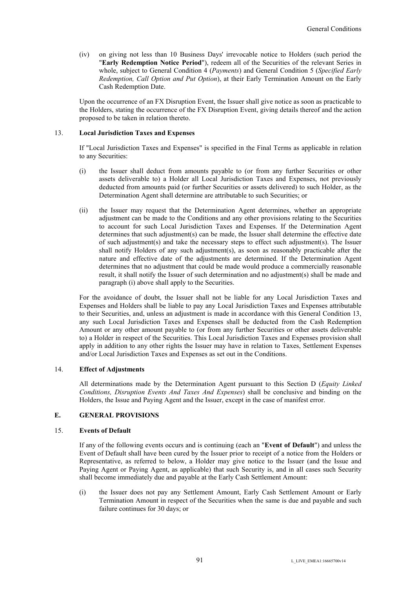(iv) on giving not less than 10 Business Days' irrevocable notice to Holders (such period the "**Early Redemption Notice Period**"), redeem all of the Securities of the relevant Series in whole, subject to General Condition 4 (*Payments*) and General Condition 5 (*Specified Early Redemption, Call Option and Put Option*), at their Early Termination Amount on the Early Cash Redemption Date.

Upon the occurrence of an FX Disruption Event, the Issuer shall give notice as soon as practicable to the Holders, stating the occurrence of the FX Disruption Event, giving details thereof and the action proposed to be taken in relation thereto.

## 13. **Local Jurisdiction Taxes and Expenses**

If "Local Jurisdiction Taxes and Expenses" is specified in the Final Terms as applicable in relation to any Securities:

- (i) the Issuer shall deduct from amounts payable to (or from any further Securities or other assets deliverable to) a Holder all Local Jurisdiction Taxes and Expenses, not previously deducted from amounts paid (or further Securities or assets delivered) to such Holder, as the Determination Agent shall determine are attributable to such Securities; or
- (ii) the Issuer may request that the Determination Agent determines, whether an appropriate adjustment can be made to the Conditions and any other provisions relating to the Securities to account for such Local Jurisdiction Taxes and Expenses. If the Determination Agent determines that such adjustment(s) can be made, the Issuer shall determine the effective date of such adjustment(s) and take the necessary steps to effect such adjustment(s). The Issuer shall notify Holders of any such adjustment(s), as soon as reasonably practicable after the nature and effective date of the adjustments are determined. If the Determination Agent determines that no adjustment that could be made would produce a commercially reasonable result, it shall notify the Issuer of such determination and no adjustment(s) shall be made and paragraph (i) above shall apply to the Securities.

For the avoidance of doubt, the Issuer shall not be liable for any Local Jurisdiction Taxes and Expenses and Holders shall be liable to pay any Local Jurisdiction Taxes and Expenses attributable to their Securities, and, unless an adjustment is made in accordance with this General Condition 13, any such Local Jurisdiction Taxes and Expenses shall be deducted from the Cash Redemption Amount or any other amount payable to (or from any further Securities or other assets deliverable to) a Holder in respect of the Securities. This Local Jurisdiction Taxes and Expenses provision shall apply in addition to any other rights the Issuer may have in relation to Taxes, Settlement Expenses and/or Local Jurisdiction Taxes and Expenses as set out in the Conditions.

### 14. **Effect of Adjustments**

All determinations made by the Determination Agent pursuant to this Section D (*Equity Linked Conditions, Disruption Events And Taxes And Expenses*) shall be conclusive and binding on the Holders, the Issue and Paying Agent and the Issuer, except in the case of manifest error.

## **E. GENERAL PROVISIONS**

### 15. **Events of Default**

If any of the following events occurs and is continuing (each an "**Event of Default**") and unless the Event of Default shall have been cured by the Issuer prior to receipt of a notice from the Holders or Representative, as referred to below, a Holder may give notice to the Issuer (and the Issue and Paying Agent or Paying Agent, as applicable) that such Security is, and in all cases such Security shall become immediately due and payable at the Early Cash Settlement Amount:

(i) the Issuer does not pay any Settlement Amount, Early Cash Settlement Amount or Early Termination Amount in respect of the Securities when the same is due and payable and such failure continues for 30 days; or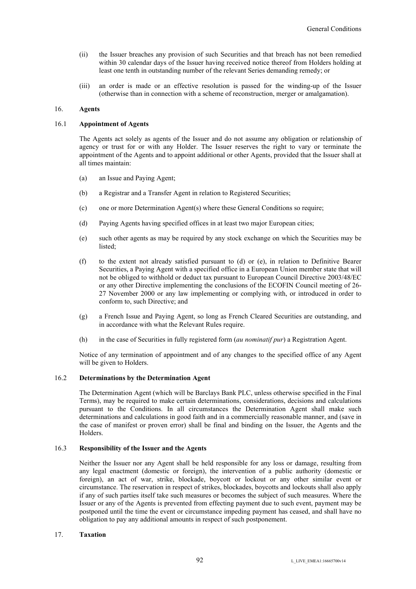- (ii) the Issuer breaches any provision of such Securities and that breach has not been remedied within 30 calendar days of the Issuer having received notice thereof from Holders holding at least one tenth in outstanding number of the relevant Series demanding remedy; or
- (iii) an order is made or an effective resolution is passed for the winding-up of the Issuer (otherwise than in connection with a scheme of reconstruction, merger or amalgamation).

# 16. **Agents**

### 16.1 **Appointment of Agents**

The Agents act solely as agents of the Issuer and do not assume any obligation or relationship of agency or trust for or with any Holder. The Issuer reserves the right to vary or terminate the appointment of the Agents and to appoint additional or other Agents, provided that the Issuer shall at all times maintain:

- (a) an Issue and Paying Agent;
- (b) a Registrar and a Transfer Agent in relation to Registered Securities;
- (c) one or more Determination Agent(s) where these General Conditions so require;
- (d) Paying Agents having specified offices in at least two major European cities;
- (e) such other agents as may be required by any stock exchange on which the Securities may be listed;
- (f) to the extent not already satisfied pursuant to (d) or (e), in relation to Definitive Bearer Securities, a Paying Agent with a specified office in a European Union member state that will not be obliged to withhold or deduct tax pursuant to European Council Directive 2003/48/EC or any other Directive implementing the conclusions of the ECOFIN Council meeting of 26- 27 November 2000 or any law implementing or complying with, or introduced in order to conform to, such Directive; and
- (g) a French Issue and Paying Agent, so long as French Cleared Securities are outstanding, and in accordance with what the Relevant Rules require.
- (h) in the case of Securities in fully registered form (*au nominatif pur*) a Registration Agent.

Notice of any termination of appointment and of any changes to the specified office of any Agent will be given to Holders.

## 16.2 **Determinations by the Determination Agent**

The Determination Agent (which will be Barclays Bank PLC, unless otherwise specified in the Final Terms), may be required to make certain determinations, considerations, decisions and calculations pursuant to the Conditions. In all circumstances the Determination Agent shall make such determinations and calculations in good faith and in a commercially reasonable manner, and (save in the case of manifest or proven error) shall be final and binding on the Issuer, the Agents and the Holders.

## 16.3 **Responsibility of the Issuer and the Agents**

Neither the Issuer nor any Agent shall be held responsible for any loss or damage, resulting from any legal enactment (domestic or foreign), the intervention of a public authority (domestic or foreign), an act of war, strike, blockade, boycott or lockout or any other similar event or circumstance. The reservation in respect of strikes, blockades, boycotts and lockouts shall also apply if any of such parties itself take such measures or becomes the subject of such measures. Where the Issuer or any of the Agents is prevented from effecting payment due to such event, payment may be postponed until the time the event or circumstance impeding payment has ceased, and shall have no obligation to pay any additional amounts in respect of such postponement.

## 17. **Taxation**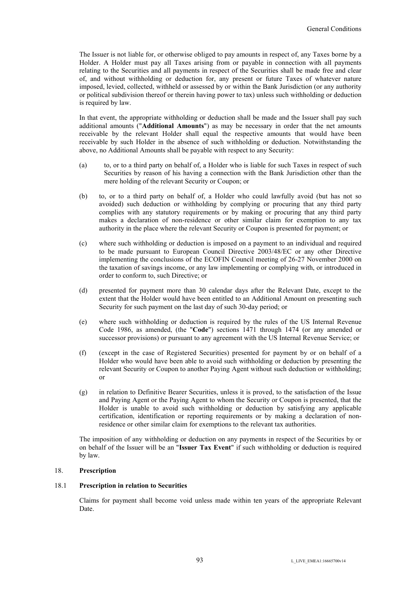The Issuer is not liable for, or otherwise obliged to pay amounts in respect of, any Taxes borne by a Holder. A Holder must pay all Taxes arising from or payable in connection with all payments relating to the Securities and all payments in respect of the Securities shall be made free and clear of, and without withholding or deduction for, any present or future Taxes of whatever nature imposed, levied, collected, withheld or assessed by or within the Bank Jurisdiction (or any authority or political subdivision thereof or therein having power to tax) unless such withholding or deduction is required by law.

In that event, the appropriate withholding or deduction shall be made and the Issuer shall pay such additional amounts ("**Additional Amounts**") as may be necessary in order that the net amounts receivable by the relevant Holder shall equal the respective amounts that would have been receivable by such Holder in the absence of such withholding or deduction. Notwithstanding the above, no Additional Amounts shall be payable with respect to any Security:

- (a) to, or to a third party on behalf of, a Holder who is liable for such Taxes in respect of such Securities by reason of his having a connection with the Bank Jurisdiction other than the mere holding of the relevant Security or Coupon; or
- (b) to, or to a third party on behalf of, a Holder who could lawfully avoid (but has not so avoided) such deduction or withholding by complying or procuring that any third party complies with any statutory requirements or by making or procuring that any third party makes a declaration of non-residence or other similar claim for exemption to any tax authority in the place where the relevant Security or Coupon is presented for payment; or
- (c) where such withholding or deduction is imposed on a payment to an individual and required to be made pursuant to European Council Directive 2003/48/EC or any other Directive implementing the conclusions of the ECOFIN Council meeting of 26-27 November 2000 on the taxation of savings income, or any law implementing or complying with, or introduced in order to conform to, such Directive; or
- (d) presented for payment more than 30 calendar days after the Relevant Date, except to the extent that the Holder would have been entitled to an Additional Amount on presenting such Security for such payment on the last day of such 30-day period; or
- (e) where such withholding or deduction is required by the rules of the US Internal Revenue Code 1986, as amended, (the "**Code**") sections 1471 through 1474 (or any amended or successor provisions) or pursuant to any agreement with the US Internal Revenue Service; or
- (f) (except in the case of Registered Securities) presented for payment by or on behalf of a Holder who would have been able to avoid such withholding or deduction by presenting the relevant Security or Coupon to another Paying Agent without such deduction or withholding; or
- (g) in relation to Definitive Bearer Securities, unless it is proved, to the satisfaction of the Issue and Paying Agent or the Paying Agent to whom the Security or Coupon is presented, that the Holder is unable to avoid such withholding or deduction by satisfying any applicable certification, identification or reporting requirements or by making a declaration of nonresidence or other similar claim for exemptions to the relevant tax authorities.

The imposition of any withholding or deduction on any payments in respect of the Securities by or on behalf of the Issuer will be an "**Issuer Tax Event**" if such withholding or deduction is required by law.

# 18. **Prescription**

## 18.1 **Prescription in relation to Securities**

Claims for payment shall become void unless made within ten years of the appropriate Relevant Date.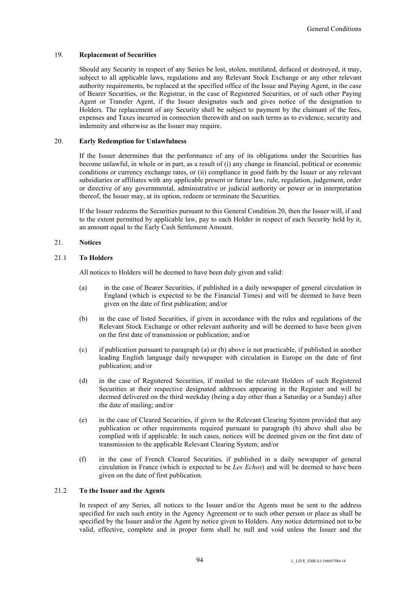## 19. **Replacement of Securities**

Should any Security in respect of any Series be lost, stolen, mutilated, defaced or destroyed, it may, subject to all applicable laws, regulations and any Relevant Stock Exchange or any other relevant authority requirements, be replaced at the specified office of the Issue and Paying Agent, in the case of Bearer Securities, or the Registrar, in the case of Registered Securities, or of such other Paying Agent or Transfer Agent, if the Issuer designates such and gives notice of the designation to Holders. The replacement of any Security shall be subject to payment by the claimant of the fees, expenses and Taxes incurred in connection therewith and on such terms as to evidence, security and indemnity and otherwise as the Issuer may require.

## 20. **Early Redemption for Unlawfulness**

If the Issuer determines that the performance of any of its obligations under the Securities has become unlawful, in whole or in part, as a result of (i) any change in financial, political or economic conditions or currency exchange rates, or (ii) compliance in good faith by the Issuer or any relevant subsidiaries or affiliates with any applicable present or future law, rule, regulation, judgement, order or directive of any governmental, administrative or judicial authority or power or in interpretation thereof, the Issuer may, at its option, redeem or terminate the Securities.

If the Issuer redeems the Securities pursuant to this General Condition 20, then the Issuer will, if and to the extent permitted by applicable law, pay to each Holder in respect of each Security held by it, an amount equal to the Early Cash Settlement Amount.

# 21. **Notices**

## 21.1 **To Holders**

All notices to Holders will be deemed to have been duly given and valid:

- (a) in the case of Bearer Securities, if published in a daily newspaper of general circulation in England (which is expected to be the Financial Times) and will be deemed to have been given on the date of first publication; and/or
- (b) in the case of listed Securities, if given in accordance with the rules and regulations of the Relevant Stock Exchange or other relevant authority and will be deemed to have been given on the first date of transmission or publication; and/or
- (c) if publication pursuant to paragraph (a) or (b) above is not practicable, if published in another leading English language daily newspaper with circulation in Europe on the date of first publication; and/or
- (d) in the case of Registered Securities, if mailed to the relevant Holders of such Registered Securities at their respective designated addresses appearing in the Register and will be deemed delivered on the third weekday (being a day other than a Saturday or a Sunday) after the date of mailing; and/or
- (e) in the case of Cleared Securities, if given to the Relevant Clearing System provided that any publication or other requirements required pursuant to paragraph (b) above shall also be complied with if applicable. In such cases, notices will be deemed given on the first date of transmission to the applicable Relevant Clearing System; and/or
- (f) in the case of French Cleared Securities, if published in a daily newspaper of general circulation in France (which is expected to be *Les Echos*) and will be deemed to have been given on the date of first publication.

## 21.2 **To the Issuer and the Agents**

In respect of any Series, all notices to the Issuer and/or the Agents must be sent to the address specified for each such entity in the Agency Agreement or to such other person or place as shall be specified by the Issuer and/or the Agent by notice given to Holders. Any notice determined not to be valid, effective, complete and in proper form shall be null and void unless the Issuer and the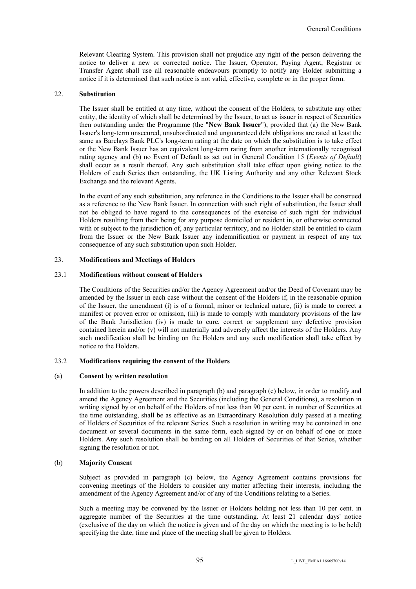Relevant Clearing System. This provision shall not prejudice any right of the person delivering the notice to deliver a new or corrected notice. The Issuer, Operator, Paying Agent, Registrar or Transfer Agent shall use all reasonable endeavours promptly to notify any Holder submitting a notice if it is determined that such notice is not valid, effective, complete or in the proper form.

#### 22. **Substitution**

The Issuer shall be entitled at any time, without the consent of the Holders, to substitute any other entity, the identity of which shall be determined by the Issuer, to act as issuer in respect of Securities then outstanding under the Programme (the "**New Bank Issuer**"), provided that (a) the New Bank Issuer's long-term unsecured, unsubordinated and unguaranteed debt obligations are rated at least the same as Barclays Bank PLC's long-term rating at the date on which the substitution is to take effect or the New Bank Issuer has an equivalent long-term rating from another internationally recognised rating agency and (b) no Event of Default as set out in General Condition 15 (*Events of Default*) shall occur as a result thereof. Any such substitution shall take effect upon giving notice to the Holders of each Series then outstanding, the UK Listing Authority and any other Relevant Stock Exchange and the relevant Agents.

In the event of any such substitution, any reference in the Conditions to the Issuer shall be construed as a reference to the New Bank Issuer. In connection with such right of substitution, the Issuer shall not be obliged to have regard to the consequences of the exercise of such right for individual Holders resulting from their being for any purpose domiciled or resident in, or otherwise connected with or subject to the jurisdiction of, any particular territory, and no Holder shall be entitled to claim from the Issuer or the New Bank Issuer any indemnification or payment in respect of any tax consequence of any such substitution upon such Holder.

## 23. **Modifications and Meetings of Holders**

### 23.1 **Modifications without consent of Holders**

The Conditions of the Securities and/or the Agency Agreement and/or the Deed of Covenant may be amended by the Issuer in each case without the consent of the Holders if, in the reasonable opinion of the Issuer, the amendment (i) is of a formal, minor or technical nature, (ii) is made to correct a manifest or proven error or omission, (iii) is made to comply with mandatory provisions of the law of the Bank Jurisdiction (iv) is made to cure, correct or supplement any defective provision contained herein and/or (v) will not materially and adversely affect the interests of the Holders. Any such modification shall be binding on the Holders and any such modification shall take effect by notice to the Holders.

#### 23.2 **Modifications requiring the consent of the Holders**

#### (a) **Consent by written resolution**

In addition to the powers described in paragraph (b) and paragraph (c) below, in order to modify and amend the Agency Agreement and the Securities (including the General Conditions), a resolution in writing signed by or on behalf of the Holders of not less than 90 per cent. in number of Securities at the time outstanding, shall be as effective as an Extraordinary Resolution duly passed at a meeting of Holders of Securities of the relevant Series. Such a resolution in writing may be contained in one document or several documents in the same form, each signed by or on behalf of one or more Holders. Any such resolution shall be binding on all Holders of Securities of that Series, whether signing the resolution or not.

## (b) **Majority Consent**

Subject as provided in paragraph (c) below, the Agency Agreement contains provisions for convening meetings of the Holders to consider any matter affecting their interests, including the amendment of the Agency Agreement and/or of any of the Conditions relating to a Series.

Such a meeting may be convened by the Issuer or Holders holding not less than 10 per cent. in aggregate number of the Securities at the time outstanding. At least 21 calendar days' notice (exclusive of the day on which the notice is given and of the day on which the meeting is to be held) specifying the date, time and place of the meeting shall be given to Holders.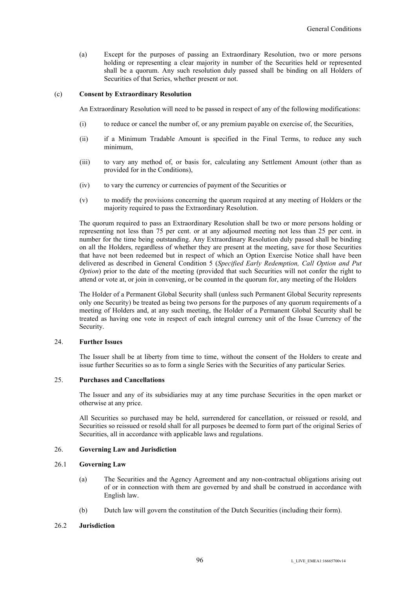(a) Except for the purposes of passing an Extraordinary Resolution, two or more persons holding or representing a clear majority in number of the Securities held or represented shall be a quorum. Any such resolution duly passed shall be binding on all Holders of Securities of that Series, whether present or not.

### (c) **Consent by Extraordinary Resolution**

An Extraordinary Resolution will need to be passed in respect of any of the following modifications:

- (i) to reduce or cancel the number of, or any premium payable on exercise of, the Securities,
- (ii) if a Minimum Tradable Amount is specified in the Final Terms, to reduce any such minimum,
- (iii) to vary any method of, or basis for, calculating any Settlement Amount (other than as provided for in the Conditions),
- (iv) to vary the currency or currencies of payment of the Securities or
- (v) to modify the provisions concerning the quorum required at any meeting of Holders or the majority required to pass the Extraordinary Resolution.

The quorum required to pass an Extraordinary Resolution shall be two or more persons holding or representing not less than 75 per cent. or at any adjourned meeting not less than 25 per cent. in number for the time being outstanding. Any Extraordinary Resolution duly passed shall be binding on all the Holders, regardless of whether they are present at the meeting, save for those Securities that have not been redeemed but in respect of which an Option Exercise Notice shall have been delivered as described in General Condition 5 (*Specified Early Redemption, Call Option and Put Option*) prior to the date of the meeting (provided that such Securities will not confer the right to attend or vote at, or join in convening, or be counted in the quorum for, any meeting of the Holders

The Holder of a Permanent Global Security shall (unless such Permanent Global Security represents only one Security) be treated as being two persons for the purposes of any quorum requirements of a meeting of Holders and, at any such meeting, the Holder of a Permanent Global Security shall be treated as having one vote in respect of each integral currency unit of the Issue Currency of the Security.

## 24. **Further Issues**

The Issuer shall be at liberty from time to time, without the consent of the Holders to create and issue further Securities so as to form a single Series with the Securities of any particular Series.

# 25. **Purchases and Cancellations**

The Issuer and any of its subsidiaries may at any time purchase Securities in the open market or otherwise at any price.

All Securities so purchased may be held, surrendered for cancellation, or reissued or resold, and Securities so reissued or resold shall for all purposes be deemed to form part of the original Series of Securities, all in accordance with applicable laws and regulations.

### 26. **Governing Law and Jurisdiction**

# 26.1 **Governing Law**

- (a) The Securities and the Agency Agreement and any non-contractual obligations arising out of or in connection with them are governed by and shall be construed in accordance with English law.
- (b) Dutch law will govern the constitution of the Dutch Securities (including their form).

### 26.2 **Jurisdiction**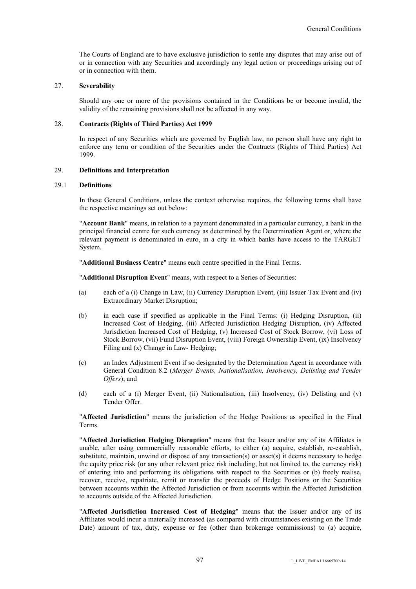The Courts of England are to have exclusive jurisdiction to settle any disputes that may arise out of or in connection with any Securities and accordingly any legal action or proceedings arising out of or in connection with them.

### 27. **Severability**

Should any one or more of the provisions contained in the Conditions be or become invalid, the validity of the remaining provisions shall not be affected in any way.

## 28. **Contracts (Rights of Third Parties) Act 1999**

In respect of any Securities which are governed by English law, no person shall have any right to enforce any term or condition of the Securities under the Contracts (Rights of Third Parties) Act 1999.

### 29. **Definitions and Interpretation**

## 29.1 **Definitions**

In these General Conditions, unless the context otherwise requires, the following terms shall have the respective meanings set out below:

"**Account Bank**" means, in relation to a payment denominated in a particular currency, a bank in the principal financial centre for such currency as determined by the Determination Agent or, where the relevant payment is denominated in euro, in a city in which banks have access to the TARGET System.

"**Additional Business Centre**" means each centre specified in the Final Terms.

"**Additional Disruption Event**" means, with respect to a Series of Securities:

- (a) each of a (i) Change in Law, (ii) Currency Disruption Event, (iii) Issuer Tax Event and (iv) Extraordinary Market Disruption;
- (b) in each case if specified as applicable in the Final Terms: (i) Hedging Disruption, (ii) Increased Cost of Hedging, (iii) Affected Jurisdiction Hedging Disruption, (iv) Affected Jurisdiction Increased Cost of Hedging, (v) Increased Cost of Stock Borrow, (vi) Loss of Stock Borrow, (vii) Fund Disruption Event, (viii) Foreign Ownership Event, (ix) Insolvency Filing and (x) Change in Law- Hedging;
- (c) an Index Adjustment Event if so designated by the Determination Agent in accordance with General Condition 8.2 (*Merger Events, Nationalisation, Insolvency, Delisting and Tender Offers*); and
- (d) each of a (i) Merger Event, (ii) Nationalisation, (iii) Insolvency, (iv) Delisting and (v) Tender Offer.

"**Affected Jurisdiction**" means the jurisdiction of the Hedge Positions as specified in the Final Terms.

"**Affected Jurisdiction Hedging Disruption**" means that the Issuer and/or any of its Affiliates is unable, after using commercially reasonable efforts, to either (a) acquire, establish, re-establish, substitute, maintain, unwind or dispose of any transaction(s) or asset(s) it deems necessary to hedge the equity price risk (or any other relevant price risk including, but not limited to, the currency risk) of entering into and performing its obligations with respect to the Securities or (b) freely realise, recover, receive, repatriate, remit or transfer the proceeds of Hedge Positions or the Securities between accounts within the Affected Jurisdiction or from accounts within the Affected Jurisdiction to accounts outside of the Affected Jurisdiction.

"**Affected Jurisdiction Increased Cost of Hedging**" means that the Issuer and/or any of its Affiliates would incur a materially increased (as compared with circumstances existing on the Trade Date) amount of tax, duty, expense or fee (other than brokerage commissions) to (a) acquire,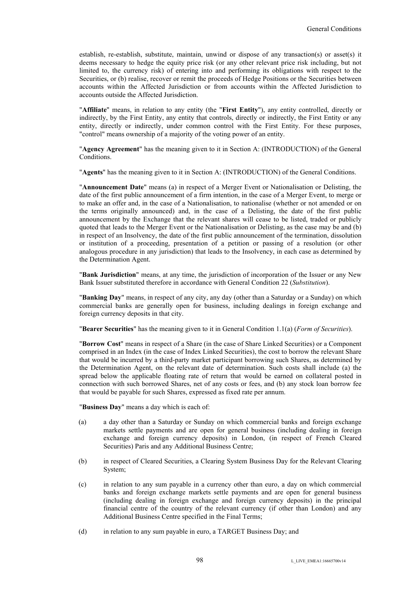establish, re-establish, substitute, maintain, unwind or dispose of any transaction(s) or asset(s) it deems necessary to hedge the equity price risk (or any other relevant price risk including, but not limited to, the currency risk) of entering into and performing its obligations with respect to the Securities, or (b) realise, recover or remit the proceeds of Hedge Positions or the Securities between accounts within the Affected Jurisdiction or from accounts within the Affected Jurisdiction to accounts outside the Affected Jurisdiction.

"**Affiliate**" means, in relation to any entity (the "**First Entity**"), any entity controlled, directly or indirectly, by the First Entity, any entity that controls, directly or indirectly, the First Entity or any entity, directly or indirectly, under common control with the First Entity. For these purposes, "control" means ownership of a majority of the voting power of an entity.

"**Agency Agreement**" has the meaning given to it in Section A: (INTRODUCTION) of the General Conditions.

"**Agents**" has the meaning given to it in Section A: (INTRODUCTION) of the General Conditions.

"**Announcement Date**" means (a) in respect of a Merger Event or Nationalisation or Delisting, the date of the first public announcement of a firm intention, in the case of a Merger Event, to merge or to make an offer and, in the case of a Nationalisation, to nationalise (whether or not amended or on the terms originally announced) and, in the case of a Delisting, the date of the first public announcement by the Exchange that the relevant shares will cease to be listed, traded or publicly quoted that leads to the Merger Event or the Nationalisation or Delisting, as the case may be and (b) in respect of an Insolvency, the date of the first public announcement of the termination, dissolution or institution of a proceeding, presentation of a petition or passing of a resolution (or other analogous procedure in any jurisdiction) that leads to the Insolvency, in each case as determined by the Determination Agent.

"**Bank Jurisdiction**" means, at any time, the jurisdiction of incorporation of the Issuer or any New Bank Issuer substituted therefore in accordance with General Condition 22 (*Substitution*).

"**Banking Day**" means, in respect of any city, any day (other than a Saturday or a Sunday) on which commercial banks are generally open for business, including dealings in foreign exchange and foreign currency deposits in that city.

"**Bearer Securities**" has the meaning given to it in General Condition 1.1(a) (*Form of Securities*).

"**Borrow Cost**" means in respect of a Share (in the case of Share Linked Securities) or a Component comprised in an Index (in the case of Index Linked Securities), the cost to borrow the relevant Share that would be incurred by a third-party market participant borrowing such Shares, as determined by the Determination Agent, on the relevant date of determination. Such costs shall include (a) the spread below the applicable floating rate of return that would be earned on collateral posted in connection with such borrowed Shares, net of any costs or fees, and (b) any stock loan borrow fee that would be payable for such Shares, expressed as fixed rate per annum.

"**Business Day**" means a day which is each of:

- (a) a day other than a Saturday or Sunday on which commercial banks and foreign exchange markets settle payments and are open for general business (including dealing in foreign exchange and foreign currency deposits) in London, (in respect of French Cleared Securities) Paris and any Additional Business Centre;
- (b) in respect of Cleared Securities, a Clearing System Business Day for the Relevant Clearing System;
- (c) in relation to any sum payable in a currency other than euro, a day on which commercial banks and foreign exchange markets settle payments and are open for general business (including dealing in foreign exchange and foreign currency deposits) in the principal financial centre of the country of the relevant currency (if other than London) and any Additional Business Centre specified in the Final Terms;
- (d) in relation to any sum payable in euro, a TARGET Business Day; and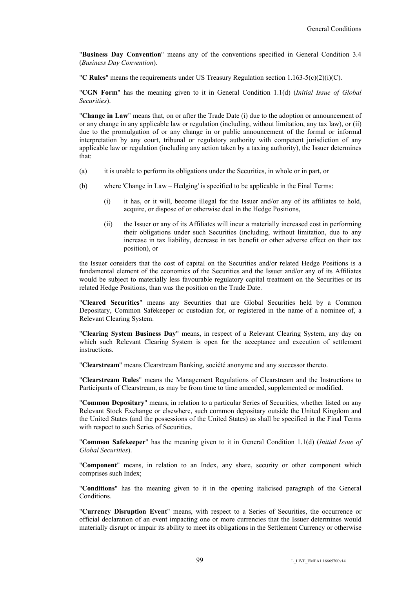"**Business Day Convention**" means any of the conventions specified in General Condition 3.4 (*Business Day Convention*).

"**C Rules**" means the requirements under US Treasury Regulation section 1.163-5(c)(2)(i)(C).

"**CGN Form**" has the meaning given to it in General Condition 1.1(d) (*Initial Issue of Global Securities*).

"**Change in Law**" means that, on or after the Trade Date (i) due to the adoption or announcement of or any change in any applicable law or regulation (including, without limitation, any tax law), or (ii) due to the promulgation of or any change in or public announcement of the formal or informal interpretation by any court, tribunal or regulatory authority with competent jurisdiction of any applicable law or regulation (including any action taken by a taxing authority), the Issuer determines that:

- (a) it is unable to perform its obligations under the Securities, in whole or in part, or
- (b) where 'Change in Law Hedging' is specified to be applicable in the Final Terms:
	- (i) it has, or it will, become illegal for the Issuer and/or any of its affiliates to hold, acquire, or dispose of or otherwise deal in the Hedge Positions,
	- (ii) the Issuer or any of its Affiliates will incur a materially increased cost in performing their obligations under such Securities (including, without limitation, due to any increase in tax liability, decrease in tax benefit or other adverse effect on their tax position), or

the Issuer considers that the cost of capital on the Securities and/or related Hedge Positions is a fundamental element of the economics of the Securities and the Issuer and/or any of its Affiliates would be subject to materially less favourable regulatory capital treatment on the Securities or its related Hedge Positions, than was the position on the Trade Date.

"**Cleared Securities**" means any Securities that are Global Securities held by a Common Depositary, Common Safekeeper or custodian for, or registered in the name of a nominee of, a Relevant Clearing System.

"**Clearing System Business Day**" means, in respect of a Relevant Clearing System, any day on which such Relevant Clearing System is open for the acceptance and execution of settlement instructions.

"**Clearstream**" means Clearstream Banking, société anonyme and any successor thereto.

"**Clearstream Rules**" means the Management Regulations of Clearstream and the Instructions to Participants of Clearstream, as may be from time to time amended, supplemented or modified.

"**Common Depositary**" means, in relation to a particular Series of Securities, whether listed on any Relevant Stock Exchange or elsewhere, such common depositary outside the United Kingdom and the United States (and the possessions of the United States) as shall be specified in the Final Terms with respect to such Series of Securities.

"**Common Safekeeper**" has the meaning given to it in General Condition 1.1(d) (*Initial Issue of Global Securities*).

"**Component**" means, in relation to an Index, any share, security or other component which comprises such Index;

"**Conditions**" has the meaning given to it in the opening italicised paragraph of the General Conditions.

"**Currency Disruption Event**" means, with respect to a Series of Securities, the occurrence or official declaration of an event impacting one or more currencies that the Issuer determines would materially disrupt or impair its ability to meet its obligations in the Settlement Currency or otherwise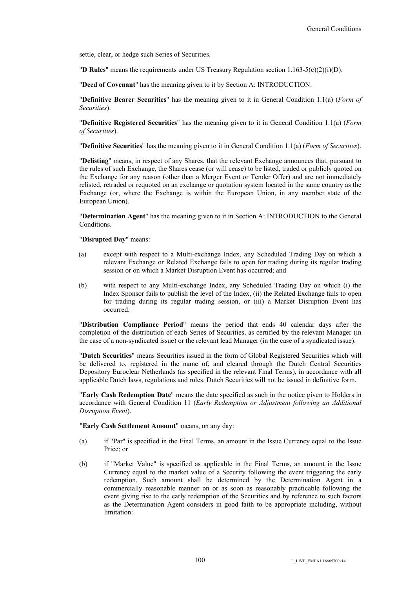settle, clear, or hedge such Series of Securities.

"**D Rules**" means the requirements under US Treasury Regulation section 1.163-5(c)(2)(i)(D).

"**Deed of Covenant**" has the meaning given to it by Section A: INTRODUCTION.

"**Definitive Bearer Securities**" has the meaning given to it in General Condition 1.1(a) (*Form of Securities*).

"**Definitive Registered Securities**" has the meaning given to it in General Condition 1.1(a) (*Form of Securities*).

"**Definitive Securities**" has the meaning given to it in General Condition 1.1(a) (*Form of Securities*).

"**Delisting**" means, in respect of any Shares, that the relevant Exchange announces that, pursuant to the rules of such Exchange, the Shares cease (or will cease) to be listed, traded or publicly quoted on the Exchange for any reason (other than a Merger Event or Tender Offer) and are not immediately relisted, retraded or requoted on an exchange or quotation system located in the same country as the Exchange (or, where the Exchange is within the European Union, in any member state of the European Union).

"**Determination Agent**" has the meaning given to it in Section A: INTRODUCTION to the General Conditions.

"**Disrupted Day**" means:

- (a) except with respect to a Multi-exchange Index, any Scheduled Trading Day on which a relevant Exchange or Related Exchange fails to open for trading during its regular trading session or on which a Market Disruption Event has occurred; and
- (b) with respect to any Multi-exchange Index, any Scheduled Trading Day on which (i) the Index Sponsor fails to publish the level of the Index, (ii) the Related Exchange fails to open for trading during its regular trading session, or (iii) a Market Disruption Event has occurred.

"**Distribution Compliance Period**" means the period that ends 40 calendar days after the completion of the distribution of each Series of Securities, as certified by the relevant Manager (in the case of a non-syndicated issue) or the relevant lead Manager (in the case of a syndicated issue).

"**Dutch Securities**" means Securities issued in the form of Global Registered Securities which will be delivered to, registered in the name of, and cleared through the Dutch Central Securities Depository Euroclear Netherlands (as specified in the relevant Final Terms), in accordance with all applicable Dutch laws, regulations and rules. Dutch Securities will not be issued in definitive form.

"**Early Cash Redemption Date**" means the date specified as such in the notice given to Holders in accordance with General Condition 11 (*Early Redemption or Adjustment following an Additional Disruption Event*).

"**Early Cash Settlement Amount**" means, on any day:

- (a) if "Par" is specified in the Final Terms, an amount in the Issue Currency equal to the Issue Price; or
- (b) if "Market Value" is specified as applicable in the Final Terms, an amount in the Issue Currency equal to the market value of a Security following the event triggering the early redemption. Such amount shall be determined by the Determination Agent in a commercially reasonable manner on or as soon as reasonably practicable following the event giving rise to the early redemption of the Securities and by reference to such factors as the Determination Agent considers in good faith to be appropriate including, without limitation: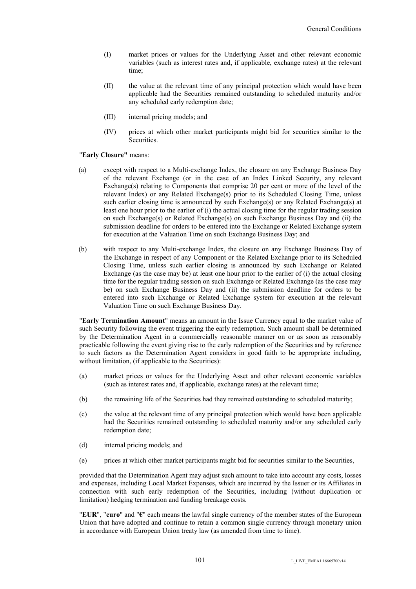- (I) market prices or values for the Underlying Asset and other relevant economic variables (such as interest rates and, if applicable, exchange rates) at the relevant time;
- (II) the value at the relevant time of any principal protection which would have been applicable had the Securities remained outstanding to scheduled maturity and/or any scheduled early redemption date;
- (III) internal pricing models; and
- (IV) prices at which other market participants might bid for securities similar to the **Securities**

#### "**Early Closure"** means:

- (a) except with respect to a Multi-exchange Index, the closure on any Exchange Business Day of the relevant Exchange (or in the case of an Index Linked Security, any relevant Exchange(s) relating to Components that comprise 20 per cent or more of the level of the relevant Index) or any Related Exchange(s) prior to its Scheduled Closing Time, unless such earlier closing time is announced by such Exchange(s) or any Related Exchange(s) at least one hour prior to the earlier of (i) the actual closing time for the regular trading session on such Exchange(s) or Related Exchange(s) on such Exchange Business Day and (ii) the submission deadline for orders to be entered into the Exchange or Related Exchange system for execution at the Valuation Time on such Exchange Business Day; and
- (b) with respect to any Multi-exchange Index, the closure on any Exchange Business Day of the Exchange in respect of any Component or the Related Exchange prior to its Scheduled Closing Time, unless such earlier closing is announced by such Exchange or Related Exchange (as the case may be) at least one hour prior to the earlier of (i) the actual closing time for the regular trading session on such Exchange or Related Exchange (as the case may be) on such Exchange Business Day and (ii) the submission deadline for orders to be entered into such Exchange or Related Exchange system for execution at the relevant Valuation Time on such Exchange Business Day.

"**Early Termination Amount**" means an amount in the Issue Currency equal to the market value of such Security following the event triggering the early redemption. Such amount shall be determined by the Determination Agent in a commercially reasonable manner on or as soon as reasonably practicable following the event giving rise to the early redemption of the Securities and by reference to such factors as the Determination Agent considers in good faith to be appropriate including, without limitation, (if applicable to the Securities):

- (a) market prices or values for the Underlying Asset and other relevant economic variables (such as interest rates and, if applicable, exchange rates) at the relevant time;
- (b) the remaining life of the Securities had they remained outstanding to scheduled maturity;
- (c) the value at the relevant time of any principal protection which would have been applicable had the Securities remained outstanding to scheduled maturity and/or any scheduled early redemption date;
- (d) internal pricing models; and
- (e) prices at which other market participants might bid for securities similar to the Securities,

provided that the Determination Agent may adjust such amount to take into account any costs, losses and expenses, including Local Market Expenses, which are incurred by the Issuer or its Affiliates in connection with such early redemption of the Securities, including (without duplication or limitation) hedging termination and funding breakage costs.

"**EUR**", "**euro**" and "**€**" each means the lawful single currency of the member states of the European Union that have adopted and continue to retain a common single currency through monetary union in accordance with European Union treaty law (as amended from time to time).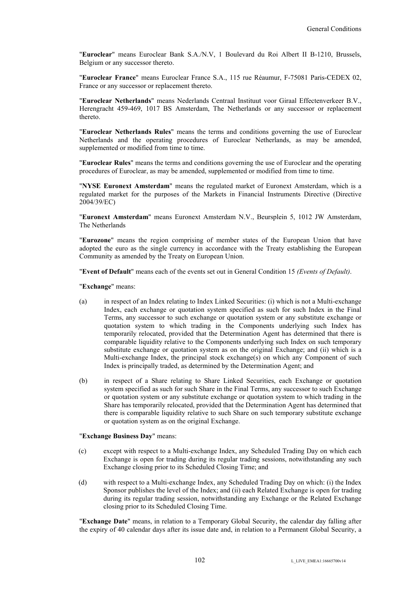"**Euroclear**" means Euroclear Bank S.A./N.V, 1 Boulevard du Roi Albert II B-1210, Brussels, Belgium or any successor thereto.

"**Euroclear France**" means Euroclear France S.A., 115 rue Réaumur, F-75081 Paris-CEDEX 02, France or any successor or replacement thereto.

"**Euroclear Netherlands**" means Nederlands Centraal Instituut voor Giraal Effectenverkeer B.V., Herengracht 459-469, 1017 BS Amsterdam, The Netherlands or any successor or replacement thereto.

"**Euroclear Netherlands Rules**" means the terms and conditions governing the use of Euroclear Netherlands and the operating procedures of Euroclear Netherlands, as may be amended, supplemented or modified from time to time.

"**Euroclear Rules**" means the terms and conditions governing the use of Euroclear and the operating procedures of Euroclear, as may be amended, supplemented or modified from time to time.

"**NYSE Euronext Amsterdam**" means the regulated market of Euronext Amsterdam, which is a regulated market for the purposes of the Markets in Financial Instruments Directive (Directive 2004/39/EC)

"**Euronext Amsterdam**" means Euronext Amsterdam N.V., Beursplein 5, 1012 JW Amsterdam, The Netherlands

"**Eurozone**" means the region comprising of member states of the European Union that have adopted the euro as the single currency in accordance with the Treaty establishing the European Community as amended by the Treaty on European Union.

"**Event of Default**" means each of the events set out in General Condition 15 *(Events of Default)*.

"**Exchange**" means:

- (a) in respect of an Index relating to Index Linked Securities: (i) which is not a Multi-exchange Index, each exchange or quotation system specified as such for such Index in the Final Terms, any successor to such exchange or quotation system or any substitute exchange or quotation system to which trading in the Components underlying such Index has temporarily relocated, provided that the Determination Agent has determined that there is comparable liquidity relative to the Components underlying such Index on such temporary substitute exchange or quotation system as on the original Exchange; and (ii) which is a Multi-exchange Index, the principal stock exchange(s) on which any Component of such Index is principally traded, as determined by the Determination Agent; and
- (b) in respect of a Share relating to Share Linked Securities, each Exchange or quotation system specified as such for such Share in the Final Terms, any successor to such Exchange or quotation system or any substitute exchange or quotation system to which trading in the Share has temporarily relocated, provided that the Determination Agent has determined that there is comparable liquidity relative to such Share on such temporary substitute exchange or quotation system as on the original Exchange.

# "**Exchange Business Day**" means:

- (c) except with respect to a Multi-exchange Index, any Scheduled Trading Day on which each Exchange is open for trading during its regular trading sessions, notwithstanding any such Exchange closing prior to its Scheduled Closing Time; and
- (d) with respect to a Multi-exchange Index, any Scheduled Trading Day on which: (i) the Index Sponsor publishes the level of the Index; and (ii) each Related Exchange is open for trading during its regular trading session, notwithstanding any Exchange or the Related Exchange closing prior to its Scheduled Closing Time.

"**Exchange Date**" means, in relation to a Temporary Global Security, the calendar day falling after the expiry of 40 calendar days after its issue date and, in relation to a Permanent Global Security, a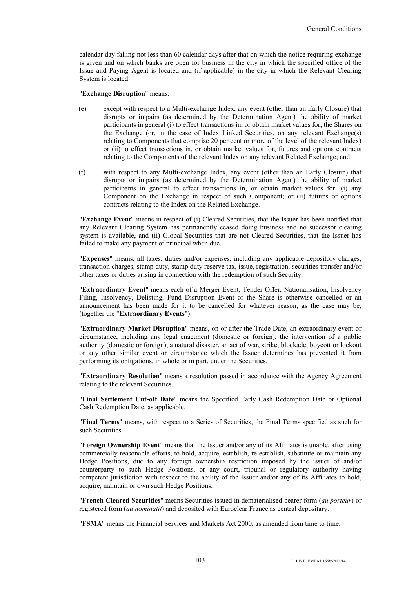calendar day falling not less than 60 calendar days after that on which the notice requiring exchange is given and on which banks are open for business in the city in which the specified office of the Issue and Paying Agent is located and (if applicable) in the city in which the Relevant Clearing System is located.

#### "**Exchange Disruption**" means:

- (e) except with respect to a Multi-exchange Index, any event (other than an Early Closure) that disrupts or impairs (as determined by the Determination Agent) the ability of market participants in general (i) to effect transactions in, or obtain market values for, the Shares on the Exchange (or, in the case of Index Linked Securities, on any relevant Exchange(s) relating to Components that comprise 20 per cent or more of the level of the relevant Index) or (ii) to effect transactions in, or obtain market values for, futures and options contracts relating to the Components of the relevant Index on any relevant Related Exchange; and
- (f) with respect to any Multi-exchange Index, any event (other than an Early Closure) that disrupts or impairs (as determined by the Determination Agent) the ability of market participants in general to effect transactions in, or obtain market values for: (i) any Component on the Exchange in respect of such Component; or (ii) futures or options contracts relating to the Index on the Related Exchange.

"**Exchange Event**" means in respect of (i) Cleared Securities, that the Issuer has been notified that any Relevant Clearing System has permanently ceased doing business and no successor clearing system is available, and (ii) Global Securities that are not Cleared Securities, that the Issuer has failed to make any payment of principal when due.

"**Expenses**" means, all taxes, duties and/or expenses, including any applicable depository charges, transaction charges, stamp duty, stamp duty reserve tax, issue, registration, securities transfer and/or other taxes or duties arising in connection with the redemption of such Security.

"**Extraordinary Event**" means each of a Merger Event, Tender Offer, Nationalisation, Insolvency Filing, Insolvency, Delisting, Fund Disruption Event or the Share is otherwise cancelled or an announcement has been made for it to be cancelled for whatever reason, as the case may be, (together the "**Extraordinary Events**").

"**Extraordinary Market Disruption**" means, on or after the Trade Date, an extraordinary event or circumstance, including any legal enactment (domestic or foreign), the intervention of a public authority (domestic or foreign), a natural disaster, an act of war, strike, blockade, boycott or lockout or any other similar event or circumstance which the Issuer determines has prevented it from performing its obligations, in whole or in part, under the Securities.

"**Extraordinary Resolution**" means a resolution passed in accordance with the Agency Agreement relating to the relevant Securities.

"**Final Settlement Cut-off Date**" means the Specified Early Cash Redemption Date or Optional Cash Redemption Date, as applicable.

"**Final Terms**" means, with respect to a Series of Securities, the Final Terms specified as such for such Securities.

"**Foreign Ownership Event**" means that the Issuer and/or any of its Affiliates is unable, after using commercially reasonable efforts, to hold, acquire, establish, re-establish, substitute or maintain any Hedge Positions, due to any foreign ownership restriction imposed by the issuer of and/or counterparty to such Hedge Positions, or any court, tribunal or regulatory authority having competent jurisdiction with respect to the ability of the Issuer and/or any of its Affiliates to hold, acquire, maintain or own such Hedge Positions.

"**French Cleared Securities**" means Securities issued in dematerialised bearer form (*au porteur*) or registered form (*au nominatif*) and deposited with Euroclear France as central depositary.

"**FSMA**" means the Financial Services and Markets Act 2000, as amended from time to time.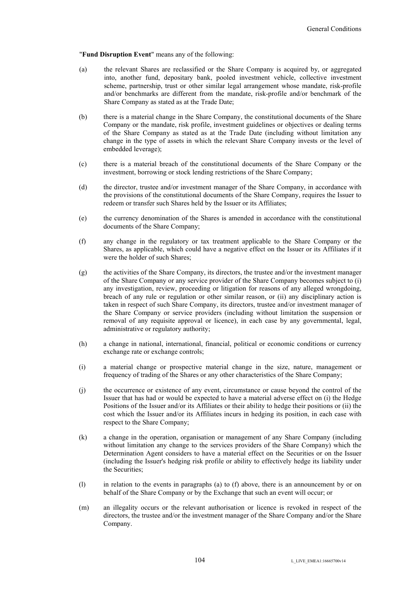"**Fund Disruption Event**" means any of the following:

- (a) the relevant Shares are reclassified or the Share Company is acquired by, or aggregated into, another fund, depositary bank, pooled investment vehicle, collective investment scheme, partnership, trust or other similar legal arrangement whose mandate, risk-profile and/or benchmarks are different from the mandate, risk-profile and/or benchmark of the Share Company as stated as at the Trade Date;
- (b) there is a material change in the Share Company, the constitutional documents of the Share Company or the mandate, risk profile, investment guidelines or objectives or dealing terms of the Share Company as stated as at the Trade Date (including without limitation any change in the type of assets in which the relevant Share Company invests or the level of embedded leverage);
- (c) there is a material breach of the constitutional documents of the Share Company or the investment, borrowing or stock lending restrictions of the Share Company;
- (d) the director, trustee and/or investment manager of the Share Company, in accordance with the provisions of the constitutional documents of the Share Company, requires the Issuer to redeem or transfer such Shares held by the Issuer or its Affiliates;
- (e) the currency denomination of the Shares is amended in accordance with the constitutional documents of the Share Company;
- (f) any change in the regulatory or tax treatment applicable to the Share Company or the Shares, as applicable, which could have a negative effect on the Issuer or its Affiliates if it were the holder of such Shares;
- (g) the activities of the Share Company, its directors, the trustee and/or the investment manager of the Share Company or any service provider of the Share Company becomes subject to (i) any investigation, review, proceeding or litigation for reasons of any alleged wrongdoing, breach of any rule or regulation or other similar reason, or (ii) any disciplinary action is taken in respect of such Share Company, its directors, trustee and/or investment manager of the Share Company or service providers (including without limitation the suspension or removal of any requisite approval or licence), in each case by any governmental, legal, administrative or regulatory authority;
- (h) a change in national, international, financial, political or economic conditions or currency exchange rate or exchange controls;
- (i) a material change or prospective material change in the size, nature, management or frequency of trading of the Shares or any other characteristics of the Share Company;
- (j) the occurrence or existence of any event, circumstance or cause beyond the control of the Issuer that has had or would be expected to have a material adverse effect on (i) the Hedge Positions of the Issuer and/or its Affiliates or their ability to hedge their positions or (ii) the cost which the Issuer and/or its Affiliates incurs in hedging its position, in each case with respect to the Share Company;
- (k) a change in the operation, organisation or management of any Share Company (including without limitation any change to the services providers of the Share Company) which the Determination Agent considers to have a material effect on the Securities or on the Issuer (including the Issuer's hedging risk profile or ability to effectively hedge its liability under the Securities;
- (l) in relation to the events in paragraphs (a) to (f) above, there is an announcement by or on behalf of the Share Company or by the Exchange that such an event will occur; or
- (m) an illegality occurs or the relevant authorisation or licence is revoked in respect of the directors, the trustee and/or the investment manager of the Share Company and/or the Share Company.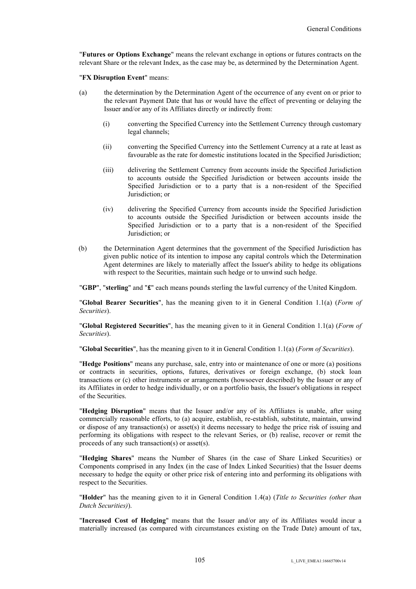"**Futures or Options Exchange**" means the relevant exchange in options or futures contracts on the relevant Share or the relevant Index, as the case may be, as determined by the Determination Agent.

"**FX Disruption Event**" means:

- (a) the determination by the Determination Agent of the occurrence of any event on or prior to the relevant Payment Date that has or would have the effect of preventing or delaying the Issuer and/or any of its Affiliates directly or indirectly from:
	- (i) converting the Specified Currency into the Settlement Currency through customary legal channels;
	- (ii) converting the Specified Currency into the Settlement Currency at a rate at least as favourable as the rate for domestic institutions located in the Specified Jurisdiction;
	- (iii) delivering the Settlement Currency from accounts inside the Specified Jurisdiction to accounts outside the Specified Jurisdiction or between accounts inside the Specified Jurisdiction or to a party that is a non-resident of the Specified Jurisdiction; or
	- (iv) delivering the Specified Currency from accounts inside the Specified Jurisdiction to accounts outside the Specified Jurisdiction or between accounts inside the Specified Jurisdiction or to a party that is a non-resident of the Specified Jurisdiction; or
- (b) the Determination Agent determines that the government of the Specified Jurisdiction has given public notice of its intention to impose any capital controls which the Determination Agent determines are likely to materially affect the Issuer's ability to hedge its obligations with respect to the Securities, maintain such hedge or to unwind such hedge.

"**GBP**", "**sterling**" and "**£**" each means pounds sterling the lawful currency of the United Kingdom.

"**Global Bearer Securities**", has the meaning given to it in General Condition 1.1(a) (*Form of Securities*).

"**Global Registered Securities**", has the meaning given to it in General Condition 1.1(a) (*Form of Securities*).

"**Global Securities**", has the meaning given to it in General Condition 1.1(a) (*Form of Securities*).

"**Hedge Positions**" means any purchase, sale, entry into or maintenance of one or more (a) positions or contracts in securities, options, futures, derivatives or foreign exchange, (b) stock loan transactions or (c) other instruments or arrangements (howsoever described) by the Issuer or any of its Affiliates in order to hedge individually, or on a portfolio basis, the Issuer's obligations in respect of the Securities.

"**Hedging Disruption**" means that the Issuer and/or any of its Affiliates is unable, after using commercially reasonable efforts, to (a) acquire, establish, re-establish, substitute, maintain, unwind or dispose of any transaction(s) or asset(s) it deems necessary to hedge the price risk of issuing and performing its obligations with respect to the relevant Series, or (b) realise, recover or remit the proceeds of any such transaction(s) or asset(s).

"**Hedging Shares**" means the Number of Shares (in the case of Share Linked Securities) or Components comprised in any Index (in the case of Index Linked Securities) that the Issuer deems necessary to hedge the equity or other price risk of entering into and performing its obligations with respect to the Securities.

"**Holder**" has the meaning given to it in General Condition 1.4(a) (*Title to Securities (other than Dutch Securities)*).

"**Increased Cost of Hedging**" means that the Issuer and/or any of its Affiliates would incur a materially increased (as compared with circumstances existing on the Trade Date) amount of tax,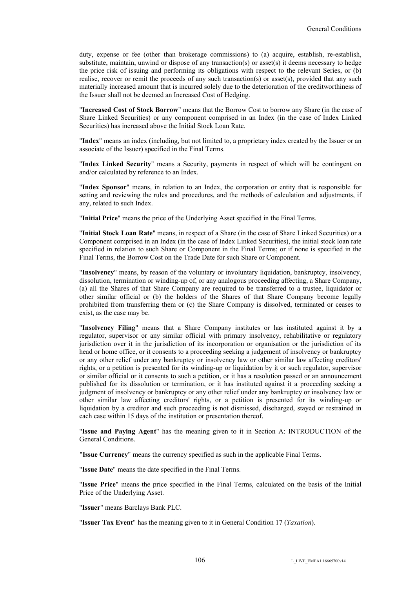duty, expense or fee (other than brokerage commissions) to (a) acquire, establish, re-establish, substitute, maintain, unwind or dispose of any transaction(s) or asset(s) it deems necessary to hedge the price risk of issuing and performing its obligations with respect to the relevant Series, or (b) realise, recover or remit the proceeds of any such transaction(s) or asset(s), provided that any such materially increased amount that is incurred solely due to the deterioration of the creditworthiness of the Issuer shall not be deemed an Increased Cost of Hedging.

"**Increased Cost of Stock Borrow**" means that the Borrow Cost to borrow any Share (in the case of Share Linked Securities) or any component comprised in an Index (in the case of Index Linked Securities) has increased above the Initial Stock Loan Rate.

"**Index**" means an index (including, but not limited to, a proprietary index created by the Issuer or an associate of the Issuer) specified in the Final Terms.

"**Index Linked Security**" means a Security, payments in respect of which will be contingent on and/or calculated by reference to an Index.

"**Index Sponsor**" means, in relation to an Index, the corporation or entity that is responsible for setting and reviewing the rules and procedures, and the methods of calculation and adjustments, if any, related to such Index.

"**Initial Price**" means the price of the Underlying Asset specified in the Final Terms.

"**Initial Stock Loan Rate**" means, in respect of a Share (in the case of Share Linked Securities) or a Component comprised in an Index (in the case of Index Linked Securities), the initial stock loan rate specified in relation to such Share or Component in the Final Terms; or if none is specified in the Final Terms, the Borrow Cost on the Trade Date for such Share or Component.

"**Insolvency**" means, by reason of the voluntary or involuntary liquidation, bankruptcy, insolvency, dissolution, termination or winding-up of, or any analogous proceeding affecting, a Share Company, (a) all the Shares of that Share Company are required to be transferred to a trustee, liquidator or other similar official or (b) the holders of the Shares of that Share Company become legally prohibited from transferring them or (c) the Share Company is dissolved, terminated or ceases to exist, as the case may be.

"**Insolvency Filing**" means that a Share Company institutes or has instituted against it by a regulator, supervisor or any similar official with primary insolvency, rehabilitative or regulatory jurisdiction over it in the jurisdiction of its incorporation or organisation or the jurisdiction of its head or home office, or it consents to a proceeding seeking a judgement of insolvency or bankruptcy or any other relief under any bankruptcy or insolvency law or other similar law affecting creditors' rights, or a petition is presented for its winding-up or liquidation by it or such regulator, supervisor or similar official or it consents to such a petition, or it has a resolution passed or an announcement published for its dissolution or termination, or it has instituted against it a proceeding seeking a judgment of insolvency or bankruptcy or any other relief under any bankruptcy or insolvency law or other similar law affecting creditors' rights, or a petition is presented for its winding-up or liquidation by a creditor and such proceeding is not dismissed, discharged, stayed or restrained in each case within 15 days of the institution or presentation thereof.

"**Issue and Paying Agent**" has the meaning given to it in Section A: INTRODUCTION of the General Conditions.

"**Issue Currency**" means the currency specified as such in the applicable Final Terms.

"**Issue Date**" means the date specified in the Final Terms.

"**Issue Price**" means the price specified in the Final Terms, calculated on the basis of the Initial Price of the Underlying Asset.

"**Issuer**" means Barclays Bank PLC.

"**Issuer Tax Event**" has the meaning given to it in General Condition 17 (*Taxation*).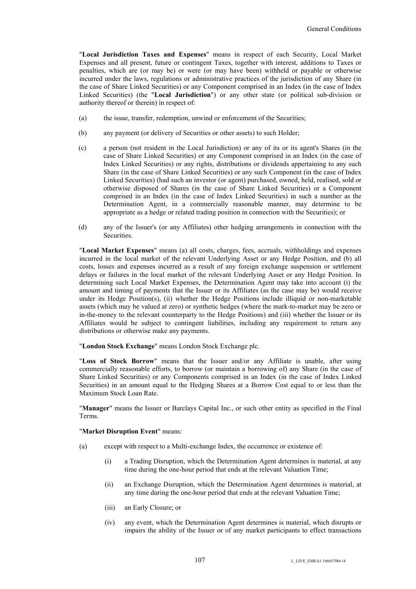"**Local Jurisdiction Taxes and Expenses**" means in respect of each Security, Local Market Expenses and all present, future or contingent Taxes, together with interest, additions to Taxes or penalties, which are (or may be) or were (or may have been) withheld or payable or otherwise incurred under the laws, regulations or administrative practices of the jurisdiction of any Share (in the case of Share Linked Securities) or any Component comprised in an Index (in the case of Index Linked Securities) (the "**Local Jurisdiction**") or any other state (or political sub-division or authority thereof or therein) in respect of:

- (a) the issue, transfer, redemption, unwind or enforcement of the Securities;
- (b) any payment (or delivery of Securities or other assets) to such Holder;
- (c) a person (not resident in the Local Jurisdiction) or any of its or its agent's Shares (in the case of Share Linked Securities) or any Component comprised in an Index (in the case of Index Linked Securities) or any rights, distributions or dividends appertaining to any such Share (in the case of Share Linked Securities) or any such Component (in the case of Index Linked Securities) (had such an investor (or agent) purchased, owned, held, realised, sold or otherwise disposed of Shares (in the case of Share Linked Securities) or a Component comprised in an Index (in the case of Index Linked Securities) in such a number as the Determination Agent, in a commercially reasonable manner, may determine to be appropriate as a hedge or related trading position in connection with the Securities); or
- (d) any of the Issuer's (or any Affiliates) other hedging arrangements in connection with the **Securities**

"**Local Market Expenses**" means (a) all costs, charges, fees, accruals, withholdings and expenses incurred in the local market of the relevant Underlying Asset or any Hedge Position, and (b) all costs, losses and expenses incurred as a result of any foreign exchange suspension or settlement delays or failures in the local market of the relevant Underlying Asset or any Hedge Position. In determining such Local Market Expenses, the Determination Agent may take into account (i) the amount and timing of payments that the Issuer or its Affiliates (as the case may be) would receive under its Hedge Position(s), (ii) whether the Hedge Positions include illiquid or non-marketable assets (which may be valued at zero) or synthetic hedges (where the mark-to-market may be zero or in-the-money to the relevant counterparty to the Hedge Positions) and (iii) whether the Issuer or its Affiliates would be subject to contingent liabilities, including any requirement to return any distributions or otherwise make any payments.

"**London Stock Exchange**" means London Stock Exchange plc.

"**Loss of Stock Borrow**" means that the Issuer and/or any Affiliate is unable, after using commercially reasonable efforts, to borrow (or maintain a borrowing of) any Share (in the case of Share Linked Securities) or any Components comprised in an Index (in the case of Index Linked Securities) in an amount equal to the Hedging Shares at a Borrow Cost equal to or less than the Maximum Stock Loan Rate.

"**Manager**" means the Issuer or Barclays Capital Inc., or such other entity as specified in the Final Terms.

## "**Market Disruption Event**" means:

- (a) except with respect to a Multi-exchange Index, the occurrence or existence of:
	- (i) a Trading Disruption, which the Determination Agent determines is material, at any time during the one-hour period that ends at the relevant Valuation Time;
	- (ii) an Exchange Disruption, which the Determination Agent determines is material, at any time during the one-hour period that ends at the relevant Valuation Time;
	- (iii) an Early Closure; or
	- (iv) any event, which the Determination Agent determines is material, which disrupts or impairs the ability of the Issuer or of any market participants to effect transactions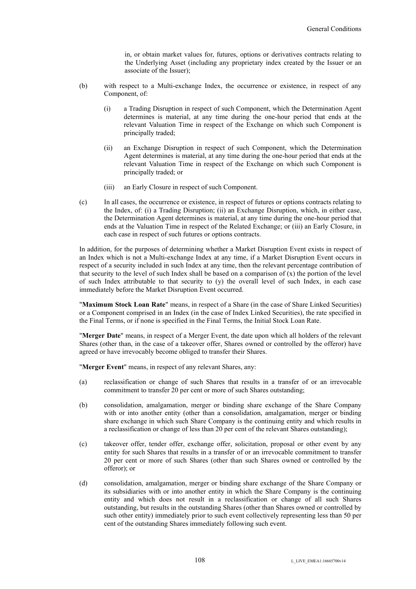in, or obtain market values for, futures, options or derivatives contracts relating to the Underlying Asset (including any proprietary index created by the Issuer or an associate of the Issuer);

- (b) with respect to a Multi-exchange Index, the occurrence or existence, in respect of any Component, of:
	- (i) a Trading Disruption in respect of such Component, which the Determination Agent determines is material, at any time during the one-hour period that ends at the relevant Valuation Time in respect of the Exchange on which such Component is principally traded;
	- (ii) an Exchange Disruption in respect of such Component, which the Determination Agent determines is material, at any time during the one-hour period that ends at the relevant Valuation Time in respect of the Exchange on which such Component is principally traded; or
	- (iii) an Early Closure in respect of such Component.
- (c) In all cases, the occurrence or existence, in respect of futures or options contracts relating to the Index, of: (i) a Trading Disruption; (ii) an Exchange Disruption, which, in either case, the Determination Agent determines is material, at any time during the one-hour period that ends at the Valuation Time in respect of the Related Exchange; or (iii) an Early Closure, in each case in respect of such futures or options contracts.

In addition, for the purposes of determining whether a Market Disruption Event exists in respect of an Index which is not a Multi-exchange Index at any time, if a Market Disruption Event occurs in respect of a security included in such Index at any time, then the relevant percentage contribution of that security to the level of such Index shall be based on a comparison of  $(x)$  the portion of the level of such Index attributable to that security to (y) the overall level of such Index, in each case immediately before the Market Disruption Event occurred.

"**Maximum Stock Loan Rate**" means, in respect of a Share (in the case of Share Linked Securities) or a Component comprised in an Index (in the case of Index Linked Securities), the rate specified in the Final Terms, or if none is specified in the Final Terms, the Initial Stock Loan Rate.

"**Merger Date**" means, in respect of a Merger Event, the date upon which all holders of the relevant Shares (other than, in the case of a takeover offer, Shares owned or controlled by the offeror) have agreed or have irrevocably become obliged to transfer their Shares.

"**Merger Event**" means, in respect of any relevant Shares, any:

- (a) reclassification or change of such Shares that results in a transfer of or an irrevocable commitment to transfer 20 per cent or more of such Shares outstanding;
- (b) consolidation, amalgamation, merger or binding share exchange of the Share Company with or into another entity (other than a consolidation, amalgamation, merger or binding share exchange in which such Share Company is the continuing entity and which results in a reclassification or change of less than 20 per cent of the relevant Shares outstanding);
- (c) takeover offer, tender offer, exchange offer, solicitation, proposal or other event by any entity for such Shares that results in a transfer of or an irrevocable commitment to transfer 20 per cent or more of such Shares (other than such Shares owned or controlled by the offeror); or
- (d) consolidation, amalgamation, merger or binding share exchange of the Share Company or its subsidiaries with or into another entity in which the Share Company is the continuing entity and which does not result in a reclassification or change of all such Shares outstanding, but results in the outstanding Shares (other than Shares owned or controlled by such other entity) immediately prior to such event collectively representing less than 50 per cent of the outstanding Shares immediately following such event.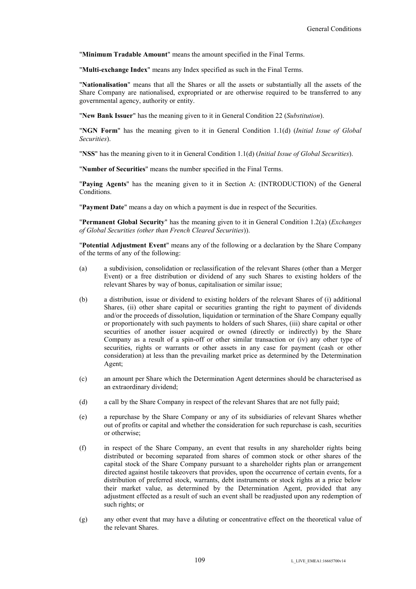"**Minimum Tradable Amount**" means the amount specified in the Final Terms.

"**Multi-exchange Index**" means any Index specified as such in the Final Terms.

"**Nationalisation**" means that all the Shares or all the assets or substantially all the assets of the Share Company are nationalised, expropriated or are otherwise required to be transferred to any governmental agency, authority or entity.

"**New Bank Issuer**" has the meaning given to it in General Condition 22 (*Substitution*).

"**NGN Form**" has the meaning given to it in General Condition 1.1(d) (*Initial Issue of Global Securities*).

"**NSS**" has the meaning given to it in General Condition 1.1(d) (*Initial Issue of Global Securities*).

"**Number of Securities**" means the number specified in the Final Terms.

"**Paying Agents**" has the meaning given to it in Section A: (INTRODUCTION) of the General Conditions.

"**Payment Date**" means a day on which a payment is due in respect of the Securities.

"**Permanent Global Security**" has the meaning given to it in General Condition 1.2(a) (*Exchanges of Global Securities (other than French Cleared Securities*)).

"**Potential Adjustment Event**" means any of the following or a declaration by the Share Company of the terms of any of the following:

- (a) a subdivision, consolidation or reclassification of the relevant Shares (other than a Merger Event) or a free distribution or dividend of any such Shares to existing holders of the relevant Shares by way of bonus, capitalisation or similar issue;
- (b) a distribution, issue or dividend to existing holders of the relevant Shares of (i) additional Shares, (ii) other share capital or securities granting the right to payment of dividends and/or the proceeds of dissolution, liquidation or termination of the Share Company equally or proportionately with such payments to holders of such Shares, (iii) share capital or other securities of another issuer acquired or owned (directly or indirectly) by the Share Company as a result of a spin-off or other similar transaction or (iv) any other type of securities, rights or warrants or other assets in any case for payment (cash or other consideration) at less than the prevailing market price as determined by the Determination Agent;
- (c) an amount per Share which the Determination Agent determines should be characterised as an extraordinary dividend;
- (d) a call by the Share Company in respect of the relevant Shares that are not fully paid;
- (e) a repurchase by the Share Company or any of its subsidiaries of relevant Shares whether out of profits or capital and whether the consideration for such repurchase is cash, securities or otherwise;
- (f) in respect of the Share Company, an event that results in any shareholder rights being distributed or becoming separated from shares of common stock or other shares of the capital stock of the Share Company pursuant to a shareholder rights plan or arrangement directed against hostile takeovers that provides, upon the occurrence of certain events, for a distribution of preferred stock, warrants, debt instruments or stock rights at a price below their market value, as determined by the Determination Agent, provided that any adjustment effected as a result of such an event shall be readjusted upon any redemption of such rights; or
- (g) any other event that may have a diluting or concentrative effect on the theoretical value of the relevant Shares.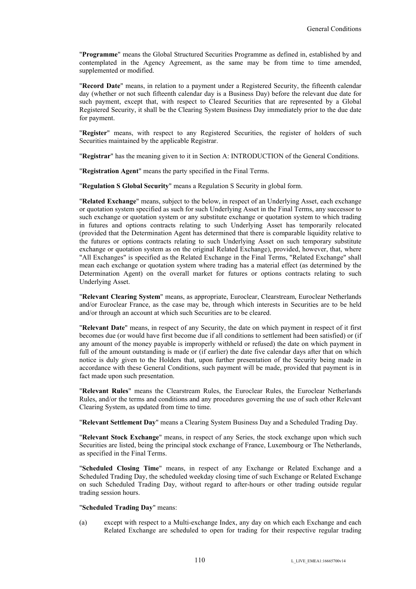"**Programme**" means the Global Structured Securities Programme as defined in, established by and contemplated in the Agency Agreement, as the same may be from time to time amended, supplemented or modified.

"**Record Date**" means, in relation to a payment under a Registered Security, the fifteenth calendar day (whether or not such fifteenth calendar day is a Business Day) before the relevant due date for such payment, except that, with respect to Cleared Securities that are represented by a Global Registered Security, it shall be the Clearing System Business Day immediately prior to the due date for payment.

"**Register**" means, with respect to any Registered Securities, the register of holders of such Securities maintained by the applicable Registrar.

"**Registrar**" has the meaning given to it in Section A: INTRODUCTION of the General Conditions.

"**Registration Agent**" means the party specified in the Final Terms.

"**Regulation S Global Security**" means a Regulation S Security in global form.

"**Related Exchange**" means, subject to the below, in respect of an Underlying Asset, each exchange or quotation system specified as such for such Underlying Asset in the Final Terms, any successor to such exchange or quotation system or any substitute exchange or quotation system to which trading in futures and options contracts relating to such Underlying Asset has temporarily relocated (provided that the Determination Agent has determined that there is comparable liquidity relative to the futures or options contracts relating to such Underlying Asset on such temporary substitute exchange or quotation system as on the original Related Exchange), provided, however, that, where "All Exchanges" is specified as the Related Exchange in the Final Terms, "Related Exchange" shall mean each exchange or quotation system where trading has a material effect (as determined by the Determination Agent) on the overall market for futures or options contracts relating to such Underlying Asset.

"**Relevant Clearing System**" means, as appropriate, Euroclear, Clearstream, Euroclear Netherlands and/or Euroclear France, as the case may be, through which interests in Securities are to be held and/or through an account at which such Securities are to be cleared.

"**Relevant Date**" means, in respect of any Security, the date on which payment in respect of it first becomes due (or would have first become due if all conditions to settlement had been satisfied) or (if any amount of the money payable is improperly withheld or refused) the date on which payment in full of the amount outstanding is made or (if earlier) the date five calendar days after that on which notice is duly given to the Holders that, upon further presentation of the Security being made in accordance with these General Conditions, such payment will be made, provided that payment is in fact made upon such presentation.

"**Relevant Rules**" means the Clearstream Rules, the Euroclear Rules, the Euroclear Netherlands Rules, and/or the terms and conditions and any procedures governing the use of such other Relevant Clearing System, as updated from time to time.

"**Relevant Settlement Day**" means a Clearing System Business Day and a Scheduled Trading Day.

"**Relevant Stock Exchange**" means, in respect of any Series, the stock exchange upon which such Securities are listed, being the principal stock exchange of France, Luxembourg or The Netherlands, as specified in the Final Terms.

"**Scheduled Closing Time**" means, in respect of any Exchange or Related Exchange and a Scheduled Trading Day, the scheduled weekday closing time of such Exchange or Related Exchange on such Scheduled Trading Day, without regard to after-hours or other trading outside regular trading session hours.

#### "**Scheduled Trading Day**" means:

(a) except with respect to a Multi-exchange Index, any day on which each Exchange and each Related Exchange are scheduled to open for trading for their respective regular trading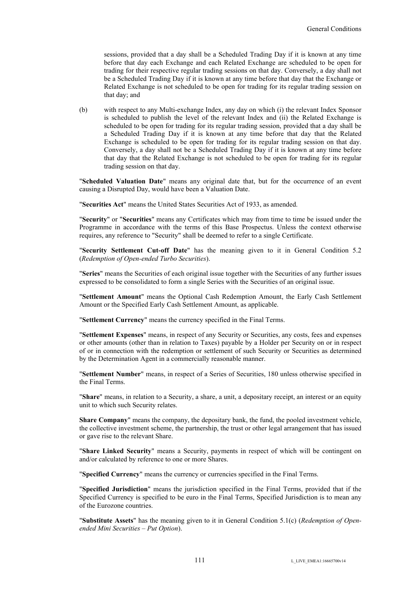sessions, provided that a day shall be a Scheduled Trading Day if it is known at any time before that day each Exchange and each Related Exchange are scheduled to be open for trading for their respective regular trading sessions on that day. Conversely, a day shall not be a Scheduled Trading Day if it is known at any time before that day that the Exchange or Related Exchange is not scheduled to be open for trading for its regular trading session on that day; and

(b) with respect to any Multi-exchange Index, any day on which (i) the relevant Index Sponsor is scheduled to publish the level of the relevant Index and (ii) the Related Exchange is scheduled to be open for trading for its regular trading session, provided that a day shall be a Scheduled Trading Day if it is known at any time before that day that the Related Exchange is scheduled to be open for trading for its regular trading session on that day. Conversely, a day shall not be a Scheduled Trading Day if it is known at any time before that day that the Related Exchange is not scheduled to be open for trading for its regular trading session on that day.

"**Scheduled Valuation Date**" means any original date that, but for the occurrence of an event causing a Disrupted Day, would have been a Valuation Date.

"**Securities Act**" means the United States Securities Act of 1933, as amended.

"**Security**" or "**Securities**" means any Certificates which may from time to time be issued under the Programme in accordance with the terms of this Base Prospectus. Unless the context otherwise requires, any reference to "Security" shall be deemed to refer to a single Certificate.

"**Security Settlement Cut-off Date**" has the meaning given to it in General Condition 5.2 (*Redemption of Open-ended Turbo Securities*).

"**Series**" means the Securities of each original issue together with the Securities of any further issues expressed to be consolidated to form a single Series with the Securities of an original issue.

"**Settlement Amount**" means the Optional Cash Redemption Amount, the Early Cash Settlement Amount or the Specified Early Cash Settlement Amount, as applicable.

"**Settlement Currency**" means the currency specified in the Final Terms.

"**Settlement Expenses**" means, in respect of any Security or Securities, any costs, fees and expenses or other amounts (other than in relation to Taxes) payable by a Holder per Security on or in respect of or in connection with the redemption or settlement of such Security or Securities as determined by the Determination Agent in a commercially reasonable manner.

"**Settlement Number**" means, in respect of a Series of Securities, 180 unless otherwise specified in the Final Terms.

"**Share**" means, in relation to a Security, a share, a unit, a depositary receipt, an interest or an equity unit to which such Security relates.

**Share Company**" means the company, the depositary bank, the fund, the pooled investment vehicle, the collective investment scheme, the partnership, the trust or other legal arrangement that has issued or gave rise to the relevant Share.

"**Share Linked Security**" means a Security, payments in respect of which will be contingent on and/or calculated by reference to one or more Shares.

"**Specified Currency**" means the currency or currencies specified in the Final Terms.

"**Specified Jurisdiction**" means the jurisdiction specified in the Final Terms, provided that if the Specified Currency is specified to be euro in the Final Terms, Specified Jurisdiction is to mean any of the Eurozone countries.

"**Substitute Assets**" has the meaning given to it in General Condition 5.1(c) (*Redemption of Openended Mini Securities – Put Option*).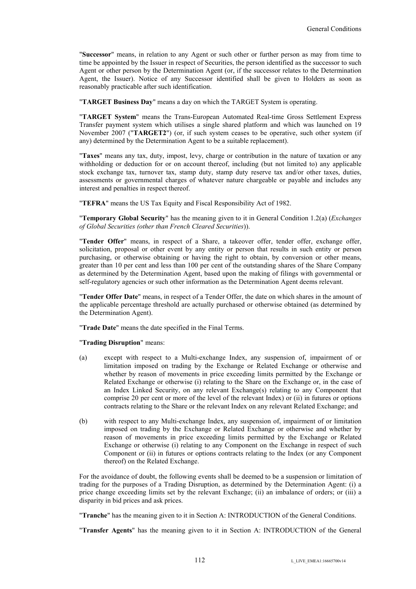"**Successor**" means, in relation to any Agent or such other or further person as may from time to time be appointed by the Issuer in respect of Securities, the person identified as the successor to such Agent or other person by the Determination Agent (or, if the successor relates to the Determination Agent, the Issuer). Notice of any Successor identified shall be given to Holders as soon as reasonably practicable after such identification.

"**TARGET Business Day**" means a day on which the TARGET System is operating.

"**TARGET System**" means the Trans-European Automated Real-time Gross Settlement Express Transfer payment system which utilises a single shared platform and which was launched on 19 November 2007 ("**TARGET2**") (or, if such system ceases to be operative, such other system (if any) determined by the Determination Agent to be a suitable replacement).

"**Taxes**" means any tax, duty, impost, levy, charge or contribution in the nature of taxation or any withholding or deduction for or on account thereof, including (but not limited to) any applicable stock exchange tax, turnover tax, stamp duty, stamp duty reserve tax and/or other taxes, duties, assessments or governmental charges of whatever nature chargeable or payable and includes any interest and penalties in respect thereof.

"**TEFRA**" means the US Tax Equity and Fiscal Responsibility Act of 1982.

"**Temporary Global Security**" has the meaning given to it in General Condition 1.2(a) (*Exchanges of Global Securities (other than French Cleared Securities*)).

"**Tender Offer**" means, in respect of a Share, a takeover offer, tender offer, exchange offer, solicitation, proposal or other event by any entity or person that results in such entity or person purchasing, or otherwise obtaining or having the right to obtain, by conversion or other means, greater than 10 per cent and less than 100 per cent of the outstanding shares of the Share Company as determined by the Determination Agent, based upon the making of filings with governmental or self-regulatory agencies or such other information as the Determination Agent deems relevant.

"**Tender Offer Date**" means, in respect of a Tender Offer, the date on which shares in the amount of the applicable percentage threshold are actually purchased or otherwise obtained (as determined by the Determination Agent).

"**Trade Date**" means the date specified in the Final Terms.

"**Trading Disruption**" means:

- (a) except with respect to a Multi-exchange Index, any suspension of, impairment of or limitation imposed on trading by the Exchange or Related Exchange or otherwise and whether by reason of movements in price exceeding limits permitted by the Exchange or Related Exchange or otherwise (i) relating to the Share on the Exchange or, in the case of an Index Linked Security, on any relevant Exchange(s) relating to any Component that comprise 20 per cent or more of the level of the relevant Index) or (ii) in futures or options contracts relating to the Share or the relevant Index on any relevant Related Exchange; and
- (b) with respect to any Multi-exchange Index, any suspension of, impairment of or limitation imposed on trading by the Exchange or Related Exchange or otherwise and whether by reason of movements in price exceeding limits permitted by the Exchange or Related Exchange or otherwise (i) relating to any Component on the Exchange in respect of such Component or (ii) in futures or options contracts relating to the Index (or any Component thereof) on the Related Exchange.

For the avoidance of doubt, the following events shall be deemed to be a suspension or limitation of trading for the purposes of a Trading Disruption, as determined by the Determination Agent: (i) a price change exceeding limits set by the relevant Exchange; (ii) an imbalance of orders; or (iii) a disparity in bid prices and ask prices.

"**Tranche**" has the meaning given to it in Section A: INTRODUCTION of the General Conditions.

"**Transfer Agents**" has the meaning given to it in Section A: INTRODUCTION of the General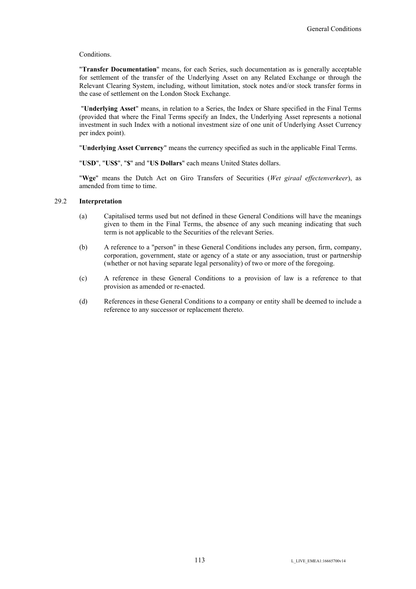#### Conditions.

"**Transfer Documentation**" means, for each Series, such documentation as is generally acceptable for settlement of the transfer of the Underlying Asset on any Related Exchange or through the Relevant Clearing System, including, without limitation, stock notes and/or stock transfer forms in the case of settlement on the London Stock Exchange.

"**Underlying Asset**" means, in relation to a Series, the Index or Share specified in the Final Terms (provided that where the Final Terms specify an Index, the Underlying Asset represents a notional investment in such Index with a notional investment size of one unit of Underlying Asset Currency per index point).

"**Underlying Asset Currency**" means the currency specified as such in the applicable Final Terms.

"**USD**", "**US\$**", "**\$**" and "**US Dollars**" each means United States dollars.

"**Wge**" means the Dutch Act on Giro Transfers of Securities (*Wet giraal effectenverkeer*), as amended from time to time.

#### 29.2 **Interpretation**

- (a) Capitalised terms used but not defined in these General Conditions will have the meanings given to them in the Final Terms, the absence of any such meaning indicating that such term is not applicable to the Securities of the relevant Series.
- (b) A reference to a "person" in these General Conditions includes any person, firm, company, corporation, government, state or agency of a state or any association, trust or partnership (whether or not having separate legal personality) of two or more of the foregoing.
- (c) A reference in these General Conditions to a provision of law is a reference to that provision as amended or re-enacted.
- (d) References in these General Conditions to a company or entity shall be deemed to include a reference to any successor or replacement thereto.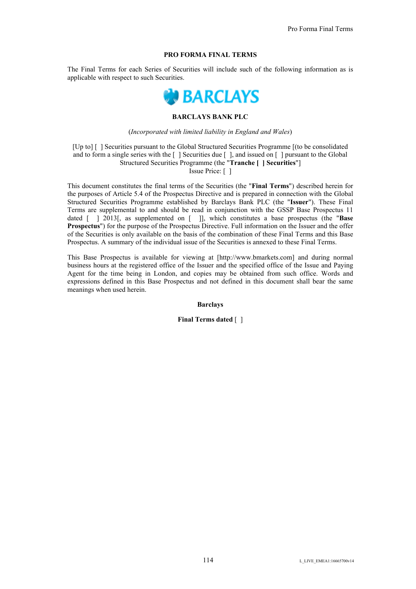### **PRO FORMA FINAL TERMS**

The Final Terms for each Series of Securities will include such of the following information as is applicable with respect to such Securities.



## **BARCLAYS BANK PLC**

#### (*Incorporated with limited liability in England and Wales*)

[Up to] [ ] Securities pursuant to the Global Structured Securities Programme [(to be consolidated and to form a single series with the  $\lceil \cdot \rceil$  Securities due  $\lceil \cdot \rceil$ , and issued on  $\lceil \cdot \rceil$  pursuant to the Global Structured Securities Programme (the "**Tranche [ ] Securities**"] Issue Price: [ ]

This document constitutes the final terms of the Securities (the "**Final Terms**") described herein for the purposes of Article 5.4 of the Prospectus Directive and is prepared in connection with the Global Structured Securities Programme established by Barclays Bank PLC (the "**Issuer**"). These Final Terms are supplemental to and should be read in conjunction with the GSSP Base Prospectus 11 dated [ ] 2013[, as supplemented on [ ]], which constitutes a base prospectus (the "**Base Prospectus**") for the purpose of the Prospectus Directive. Full information on the Issuer and the offer of the Securities is only available on the basis of the combination of these Final Terms and this Base Prospectus. A summary of the individual issue of the Securities is annexed to these Final Terms.

This Base Prospectus is available for viewing at [http://www.bmarkets.com] and during normal business hours at the registered office of the Issuer and the specified office of the Issue and Paying Agent for the time being in London, and copies may be obtained from such office. Words and expressions defined in this Base Prospectus and not defined in this document shall bear the same meanings when used herein.

**Barclays**

**Final Terms dated** [ ]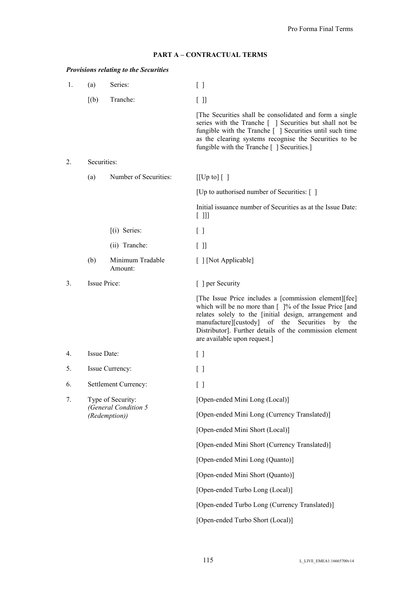## **PART A – CONTRACTUAL TERMS**

## *Provisions relating to the Securities*

| 1. | (a)         | Series:                               | $\Box$                                                                                                                                                                                                                                                                                                                                           |
|----|-------------|---------------------------------------|--------------------------------------------------------------------------------------------------------------------------------------------------------------------------------------------------------------------------------------------------------------------------------------------------------------------------------------------------|
|    | [(b)]       | Tranche:                              | $[ \ ]$                                                                                                                                                                                                                                                                                                                                          |
|    |             |                                       | [The Securities shall be consolidated and form a single<br>series with the Tranche [] Securities but shall not be<br>fungible with the Tranche [ ] Securities until such time<br>as the clearing systems recognise the Securities to be<br>fungible with the Tranche [ ] Securities.]                                                            |
| 2. | Securities: |                                       |                                                                                                                                                                                                                                                                                                                                                  |
|    | (a)         | Number of Securities:                 | $[[Up to] [$ ]                                                                                                                                                                                                                                                                                                                                   |
|    |             |                                       | [Up to authorised number of Securities: []                                                                                                                                                                                                                                                                                                       |
|    |             |                                       | Initial issuance number of Securities as at the Issue Date:<br>$[$ $]]$                                                                                                                                                                                                                                                                          |
|    |             | $(i)$ Series:                         | $\lceil$ $\rceil$                                                                                                                                                                                                                                                                                                                                |
|    |             | (ii) Tranche:                         | [ ]                                                                                                                                                                                                                                                                                                                                              |
|    | (b)         | Minimum Tradable<br>Amount:           | [ ] [Not Applicable]                                                                                                                                                                                                                                                                                                                             |
| 3. |             | Issue Price:                          | [ ] per Security                                                                                                                                                                                                                                                                                                                                 |
|    |             |                                       | [The Issue Price includes a [commission element][fee]<br>which will be no more than $\lceil \cdot \rceil$ % of the Issue Price [and<br>relates solely to the [initial design, arrangement and<br>manufacture][custody] of the Securities<br>by<br>the<br>Distributor]. Further details of the commission element<br>are available upon request.] |
| 4. |             | Issue Date:                           | $\Box$                                                                                                                                                                                                                                                                                                                                           |
| 5. |             | Issue Currency:                       | $\Box$                                                                                                                                                                                                                                                                                                                                           |
| 6. |             | Settlement Currency:                  | U                                                                                                                                                                                                                                                                                                                                                |
| 7. |             | Type of Security:                     | [Open-ended Mini Long (Local)]                                                                                                                                                                                                                                                                                                                   |
|    |             | (General Condition 5<br>(Redemption)) | [Open-ended Mini Long (Currency Translated)]                                                                                                                                                                                                                                                                                                     |
|    |             |                                       | [Open-ended Mini Short (Local)]                                                                                                                                                                                                                                                                                                                  |
|    |             |                                       | [Open-ended Mini Short (Currency Translated)]                                                                                                                                                                                                                                                                                                    |
|    |             |                                       | [Open-ended Mini Long (Quanto)]                                                                                                                                                                                                                                                                                                                  |
|    |             |                                       | [Open-ended Mini Short (Quanto)]                                                                                                                                                                                                                                                                                                                 |
|    |             |                                       | [Open-ended Turbo Long (Local)]                                                                                                                                                                                                                                                                                                                  |
|    |             |                                       | [Open-ended Turbo Long (Currency Translated)]                                                                                                                                                                                                                                                                                                    |
|    |             |                                       | [Open-ended Turbo Short (Local)]                                                                                                                                                                                                                                                                                                                 |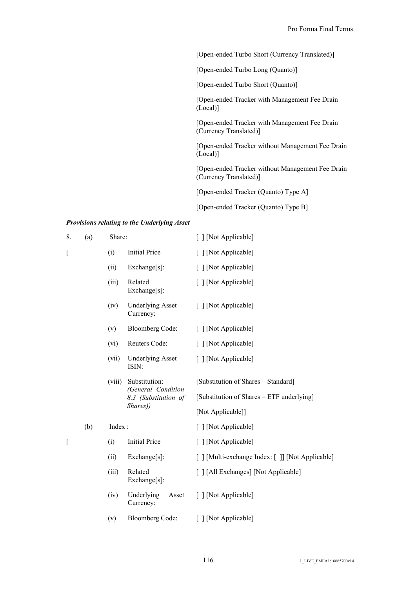[Open-ended Turbo Short (Currency Translated)]

[Open-ended Turbo Long (Quanto)]

[Open-ended Turbo Short (Quanto)]

[Open-ended Tracker with Management Fee Drain (Local)]

[Open-ended Tracker with Management Fee Drain (Currency Translated)]

[Open-ended Tracker without Management Fee Drain (Local)]

[Open-ended Tracker without Management Fee Drain (Currency Translated)]

[Open-ended Tracker (Quanto) Type A]

[Open-ended Tracker (Quanto) Type B]

#### *Provisions relating to the Underlying Asset*

| 8. | (a) | Share: |                                            | [ ] [Not Applicable]                             |
|----|-----|--------|--------------------------------------------|--------------------------------------------------|
| L  |     | (i)    | <b>Initial Price</b>                       | [ ] [Not Applicable]                             |
|    |     | (ii)   | Exchange[s]:                               | [ ] [Not Applicable]                             |
|    |     | (iii)  | Related<br>Exchange[s]:                    | [ ] [Not Applicable]                             |
|    |     | (iv)   | <b>Underlying Asset</b><br>Currency:       | [ ] [Not Applicable]                             |
|    |     | (v)    | <b>Bloomberg Code:</b>                     | [ ] [Not Applicable]                             |
|    |     | (vi)   | Reuters Code:                              | [ ] [Not Applicable]                             |
|    |     | (vii)  | <b>Underlying Asset</b><br>ISIN:           | [ ] [Not Applicable]                             |
|    |     | (viii) | Substitution:                              | [Substitution of Shares - Standard]              |
|    |     |        | (General Condition<br>8.3 (Substitution of | [Substitution of Shares – ETF underlying]        |
|    |     |        | Shares))                                   | [Not Applicable]]                                |
|    | (b) | Index: |                                            | [ ] [Not Applicable]                             |
| ſ  |     | (i)    | <b>Initial Price</b>                       | [ ] [Not Applicable]                             |
|    |     | (ii)   | Exchange[s]:                               | [ ] [Multi-exchange Index: [ ]] [Not Applicable] |
|    |     | (iii)  | Related<br>$Exchange[s]$ :                 | [ ] [All Exchanges] [Not Applicable]             |
|    |     | (iv)   | Underlying<br>Asset<br>Currency:           | [ ] [Not Applicable]                             |
|    |     | (v)    | <b>Bloomberg Code:</b>                     | [Not Applicable]                                 |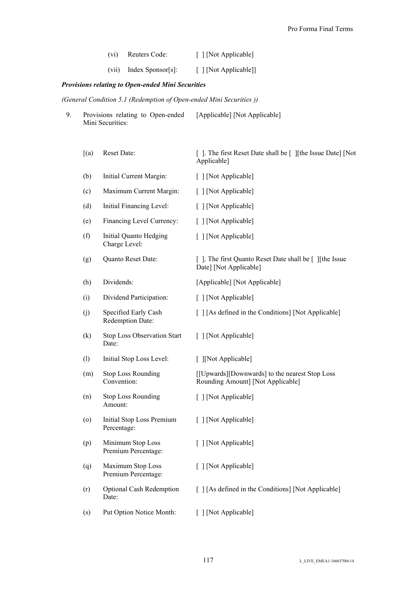| (vi) | Reuters Code:             | [ ] [Not Applicable]  |
|------|---------------------------|-----------------------|
|      | $(vii)$ Index Sponsor[s]: | [ ] [Not Applicable]] |

## *Provisions relating to Open-ended Mini Securities*

*(General Condition 5.1 (Redemption of Open-ended Mini Securities ))*

| Provisions relating to Open-ended | [Applicable] [Not Applicable] |
|-----------------------------------|-------------------------------|
| Mini Securities:                  |                               |

| [(a)]             | Reset Date:                              | []. The first Reset Date shall be [] [the Issue Date] [Not]<br>Applicable]          |
|-------------------|------------------------------------------|-------------------------------------------------------------------------------------|
| (b)               | Initial Current Margin:                  | [ ] [Not Applicable]                                                                |
| (c)               | Maximum Current Margin:                  | [ ] [Not Applicable]                                                                |
| (d)               | Initial Financing Level:                 | [ ] [Not Applicable]                                                                |
| (e)               | Financing Level Currency:                | [ ] [Not Applicable]                                                                |
| (f)               | Initial Quanto Hedging<br>Charge Level:  | [ ] [Not Applicable]                                                                |
| (g)               | Quanto Reset Date:                       | []. The first Quanto Reset Date shall be [] [the Issue]<br>Date] [Not Applicable]   |
| (h)               | Dividends:                               | [Applicable] [Not Applicable]                                                       |
| (i)               | Dividend Participation:                  | [ ] [Not Applicable]                                                                |
| (j)               | Specified Early Cash<br>Redemption Date: | [ ] [As defined in the Conditions] [Not Applicable]                                 |
| $\left( k\right)$ | Stop Loss Observation Start<br>Date:     | [ ] [Not Applicable]                                                                |
| (1)               | Initial Stop Loss Level:                 | [ ][Not Applicable]                                                                 |
| (m)               | <b>Stop Loss Rounding</b><br>Convention: | [[Upwards][Downwards] to the nearest Stop Loss<br>Rounding Amount] [Not Applicable] |
| (n)               | <b>Stop Loss Rounding</b><br>Amount:     | [ ] [Not Applicable]                                                                |
| (0)               | Initial Stop Loss Premium<br>Percentage: | [ ] [Not Applicable]                                                                |
| (p)               | Minimum Stop Loss<br>Premium Percentage: | [ ] [Not Applicable]                                                                |
| (q)               | Maximum Stop Loss<br>Premium Percentage: | [ ] [Not Applicable]                                                                |
| (r)               | <b>Optional Cash Redemption</b><br>Date: | [ ] [As defined in the Conditions] [Not Applicable]                                 |
| (s)               | Put Option Notice Month:                 | [ ] [Not Applicable]                                                                |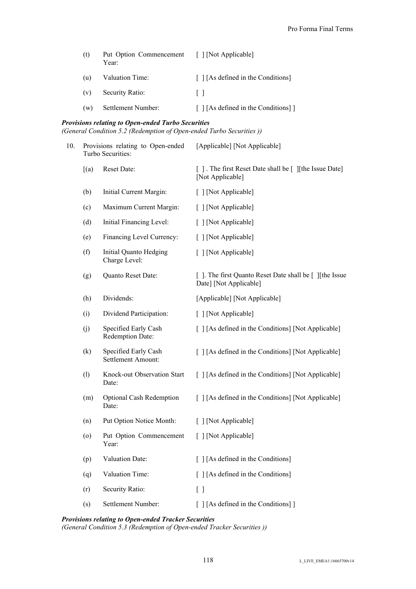| (t) | Put Option Commencement<br>Year: | [ ] [Not Applicable]                      |
|-----|----------------------------------|-------------------------------------------|
| (u) | Valuation Time:                  | $\lceil$   [As defined in the Conditions] |
| (v) | Security Ratio:                  | $\mathbf{1}$                              |
| (w) | Settlement Number:               | [ ] [As defined in the Conditions] ]      |

## *Provisions relating to Open-ended Turbo Securities*

*(General Condition 5.2 (Redemption of Open-ended Turbo Securities ))*

| 10. |      | Provisions relating to Open-ended<br>Turbo Securities: | [Applicable] [Not Applicable]                                                     |
|-----|------|--------------------------------------------------------|-----------------------------------------------------------------------------------|
|     | [(a) | Reset Date:                                            | [ ]. The first Reset Date shall be [ ][the Issue Date]<br>[Not Applicable]        |
|     | (b)  | Initial Current Margin:                                | [ ] [Not Applicable]                                                              |
|     | (c)  | Maximum Current Margin:                                | [ ] [Not Applicable]                                                              |
|     | (d)  | Initial Financing Level:                               | [ ] [Not Applicable]                                                              |
|     | (e)  | Financing Level Currency:                              | [ ] [Not Applicable]                                                              |
|     | (f)  | Initial Quanto Hedging<br>Charge Level:                | [ ] [Not Applicable]                                                              |
|     | (g)  | Quanto Reset Date:                                     | []. The first Quanto Reset Date shall be [] [the Issue]<br>Date] [Not Applicable] |
|     | (h)  | Dividends:                                             | [Applicable] [Not Applicable]                                                     |
|     | (i)  | Dividend Participation:                                | [ ] [Not Applicable]                                                              |
|     | (j)  | Specified Early Cash<br>Redemption Date:               | [ ] [As defined in the Conditions] [Not Applicable]                               |
|     | (k)  | Specified Early Cash<br>Settlement Amount:             | [ ] [As defined in the Conditions] [Not Applicable]                               |
|     | (1)  | Knock-out Observation Start<br>Date:                   | [ ] [As defined in the Conditions] [Not Applicable]                               |
|     | (m)  | <b>Optional Cash Redemption</b><br>Date:               | [ ] [As defined in the Conditions] [Not Applicable]                               |
|     | (n)  | Put Option Notice Month:                               | [ ] [Not Applicable]                                                              |
|     | (0)  | Put Option Commencement<br>Year:                       | [ ] [Not Applicable]                                                              |
|     | (p)  | Valuation Date:                                        | [ ] [As defined in the Conditions]                                                |
|     | (q)  | Valuation Time:                                        | [ ] [As defined in the Conditions]                                                |
|     | (r)  | Security Ratio:                                        | $[ \ ]$                                                                           |
|     | (s)  | Settlement Number:                                     | [ ] [As defined in the Conditions] ]                                              |

## *Provisions relating to Open-ended Tracker Securities*

*(General Condition 5.3 (Redemption of Open-ended Tracker Securities ))*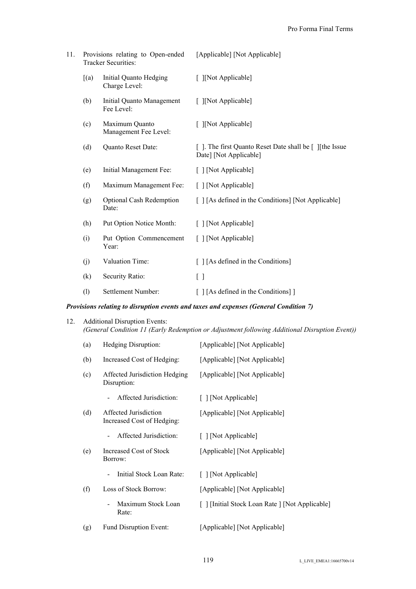| 11. |       | Provisions relating to Open-ended<br><b>Tracker Securities:</b> | [Applicable] [Not Applicable]                                                    |
|-----|-------|-----------------------------------------------------------------|----------------------------------------------------------------------------------|
|     | [(a)] | Initial Quanto Hedging<br>Charge Level:                         | [ ][Not Applicable]                                                              |
|     | (b)   | Initial Quanto Management<br>Fee Level:                         | [ ][Not Applicable]                                                              |
|     | (c)   | Maximum Quanto<br>Management Fee Level:                         | [ ][Not Applicable]                                                              |
|     | (d)   | Quanto Reset Date:                                              | []. The first Quanto Reset Date shall be [] [the Issue<br>Date] [Not Applicable] |
|     | (e)   | Initial Management Fee:                                         | [ ] [Not Applicable]                                                             |
|     | (f)   | Maximum Management Fee:                                         | [ ] [Not Applicable]                                                             |
|     | (g)   | <b>Optional Cash Redemption</b><br>Date:                        | [ ] [As defined in the Conditions] [Not Applicable]                              |
|     | (h)   | Put Option Notice Month:                                        | [ ] [Not Applicable]                                                             |
|     | (i)   | Put Option Commencement<br>Year:                                | [ ] [Not Applicable]                                                             |
|     | (j)   | Valuation Time:                                                 | [ ] [As defined in the Conditions]                                               |
|     | (k)   | Security Ratio:                                                 | $[\ ]$                                                                           |
|     | (1)   | Settlement Number:                                              | [[As defined in the Conditions]]                                                 |

## *Provisions relating to disruption events and taxes and expenses (General Condition 7)*

## 12. Additional Disruption Events: *(General Condition 11 (Early Redemption or Adjustment following Additional Disruption Event))*

| (a) | Hedging Disruption:                                 | [Applicable] [Not Applicable]                   |
|-----|-----------------------------------------------------|-------------------------------------------------|
| (b) | Increased Cost of Hedging:                          | [Applicable] [Not Applicable]                   |
| (c) | Affected Jurisdiction Hedging<br>Disruption:        | [Applicable] [Not Applicable]                   |
|     | Affected Jurisdiction:                              | [ ] [Not Applicable]                            |
| (d) | Affected Jurisdiction<br>Increased Cost of Hedging: | [Applicable] [Not Applicable]                   |
|     | Affected Jurisdiction:                              | [ ] [Not Applicable]                            |
| (e) | Increased Cost of Stock<br>Borrow:                  | [Applicable] [Not Applicable]                   |
|     | Initial Stock Loan Rate:                            | [ ] [Not Applicable]                            |
| (f) | Loss of Stock Borrow:                               | [Applicable] [Not Applicable]                   |
|     | Maximum Stock Loan<br>Rate:                         | [ ] [Initial Stock Loan Rate ] [Not Applicable] |
| (g) | Fund Disruption Event:                              | [Applicable] [Not Applicable]                   |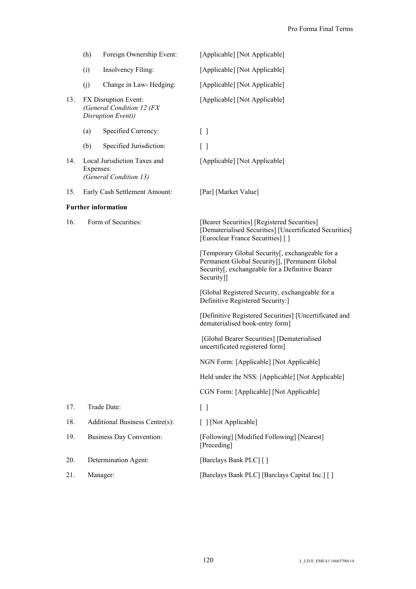|     | (h)       | Foreign Ownership Event:                                                | [Applicable] [Not Applicable]                                                                                                                                      |
|-----|-----------|-------------------------------------------------------------------------|--------------------------------------------------------------------------------------------------------------------------------------------------------------------|
|     | (i)       | Insolvency Filing:                                                      | [Applicable] [Not Applicable]                                                                                                                                      |
|     | (j)       | Change in Law-Hedging:                                                  | [Applicable] [Not Applicable]                                                                                                                                      |
| 13. |           | FX Disruption Event:<br>(General Condition 12 (FX<br>Disruption Event)) | [Applicable] [Not Applicable]                                                                                                                                      |
|     | (a)       | Specified Currency:                                                     | $\begin{bmatrix} 1 \end{bmatrix}$                                                                                                                                  |
|     | (b)       | Specified Jurisdiction:                                                 | $\left[ \ \right]$                                                                                                                                                 |
| 14. | Expenses: | Local Jurisdiction Taxes and<br>(General Condition 13)                  | [Applicable] [Not Applicable]                                                                                                                                      |
| 15. |           | Early Cash Settlement Amount:                                           | [Par] [Market Value]                                                                                                                                               |
|     |           | <b>Further information</b>                                              |                                                                                                                                                                    |
| 16. |           | Form of Securities:                                                     | [Bearer Securities] [Registered Securities]<br>[Dematerialised Securities] [Uncertificated Securities]<br>[Euroclear France Securities] []                         |
|     |           |                                                                         | [Temporary Global Security[, exchangeable for a<br>Permanent Global Security]], [Permanent Global<br>Security[, exchangeable for a Definitive Bearer<br>Security]] |
|     |           |                                                                         | [Global Registered Security, exchangeable for a<br>Definitive Registered Security:                                                                                 |
|     |           |                                                                         | [Definitive Registered Securities] [Uncertificated and<br>dematerialised book-entry form]                                                                          |
|     |           |                                                                         | [Global Bearer Securities] [Dematerialised<br>uncertificated registered form]                                                                                      |
|     |           |                                                                         | NGN Form: [Applicable] [Not Applicable]                                                                                                                            |
|     |           |                                                                         | Held under the NSS: [Applicable] [Not Applicable]                                                                                                                  |
|     |           |                                                                         | CGN Form: [Applicable] [Not Applicable]                                                                                                                            |
| 17. |           | Trade Date:                                                             | $[ \ ]$                                                                                                                                                            |
| 18. |           | Additional Business Centre(s):                                          | [ ] [Not Applicable]                                                                                                                                               |
| 19. |           | <b>Business Day Convention:</b>                                         | [Following] [Modified Following] [Nearest]<br>[Preceding]                                                                                                          |
| 20. |           | Determination Agent:                                                    | [Barclays Bank PLC] []                                                                                                                                             |
| 21. |           | Manager:                                                                | [Barclays Bank PLC] [Barclays Capital Inc.] []                                                                                                                     |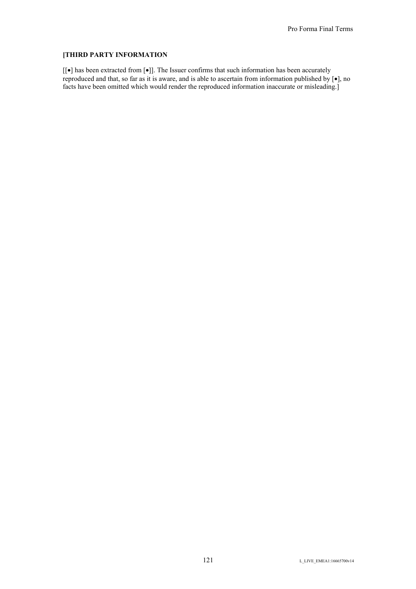## **[THIRD PARTY INFORMATION**

 $[[\bullet]$  has been extracted from  $[\bullet]$  . The Issuer confirms that such information has been accurately reproduced and that, so far as it is aware, and is able to ascertain from information published by  $[\bullet]$ , no facts have been omitted which would render the reproduced information inaccurate or misleading.]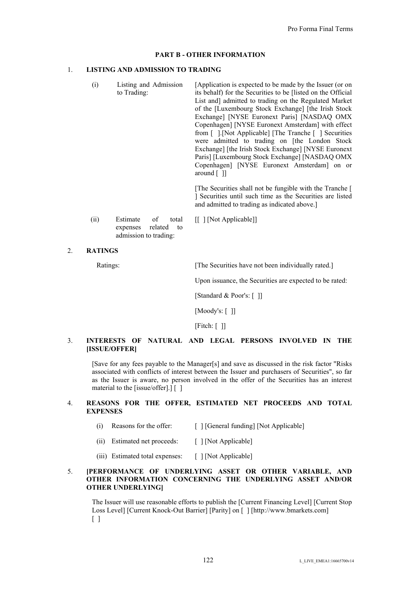#### **PART B - OTHER INFORMATION**

#### 1. **LISTING AND ADMISSION TO TRADING**

(i) Listing and Admission to Trading: [Application is expected to be made by the Issuer (or on its behalf) for the Securities to be [listed on the Official List and] admitted to trading on the Regulated Market of the [Luxembourg Stock Exchange] [the Irish Stock Exchange] [NYSE Euronext Paris] [NASDAQ OMX Copenhagen] [NYSE Euronext Amsterdam] with effect from [ ].[Not Applicable] [The Tranche [ ] Securities were admitted to trading on [the London Stock Exchange] [the Irish Stock Exchange] [NYSE Euronext Paris] [Luxembourg Stock Exchange] [NASDAQ OMX Copenhagen] [NYSE Euronext Amsterdam] on or around [ ]]

> [The Securities shall not be fungible with the Tranche [ ] Securities until such time as the Securities are listed and admitted to trading as indicated above.]

- (ii) Estimate of total expenses related to admission to trading: [[ ] [Not Applicable]]
- 2. **RATINGS**

Ratings: [The Securities have not been individually rated.]

Upon issuance, the Securities are expected to be rated:

[Standard & Poor's: [ ]]

[Moody's: [ ]]

[Fitch: []

## 3. **INTERESTS OF NATURAL AND LEGAL PERSONS INVOLVED IN THE [ISSUE/OFFER]**

[Save for any fees payable to the Manager[s] and save as discussed in the risk factor "Risks associated with conflicts of interest between the Issuer and purchasers of Securities", so far as the Issuer is aware, no person involved in the offer of the Securities has an interest material to the [issue/offer].] [ ]

## 4. **REASONS FOR THE OFFER, ESTIMATED NET PROCEEDS AND TOTAL EXPENSES**

- (i) Reasons for the offer:  $\lceil \cdot \rceil$  [General funding] [Not Applicable]
- (ii) Estimated net proceeds: [ ] [Not Applicable]
- (iii) Estimated total expenses: [ ] [Not Applicable]

#### 5. **[PERFORMANCE OF UNDERLYING ASSET OR OTHER VARIABLE, AND OTHER INFORMATION CONCERNING THE UNDERLYING ASSET AND/OR OTHER UNDERLYING]**

The Issuer will use reasonable efforts to publish the [Current Financing Level] [Current Stop Loss Level] [Current Knock-Out Barrier] [Parity] on [ ] [http://www.bmarkets.com]  $\lceil$   $\rceil$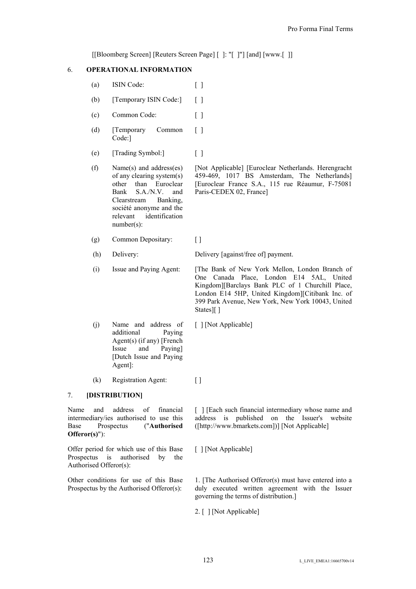[[Bloomberg Screen] [Reuters Screen Page] [ ]: "[ ]"] [and] [www.[ ]]

## 6. **OPERATIONAL INFORMATION**

- (a) ISIN Code:  $\lceil \cdot \rceil$
- (b) [Temporary ISIN Code:] [ ]
- (c) Common Code: [ ]
- (d) [Temporary Common Code:]  $\lceil$   $\rceil$
- (e) [Trading Symbol:] [ ]
- (f) Name(s) and address(es) of any clearing system(s) other than Euroclear Bank S.A./N.V. and Clearstream Banking, société anonyme and the relevant identification number(s):

(g) Common Depositary: [ ]

(h) Delivery: Delivery [against/free of] payment.

Paris-CEDEX 02, France]

(i) Issue and Paying Agent: [The Bank of New York Mellon, London Branch of One Canada Place, London E14 5AL, United Kingdom][Barclays Bank PLC of 1 Churchill Place, London E14 5HP, United Kingdom][Citibank Inc. of 399 Park Avenue, New York, New York 10043, United States][ ]

[Not Applicable] [Euroclear Netherlands. Herengracht 459-469, 1017 BS Amsterdam, The Netherlands] [Euroclear France S.A., 115 rue Réaumur, F-75081

- (j) Name and address of additional Paying Agent(s) (if any) [French Issue and Paying] [Dutch Issue and Paying Agent]: [ ] [Not Applicable]
- (k) Registration Agent: [ ]

## 7. **[DISTRIBUTION]**

Name and address of financial intermediary/ies authorised to use this Base Prospectus ("**Authorised Offeror(s)**"):

Offer period for which use of this Base Prospectus is authorised by the Authorised Offeror(s):

Other conditions for use of this Base Prospectus by the Authorised Offeror(s):

[ ] [Each such financial intermediary whose name and address is published on the Issuer's website ([http://www.bmarkets.com])] [Not Applicable]

[ ] [Not Applicable]

1. [The Authorised Offeror(s) must have entered into a duly executed written agreement with the Issuer governing the terms of distribution.]

2. [ ] [Not Applicable]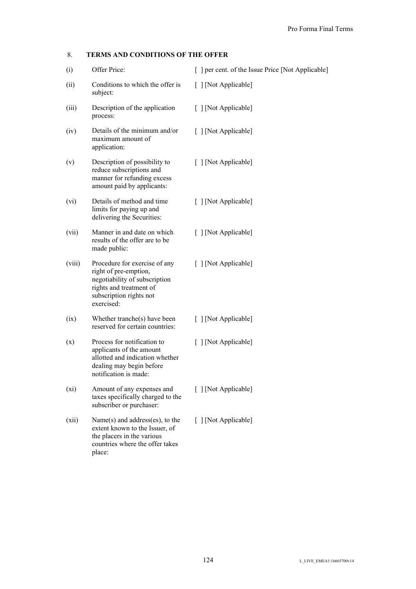## 8. **TERMS AND CONDITIONS OF THE OFFER**

| (i)    | Offer Price:                                                                                                                                                | [ ] per cent. of the Issue Price [Not Applicable] |
|--------|-------------------------------------------------------------------------------------------------------------------------------------------------------------|---------------------------------------------------|
| (ii)   | Conditions to which the offer is<br>subject:                                                                                                                | [ ] [Not Applicable]                              |
| (iii)  | Description of the application<br>process:                                                                                                                  | [ ] [Not Applicable]                              |
| (iv)   | Details of the minimum and/or<br>maximum amount of<br>application:                                                                                          | [ ] [Not Applicable]                              |
| (v)    | Description of possibility to<br>reduce subscriptions and<br>manner for refunding excess<br>amount paid by applicants:                                      | [ ] [Not Applicable]                              |
| (vi)   | Details of method and time<br>limits for paying up and<br>delivering the Securities:                                                                        | [ ] [Not Applicable]                              |
| (vii)  | Manner in and date on which<br>results of the offer are to be<br>made public:                                                                               | [ ] [Not Applicable]                              |
| (viii) | Procedure for exercise of any<br>right of pre-emption,<br>negotiability of subscription<br>rights and treatment of<br>subscription rights not<br>exercised: | [ ] [Not Applicable]                              |
| (ix)   | Whether tranche(s) have been<br>reserved for certain countries:                                                                                             | [ ] [Not Applicable]                              |
| (x)    | Process for notification to<br>applicants of the amount<br>allotted and indication whether<br>dealing may begin before<br>notification is made:             | [ ] [Not Applicable]                              |
| (xi)   | Amount of any expenses and<br>taxes specifically charged to the<br>subscriber or purchaser:                                                                 | [ ] [Not Applicable]                              |
| (xii)  | Name $(s)$ and address $(es)$ , to the<br>extent known to the Issuer, of<br>the placers in the various<br>countries where the offer takes<br>place:         | [ ] [Not Applicable]                              |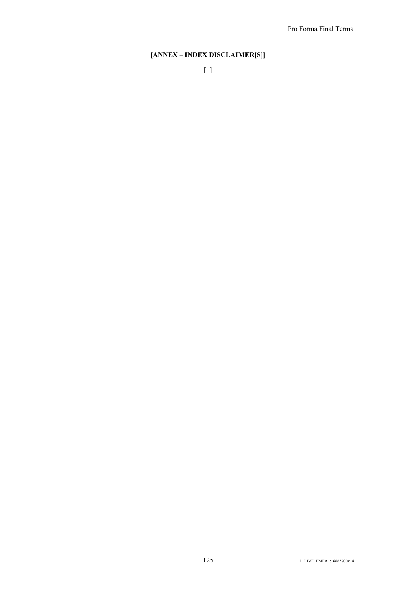# **[ANNEX – INDEX DISCLAIMER[S]]**

[ ]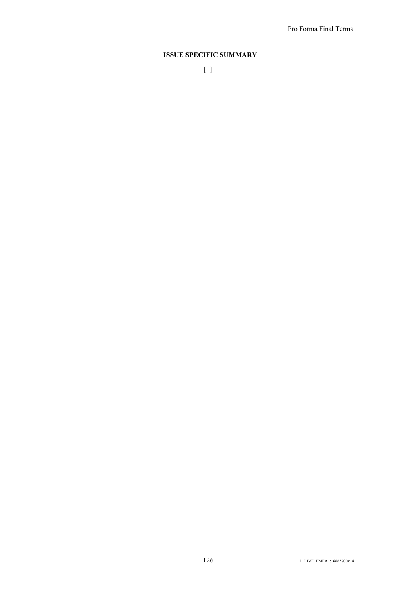## **ISSUE SPECIFIC SUMMARY**

[ ]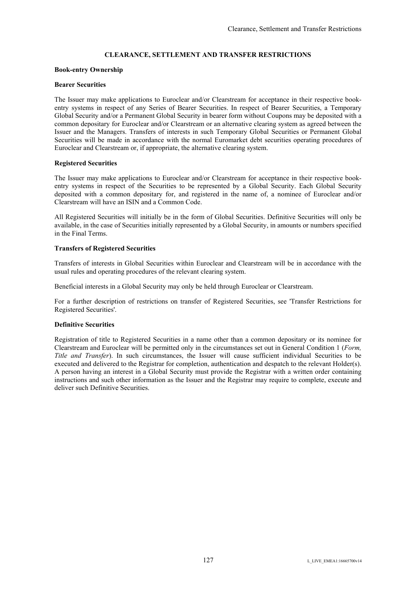## **CLEARANCE, SETTLEMENT AND TRANSFER RESTRICTIONS**

#### **Book-entry Ownership**

#### **Bearer Securities**

The Issuer may make applications to Euroclear and/or Clearstream for acceptance in their respective bookentry systems in respect of any Series of Bearer Securities. In respect of Bearer Securities, a Temporary Global Security and/or a Permanent Global Security in bearer form without Coupons may be deposited with a common depositary for Euroclear and/or Clearstream or an alternative clearing system as agreed between the Issuer and the Managers. Transfers of interests in such Temporary Global Securities or Permanent Global Securities will be made in accordance with the normal Euromarket debt securities operating procedures of Euroclear and Clearstream or, if appropriate, the alternative clearing system.

#### **Registered Securities**

The Issuer may make applications to Euroclear and/or Clearstream for acceptance in their respective bookentry systems in respect of the Securities to be represented by a Global Security. Each Global Security deposited with a common depositary for, and registered in the name of, a nominee of Euroclear and/or Clearstream will have an ISIN and a Common Code.

All Registered Securities will initially be in the form of Global Securities. Definitive Securities will only be available, in the case of Securities initially represented by a Global Security, in amounts or numbers specified in the Final Terms.

#### **Transfers of Registered Securities**

Transfers of interests in Global Securities within Euroclear and Clearstream will be in accordance with the usual rules and operating procedures of the relevant clearing system.

Beneficial interests in a Global Security may only be held through Euroclear or Clearstream.

For a further description of restrictions on transfer of Registered Securities, see 'Transfer Restrictions for Registered Securities'.

### **Definitive Securities**

Registration of title to Registered Securities in a name other than a common depositary or its nominee for Clearstream and Euroclear will be permitted only in the circumstances set out in General Condition 1 (*Form, Title and Transfer*). In such circumstances, the Issuer will cause sufficient individual Securities to be executed and delivered to the Registrar for completion, authentication and despatch to the relevant Holder(s). A person having an interest in a Global Security must provide the Registrar with a written order containing instructions and such other information as the Issuer and the Registrar may require to complete, execute and deliver such Definitive Securities.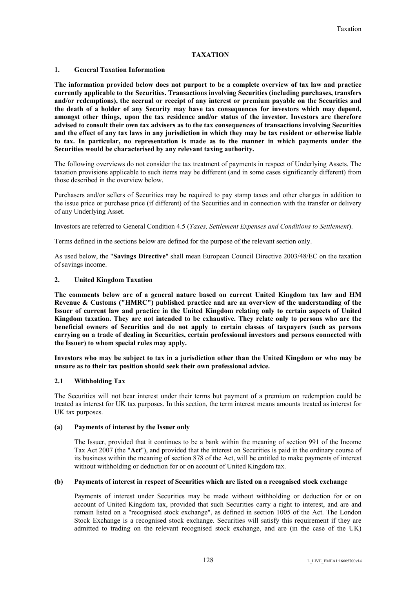## **TAXATION**

### **1. General Taxation Information**

**The information provided below does not purport to be a complete overview of tax law and practice currently applicable to the Securities. Transactions involving Securities (including purchases, transfers and/or redemptions), the accrual or receipt of any interest or premium payable on the Securities and the death of a holder of any Security may have tax consequences for investors which may depend, amongst other things, upon the tax residence and/or status of the investor. Investors are therefore advised to consult their own tax advisers as to the tax consequences of transactions involving Securities and the effect of any tax laws in any jurisdiction in which they may be tax resident or otherwise liable to tax. In particular, no representation is made as to the manner in which payments under the Securities would be characterised by any relevant taxing authority.**

The following overviews do not consider the tax treatment of payments in respect of Underlying Assets. The taxation provisions applicable to such items may be different (and in some cases significantly different) from those described in the overview below.

Purchasers and/or sellers of Securities may be required to pay stamp taxes and other charges in addition to the issue price or purchase price (if different) of the Securities and in connection with the transfer or delivery of any Underlying Asset.

Investors are referred to General Condition 4.5 (*Taxes, Settlement Expenses and Conditions to Settlement*).

Terms defined in the sections below are defined for the purpose of the relevant section only.

As used below, the "**Savings Directive**" shall mean European Council Directive 2003/48/EC on the taxation of savings income.

#### **2. United Kingdom Taxation**

**The comments below are of a general nature based on current United Kingdom tax law and HM Revenue & Customs ("HMRC") published practice and are an overview of the understanding of the Issuer of current law and practice in the United Kingdom relating only to certain aspects of United Kingdom taxation. They are not intended to be exhaustive. They relate only to persons who are the beneficial owners of Securities and do not apply to certain classes of taxpayers (such as persons carrying on a trade of dealing in Securities, certain professional investors and persons connected with the Issuer) to whom special rules may apply.**

**Investors who may be subject to tax in a jurisdiction other than the United Kingdom or who may be unsure as to their tax position should seek their own professional advice.**

### **2.1 Withholding Tax**

The Securities will not bear interest under their terms but payment of a premium on redemption could be treated as interest for UK tax purposes. In this section, the term interest means amounts treated as interest for UK tax purposes.

### **(a) Payments of interest by the Issuer only**

The Issuer, provided that it continues to be a bank within the meaning of section 991 of the Income Tax Act 2007 (the "**Act**"), and provided that the interest on Securities is paid in the ordinary course of its business within the meaning of section 878 of the Act, will be entitled to make payments of interest without withholding or deduction for or on account of United Kingdom tax.

### **(b) Payments of interest in respect of Securities which are listed on a recognised stock exchange**

Payments of interest under Securities may be made without withholding or deduction for or on account of United Kingdom tax, provided that such Securities carry a right to interest, and are and remain listed on a "recognised stock exchange", as defined in section 1005 of the Act. The London Stock Exchange is a recognised stock exchange. Securities will satisfy this requirement if they are admitted to trading on the relevant recognised stock exchange, and are (in the case of the UK)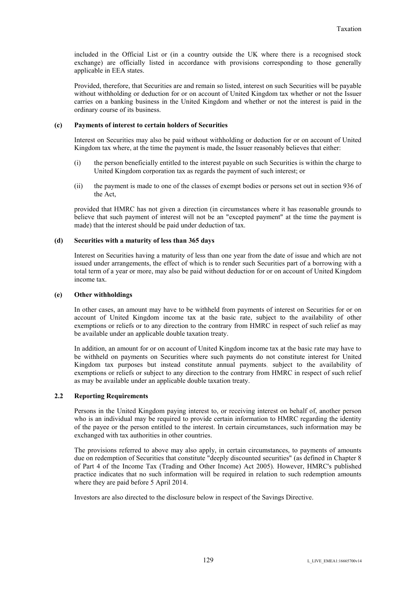included in the Official List or (in a country outside the UK where there is a recognised stock exchange) are officially listed in accordance with provisions corresponding to those generally applicable in EEA states.

Provided, therefore, that Securities are and remain so listed, interest on such Securities will be payable without withholding or deduction for or on account of United Kingdom tax whether or not the Issuer carries on a banking business in the United Kingdom and whether or not the interest is paid in the ordinary course of its business.

#### **(c) Payments of interest to certain holders of Securities**

Interest on Securities may also be paid without withholding or deduction for or on account of United Kingdom tax where, at the time the payment is made, the Issuer reasonably believes that either:

- (i) the person beneficially entitled to the interest payable on such Securities is within the charge to United Kingdom corporation tax as regards the payment of such interest; or
- (ii) the payment is made to one of the classes of exempt bodies or persons set out in section 936 of the Act,

provided that HMRC has not given a direction (in circumstances where it has reasonable grounds to believe that such payment of interest will not be an "excepted payment" at the time the payment is made) that the interest should be paid under deduction of tax.

#### **(d) Securities with a maturity of less than 365 days**

Interest on Securities having a maturity of less than one year from the date of issue and which are not issued under arrangements, the effect of which is to render such Securities part of a borrowing with a total term of a year or more, may also be paid without deduction for or on account of United Kingdom income tax.

#### **(e) Other withholdings**

In other cases, an amount may have to be withheld from payments of interest on Securities for or on account of United Kingdom income tax at the basic rate, subject to the availability of other exemptions or reliefs or to any direction to the contrary from HMRC in respect of such relief as may be available under an applicable double taxation treaty.

In addition, an amount for or on account of United Kingdom income tax at the basic rate may have to be withheld on payments on Securities where such payments do not constitute interest for United Kingdom tax purposes but instead constitute annual payments, subject to the availability of exemptions or reliefs or subject to any direction to the contrary from HMRC in respect of such relief as may be available under an applicable double taxation treaty.

### **2.2 Reporting Requirements**

Persons in the United Kingdom paying interest to, or receiving interest on behalf of, another person who is an individual may be required to provide certain information to HMRC regarding the identity of the payee or the person entitled to the interest. In certain circumstances, such information may be exchanged with tax authorities in other countries.

The provisions referred to above may also apply, in certain circumstances, to payments of amounts due on redemption of Securities that constitute "deeply discounted securities" (as defined in Chapter 8 of Part 4 of the Income Tax (Trading and Other Income) Act 2005). However, HMRC's published practice indicates that no such information will be required in relation to such redemption amounts where they are paid before 5 April 2014.

Investors are also directed to the disclosure below in respect of the Savings Directive.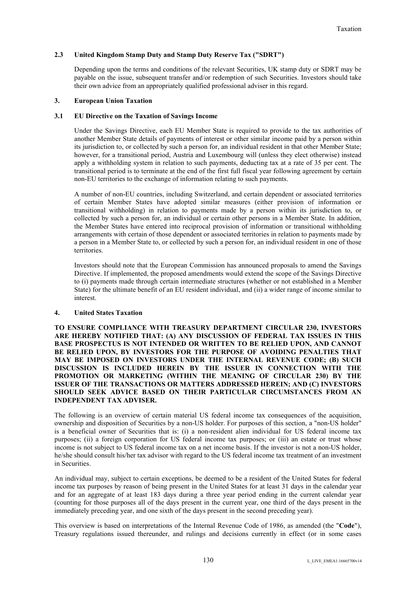### **2.3 United Kingdom Stamp Duty and Stamp Duty Reserve Tax ("SDRT")**

Depending upon the terms and conditions of the relevant Securities, UK stamp duty or SDRT may be payable on the issue, subsequent transfer and/or redemption of such Securities. Investors should take their own advice from an appropriately qualified professional adviser in this regard.

#### **3. European Union Taxation**

### **3.1 EU Directive on the Taxation of Savings Income**

Under the Savings Directive, each EU Member State is required to provide to the tax authorities of another Member State details of payments of interest or other similar income paid by a person within its jurisdiction to, or collected by such a person for, an individual resident in that other Member State; however, for a transitional period, Austria and Luxembourg will (unless they elect otherwise) instead apply a withholding system in relation to such payments, deducting tax at a rate of 35 per cent. The transitional period is to terminate at the end of the first full fiscal year following agreement by certain non-EU territories to the exchange of information relating to such payments.

A number of non-EU countries, including Switzerland, and certain dependent or associated territories of certain Member States have adopted similar measures (either provision of information or transitional withholding) in relation to payments made by a person within its jurisdiction to, or collected by such a person for, an individual or certain other persons in a Member State. In addition, the Member States have entered into reciprocal provision of information or transitional withholding arrangements with certain of those dependent or associated territories in relation to payments made by a person in a Member State to, or collected by such a person for, an individual resident in one of those territories.

Investors should note that the European Commission has announced proposals to amend the Savings Directive. If implemented, the proposed amendments would extend the scope of the Savings Directive to (i) payments made through certain intermediate structures (whether or not established in a Member State) for the ultimate benefit of an EU resident individual, and (ii) a wider range of income similar to interest.

### **4. United States Taxation**

**TO ENSURE COMPLIANCE WITH TREASURY DEPARTMENT CIRCULAR 230, INVESTORS ARE HEREBY NOTIFIED THAT: (A) ANY DISCUSSION OF FEDERAL TAX ISSUES IN THIS BASE PROSPECTUS IS NOT INTENDED OR WRITTEN TO BE RELIED UPON, AND CANNOT BE RELIED UPON, BY INVESTORS FOR THE PURPOSE OF AVOIDING PENALTIES THAT MAY BE IMPOSED ON INVESTORS UNDER THE INTERNAL REVENUE CODE; (B) SUCH DISCUSSION IS INCLUDED HEREIN BY THE ISSUER IN CONNECTION WITH THE PROMOTION OR MARKETING (WITHIN THE MEANING OF CIRCULAR 230) BY THE ISSUER OF THE TRANSACTIONS OR MATTERS ADDRESSED HEREIN; AND (C) INVESTORS SHOULD SEEK ADVICE BASED ON THEIR PARTICULAR CIRCUMSTANCES FROM AN INDEPENDENT TAX ADVISER.**

The following is an overview of certain material US federal income tax consequences of the acquisition, ownership and disposition of Securities by a non-US holder. For purposes of this section, a "non-US holder" is a beneficial owner of Securities that is: (i) a non-resident alien individual for US federal income tax purposes; (ii) a foreign corporation for US federal income tax purposes; or (iii) an estate or trust whose income is not subject to US federal income tax on a net income basis. If the investor is not a non-US holder, he/she should consult his/her tax advisor with regard to the US federal income tax treatment of an investment in Securities.

An individual may, subject to certain exceptions, be deemed to be a resident of the United States for federal income tax purposes by reason of being present in the United States for at least 31 days in the calendar year and for an aggregate of at least 183 days during a three year period ending in the current calendar year (counting for those purposes all of the days present in the current year, one third of the days present in the immediately preceding year, and one sixth of the days present in the second preceding year).

This overview is based on interpretations of the Internal Revenue Code of 1986, as amended (the "**Code**"), Treasury regulations issued thereunder, and rulings and decisions currently in effect (or in some cases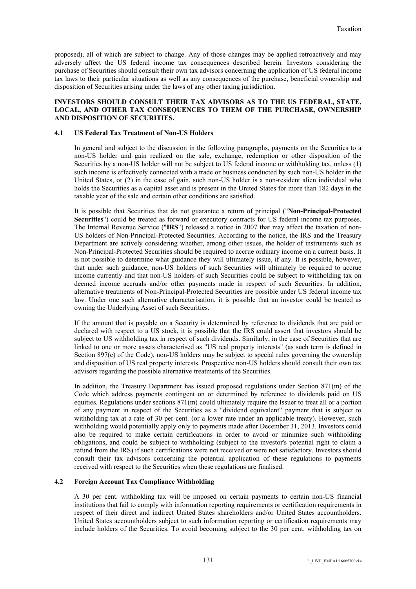proposed), all of which are subject to change. Any of those changes may be applied retroactively and may adversely affect the US federal income tax consequences described herein. Investors considering the purchase of Securities should consult their own tax advisors concerning the application of US federal income tax laws to their particular situations as well as any consequences of the purchase, beneficial ownership and disposition of Securities arising under the laws of any other taxing jurisdiction.

#### **INVESTORS SHOULD CONSULT THEIR TAX ADVISORS AS TO THE US FEDERAL, STATE, LOCAL, AND OTHER TAX CONSEQUENCES TO THEM OF THE PURCHASE, OWNERSHIP AND DISPOSITION OF SECURITIES.**

#### **4.1 US Federal Tax Treatment of Non-US Holders**

In general and subject to the discussion in the following paragraphs, payments on the Securities to a non-US holder and gain realized on the sale, exchange, redemption or other disposition of the Securities by a non-US holder will not be subject to US federal income or withholding tax, unless (1) such income is effectively connected with a trade or business conducted by such non-US holder in the United States, or (2) in the case of gain, such non-US holder is a non-resident alien individual who holds the Securities as a capital asset and is present in the United States for more than 182 days in the taxable year of the sale and certain other conditions are satisfied.

It is possible that Securities that do not guarantee a return of principal ("**Non-Principal-Protected Securities**") could be treated as forward or executory contracts for US federal income tax purposes. The Internal Revenue Service ("**IRS**") released a notice in 2007 that may affect the taxation of non-US holders of Non-Principal-Protected Securities. According to the notice, the IRS and the Treasury Department are actively considering whether, among other issues, the holder of instruments such as Non-Principal-Protected Securities should be required to accrue ordinary income on a current basis. It is not possible to determine what guidance they will ultimately issue, if any. It is possible, however, that under such guidance, non-US holders of such Securities will ultimately be required to accrue income currently and that non-US holders of such Securities could be subject to withholding tax on deemed income accruals and/or other payments made in respect of such Securities. In addition, alternative treatments of Non-Principal-Protected Securities are possible under US federal income tax law. Under one such alternative characterisation, it is possible that an investor could be treated as owning the Underlying Asset of such Securities.

If the amount that is payable on a Security is determined by reference to dividends that are paid or declared with respect to a US stock, it is possible that the IRS could assert that investors should be subject to US withholding tax in respect of such dividends. Similarly, in the case of Securities that are linked to one or more assets characterised as "US real property interests" (as such term is defined in Section 897(c) of the Code), non-US holders may be subject to special rules governing the ownership and disposition of US real property interests. Prospective non-US holders should consult their own tax advisors regarding the possible alternative treatments of the Securities.

In addition, the Treasury Department has issued proposed regulations under Section 871(m) of the Code which address payments contingent on or determined by reference to dividends paid on US equities. Regulations under sections 871(m) could ultimately require the Issuer to treat all or a portion of any payment in respect of the Securities as a "dividend equivalent" payment that is subject to withholding tax at a rate of 30 per cent. (or a lower rate under an applicable treaty). However, such withholding would potentially apply only to payments made after December 31, 2013. Investors could also be required to make certain certifications in order to avoid or minimize such withholding obligations, and could be subject to withholding (subject to the investor's potential right to claim a refund from the IRS) if such certifications were not received or were not satisfactory. Investors should consult their tax advisors concerning the potential application of these regulations to payments received with respect to the Securities when these regulations are finalised.

### **4.2 Foreign Account Tax Compliance Withholding**

A 30 per cent. withholding tax will be imposed on certain payments to certain non-US financial institutions that fail to comply with information reporting requirements or certification requirements in respect of their direct and indirect United States shareholders and/or United States accountholders. United States accountholders subject to such information reporting or certification requirements may include holders of the Securities. To avoid becoming subject to the 30 per cent. withholding tax on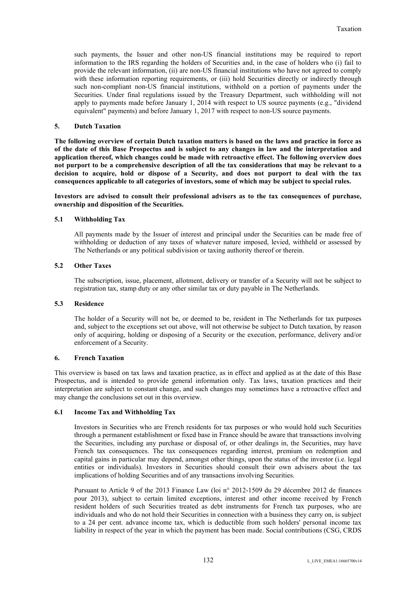such payments, the Issuer and other non-US financial institutions may be required to report information to the IRS regarding the holders of Securities and, in the case of holders who (i) fail to provide the relevant information, (ii) are non-US financial institutions who have not agreed to comply with these information reporting requirements, or (iii) hold Securities directly or indirectly through such non-compliant non-US financial institutions, withhold on a portion of payments under the Securities. Under final regulations issued by the Treasury Department, such withholding will not apply to payments made before January 1, 2014 with respect to US source payments (e.g., "dividend equivalent" payments) and before January 1, 2017 with respect to non-US source payments.

#### **5. Dutch Taxation**

**The following overview of certain Dutch taxation matters is based on the laws and practice in force as of the date of this Base Prospectus and is subject to any changes in law and the interpretation and application thereof, which changes could be made with retroactive effect. The following overview does not purport to be a comprehensive description of all the tax considerations that may be relevant to a decision to acquire, hold or dispose of a Security, and does not purport to deal with the tax consequences applicable to all categories of investors, some of which may be subject to special rules.**

**Investors are advised to consult their professional advisers as to the tax consequences of purchase, ownership and disposition of the Securities.**

#### **5.1 Withholding Tax**

All payments made by the Issuer of interest and principal under the Securities can be made free of withholding or deduction of any taxes of whatever nature imposed, levied, withheld or assessed by The Netherlands or any political subdivision or taxing authority thereof or therein.

#### **5.2 Other Taxes**

The subscription, issue, placement, allotment, delivery or transfer of a Security will not be subject to registration tax, stamp duty or any other similar tax or duty payable in The Netherlands.

#### **5.3 Residence**

The holder of a Security will not be, or deemed to be, resident in The Netherlands for tax purposes and, subject to the exceptions set out above, will not otherwise be subject to Dutch taxation, by reason only of acquiring, holding or disposing of a Security or the execution, performance, delivery and/or enforcement of a Security.

### **6. French Taxation**

This overview is based on tax laws and taxation practice, as in effect and applied as at the date of this Base Prospectus, and is intended to provide general information only. Tax laws, taxation practices and their interpretation are subject to constant change, and such changes may sometimes have a retroactive effect and may change the conclusions set out in this overview.

#### **6.1 Income Tax and Withholding Tax**

Investors in Securities who are French residents for tax purposes or who would hold such Securities through a permanent establishment or fixed base in France should be aware that transactions involving the Securities, including any purchase or disposal of, or other dealings in, the Securities, may have French tax consequences. The tax consequences regarding interest, premium on redemption and capital gains in particular may depend, amongst other things, upon the status of the investor (i.e. legal entities or individuals). Investors in Securities should consult their own advisers about the tax implications of holding Securities and of any transactions involving Securities.

Pursuant to Article 9 of the 2013 Finance Law (loi n° 2012-1509 du 29 décembre 2012 de finances pour 2013), subject to certain limited exceptions, interest and other income received by French resident holders of such Securities treated as debt instruments for French tax purposes, who are individuals and who do not hold their Securities in connection with a business they carry on, is subject to a 24 per cent. advance income tax, which is deductible from such holders' personal income tax liability in respect of the year in which the payment has been made. Social contributions (CSG, CRDS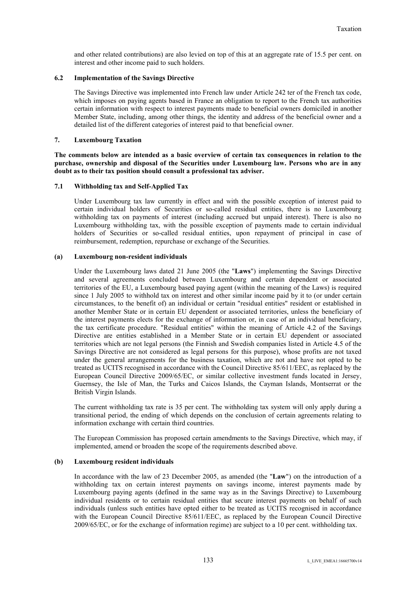and other related contributions) are also levied on top of this at an aggregate rate of 15.5 per cent. on interest and other income paid to such holders.

#### **6.2 Implementation of the Savings Directive**

The Savings Directive was implemented into French law under Article 242 ter of the French tax code, which imposes on paying agents based in France an obligation to report to the French tax authorities certain information with respect to interest payments made to beneficial owners domiciled in another Member State, including, among other things, the identity and address of the beneficial owner and a detailed list of the different categories of interest paid to that beneficial owner.

#### **7. Luxembourg Taxation**

**The comments below are intended as a basic overview of certain tax consequences in relation to the purchase, ownership and disposal of the Securities under Luxembourg law. Persons who are in any doubt as to their tax position should consult a professional tax adviser.**

#### **7.1 Withholding tax and Self-Applied Tax**

Under Luxembourg tax law currently in effect and with the possible exception of interest paid to certain individual holders of Securities or so-called residual entities, there is no Luxembourg withholding tax on payments of interest (including accrued but unpaid interest). There is also no Luxembourg withholding tax, with the possible exception of payments made to certain individual holders of Securities or so-called residual entities, upon repayment of principal in case of reimbursement, redemption, repurchase or exchange of the Securities.

#### **(a) Luxembourg non-resident individuals**

Under the Luxembourg laws dated 21 June 2005 (the "**Laws**") implementing the Savings Directive and several agreements concluded between Luxembourg and certain dependent or associated territories of the EU, a Luxembourg based paying agent (within the meaning of the Laws) is required since 1 July 2005 to withhold tax on interest and other similar income paid by it to (or under certain circumstances, to the benefit of) an individual or certain "residual entities" resident or established in another Member State or in certain EU dependent or associated territories, unless the beneficiary of the interest payments elects for the exchange of information or, in case of an individual beneficiary, the tax certificate procedure. "Residual entities" within the meaning of Article 4.2 of the Savings Directive are entities established in a Member State or in certain EU dependent or associated territories which are not legal persons (the Finnish and Swedish companies listed in Article 4.5 of the Savings Directive are not considered as legal persons for this purpose), whose profits are not taxed under the general arrangements for the business taxation, which are not and have not opted to be treated as UCITS recognised in accordance with the Council Directive 85/611/EEC, as replaced by the European Council Directive 2009/65/EC, or similar collective investment funds located in Jersey, Guernsey, the Isle of Man, the Turks and Caicos Islands, the Cayman Islands, Montserrat or the British Virgin Islands.

The current withholding tax rate is 35 per cent. The withholding tax system will only apply during a transitional period, the ending of which depends on the conclusion of certain agreements relating to information exchange with certain third countries.

The European Commission has proposed certain amendments to the Savings Directive, which may, if implemented, amend or broaden the scope of the requirements described above.

### **(b) Luxembourg resident individuals**

In accordance with the law of 23 December 2005, as amended (the "**Law**") on the introduction of a withholding tax on certain interest payments on savings income, interest payments made by Luxembourg paying agents (defined in the same way as in the Savings Directive) to Luxembourg individual residents or to certain residual entities that secure interest payments on behalf of such individuals (unless such entities have opted either to be treated as UCITS recognised in accordance with the European Council Directive 85/611/EEC, as replaced by the European Council Directive 2009/65/EC, or for the exchange of information regime) are subject to a 10 per cent. withholding tax.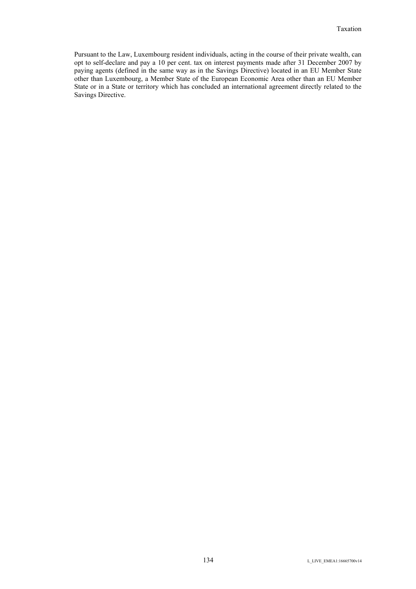Pursuant to the Law, Luxembourg resident individuals, acting in the course of their private wealth, can opt to self-declare and pay a 10 per cent. tax on interest payments made after 31 December 2007 by paying agents (defined in the same way as in the Savings Directive) located in an EU Member State other than Luxembourg, a Member State of the European Economic Area other than an EU Member State or in a State or territory which has concluded an international agreement directly related to the Savings Directive.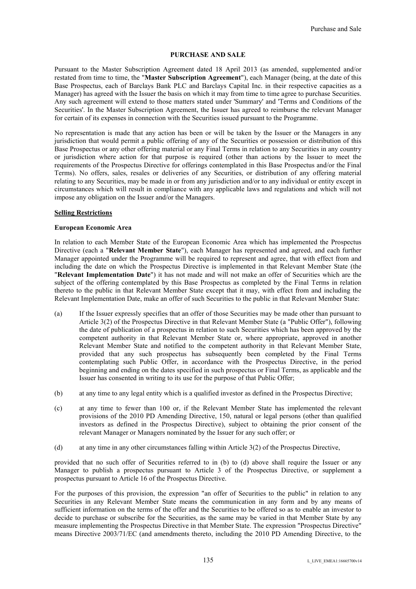#### **PURCHASE AND SALE**

Pursuant to the Master Subscription Agreement dated 18 April 2013 (as amended, supplemented and/or restated from time to time, the "**Master Subscription Agreement**"), each Manager (being, at the date of this Base Prospectus, each of Barclays Bank PLC and Barclays Capital Inc. in their respective capacities as a Manager) has agreed with the Issuer the basis on which it may from time to time agree to purchase Securities. Any such agreement will extend to those matters stated under 'Summary' and 'Terms and Conditions of the Securities'. In the Master Subscription Agreement, the Issuer has agreed to reimburse the relevant Manager for certain of its expenses in connection with the Securities issued pursuant to the Programme.

No representation is made that any action has been or will be taken by the Issuer or the Managers in any jurisdiction that would permit a public offering of any of the Securities or possession or distribution of this Base Prospectus or any other offering material or any Final Terms in relation to any Securities in any country or jurisdiction where action for that purpose is required (other than actions by the Issuer to meet the requirements of the Prospectus Directive for offerings contemplated in this Base Prospectus and/or the Final Terms). No offers, sales, resales or deliveries of any Securities, or distribution of any offering material relating to any Securities, may be made in or from any jurisdiction and/or to any individual or entity except in circumstances which will result in compliance with any applicable laws and regulations and which will not impose any obligation on the Issuer and/or the Managers.

#### **Selling Restrictions**

#### **European Economic Area**

In relation to each Member State of the European Economic Area which has implemented the Prospectus Directive (each a "**Relevant Member State**"), each Manager has represented and agreed, and each further Manager appointed under the Programme will be required to represent and agree, that with effect from and including the date on which the Prospectus Directive is implemented in that Relevant Member State (the "**Relevant Implementation Date**") it has not made and will not make an offer of Securities which are the subject of the offering contemplated by this Base Prospectus as completed by the Final Terms in relation thereto to the public in that Relevant Member State except that it may, with effect from and including the Relevant Implementation Date, make an offer of such Securities to the public in that Relevant Member State:

- (a) If the Issuer expressly specifies that an offer of those Securities may be made other than pursuant to Article 3(2) of the Prospectus Directive in that Relevant Member State (a "Public Offer"), following the date of publication of a prospectus in relation to such Securities which has been approved by the competent authority in that Relevant Member State or, where appropriate, approved in another Relevant Member State and notified to the competent authority in that Relevant Member State, provided that any such prospectus has subsequently been completed by the Final Terms contemplating such Public Offer, in accordance with the Prospectus Directive, in the period beginning and ending on the dates specified in such prospectus or Final Terms, as applicable and the Issuer has consented in writing to its use for the purpose of that Public Offer;
- (b) at any time to any legal entity which is a qualified investor as defined in the Prospectus Directive;
- (c) at any time to fewer than 100 or, if the Relevant Member State has implemented the relevant provisions of the 2010 PD Amending Directive, 150, natural or legal persons (other than qualified investors as defined in the Prospectus Directive), subject to obtaining the prior consent of the relevant Manager or Managers nominated by the Issuer for any such offer; or
- (d) at any time in any other circumstances falling within Article 3(2) of the Prospectus Directive,

provided that no such offer of Securities referred to in (b) to (d) above shall require the Issuer or any Manager to publish a prospectus pursuant to Article 3 of the Prospectus Directive, or supplement a prospectus pursuant to Article 16 of the Prospectus Directive.

For the purposes of this provision, the expression "an offer of Securities to the public" in relation to any Securities in any Relevant Member State means the communication in any form and by any means of sufficient information on the terms of the offer and the Securities to be offered so as to enable an investor to decide to purchase or subscribe for the Securities, as the same may be varied in that Member State by any measure implementing the Prospectus Directive in that Member State. The expression "Prospectus Directive" means Directive 2003/71/EC (and amendments thereto, including the 2010 PD Amending Directive, to the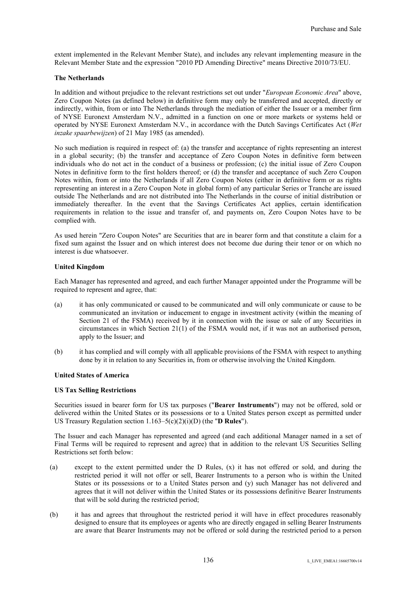extent implemented in the Relevant Member State), and includes any relevant implementing measure in the Relevant Member State and the expression "2010 PD Amending Directive" means Directive 2010/73/EU.

#### **The Netherlands**

In addition and without prejudice to the relevant restrictions set out under "*European Economic Area*" above, Zero Coupon Notes (as defined below) in definitive form may only be transferred and accepted, directly or indirectly, within, from or into The Netherlands through the mediation of either the Issuer or a member firm of NYSE Euronext Amsterdam N.V., admitted in a function on one or more markets or systems held or operated by NYSE Euronext Amsterdam N.V., in accordance with the Dutch Savings Certificates Act (*Wet inzake spaarbewijzen*) of 21 May 1985 (as amended).

No such mediation is required in respect of: (a) the transfer and acceptance of rights representing an interest in a global security; (b) the transfer and acceptance of Zero Coupon Notes in definitive form between individuals who do not act in the conduct of a business or profession; (c) the initial issue of Zero Coupon Notes in definitive form to the first holders thereof; or (d) the transfer and acceptance of such Zero Coupon Notes within, from or into the Netherlands if all Zero Coupon Notes (either in definitive form or as rights representing an interest in a Zero Coupon Note in global form) of any particular Series or Tranche are issued outside The Netherlands and are not distributed into The Netherlands in the course of initial distribution or immediately thereafter. In the event that the Savings Certificates Act applies, certain identification requirements in relation to the issue and transfer of, and payments on, Zero Coupon Notes have to be complied with.

As used herein "Zero Coupon Notes" are Securities that are in bearer form and that constitute a claim for a fixed sum against the Issuer and on which interest does not become due during their tenor or on which no interest is due whatsoever.

#### **United Kingdom**

Each Manager has represented and agreed, and each further Manager appointed under the Programme will be required to represent and agree, that:

- (a) it has only communicated or caused to be communicated and will only communicate or cause to be communicated an invitation or inducement to engage in investment activity (within the meaning of Section 21 of the FSMA) received by it in connection with the issue or sale of any Securities in circumstances in which Section 21(1) of the FSMA would not, if it was not an authorised person, apply to the Issuer; and
- (b) it has complied and will comply with all applicable provisions of the FSMA with respect to anything done by it in relation to any Securities in, from or otherwise involving the United Kingdom.

### **United States of America**

### **US Tax Selling Restrictions**

Securities issued in bearer form for US tax purposes ("**Bearer Instruments**") may not be offered, sold or delivered within the United States or its possessions or to a United States person except as permitted under US Treasury Regulation section 1.163–5(c)(2)(i)(D) (the "**D Rules**").

The Issuer and each Manager has represented and agreed (and each additional Manager named in a set of Final Terms will be required to represent and agree) that in addition to the relevant US Securities Selling Restrictions set forth below:

- (a) except to the extent permitted under the D Rules, (x) it has not offered or sold, and during the restricted period it will not offer or sell, Bearer Instruments to a person who is within the United States or its possessions or to a United States person and (y) such Manager has not delivered and agrees that it will not deliver within the United States or its possessions definitive Bearer Instruments that will be sold during the restricted period;
- (b) it has and agrees that throughout the restricted period it will have in effect procedures reasonably designed to ensure that its employees or agents who are directly engaged in selling Bearer Instruments are aware that Bearer Instruments may not be offered or sold during the restricted period to a person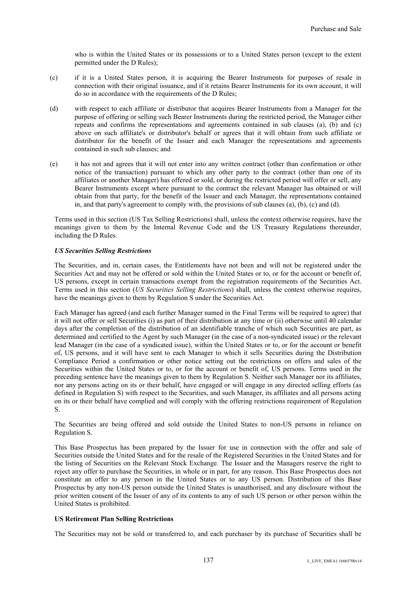who is within the United States or its possessions or to a United States person (except to the extent permitted under the D Rules);

- (c) if it is a United States person, it is acquiring the Bearer Instruments for purposes of resale in connection with their original issuance, and if it retains Bearer Instruments for its own account, it will do so in accordance with the requirements of the D Rules;
- (d) with respect to each affiliate or distributor that acquires Bearer Instruments from a Manager for the purpose of offering or selling such Bearer Instruments during the restricted period, the Manager either repeats and confirms the representations and agreements contained in sub clauses (a), (b) and (c) above on such affiliate's or distributor's behalf or agrees that it will obtain from such affiliate or distributor for the benefit of the Issuer and each Manager the representations and agreements contained in such sub clauses; and
- (e) it has not and agrees that it will not enter into any written contract (other than confirmation or other notice of the transaction) pursuant to which any other party to the contract (other than one of its affiliates or another Manager) has offered or sold, or during the restricted period will offer or sell, any Bearer Instruments except where pursuant to the contract the relevant Manager has obtained or will obtain from that party, for the benefit of the Issuer and each Manager, the representations contained in, and that party's agreement to comply with, the provisions of sub clauses (a), (b), (c) and (d).

Terms used in this section (US Tax Selling Restrictions) shall, unless the context otherwise requires, have the meanings given to them by the Internal Revenue Code and the US Treasury Regulations thereunder, including the D Rules.

#### *US Securities Selling Restrictions*

The Securities, and in, certain cases, the Entitlements have not been and will not be registered under the Securities Act and may not be offered or sold within the United States or to, or for the account or benefit of, US persons, except in certain transactions exempt from the registration requirements of the Securities Act. Terms used in this section (*US Securities Selling Restrictions*) shall, unless the context otherwise requires, have the meanings given to them by Regulation S under the Securities Act.

Each Manager has agreed (and each further Manager named in the Final Terms will be required to agree) that it will not offer or sell Securities (i) as part of their distribution at any time or (ii) otherwise until 40 calendar days after the completion of the distribution of an identifiable tranche of which such Securities are part, as determined and certified to the Agent by such Manager (in the case of a non-syndicated issue) or the relevant lead Manager (in the case of a syndicated issue), within the United States or to, or for the account or benefit of, US persons, and it will have sent to each Manager to which it sells Securities during the Distribution Compliance Period a confirmation or other notice setting out the restrictions on offers and sales of the Securities within the United States or to, or for the account or benefit of, US persons. Terms used in the preceding sentence have the meanings given to them by Regulation S. Neither such Manager nor its affiliates, nor any persons acting on its or their behalf, have engaged or will engage in any directed selling efforts (as defined in Regulation S) with respect to the Securities, and such Manager, its affiliates and all persons acting on its or their behalf have complied and will comply with the offering restrictions requirement of Regulation S.

The Securities are being offered and sold outside the United States to non-US persons in reliance on Regulation S.

This Base Prospectus has been prepared by the Issuer for use in connection with the offer and sale of Securities outside the United States and for the resale of the Registered Securities in the United States and for the listing of Securities on the Relevant Stock Exchange. The Issuer and the Managers reserve the right to reject any offer to purchase the Securities, in whole or in part, for any reason. This Base Prospectus does not constitute an offer to any person in the United States or to any US person. Distribution of this Base Prospectus by any non-US person outside the United States is unauthorised, and any disclosure without the prior written consent of the Issuer of any of its contents to any of such US person or other person within the United States is prohibited.

#### **US Retirement Plan Selling Restrictions**

The Securities may not be sold or transferred to, and each purchaser by its purchase of Securities shall be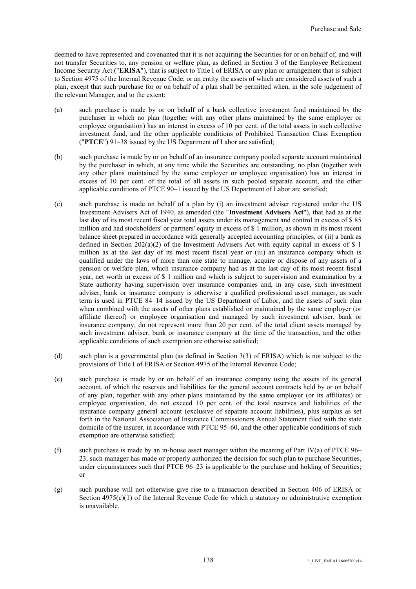deemed to have represented and covenanted that it is not acquiring the Securities for or on behalf of, and will not transfer Securities to, any pension or welfare plan, as defined in Section 3 of the Employee Retirement Income Security Act ("**ERISA**"), that is subject to Title I of ERISA or any plan or arrangement that is subject to Section 4975 of the Internal Revenue Code, or an entity the assets of which are considered assets of such a plan, except that such purchase for or on behalf of a plan shall be permitted when, in the sole judgement of the relevant Manager, and to the extent:

- (a) such purchase is made by or on behalf of a bank collective investment fund maintained by the purchaser in which no plan (together with any other plans maintained by the same employer or employee organisation) has an interest in excess of 10 per cent. of the total assets in such collective investment fund, and the other applicable conditions of Prohibited Transaction Class Exemption ("**PTCE**") 91–38 issued by the US Department of Labor are satisfied;
- (b) such purchase is made by or on behalf of an insurance company pooled separate account maintained by the purchaser in which, at any time while the Securities are outstanding, no plan (together with any other plans maintained by the same employer or employee organisation) has an interest in excess of 10 per cent. of the total of all assets in such pooled separate account, and the other applicable conditions of PTCE 90–1 issued by the US Department of Labor are satisfied;
- (c) such purchase is made on behalf of a plan by (i) an investment adviser registered under the US Investment Advisers Act of 1940, as amended (the "**Investment Advisers Act**"), that had as at the last day of its most recent fiscal year total assets under its management and control in excess of \$ 85 million and had stockholders' or partners' equity in excess of \$ 1 million, as shown in its most recent balance sheet prepared in accordance with generally accepted accounting principles, or (ii) a bank as defined in Section 202(a)(2) of the Investment Advisers Act with equity capital in excess of \$ 1 million as at the last day of its most recent fiscal year or (iii) an insurance company which is qualified under the laws of more than one state to manage, acquire or dispose of any assets of a pension or welfare plan, which insurance company had as at the last day of its most recent fiscal year, net worth in excess of \$ 1 million and which is subject to supervision and examination by a State authority having supervision over insurance companies and, in any case, such investment adviser, bank or insurance company is otherwise a qualified professional asset manager, as such term is used in PTCE 84–14 issued by the US Department of Labor, and the assets of such plan when combined with the assets of other plans established or maintained by the same employer (or affiliate thereof) or employee organisation and managed by such investment adviser, bank or insurance company, do not represent more than 20 per cent. of the total client assets managed by such investment adviser, bank or insurance company at the time of the transaction, and the other applicable conditions of such exemption are otherwise satisfied;
- (d) such plan is a governmental plan (as defined in Section 3(3) of ERISA) which is not subject to the provisions of Title I of ERISA or Section 4975 of the Internal Revenue Code;
- (e) such purchase is made by or on behalf of an insurance company using the assets of its general account, of which the reserves and liabilities for the general account contracts held by or on behalf of any plan, together with any other plans maintained by the same employer (or its affiliates) or employee organisation, do not exceed 10 per cent. of the total reserves and liabilities of the insurance company general account (exclusive of separate account liabilities), plus surplus as set forth in the National Association of Insurance Commissioners Annual Statement filed with the state domicile of the insurer, in accordance with PTCE 95–60, and the other applicable conditions of such exemption are otherwise satisfied;
- (f) such purchase is made by an in-house asset manager within the meaning of Part IV(a) of PTCE  $96-$ 23, such manager has made or properly authorized the decision for such plan to purchase Securities, under circumstances such that PTCE 96–23 is applicable to the purchase and holding of Securities; or
- (g) such purchase will not otherwise give rise to a transaction described in Section 406 of ERISA or Section  $4975(c)(1)$  of the Internal Revenue Code for which a statutory or administrative exemption is unavailable.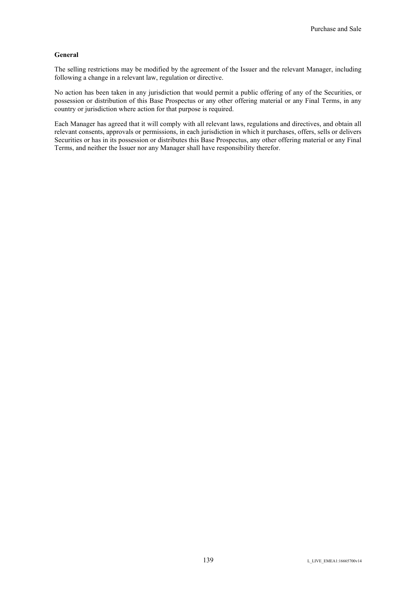#### **General**

The selling restrictions may be modified by the agreement of the Issuer and the relevant Manager, including following a change in a relevant law, regulation or directive.

No action has been taken in any jurisdiction that would permit a public offering of any of the Securities, or possession or distribution of this Base Prospectus or any other offering material or any Final Terms, in any country or jurisdiction where action for that purpose is required.

Each Manager has agreed that it will comply with all relevant laws, regulations and directives, and obtain all relevant consents, approvals or permissions, in each jurisdiction in which it purchases, offers, sells or delivers Securities or has in its possession or distributes this Base Prospectus, any other offering material or any Final Terms, and neither the Issuer nor any Manager shall have responsibility therefor.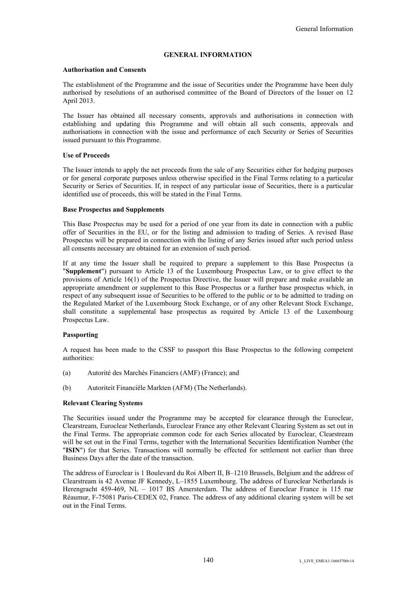#### **GENERAL INFORMATION**

#### **Authorisation and Consents**

The establishment of the Programme and the issue of Securities under the Programme have been duly authorised by resolutions of an authorised committee of the Board of Directors of the Issuer on 12 April 2013.

The Issuer has obtained all necessary consents, approvals and authorisations in connection with establishing and updating this Programme and will obtain all such consents, approvals and authorisations in connection with the issue and performance of each Security or Series of Securities issued pursuant to this Programme.

#### **Use of Proceeds**

The Issuer intends to apply the net proceeds from the sale of any Securities either for hedging purposes or for general corporate purposes unless otherwise specified in the Final Terms relating to a particular Security or Series of Securities. If, in respect of any particular issue of Securities, there is a particular identified use of proceeds, this will be stated in the Final Terms.

#### **Base Prospectus and Supplements**

This Base Prospectus may be used for a period of one year from its date in connection with a public offer of Securities in the EU, or for the listing and admission to trading of Series. A revised Base Prospectus will be prepared in connection with the listing of any Series issued after such period unless all consents necessary are obtained for an extension of such period.

If at any time the Issuer shall be required to prepare a supplement to this Base Prospectus (a "**Supplement**") pursuant to Article 13 of the Luxembourg Prospectus Law, or to give effect to the provisions of Article 16(1) of the Prospectus Directive, the Issuer will prepare and make available an appropriate amendment or supplement to this Base Prospectus or a further base prospectus which, in respect of any subsequent issue of Securities to be offered to the public or to be admitted to trading on the Regulated Market of the Luxembourg Stock Exchange, or of any other Relevant Stock Exchange, shall constitute a supplemental base prospectus as required by Article 13 of the Luxembourg Prospectus Law.

### **Passporting**

A request has been made to the CSSF to passport this Base Prospectus to the following competent authorities:

- (a) Autorité des Marchés Financiers (AMF) (France); and
- (b) Autoriteit Financiële Markten (AFM) (The Netherlands).

#### **Relevant Clearing Systems**

The Securities issued under the Programme may be accepted for clearance through the Euroclear, Clearstream, Euroclear Netherlands, Euroclear France any other Relevant Clearing System as set out in the Final Terms. The appropriate common code for each Series allocated by Euroclear, Clearstream will be set out in the Final Terms, together with the International Securities Identification Number (the "**ISIN**") for that Series. Transactions will normally be effected for settlement not earlier than three Business Days after the date of the transaction.

The address of Euroclear is 1 Boulevard du Roi Albert II, B–1210 Brussels, Belgium and the address of Clearstream is 42 Avenue JF Kennedy, L–1855 Luxembourg. The address of Euroclear Netherlands is Herengracht 459-469, NL – 1017 BS Amersterdam. The address of Euroclear France is 115 rue Réaumur, F-75081 Paris-CEDEX 02, France. The address of any additional clearing system will be set out in the Final Terms.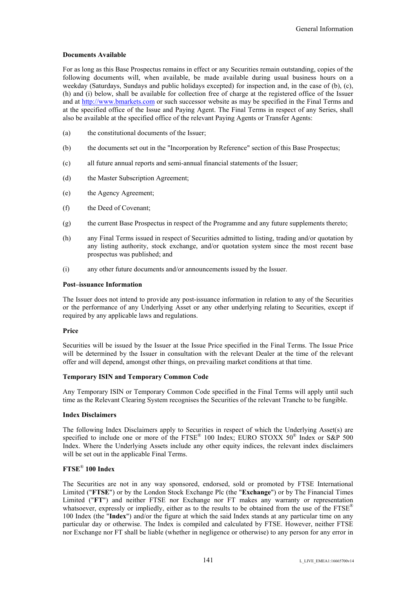#### **Documents Available**

For as long as this Base Prospectus remains in effect or any Securities remain outstanding, copies of the following documents will, when available, be made available during usual business hours on a weekday (Saturdays, Sundays and public holidays excepted) for inspection and, in the case of (b), (c), (h) and (i) below, shall be available for collection free of charge at the registered office of the Issuer and at http://www.bmarkets.com or such successor website as may be specified in the Final Terms and at the specified office of the Issue and Paying Agent. The Final Terms in respect of any Series, shall also be available at the specified office of the relevant Paying Agents or Transfer Agents:

- (a) the constitutional documents of the Issuer;
- (b) the documents set out in the "Incorporation by Reference" section of this Base Prospectus;
- (c) all future annual reports and semi-annual financial statements of the Issuer;
- (d) the Master Subscription Agreement;
- (e) the Agency Agreement;
- (f) the Deed of Covenant;
- (g) the current Base Prospectus in respect of the Programme and any future supplements thereto;
- (h) any Final Terms issued in respect of Securities admitted to listing, trading and/or quotation by any listing authority, stock exchange, and/or quotation system since the most recent base prospectus was published; and
- (i) any other future documents and/or announcements issued by the Issuer.

#### **Post–issuance Information**

The Issuer does not intend to provide any post-issuance information in relation to any of the Securities or the performance of any Underlying Asset or any other underlying relating to Securities, except if required by any applicable laws and regulations.

### **Price**

Securities will be issued by the Issuer at the Issue Price specified in the Final Terms. The Issue Price will be determined by the Issuer in consultation with the relevant Dealer at the time of the relevant offer and will depend, amongst other things, on prevailing market conditions at that time.

### **Temporary ISIN and Temporary Common Code**

Any Temporary ISIN or Temporary Common Code specified in the Final Terms will apply until such time as the Relevant Clearing System recognises the Securities of the relevant Tranche to be fungible.

### **Index Disclaimers**

The following Index Disclaimers apply to Securities in respect of which the Underlying Asset(s) are specified to include one or more of the FTSE<sup>®</sup> 100 Index; EURO STOXX 50<sup>®</sup> Index or S&P 500 Index. Where the Underlying Assets include any other equity indices, the relevant index disclaimers will be set out in the applicable Final Terms.

## **FTSE**® **100 Index**

The Securities are not in any way sponsored, endorsed, sold or promoted by FTSE International Limited ("**FTSE**") or by the London Stock Exchange Plc (the "**Exchange**") or by The Financial Times Limited ("**FT**") and neither FTSE nor Exchange nor FT makes any warranty or representation whatsoever, expressly or impliedly, either as to the results to be obtained from the use of the  $\text{FTSE}^{\circledast}$ 100 Index (the "**Index**") and/or the figure at which the said Index stands at any particular time on any particular day or otherwise. The Index is compiled and calculated by FTSE. However, neither FTSE nor Exchange nor FT shall be liable (whether in negligence or otherwise) to any person for any error in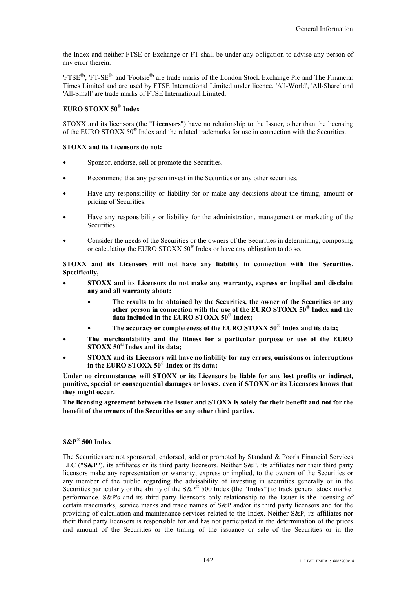the Index and neither FTSE or Exchange or FT shall be under any obligation to advise any person of any error therein.

'FTSE<sup>®</sup>', 'FT-SE<sup>®</sup>' and 'Footsie<sup>®</sup>' are trade marks of the London Stock Exchange Plc and The Financial Times Limited and are used by FTSE International Limited under licence. 'All-World', 'All-Share' and 'All-Small' are trade marks of FTSE International Limited.

## **EURO STOXX 50**® **Index**

STOXX and its licensors (the "**Licensors**") have no relationship to the Issuer, other than the licensing of the EURO STOXX 50<sup>®</sup> Index and the related trademarks for use in connection with the Securities.

#### **STOXX and its Licensors do not:**

- Sponsor, endorse, sell or promote the Securities.
- Recommend that any person invest in the Securities or any other securities.
- Have any responsibility or liability for or make any decisions about the timing, amount or pricing of Securities.
- Have any responsibility or liability for the administration, management or marketing of the Securities.
- Consider the needs of the Securities or the owners of the Securities in determining, composing or calculating the EURO STOXX 50<sup>®</sup> Index or have any obligation to do so.

**STOXX and its Licensors will not have any liability in connection with the Securities. Specifically,**

- **STOXX and its Licensors do not make any warranty, express or implied and disclaim any and all warranty about:**
	- **The results to be obtained by the Securities, the owner of the Securities or any other person in connection with the use of the EURO STOXX 50**® **Index and the data included in the EURO STOXX 50**® **Index;**
	- **The accuracy or completeness of the EURO STOXX 50**® **Index and its data;**
- **The merchantability and the fitness for a particular purpose or use of the EURO STOXX 50**® **Index and its data;**
- **STOXX and its Licensors will have no liability for any errors, omissions or interruptions in the EURO STOXX 50**® **Index or its data;**

**Under no circumstances will STOXX or its Licensors be liable for any lost profits or indirect, punitive, special or consequential damages or losses, even if STOXX or its Licensors knows that they might occur.**

**The licensing agreement between the Issuer and STOXX is solely for their benefit and not for the benefit of the owners of the Securities or any other third parties.**

### **S&P**® **500 Index**

The Securities are not sponsored, endorsed, sold or promoted by Standard & Poor's Financial Services LLC ("**S&P**"), its affiliates or its third party licensors. Neither S&P, its affiliates nor their third party licensors make any representation or warranty, express or implied, to the owners of the Securities or any member of the public regarding the advisability of investing in securities generally or in the Securities particularly or the ability of the S&P® 500 Index (the "**Index**") to track general stock market performance. S&P's and its third party licensor's only relationship to the Issuer is the licensing of certain trademarks, service marks and trade names of S&P and/or its third party licensors and for the providing of calculation and maintenance services related to the Index. Neither S&P, its affiliates nor their third party licensors is responsible for and has not participated in the determination of the prices and amount of the Securities or the timing of the issuance or sale of the Securities or in the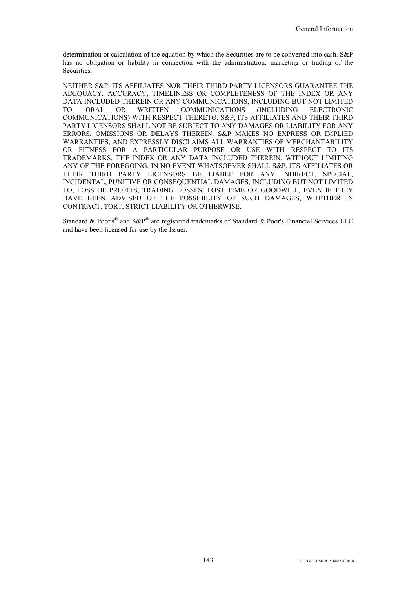determination or calculation of the equation by which the Securities are to be converted into cash. S&P has no obligation or liability in connection with the administration, marketing or trading of the Securities.

NEITHER S&P, ITS AFFILIATES NOR THEIR THIRD PARTY LICENSORS GUARANTEE THE ADEQUACY, ACCURACY, TIMELINESS OR COMPLETENESS OF THE INDEX OR ANY DATA INCLUDED THEREIN OR ANY COMMUNICATIONS, INCLUDING BUT NOT LIMITED TO, ORAL OR WRITTEN COMMUNICATIONS (INCLUDING ELECTRONIC COMMUNICATIONS) WITH RESPECT THERETO. S&P, ITS AFFILIATES AND THEIR THIRD PARTY LICENSORS SHALL NOT BE SUBJECT TO ANY DAMAGES OR LIABILITY FOR ANY ERRORS, OMISSIONS OR DELAYS THEREIN. S&P MAKES NO EXPRESS OR IMPLIED WARRANTIES, AND EXPRESSLY DISCLAIMS ALL WARRANTIES OF MERCHANTABILITY OR FITNESS FOR A PARTICULAR PURPOSE OR USE WITH RESPECT TO ITS TRADEMARKS, THE INDEX OR ANY DATA INCLUDED THEREIN. WITHOUT LIMITING ANY OF THE FOREGOING, IN NO EVENT WHATSOEVER SHALL S&P, ITS AFFILIATES OR THEIR THIRD PARTY LICENSORS BE LIABLE FOR ANY INDIRECT, SPECIAL, INCIDENTAL, PUNITIVE OR CONSEQUENTIAL DAMAGES, INCLUDING BUT NOT LIMITED TO, LOSS OF PROFITS, TRADING LOSSES, LOST TIME OR GOODWILL, EVEN IF THEY HAVE BEEN ADVISED OF THE POSSIBILITY OF SUCH DAMAGES, WHETHER IN CONTRACT, TORT, STRICT LIABILITY OR OTHERWISE.

Standard & Poor's<sup>®</sup> and S&P<sup>®</sup> are registered trademarks of Standard & Poor's Financial Services LLC and have been licensed for use by the Issuer.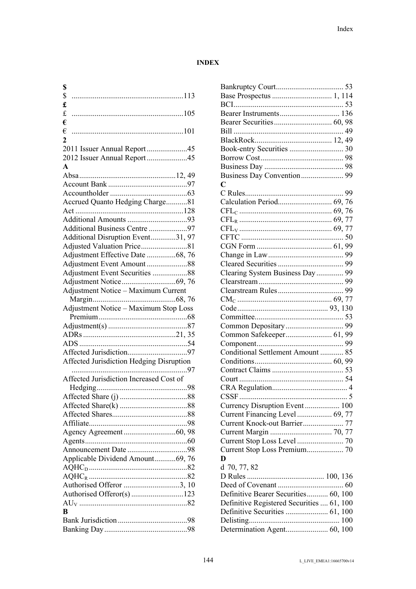## **INDEX**

| \$                                           |
|----------------------------------------------|
| \$                                           |
| £                                            |
| $\mathbf f$                                  |
| €                                            |
| €                                            |
| $\mathbf{2}$                                 |
| 2011 Issuer Annual Report45                  |
| 2012 Issuer Annual Report45                  |
| $\mathbf{A}$                                 |
|                                              |
|                                              |
|                                              |
| Accrued Quanto Hedging Charge81              |
|                                              |
|                                              |
| Additional Business Centre 97                |
| Additional Disruption Event31, 97            |
| Adjusted Valuation Price81                   |
| Adjustment Effective Date 68, 76             |
|                                              |
| Adjustment Event Securities 88               |
|                                              |
| Adjustment Notice - Maximum Current          |
|                                              |
|                                              |
| <b>Adjustment Notice - Maximum Stop Loss</b> |
|                                              |
|                                              |
|                                              |
|                                              |
|                                              |
| Affected Jurisdiction Hedging Disruption     |
|                                              |
| Affected Jurisdiction Increased Cost of      |
|                                              |
|                                              |
|                                              |
|                                              |
|                                              |
|                                              |
|                                              |
|                                              |
|                                              |
| Applicable Dividend Amount69, 76             |
|                                              |
|                                              |
| Authorised Offeror 3, 10                     |
| Authorised Offeror(s)123                     |
| $\bf{B}$                                     |
|                                              |
|                                              |

| C                                         |    |
|-------------------------------------------|----|
|                                           |    |
| Calculation Period 69, 76                 |    |
|                                           |    |
|                                           |    |
|                                           |    |
|                                           | 50 |
|                                           |    |
|                                           |    |
|                                           |    |
|                                           |    |
| Clearing System Business Day  99          |    |
|                                           |    |
|                                           |    |
|                                           |    |
|                                           |    |
|                                           |    |
|                                           |    |
|                                           |    |
|                                           |    |
| Conditional Settlement Amount  85         |    |
|                                           |    |
|                                           |    |
|                                           |    |
|                                           |    |
|                                           |    |
|                                           |    |
| Currency Disruption Event 100             |    |
|                                           |    |
| Current Knock-out Barrier 77              |    |
|                                           |    |
|                                           |    |
|                                           |    |
|                                           |    |
| Current Stop Loss Premium 70<br>D         |    |
|                                           |    |
| d 70, 77, 82                              |    |
|                                           |    |
|                                           |    |
| Definitive Bearer Securities 60, 100      |    |
| Definitive Registered Securities  61, 100 |    |
|                                           |    |
|                                           |    |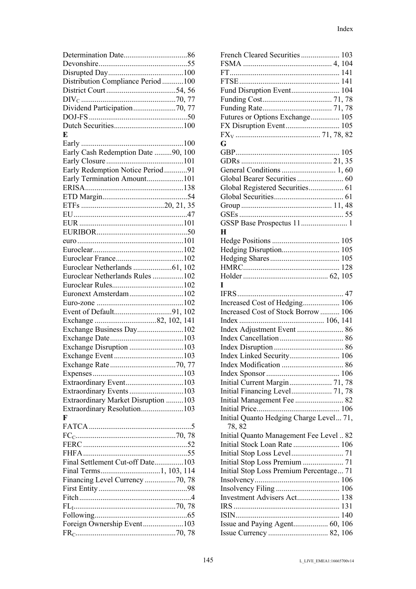| Distribution Compliance Period 100  |  |
|-------------------------------------|--|
|                                     |  |
|                                     |  |
|                                     |  |
| Dividend Participation70, 77        |  |
|                                     |  |
|                                     |  |
| E                                   |  |
|                                     |  |
| Early Cash Redemption Date 90, 100  |  |
|                                     |  |
|                                     |  |
| Early Redemption Notice Period91    |  |
| Early Termination Amount101         |  |
|                                     |  |
|                                     |  |
|                                     |  |
|                                     |  |
|                                     |  |
|                                     |  |
|                                     |  |
|                                     |  |
|                                     |  |
|                                     |  |
|                                     |  |
| Euroclear Netherlands Rules102      |  |
|                                     |  |
| Euronext Amsterdam102               |  |
|                                     |  |
|                                     |  |
|                                     |  |
|                                     |  |
| Exchange Business Day102            |  |
|                                     |  |
| Exchange Disruption 103             |  |
|                                     |  |
|                                     |  |
|                                     |  |
|                                     |  |
|                                     |  |
| Extraordinary Event103              |  |
| Extraordinary Events103             |  |
| Extraordinary Market Disruption 103 |  |
|                                     |  |
| Extraordinary Resolution103<br>F    |  |
|                                     |  |
|                                     |  |
|                                     |  |
|                                     |  |
|                                     |  |
| Final Settlement Cut-off Date103    |  |
|                                     |  |
|                                     |  |
| Financing Level Currency 70, 78     |  |
|                                     |  |
|                                     |  |
|                                     |  |
|                                     |  |
| Foreign Ownership Event103          |  |

| French Cleared Securities 103           |  |
|-----------------------------------------|--|
|                                         |  |
|                                         |  |
|                                         |  |
| Fund Disruption Event 104               |  |
|                                         |  |
|                                         |  |
| Futures or Options Exchange 105         |  |
| FX Disruption Event 105                 |  |
|                                         |  |
| G                                       |  |
|                                         |  |
|                                         |  |
|                                         |  |
|                                         |  |
|                                         |  |
|                                         |  |
|                                         |  |
|                                         |  |
|                                         |  |
| H                                       |  |
|                                         |  |
|                                         |  |
|                                         |  |
|                                         |  |
|                                         |  |
| I                                       |  |
|                                         |  |
|                                         |  |
|                                         |  |
| Increased Cost of Hedging 106           |  |
| Increased Cost of Stock Borrow  106     |  |
|                                         |  |
|                                         |  |
|                                         |  |
|                                         |  |
|                                         |  |
|                                         |  |
|                                         |  |
| Initial Current Margin 71, 78           |  |
| Initial Financing Level 71, 78          |  |
| Initial Management Fee  82              |  |
|                                         |  |
| Initial Quanto Hedging Charge Level 71, |  |
| 78, 82                                  |  |
| Initial Quanto Management Fee Level  82 |  |
| Initial Stock Loan Rate  106            |  |
|                                         |  |
| Initial Stop Loss Premium  71           |  |
| Initial Stop Loss Premium Percentage 71 |  |
|                                         |  |
|                                         |  |
| Investment Advisers Act 138             |  |
|                                         |  |
|                                         |  |
| Issue and Paying Agent 60, 106          |  |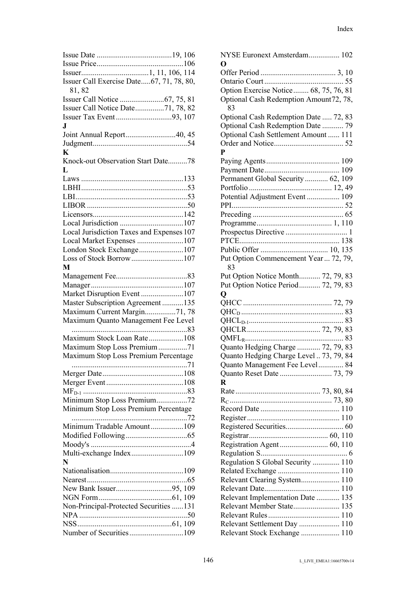| Issuer Call Exercise Date67, 71, 78, 80,  |
|-------------------------------------------|
| 81, 82                                    |
|                                           |
| Issuer Call Notice Date71, 78, 82         |
|                                           |
| J.                                        |
| Joint Annual Report40, 45                 |
|                                           |
| K                                         |
| Knock-out Observation Start Date78        |
| L                                         |
|                                           |
|                                           |
|                                           |
|                                           |
|                                           |
|                                           |
| Local Jurisdiction Taxes and Expenses 107 |
| Local Market Expenses 107                 |
| London Stock Exchange107                  |
| Loss of Stock Borrow107                   |
| M                                         |
|                                           |
|                                           |
| Market Disruption Event107                |
| Master Subscription Agreement135          |
| Maximum Current Margin71, 78              |
| Maximum Quanto Management Fee Level       |
|                                           |
| Maximum Stock Loan Rate108                |
| Maximum Stop Loss Premium71               |
| Maximum Stop Loss Premium Percentage      |
|                                           |
|                                           |
|                                           |
|                                           |
| Minimum Stop Loss Premium72               |
| Minimum Stop Loss Premium Percentage      |
|                                           |
| Minimum Tradable Amount109                |
|                                           |
|                                           |
| Multi-exchange Index109                   |
| N                                         |
|                                           |
|                                           |
|                                           |
|                                           |
| Non-Principal-Protected Securities 131    |
|                                           |
|                                           |
| Number of Securities109                   |

| NYSE Euronext Amsterdam 102<br>O             |
|----------------------------------------------|
|                                              |
|                                              |
|                                              |
| Option Exercise Notice 68, 75, 76, 81        |
| Optional Cash Redemption Amount72, 78,<br>83 |
| Optional Cash Redemption Date  72, 83        |
| Optional Cash Redemption Date  79            |
| Optional Cash Settlement Amount  111         |
|                                              |
| P                                            |
|                                              |
|                                              |
|                                              |
| Permanent Global Security 62, 109            |
|                                              |
| Potential Adjustment Event  109              |
|                                              |
|                                              |
|                                              |
|                                              |
|                                              |
|                                              |
|                                              |
| Put Option Commencement Year  72, 79,<br>83  |
| Put Option Notice Month 72, 79, 83           |
| Put Option Notice Period 72, 79, 83          |
| Q                                            |
|                                              |
|                                              |
|                                              |
|                                              |
|                                              |
|                                              |
|                                              |
| Quanto Hedging Charge  72, 79, 83            |
| Quanto Hedging Charge Level  73, 79, 84      |
| Quanto Management Fee Level 84               |
|                                              |
| R                                            |
|                                              |
|                                              |
|                                              |
|                                              |
|                                              |
|                                              |
|                                              |
|                                              |
|                                              |
| Regulation S Global Security  110            |
|                                              |
| Relevant Clearing System 110                 |
|                                              |
| Relevant Implementation Date  135            |
| Relevant Member State 135                    |
|                                              |
| Relevant Settlement Day  110                 |
| Relevant Stock Exchange  110                 |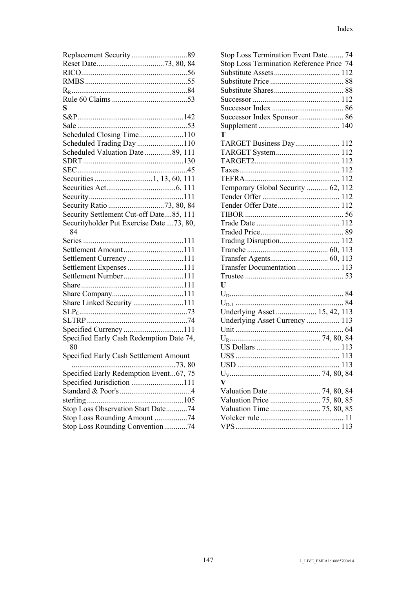| S                                         |
|-------------------------------------------|
|                                           |
|                                           |
| Scheduled Closing Time110                 |
| Scheduled Trading Day 110                 |
| Scheduled Valuation Date 89, 111          |
|                                           |
|                                           |
|                                           |
|                                           |
|                                           |
|                                           |
| Security Settlement Cut-off Date85, 111   |
| Securityholder Put Exercise Date  73, 80, |
| 84                                        |
|                                           |
| Settlement Amount111                      |
| Settlement Currency 111                   |
| Settlement Expenses111                    |
| Settlement Number111                      |
|                                           |
|                                           |
| Share Linked Security 111                 |
|                                           |
|                                           |
|                                           |
| Specified Early Cash Redemption Date 74,  |
| 80                                        |
| Specified Early Cash Settlement Amount    |
| Specified Early Redemption Event67, 75    |
| Specified Jurisdiction 111                |
|                                           |
|                                           |
| Stop Loss Observation Start Date74        |
| Stop Loss Rounding Amount 74              |
| Stop Loss Rounding Convention74           |
|                                           |

| Stop Loss Termination Event Date 74      |
|------------------------------------------|
| Stop Loss Termination Reference Price 74 |
|                                          |
|                                          |
|                                          |
|                                          |
|                                          |
|                                          |
|                                          |
|                                          |
|                                          |
| Т                                        |
| TARGET Business Day 112                  |
|                                          |
|                                          |
|                                          |
|                                          |
|                                          |
| Temporary Global Security  62, 112       |
|                                          |
| Tender Offer Date 112                    |
|                                          |
|                                          |
|                                          |
| Trading Disruption 112                   |
|                                          |
|                                          |
| Transfer Documentation  113              |
|                                          |
|                                          |
| U                                        |
|                                          |
|                                          |
| Underlying Asset  15, 42, 113            |
| Underlying Asset Currency  113           |
|                                          |
|                                          |
|                                          |
|                                          |
|                                          |
| 113                                      |
|                                          |
| $\overline{\mathbf{V}}$                  |
| Valuation Date  74, 80, 84               |
| Valuation Price  75, 80, 85              |
|                                          |
|                                          |
|                                          |
|                                          |